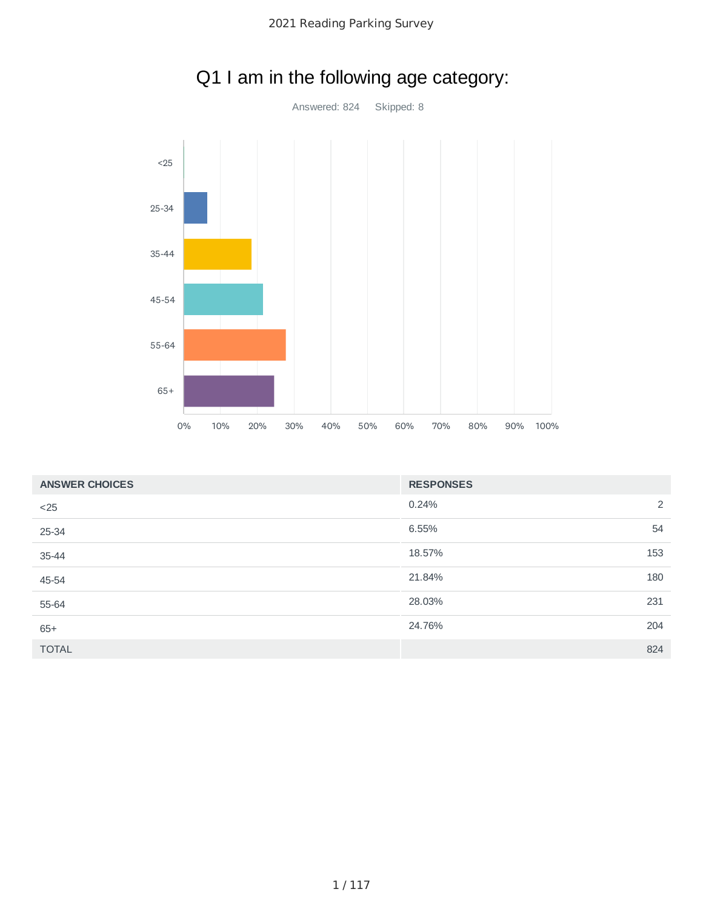

# Q1 I am in the following age category:

| <b>ANSWER CHOICES</b> | <b>RESPONSES</b> |     |
|-----------------------|------------------|-----|
| $<$ 25                | 0.24%            | 2   |
| 25-34                 | 6.55%            | 54  |
| 35-44                 | 18.57%           | 153 |
| 45-54                 | 21.84%           | 180 |
| 55-64                 | 28.03%           | 231 |
| $65+$                 | 24.76%           | 204 |
| <b>TOTAL</b>          |                  | 824 |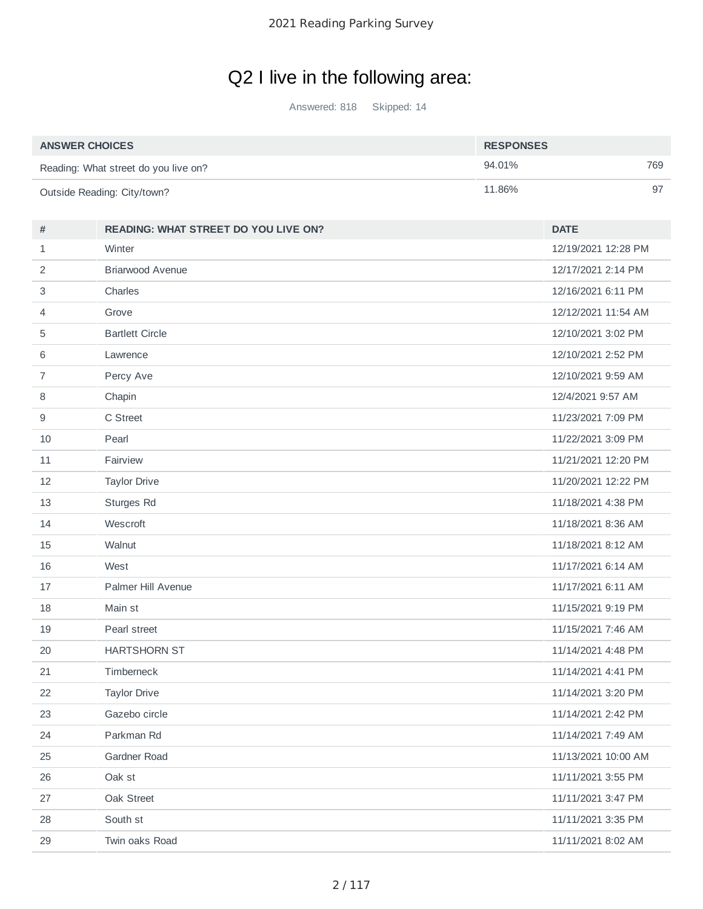# Q2 I live in the following area:

Answered: 818 Skipped: 14

| <b>ANSWER CHOICES</b>                | <b>RESPONSES</b> |     |
|--------------------------------------|------------------|-----|
| Reading: What street do you live on? | 94.01%           | 769 |
| Outside Reading: City/town?          | 11.86%           | 97  |

| #              | <b>READING: WHAT STREET DO YOU LIVE ON?</b> | <b>DATE</b>         |
|----------------|---------------------------------------------|---------------------|
| $\mathbf{1}$   | Winter                                      | 12/19/2021 12:28 PM |
| 2              | <b>Briarwood Avenue</b>                     | 12/17/2021 2:14 PM  |
| 3              | Charles                                     | 12/16/2021 6:11 PM  |
| 4              | Grove                                       | 12/12/2021 11:54 AM |
| 5              | <b>Bartlett Circle</b>                      | 12/10/2021 3:02 PM  |
| 6              | Lawrence                                    | 12/10/2021 2:52 PM  |
| $\overline{7}$ | Percy Ave                                   | 12/10/2021 9:59 AM  |
| 8              | Chapin                                      | 12/4/2021 9:57 AM   |
| 9              | C Street                                    | 11/23/2021 7:09 PM  |
| 10             | Pearl                                       | 11/22/2021 3:09 PM  |
| 11             | Fairview                                    | 11/21/2021 12:20 PM |
| 12             | <b>Taylor Drive</b>                         | 11/20/2021 12:22 PM |
| 13             | Sturges Rd                                  | 11/18/2021 4:38 PM  |
| 14             | Wescroft                                    | 11/18/2021 8:36 AM  |
| 15             | Walnut                                      | 11/18/2021 8:12 AM  |
| 16             | West                                        | 11/17/2021 6:14 AM  |
| 17             | Palmer Hill Avenue                          | 11/17/2021 6:11 AM  |
| 18             | Main st                                     | 11/15/2021 9:19 PM  |
| 19             | Pearl street                                | 11/15/2021 7:46 AM  |
| 20             | <b>HARTSHORN ST</b>                         | 11/14/2021 4:48 PM  |
| 21             | Timberneck                                  | 11/14/2021 4:41 PM  |
| 22             | <b>Taylor Drive</b>                         | 11/14/2021 3:20 PM  |
| 23             | Gazebo circle                               | 11/14/2021 2:42 PM  |
| 24             | Parkman Rd                                  | 11/14/2021 7:49 AM  |
| 25             | Gardner Road                                | 11/13/2021 10:00 AM |
| 26             | Oak st                                      | 11/11/2021 3:55 PM  |
| 27             | Oak Street                                  | 11/11/2021 3:47 PM  |
| 28             | South st                                    | 11/11/2021 3:35 PM  |
| 29             | Twin oaks Road                              | 11/11/2021 8:02 AM  |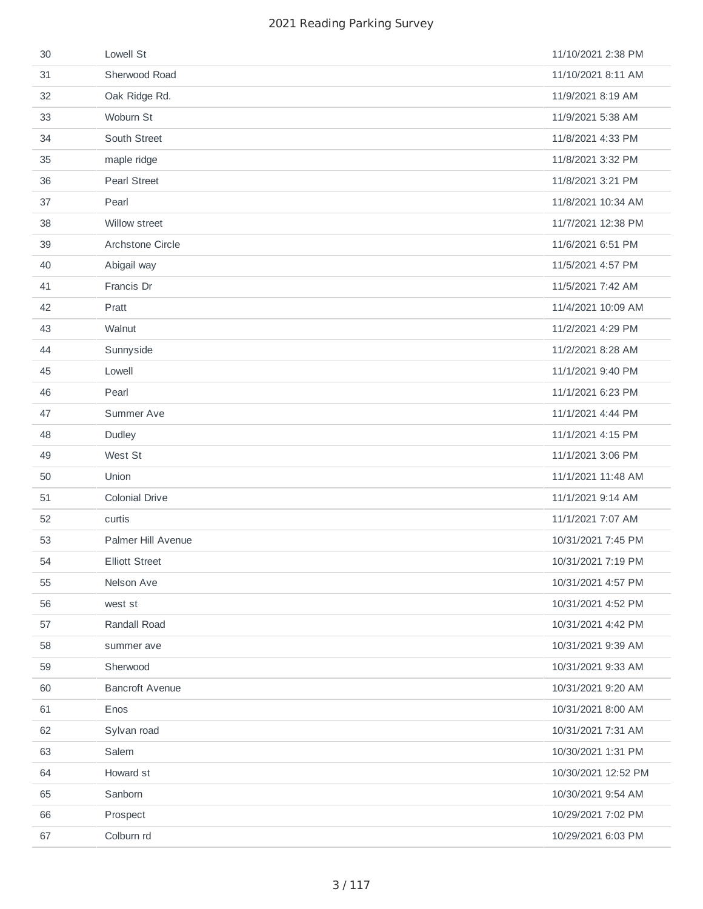| 30 | Lowell St              | 11/10/2021 2:38 PM  |
|----|------------------------|---------------------|
| 31 | Sherwood Road          | 11/10/2021 8:11 AM  |
| 32 | Oak Ridge Rd.          | 11/9/2021 8:19 AM   |
| 33 | Woburn St              | 11/9/2021 5:38 AM   |
| 34 | South Street           | 11/8/2021 4:33 PM   |
| 35 | maple ridge            | 11/8/2021 3:32 PM   |
| 36 | <b>Pearl Street</b>    | 11/8/2021 3:21 PM   |
| 37 | Pearl                  | 11/8/2021 10:34 AM  |
| 38 | Willow street          | 11/7/2021 12:38 PM  |
| 39 | Archstone Circle       | 11/6/2021 6:51 PM   |
| 40 | Abigail way            | 11/5/2021 4:57 PM   |
| 41 | Francis Dr             | 11/5/2021 7:42 AM   |
| 42 | Pratt                  | 11/4/2021 10:09 AM  |
| 43 | Walnut                 | 11/2/2021 4:29 PM   |
| 44 | Sunnyside              | 11/2/2021 8:28 AM   |
| 45 | Lowell                 | 11/1/2021 9:40 PM   |
| 46 | Pearl                  | 11/1/2021 6:23 PM   |
| 47 | Summer Ave             | 11/1/2021 4:44 PM   |
| 48 | Dudley                 | 11/1/2021 4:15 PM   |
| 49 | West St                | 11/1/2021 3:06 PM   |
| 50 | Union                  | 11/1/2021 11:48 AM  |
| 51 | <b>Colonial Drive</b>  | 11/1/2021 9:14 AM   |
| 52 | curtis                 | 11/1/2021 7:07 AM   |
| 53 | Palmer Hill Avenue     | 10/31/2021 7:45 PM  |
| 54 | <b>Elliott Street</b>  | 10/31/2021 7:19 PM  |
| 55 | Nelson Ave             | 10/31/2021 4:57 PM  |
| 56 | west st                | 10/31/2021 4:52 PM  |
| 57 | Randall Road           | 10/31/2021 4:42 PM  |
| 58 | summer ave             | 10/31/2021 9:39 AM  |
| 59 | Sherwood               | 10/31/2021 9:33 AM  |
| 60 | <b>Bancroft Avenue</b> | 10/31/2021 9:20 AM  |
| 61 | Enos                   | 10/31/2021 8:00 AM  |
| 62 | Sylvan road            | 10/31/2021 7:31 AM  |
| 63 | Salem                  | 10/30/2021 1:31 PM  |
| 64 | Howard st              | 10/30/2021 12:52 PM |
| 65 | Sanborn                | 10/30/2021 9:54 AM  |
| 66 | Prospect               | 10/29/2021 7:02 PM  |
| 67 | Colburn rd             | 10/29/2021 6:03 PM  |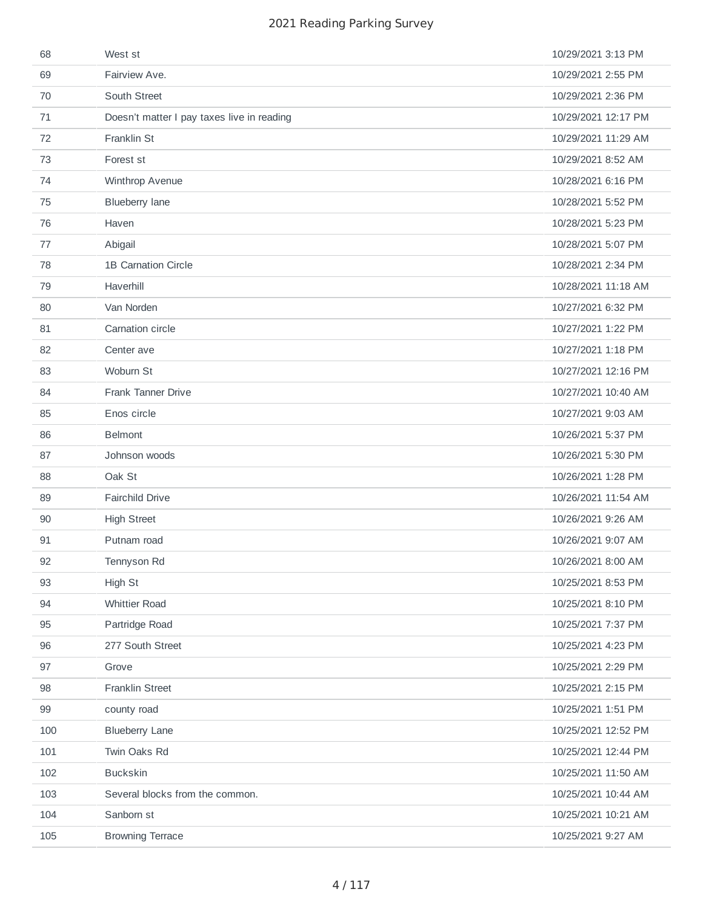| 69<br>Fairview Ave.<br>10/29/2021 2:55 PM<br>South Street<br>10/29/2021 2:36 PM<br>70<br>10/29/2021 12:17 PM<br>71<br>Doesn't matter I pay taxes live in reading<br>Franklin St<br>72<br>10/29/2021 11:29 AM<br>73<br>Forest st<br>10/29/2021 8:52 AM<br>Winthrop Avenue<br>10/28/2021 6:16 PM<br>74<br>75<br><b>Blueberry lane</b><br>10/28/2021 5:52 PM<br>76<br>10/28/2021 5:23 PM<br>Haven<br>77<br>10/28/2021 5:07 PM<br>Abigail<br>78<br><b>1B Carnation Circle</b><br>10/28/2021 2:34 PM<br>Haverhill<br>79<br>10/28/2021 11:18 AM<br>80<br>Van Norden<br>10/27/2021 6:32 PM<br>Carnation circle<br>81<br>10/27/2021 1:22 PM<br>10/27/2021 1:18 PM<br>82<br>Center ave<br>Woburn St<br>10/27/2021 12:16 PM<br>83<br>Frank Tanner Drive<br>10/27/2021 10:40 AM<br>84<br>Enos circle<br>85<br>10/27/2021 9:03 AM<br><b>Belmont</b><br>86<br>10/26/2021 5:37 PM<br>87<br>Johnson woods<br>10/26/2021 5:30 PM<br>Oak St<br>88<br>10/26/2021 1:28 PM<br>89<br>Fairchild Drive<br>10/26/2021 11:54 AM<br><b>High Street</b><br>10/26/2021 9:26 AM<br>90<br>91<br>Putnam road<br>10/26/2021 9:07 AM<br>10/26/2021 8:00 AM<br>92<br>Tennyson Rd<br>93<br>High St<br>10/25/2021 8:53 PM<br>94<br><b>Whittier Road</b><br>10/25/2021 8:10 PM<br>95<br>Partridge Road<br>10/25/2021 7:37 PM<br>96<br>277 South Street<br>10/25/2021 4:23 PM<br>10/25/2021 2:29 PM<br>97<br>Grove<br>98<br>Franklin Street<br>10/25/2021 2:15 PM<br>99<br>county road<br>10/25/2021 1:51 PM<br><b>Blueberry Lane</b><br>100<br>10/25/2021 12:52 PM<br>101<br>Twin Oaks Rd<br>10/25/2021 12:44 PM<br><b>Buckskin</b><br>102<br>10/25/2021 11:50 AM | 68  | West st                 | 10/29/2021 3:13 PM |
|------------------------------------------------------------------------------------------------------------------------------------------------------------------------------------------------------------------------------------------------------------------------------------------------------------------------------------------------------------------------------------------------------------------------------------------------------------------------------------------------------------------------------------------------------------------------------------------------------------------------------------------------------------------------------------------------------------------------------------------------------------------------------------------------------------------------------------------------------------------------------------------------------------------------------------------------------------------------------------------------------------------------------------------------------------------------------------------------------------------------------------------------------------------------------------------------------------------------------------------------------------------------------------------------------------------------------------------------------------------------------------------------------------------------------------------------------------------------------------------------------------------------------------------------------------------------------------------------------------------------------|-----|-------------------------|--------------------|
|                                                                                                                                                                                                                                                                                                                                                                                                                                                                                                                                                                                                                                                                                                                                                                                                                                                                                                                                                                                                                                                                                                                                                                                                                                                                                                                                                                                                                                                                                                                                                                                                                              |     |                         |                    |
|                                                                                                                                                                                                                                                                                                                                                                                                                                                                                                                                                                                                                                                                                                                                                                                                                                                                                                                                                                                                                                                                                                                                                                                                                                                                                                                                                                                                                                                                                                                                                                                                                              |     |                         |                    |
|                                                                                                                                                                                                                                                                                                                                                                                                                                                                                                                                                                                                                                                                                                                                                                                                                                                                                                                                                                                                                                                                                                                                                                                                                                                                                                                                                                                                                                                                                                                                                                                                                              |     |                         |                    |
|                                                                                                                                                                                                                                                                                                                                                                                                                                                                                                                                                                                                                                                                                                                                                                                                                                                                                                                                                                                                                                                                                                                                                                                                                                                                                                                                                                                                                                                                                                                                                                                                                              |     |                         |                    |
|                                                                                                                                                                                                                                                                                                                                                                                                                                                                                                                                                                                                                                                                                                                                                                                                                                                                                                                                                                                                                                                                                                                                                                                                                                                                                                                                                                                                                                                                                                                                                                                                                              |     |                         |                    |
|                                                                                                                                                                                                                                                                                                                                                                                                                                                                                                                                                                                                                                                                                                                                                                                                                                                                                                                                                                                                                                                                                                                                                                                                                                                                                                                                                                                                                                                                                                                                                                                                                              |     |                         |                    |
|                                                                                                                                                                                                                                                                                                                                                                                                                                                                                                                                                                                                                                                                                                                                                                                                                                                                                                                                                                                                                                                                                                                                                                                                                                                                                                                                                                                                                                                                                                                                                                                                                              |     |                         |                    |
|                                                                                                                                                                                                                                                                                                                                                                                                                                                                                                                                                                                                                                                                                                                                                                                                                                                                                                                                                                                                                                                                                                                                                                                                                                                                                                                                                                                                                                                                                                                                                                                                                              |     |                         |                    |
|                                                                                                                                                                                                                                                                                                                                                                                                                                                                                                                                                                                                                                                                                                                                                                                                                                                                                                                                                                                                                                                                                                                                                                                                                                                                                                                                                                                                                                                                                                                                                                                                                              |     |                         |                    |
|                                                                                                                                                                                                                                                                                                                                                                                                                                                                                                                                                                                                                                                                                                                                                                                                                                                                                                                                                                                                                                                                                                                                                                                                                                                                                                                                                                                                                                                                                                                                                                                                                              |     |                         |                    |
|                                                                                                                                                                                                                                                                                                                                                                                                                                                                                                                                                                                                                                                                                                                                                                                                                                                                                                                                                                                                                                                                                                                                                                                                                                                                                                                                                                                                                                                                                                                                                                                                                              |     |                         |                    |
|                                                                                                                                                                                                                                                                                                                                                                                                                                                                                                                                                                                                                                                                                                                                                                                                                                                                                                                                                                                                                                                                                                                                                                                                                                                                                                                                                                                                                                                                                                                                                                                                                              |     |                         |                    |
|                                                                                                                                                                                                                                                                                                                                                                                                                                                                                                                                                                                                                                                                                                                                                                                                                                                                                                                                                                                                                                                                                                                                                                                                                                                                                                                                                                                                                                                                                                                                                                                                                              |     |                         |                    |
|                                                                                                                                                                                                                                                                                                                                                                                                                                                                                                                                                                                                                                                                                                                                                                                                                                                                                                                                                                                                                                                                                                                                                                                                                                                                                                                                                                                                                                                                                                                                                                                                                              |     |                         |                    |
|                                                                                                                                                                                                                                                                                                                                                                                                                                                                                                                                                                                                                                                                                                                                                                                                                                                                                                                                                                                                                                                                                                                                                                                                                                                                                                                                                                                                                                                                                                                                                                                                                              |     |                         |                    |
|                                                                                                                                                                                                                                                                                                                                                                                                                                                                                                                                                                                                                                                                                                                                                                                                                                                                                                                                                                                                                                                                                                                                                                                                                                                                                                                                                                                                                                                                                                                                                                                                                              |     |                         |                    |
|                                                                                                                                                                                                                                                                                                                                                                                                                                                                                                                                                                                                                                                                                                                                                                                                                                                                                                                                                                                                                                                                                                                                                                                                                                                                                                                                                                                                                                                                                                                                                                                                                              |     |                         |                    |
|                                                                                                                                                                                                                                                                                                                                                                                                                                                                                                                                                                                                                                                                                                                                                                                                                                                                                                                                                                                                                                                                                                                                                                                                                                                                                                                                                                                                                                                                                                                                                                                                                              |     |                         |                    |
|                                                                                                                                                                                                                                                                                                                                                                                                                                                                                                                                                                                                                                                                                                                                                                                                                                                                                                                                                                                                                                                                                                                                                                                                                                                                                                                                                                                                                                                                                                                                                                                                                              |     |                         |                    |
|                                                                                                                                                                                                                                                                                                                                                                                                                                                                                                                                                                                                                                                                                                                                                                                                                                                                                                                                                                                                                                                                                                                                                                                                                                                                                                                                                                                                                                                                                                                                                                                                                              |     |                         |                    |
|                                                                                                                                                                                                                                                                                                                                                                                                                                                                                                                                                                                                                                                                                                                                                                                                                                                                                                                                                                                                                                                                                                                                                                                                                                                                                                                                                                                                                                                                                                                                                                                                                              |     |                         |                    |
|                                                                                                                                                                                                                                                                                                                                                                                                                                                                                                                                                                                                                                                                                                                                                                                                                                                                                                                                                                                                                                                                                                                                                                                                                                                                                                                                                                                                                                                                                                                                                                                                                              |     |                         |                    |
|                                                                                                                                                                                                                                                                                                                                                                                                                                                                                                                                                                                                                                                                                                                                                                                                                                                                                                                                                                                                                                                                                                                                                                                                                                                                                                                                                                                                                                                                                                                                                                                                                              |     |                         |                    |
|                                                                                                                                                                                                                                                                                                                                                                                                                                                                                                                                                                                                                                                                                                                                                                                                                                                                                                                                                                                                                                                                                                                                                                                                                                                                                                                                                                                                                                                                                                                                                                                                                              |     |                         |                    |
|                                                                                                                                                                                                                                                                                                                                                                                                                                                                                                                                                                                                                                                                                                                                                                                                                                                                                                                                                                                                                                                                                                                                                                                                                                                                                                                                                                                                                                                                                                                                                                                                                              |     |                         |                    |
|                                                                                                                                                                                                                                                                                                                                                                                                                                                                                                                                                                                                                                                                                                                                                                                                                                                                                                                                                                                                                                                                                                                                                                                                                                                                                                                                                                                                                                                                                                                                                                                                                              |     |                         |                    |
|                                                                                                                                                                                                                                                                                                                                                                                                                                                                                                                                                                                                                                                                                                                                                                                                                                                                                                                                                                                                                                                                                                                                                                                                                                                                                                                                                                                                                                                                                                                                                                                                                              |     |                         |                    |
|                                                                                                                                                                                                                                                                                                                                                                                                                                                                                                                                                                                                                                                                                                                                                                                                                                                                                                                                                                                                                                                                                                                                                                                                                                                                                                                                                                                                                                                                                                                                                                                                                              |     |                         |                    |
|                                                                                                                                                                                                                                                                                                                                                                                                                                                                                                                                                                                                                                                                                                                                                                                                                                                                                                                                                                                                                                                                                                                                                                                                                                                                                                                                                                                                                                                                                                                                                                                                                              |     |                         |                    |
|                                                                                                                                                                                                                                                                                                                                                                                                                                                                                                                                                                                                                                                                                                                                                                                                                                                                                                                                                                                                                                                                                                                                                                                                                                                                                                                                                                                                                                                                                                                                                                                                                              |     |                         |                    |
|                                                                                                                                                                                                                                                                                                                                                                                                                                                                                                                                                                                                                                                                                                                                                                                                                                                                                                                                                                                                                                                                                                                                                                                                                                                                                                                                                                                                                                                                                                                                                                                                                              |     |                         |                    |
|                                                                                                                                                                                                                                                                                                                                                                                                                                                                                                                                                                                                                                                                                                                                                                                                                                                                                                                                                                                                                                                                                                                                                                                                                                                                                                                                                                                                                                                                                                                                                                                                                              |     |                         |                    |
|                                                                                                                                                                                                                                                                                                                                                                                                                                                                                                                                                                                                                                                                                                                                                                                                                                                                                                                                                                                                                                                                                                                                                                                                                                                                                                                                                                                                                                                                                                                                                                                                                              |     |                         |                    |
|                                                                                                                                                                                                                                                                                                                                                                                                                                                                                                                                                                                                                                                                                                                                                                                                                                                                                                                                                                                                                                                                                                                                                                                                                                                                                                                                                                                                                                                                                                                                                                                                                              |     |                         |                    |
| 103<br>Several blocks from the common.<br>10/25/2021 10:44 AM                                                                                                                                                                                                                                                                                                                                                                                                                                                                                                                                                                                                                                                                                                                                                                                                                                                                                                                                                                                                                                                                                                                                                                                                                                                                                                                                                                                                                                                                                                                                                                |     |                         |                    |
| Sanborn st<br>104<br>10/25/2021 10:21 AM                                                                                                                                                                                                                                                                                                                                                                                                                                                                                                                                                                                                                                                                                                                                                                                                                                                                                                                                                                                                                                                                                                                                                                                                                                                                                                                                                                                                                                                                                                                                                                                     |     |                         |                    |
|                                                                                                                                                                                                                                                                                                                                                                                                                                                                                                                                                                                                                                                                                                                                                                                                                                                                                                                                                                                                                                                                                                                                                                                                                                                                                                                                                                                                                                                                                                                                                                                                                              | 105 | <b>Browning Terrace</b> | 10/25/2021 9:27 AM |
|                                                                                                                                                                                                                                                                                                                                                                                                                                                                                                                                                                                                                                                                                                                                                                                                                                                                                                                                                                                                                                                                                                                                                                                                                                                                                                                                                                                                                                                                                                                                                                                                                              |     |                         |                    |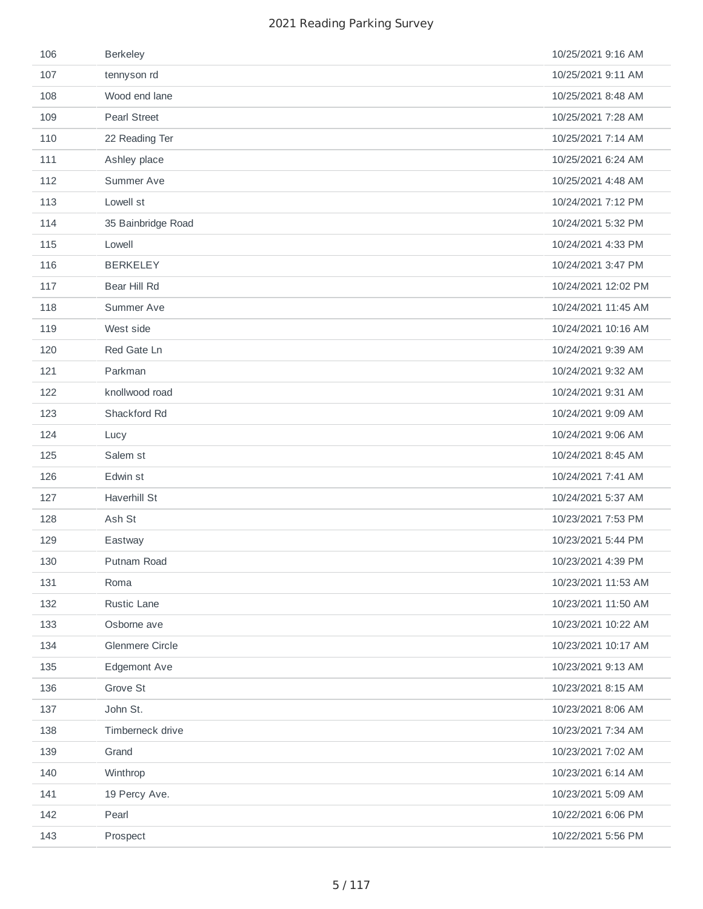| 106 | <b>Berkeley</b>     | 10/25/2021 9:16 AM  |
|-----|---------------------|---------------------|
| 107 | tennyson rd         | 10/25/2021 9:11 AM  |
| 108 | Wood end lane       | 10/25/2021 8:48 AM  |
| 109 | <b>Pearl Street</b> | 10/25/2021 7:28 AM  |
| 110 | 22 Reading Ter      | 10/25/2021 7:14 AM  |
| 111 | Ashley place        | 10/25/2021 6:24 AM  |
| 112 | Summer Ave          | 10/25/2021 4:48 AM  |
| 113 | Lowell st           | 10/24/2021 7:12 PM  |
| 114 | 35 Bainbridge Road  | 10/24/2021 5:32 PM  |
| 115 | Lowell              | 10/24/2021 4:33 PM  |
| 116 | <b>BERKELEY</b>     | 10/24/2021 3:47 PM  |
| 117 | Bear Hill Rd        | 10/24/2021 12:02 PM |
| 118 | Summer Ave          | 10/24/2021 11:45 AM |
| 119 | West side           | 10/24/2021 10:16 AM |
| 120 | Red Gate Ln         | 10/24/2021 9:39 AM  |
| 121 | Parkman             | 10/24/2021 9:32 AM  |
| 122 | knollwood road      | 10/24/2021 9:31 AM  |
| 123 | Shackford Rd        | 10/24/2021 9:09 AM  |
| 124 | Lucy                | 10/24/2021 9:06 AM  |
| 125 | Salem st            | 10/24/2021 8:45 AM  |
| 126 | Edwin st            | 10/24/2021 7:41 AM  |
| 127 | Haverhill St        | 10/24/2021 5:37 AM  |
| 128 | Ash St              | 10/23/2021 7:53 PM  |
| 129 | Eastway             | 10/23/2021 5:44 PM  |
| 130 | Putnam Road         | 10/23/2021 4:39 PM  |
| 131 | Roma                | 10/23/2021 11:53 AM |
| 132 | Rustic Lane         | 10/23/2021 11:50 AM |
| 133 | Osborne ave         | 10/23/2021 10:22 AM |
| 134 | Glenmere Circle     | 10/23/2021 10:17 AM |
| 135 | Edgemont Ave        | 10/23/2021 9:13 AM  |
| 136 | Grove St            | 10/23/2021 8:15 AM  |
| 137 | John St.            | 10/23/2021 8:06 AM  |
| 138 | Timberneck drive    | 10/23/2021 7:34 AM  |
| 139 | Grand               | 10/23/2021 7:02 AM  |
| 140 | Winthrop            | 10/23/2021 6:14 AM  |
| 141 | 19 Percy Ave.       | 10/23/2021 5:09 AM  |
| 142 | Pearl               | 10/22/2021 6:06 PM  |
| 143 | Prospect            | 10/22/2021 5:56 PM  |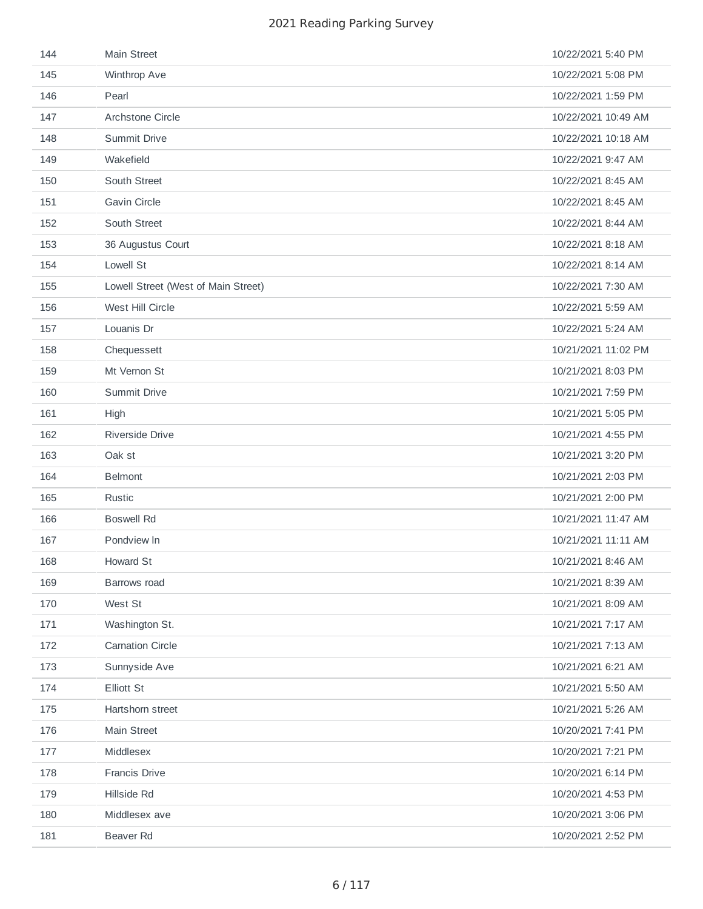| 144 | Main Street                         | 10/22/2021 5:40 PM  |
|-----|-------------------------------------|---------------------|
| 145 | Winthrop Ave                        | 10/22/2021 5:08 PM  |
| 146 | Pearl                               | 10/22/2021 1:59 PM  |
| 147 | Archstone Circle                    | 10/22/2021 10:49 AM |
| 148 | Summit Drive                        | 10/22/2021 10:18 AM |
| 149 | Wakefield                           | 10/22/2021 9:47 AM  |
| 150 | South Street                        | 10/22/2021 8:45 AM  |
| 151 | <b>Gavin Circle</b>                 | 10/22/2021 8:45 AM  |
| 152 | South Street                        | 10/22/2021 8:44 AM  |
| 153 | 36 Augustus Court                   | 10/22/2021 8:18 AM  |
| 154 | Lowell St                           | 10/22/2021 8:14 AM  |
| 155 | Lowell Street (West of Main Street) | 10/22/2021 7:30 AM  |
| 156 | West Hill Circle                    | 10/22/2021 5:59 AM  |
| 157 | Louanis Dr                          | 10/22/2021 5:24 AM  |
| 158 | Chequessett                         | 10/21/2021 11:02 PM |
| 159 | Mt Vernon St                        | 10/21/2021 8:03 PM  |
| 160 | Summit Drive                        | 10/21/2021 7:59 PM  |
| 161 | High                                | 10/21/2021 5:05 PM  |
| 162 | Riverside Drive                     | 10/21/2021 4:55 PM  |
| 163 | Oak st                              | 10/21/2021 3:20 PM  |
| 164 | <b>Belmont</b>                      | 10/21/2021 2:03 PM  |
| 165 | Rustic                              | 10/21/2021 2:00 PM  |
| 166 | <b>Boswell Rd</b>                   | 10/21/2021 11:47 AM |
| 167 | Pondview In                         | 10/21/2021 11:11 AM |
| 168 | Howard St                           | 10/21/2021 8:46 AM  |
| 169 | Barrows road                        | 10/21/2021 8:39 AM  |
| 170 | West St                             | 10/21/2021 8:09 AM  |
| 171 | Washington St.                      | 10/21/2021 7:17 AM  |
| 172 | <b>Carnation Circle</b>             | 10/21/2021 7:13 AM  |
| 173 | Sunnyside Ave                       | 10/21/2021 6:21 AM  |
| 174 | Elliott St                          | 10/21/2021 5:50 AM  |
| 175 | Hartshorn street                    | 10/21/2021 5:26 AM  |
| 176 | Main Street                         | 10/20/2021 7:41 PM  |
| 177 | Middlesex                           | 10/20/2021 7:21 PM  |
| 178 | Francis Drive                       | 10/20/2021 6:14 PM  |
| 179 | Hillside Rd                         | 10/20/2021 4:53 PM  |
| 180 | Middlesex ave                       | 10/20/2021 3:06 PM  |
| 181 | Beaver Rd                           | 10/20/2021 2:52 PM  |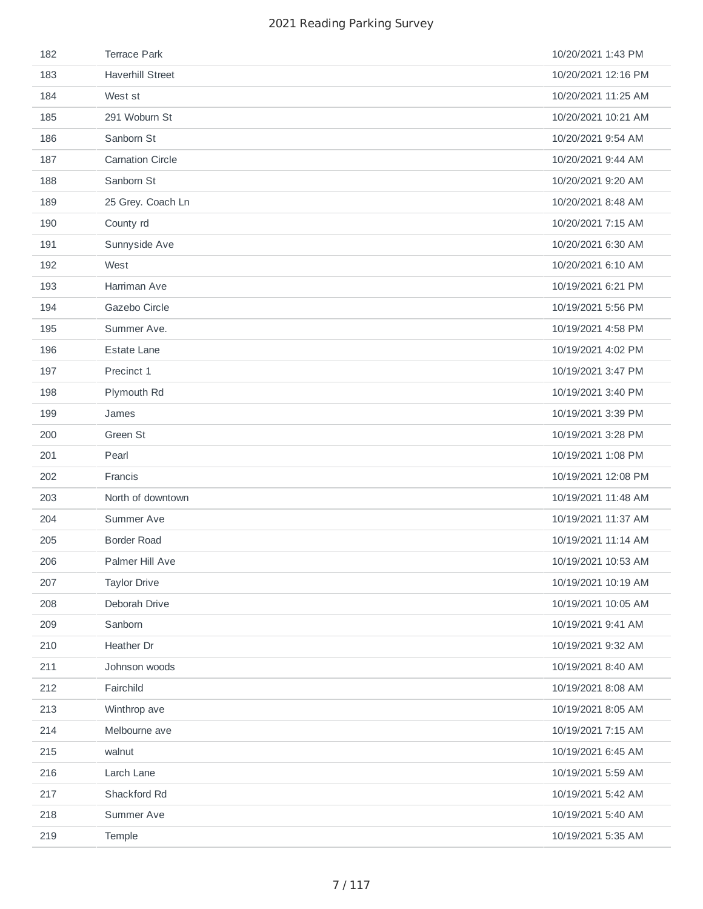| 182 | <b>Terrace Park</b>     | 10/20/2021 1:43 PM  |
|-----|-------------------------|---------------------|
| 183 | <b>Haverhill Street</b> | 10/20/2021 12:16 PM |
| 184 | West st                 | 10/20/2021 11:25 AM |
| 185 | 291 Woburn St           | 10/20/2021 10:21 AM |
| 186 | Sanborn St              | 10/20/2021 9:54 AM  |
| 187 | <b>Carnation Circle</b> | 10/20/2021 9:44 AM  |
| 188 | Sanborn St              | 10/20/2021 9:20 AM  |
| 189 | 25 Grey. Coach Ln       | 10/20/2021 8:48 AM  |
| 190 | County rd               | 10/20/2021 7:15 AM  |
| 191 | Sunnyside Ave           | 10/20/2021 6:30 AM  |
| 192 | West                    | 10/20/2021 6:10 AM  |
| 193 | Harriman Ave            | 10/19/2021 6:21 PM  |
| 194 | Gazebo Circle           | 10/19/2021 5:56 PM  |
| 195 | Summer Ave.             | 10/19/2021 4:58 PM  |
| 196 | <b>Estate Lane</b>      | 10/19/2021 4:02 PM  |
| 197 | Precinct 1              | 10/19/2021 3:47 PM  |
| 198 | Plymouth Rd             | 10/19/2021 3:40 PM  |
| 199 | James                   | 10/19/2021 3:39 PM  |
| 200 | Green St                | 10/19/2021 3:28 PM  |
| 201 | Pearl                   | 10/19/2021 1:08 PM  |
| 202 | Francis                 | 10/19/2021 12:08 PM |
| 203 | North of downtown       | 10/19/2021 11:48 AM |
| 204 | Summer Ave              | 10/19/2021 11:37 AM |
| 205 | <b>Border Road</b>      | 10/19/2021 11:14 AM |
| 206 | Palmer Hill Ave         | 10/19/2021 10:53 AM |
| 207 |                         |                     |
| 208 | <b>Taylor Drive</b>     | 10/19/2021 10:19 AM |
|     | Deborah Drive           | 10/19/2021 10:05 AM |
| 209 | Sanborn                 | 10/19/2021 9:41 AM  |
| 210 | Heather Dr              | 10/19/2021 9:32 AM  |
| 211 | Johnson woods           | 10/19/2021 8:40 AM  |
| 212 | Fairchild               | 10/19/2021 8:08 AM  |
| 213 | Winthrop ave            | 10/19/2021 8:05 AM  |
| 214 | Melbourne ave           | 10/19/2021 7:15 AM  |
| 215 | walnut                  | 10/19/2021 6:45 AM  |
| 216 | Larch Lane              | 10/19/2021 5:59 AM  |
| 217 | Shackford Rd            | 10/19/2021 5:42 AM  |
| 218 | Summer Ave              | 10/19/2021 5:40 AM  |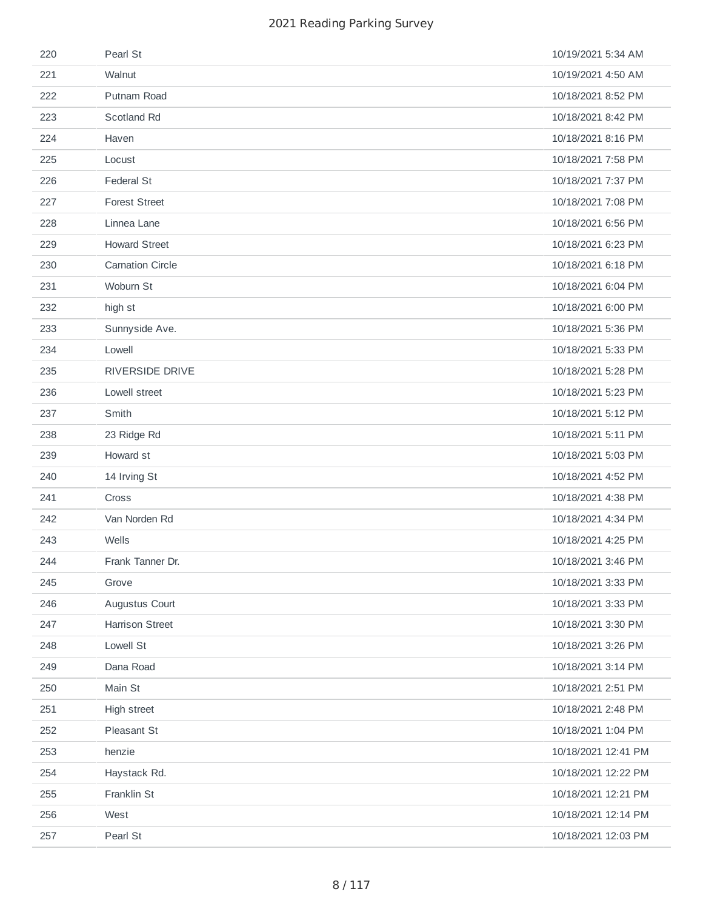| 220 | Pearl St                | 10/19/2021 5:34 AM  |
|-----|-------------------------|---------------------|
| 221 | Walnut                  | 10/19/2021 4:50 AM  |
| 222 | Putnam Road             | 10/18/2021 8:52 PM  |
| 223 | Scotland Rd             | 10/18/2021 8:42 PM  |
| 224 | Haven                   | 10/18/2021 8:16 PM  |
| 225 | Locust                  | 10/18/2021 7:58 PM  |
| 226 | Federal St              | 10/18/2021 7:37 PM  |
| 227 | <b>Forest Street</b>    | 10/18/2021 7:08 PM  |
| 228 | Linnea Lane             | 10/18/2021 6:56 PM  |
| 229 | <b>Howard Street</b>    | 10/18/2021 6:23 PM  |
| 230 | <b>Carnation Circle</b> | 10/18/2021 6:18 PM  |
| 231 | Woburn St               | 10/18/2021 6:04 PM  |
| 232 | high st                 | 10/18/2021 6:00 PM  |
| 233 | Sunnyside Ave.          | 10/18/2021 5:36 PM  |
| 234 | Lowell                  | 10/18/2021 5:33 PM  |
| 235 | RIVERSIDE DRIVE         | 10/18/2021 5:28 PM  |
| 236 | Lowell street           | 10/18/2021 5:23 PM  |
| 237 | Smith                   | 10/18/2021 5:12 PM  |
| 238 | 23 Ridge Rd             | 10/18/2021 5:11 PM  |
| 239 | Howard st               | 10/18/2021 5:03 PM  |
| 240 | 14 Irving St            | 10/18/2021 4:52 PM  |
| 241 | Cross                   | 10/18/2021 4:38 PM  |
| 242 | Van Norden Rd           | 10/18/2021 4:34 PM  |
| 243 | Wells                   | 10/18/2021 4:25 PM  |
| 244 | Frank Tanner Dr.        | 10/18/2021 3:46 PM  |
| 245 | Grove                   | 10/18/2021 3:33 PM  |
| 246 | Augustus Court          | 10/18/2021 3:33 PM  |
| 247 | <b>Harrison Street</b>  | 10/18/2021 3:30 PM  |
| 248 | Lowell St               | 10/18/2021 3:26 PM  |
| 249 | Dana Road               | 10/18/2021 3:14 PM  |
| 250 | Main St                 | 10/18/2021 2:51 PM  |
| 251 | High street             | 10/18/2021 2:48 PM  |
| 252 | Pleasant St             | 10/18/2021 1:04 PM  |
| 253 | henzie                  | 10/18/2021 12:41 PM |
| 254 | Haystack Rd.            | 10/18/2021 12:22 PM |
| 255 | Franklin St             | 10/18/2021 12:21 PM |
| 256 | West                    | 10/18/2021 12:14 PM |
| 257 | Pearl St                | 10/18/2021 12:03 PM |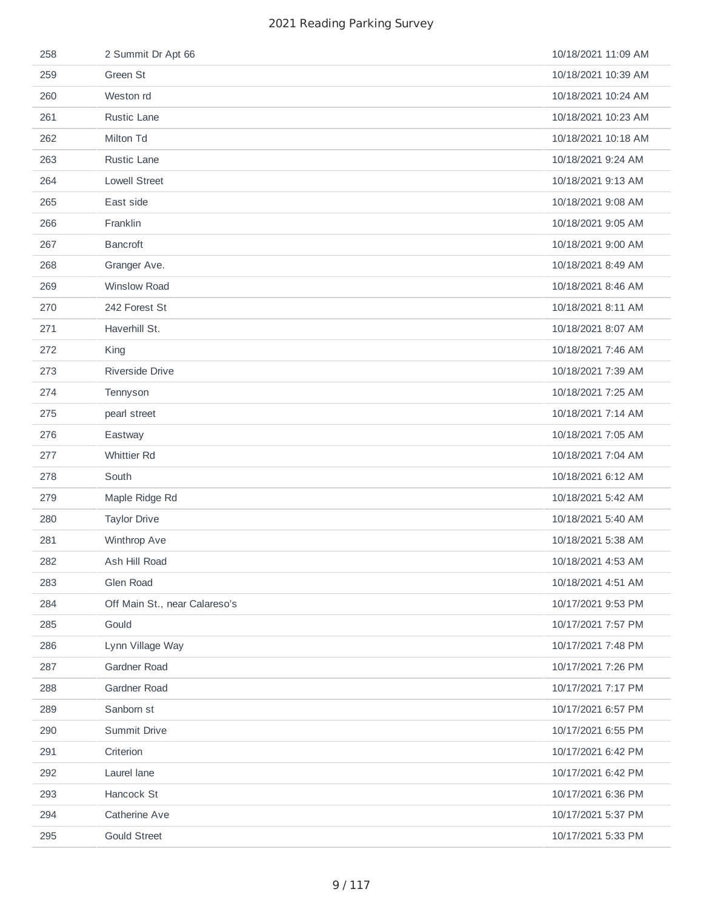| 258 | 2 Summit Dr Apt 66            | 10/18/2021 11:09 AM |
|-----|-------------------------------|---------------------|
| 259 | Green St                      | 10/18/2021 10:39 AM |
| 260 | Weston rd                     | 10/18/2021 10:24 AM |
| 261 | Rustic Lane                   | 10/18/2021 10:23 AM |
| 262 | Milton Td                     | 10/18/2021 10:18 AM |
| 263 | Rustic Lane                   | 10/18/2021 9:24 AM  |
| 264 | <b>Lowell Street</b>          | 10/18/2021 9:13 AM  |
| 265 | East side                     | 10/18/2021 9:08 AM  |
| 266 | Franklin                      | 10/18/2021 9:05 AM  |
| 267 | <b>Bancroft</b>               | 10/18/2021 9:00 AM  |
| 268 | Granger Ave.                  | 10/18/2021 8:49 AM  |
| 269 | <b>Winslow Road</b>           | 10/18/2021 8:46 AM  |
| 270 | 242 Forest St                 | 10/18/2021 8:11 AM  |
| 271 | Haverhill St.                 | 10/18/2021 8:07 AM  |
| 272 | King                          | 10/18/2021 7:46 AM  |
| 273 | Riverside Drive               | 10/18/2021 7:39 AM  |
| 274 | Tennyson                      | 10/18/2021 7:25 AM  |
| 275 | pearl street                  | 10/18/2021 7:14 AM  |
| 276 | Eastway                       | 10/18/2021 7:05 AM  |
| 277 | <b>Whittier Rd</b>            | 10/18/2021 7:04 AM  |
| 278 | South                         | 10/18/2021 6:12 AM  |
| 279 | Maple Ridge Rd                | 10/18/2021 5:42 AM  |
| 280 | <b>Taylor Drive</b>           | 10/18/2021 5:40 AM  |
| 281 | Winthrop Ave                  | 10/18/2021 5:38 AM  |
| 282 | Ash Hill Road                 | 10/18/2021 4:53 AM  |
| 283 | Glen Road                     | 10/18/2021 4:51 AM  |
| 284 | Off Main St., near Calareso's | 10/17/2021 9:53 PM  |
| 285 | Gould                         | 10/17/2021 7:57 PM  |
| 286 | Lynn Village Way              | 10/17/2021 7:48 PM  |
| 287 | Gardner Road                  | 10/17/2021 7:26 PM  |
| 288 | Gardner Road                  | 10/17/2021 7:17 PM  |
| 289 | Sanborn st                    | 10/17/2021 6:57 PM  |
| 290 | Summit Drive                  | 10/17/2021 6:55 PM  |
| 291 | Criterion                     | 10/17/2021 6:42 PM  |
| 292 | Laurel lane                   | 10/17/2021 6:42 PM  |
| 293 | Hancock St                    | 10/17/2021 6:36 PM  |
| 294 | Catherine Ave                 | 10/17/2021 5:37 PM  |
| 295 | <b>Gould Street</b>           | 10/17/2021 5:33 PM  |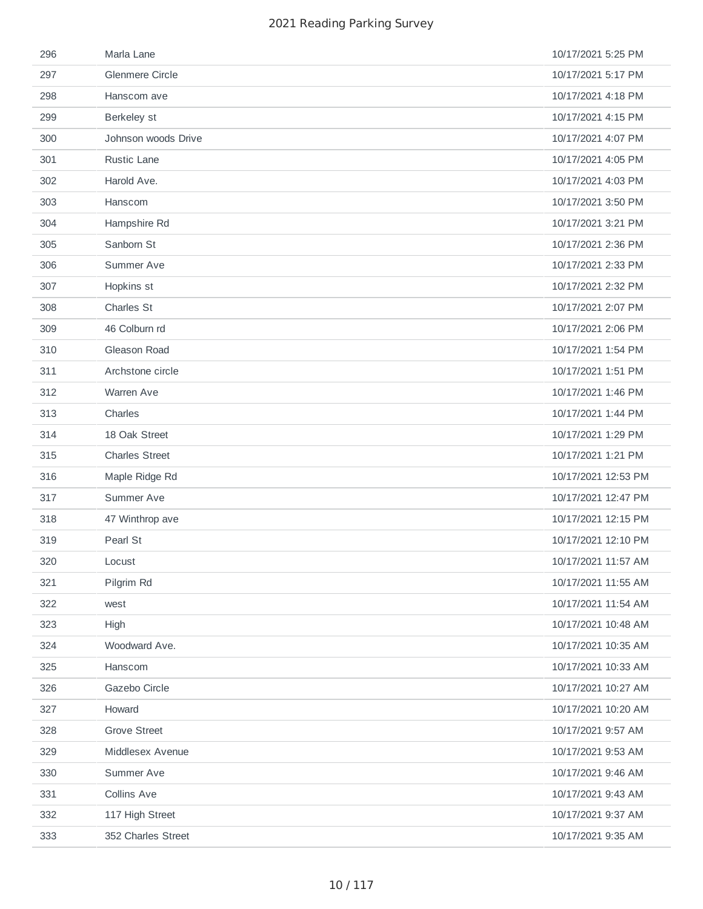| 296 | Marla Lane             | 10/17/2021 5:25 PM  |
|-----|------------------------|---------------------|
| 297 | <b>Glenmere Circle</b> | 10/17/2021 5:17 PM  |
| 298 | Hanscom ave            | 10/17/2021 4:18 PM  |
| 299 | Berkeley st            | 10/17/2021 4:15 PM  |
| 300 | Johnson woods Drive    | 10/17/2021 4:07 PM  |
| 301 | Rustic Lane            | 10/17/2021 4:05 PM  |
| 302 | Harold Ave.            | 10/17/2021 4:03 PM  |
| 303 | Hanscom                | 10/17/2021 3:50 PM  |
| 304 | Hampshire Rd           | 10/17/2021 3:21 PM  |
| 305 | Sanborn St             | 10/17/2021 2:36 PM  |
| 306 | Summer Ave             | 10/17/2021 2:33 PM  |
| 307 | Hopkins st             | 10/17/2021 2:32 PM  |
| 308 | Charles St             | 10/17/2021 2:07 PM  |
| 309 | 46 Colburn rd          | 10/17/2021 2:06 PM  |
| 310 | Gleason Road           | 10/17/2021 1:54 PM  |
| 311 | Archstone circle       | 10/17/2021 1:51 PM  |
| 312 | Warren Ave             | 10/17/2021 1:46 PM  |
| 313 | Charles                | 10/17/2021 1:44 PM  |
| 314 | 18 Oak Street          | 10/17/2021 1:29 PM  |
| 315 | <b>Charles Street</b>  | 10/17/2021 1:21 PM  |
| 316 | Maple Ridge Rd         | 10/17/2021 12:53 PM |
| 317 | Summer Ave             | 10/17/2021 12:47 PM |
| 318 | 47 Winthrop ave        | 10/17/2021 12:15 PM |
| 319 | Pearl St               | 10/17/2021 12:10 PM |
| 320 | Locust                 | 10/17/2021 11:57 AM |
| 321 | Pilgrim Rd             | 10/17/2021 11:55 AM |
| 322 | west                   | 10/17/2021 11:54 AM |
| 323 | High                   | 10/17/2021 10:48 AM |
| 324 | Woodward Ave.          | 10/17/2021 10:35 AM |
| 325 | Hanscom                | 10/17/2021 10:33 AM |
| 326 | Gazebo Circle          | 10/17/2021 10:27 AM |
| 327 | Howard                 | 10/17/2021 10:20 AM |
| 328 | <b>Grove Street</b>    | 10/17/2021 9:57 AM  |
| 329 | Middlesex Avenue       | 10/17/2021 9:53 AM  |
| 330 | Summer Ave             | 10/17/2021 9:46 AM  |
| 331 | Collins Ave            | 10/17/2021 9:43 AM  |
| 332 | 117 High Street        | 10/17/2021 9:37 AM  |
| 333 | 352 Charles Street     | 10/17/2021 9:35 AM  |
|     |                        |                     |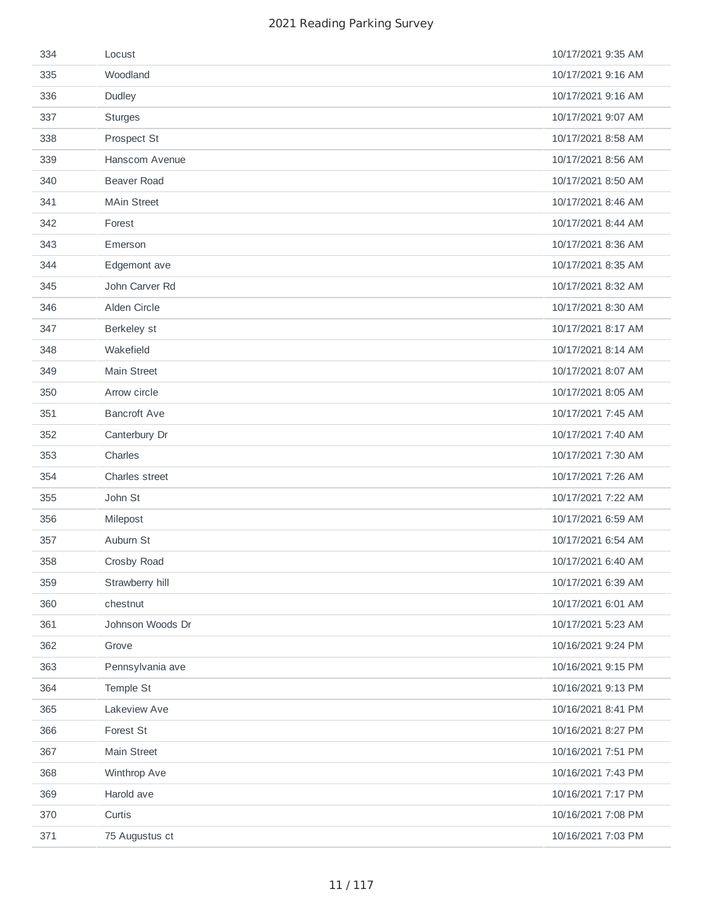| 334 | Locust              | 10/17/2021 9:35 AM |
|-----|---------------------|--------------------|
| 335 | Woodland            | 10/17/2021 9:16 AM |
| 336 | Dudley              | 10/17/2021 9:16 AM |
| 337 | <b>Sturges</b>      | 10/17/2021 9:07 AM |
| 338 | Prospect St         | 10/17/2021 8:58 AM |
| 339 | Hanscom Avenue      | 10/17/2021 8:56 AM |
| 340 | <b>Beaver Road</b>  | 10/17/2021 8:50 AM |
| 341 | <b>MAin Street</b>  | 10/17/2021 8:46 AM |
| 342 | Forest              | 10/17/2021 8:44 AM |
| 343 | Emerson             | 10/17/2021 8:36 AM |
| 344 | Edgemont ave        | 10/17/2021 8:35 AM |
| 345 | John Carver Rd      | 10/17/2021 8:32 AM |
| 346 | Alden Circle        | 10/17/2021 8:30 AM |
| 347 | Berkeley st         | 10/17/2021 8:17 AM |
| 348 | Wakefield           | 10/17/2021 8:14 AM |
| 349 | Main Street         | 10/17/2021 8:07 AM |
| 350 | Arrow circle        | 10/17/2021 8:05 AM |
| 351 | <b>Bancroft Ave</b> | 10/17/2021 7:45 AM |
| 352 | Canterbury Dr       | 10/17/2021 7:40 AM |
| 353 | Charles             | 10/17/2021 7:30 AM |
| 354 | Charles street      | 10/17/2021 7:26 AM |
| 355 | John St             | 10/17/2021 7:22 AM |
| 356 | Milepost            | 10/17/2021 6:59 AM |
| 357 | Auburn St           | 10/17/2021 6:54 AM |
| 358 | Crosby Road         | 10/17/2021 6:40 AM |
| 359 | Strawberry hill     | 10/17/2021 6:39 AM |
| 360 | chestnut            | 10/17/2021 6:01 AM |
| 361 | Johnson Woods Dr    | 10/17/2021 5:23 AM |
| 362 | Grove               | 10/16/2021 9:24 PM |
| 363 | Pennsylvania ave    | 10/16/2021 9:15 PM |
| 364 | Temple St           | 10/16/2021 9:13 PM |
| 365 | Lakeview Ave        | 10/16/2021 8:41 PM |
| 366 | Forest St           | 10/16/2021 8:27 PM |
| 367 | Main Street         | 10/16/2021 7:51 PM |
| 368 | Winthrop Ave        | 10/16/2021 7:43 PM |
| 369 | Harold ave          | 10/16/2021 7:17 PM |
| 370 | Curtis              | 10/16/2021 7:08 PM |
| 371 | 75 Augustus ct      | 10/16/2021 7:03 PM |
|     |                     |                    |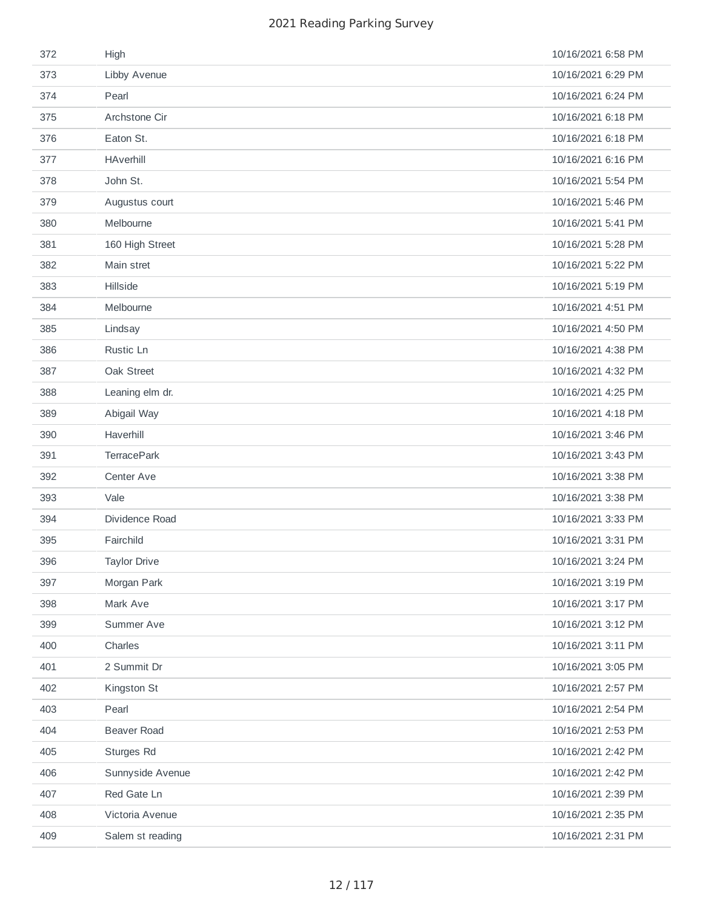| 372 | High                | 10/16/2021 6:58 PM |
|-----|---------------------|--------------------|
| 373 | Libby Avenue        | 10/16/2021 6:29 PM |
| 374 | Pearl               | 10/16/2021 6:24 PM |
| 375 | Archstone Cir       | 10/16/2021 6:18 PM |
| 376 | Eaton St.           | 10/16/2021 6:18 PM |
| 377 | <b>HAverhill</b>    | 10/16/2021 6:16 PM |
| 378 | John St.            | 10/16/2021 5:54 PM |
| 379 | Augustus court      | 10/16/2021 5:46 PM |
| 380 | Melbourne           | 10/16/2021 5:41 PM |
| 381 | 160 High Street     | 10/16/2021 5:28 PM |
| 382 | Main stret          | 10/16/2021 5:22 PM |
| 383 | Hillside            | 10/16/2021 5:19 PM |
| 384 | Melbourne           | 10/16/2021 4:51 PM |
| 385 | Lindsay             | 10/16/2021 4:50 PM |
| 386 | Rustic Ln           | 10/16/2021 4:38 PM |
| 387 | Oak Street          | 10/16/2021 4:32 PM |
| 388 | Leaning elm dr.     | 10/16/2021 4:25 PM |
| 389 | Abigail Way         | 10/16/2021 4:18 PM |
| 390 | Haverhill           | 10/16/2021 3:46 PM |
| 391 | <b>TerracePark</b>  | 10/16/2021 3:43 PM |
| 392 | Center Ave          | 10/16/2021 3:38 PM |
| 393 | Vale                | 10/16/2021 3:38 PM |
| 394 | Dividence Road      | 10/16/2021 3:33 PM |
| 395 | Fairchild           | 10/16/2021 3:31 PM |
| 396 | <b>Taylor Drive</b> | 10/16/2021 3:24 PM |
| 397 | Morgan Park         | 10/16/2021 3:19 PM |
| 398 | Mark Ave            | 10/16/2021 3:17 PM |
| 399 | Summer Ave          | 10/16/2021 3:12 PM |
| 400 | Charles             | 10/16/2021 3:11 PM |
| 401 | 2 Summit Dr         | 10/16/2021 3:05 PM |
| 402 | Kingston St         | 10/16/2021 2:57 PM |
| 403 | Pearl               | 10/16/2021 2:54 PM |
| 404 | <b>Beaver Road</b>  | 10/16/2021 2:53 PM |
| 405 | Sturges Rd          | 10/16/2021 2:42 PM |
| 406 | Sunnyside Avenue    | 10/16/2021 2:42 PM |
| 407 | Red Gate Ln         | 10/16/2021 2:39 PM |
| 408 | Victoria Avenue     | 10/16/2021 2:35 PM |
| 409 | Salem st reading    | 10/16/2021 2:31 PM |
|     |                     |                    |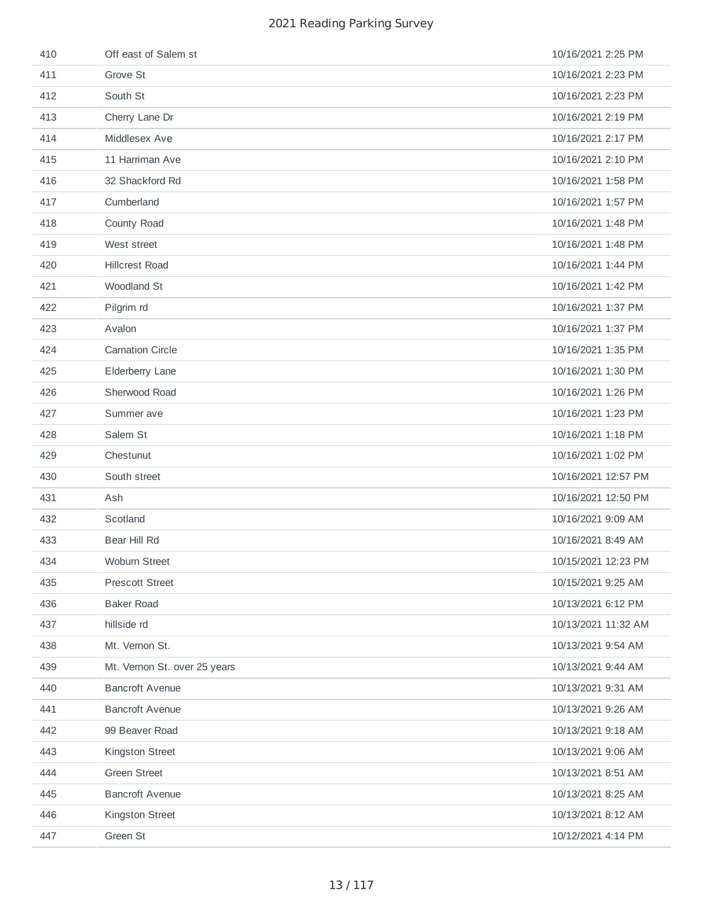| 410 | Off east of Salem st         | 10/16/2021 2:25 PM  |
|-----|------------------------------|---------------------|
| 411 | Grove St                     | 10/16/2021 2:23 PM  |
| 412 | South St                     | 10/16/2021 2:23 PM  |
| 413 | Cherry Lane Dr               | 10/16/2021 2:19 PM  |
| 414 | Middlesex Ave                | 10/16/2021 2:17 PM  |
| 415 | 11 Harriman Ave              | 10/16/2021 2:10 PM  |
| 416 | 32 Shackford Rd              | 10/16/2021 1:58 PM  |
| 417 | Cumberland                   | 10/16/2021 1:57 PM  |
| 418 | County Road                  | 10/16/2021 1:48 PM  |
| 419 | West street                  | 10/16/2021 1:48 PM  |
| 420 | <b>Hillcrest Road</b>        | 10/16/2021 1:44 PM  |
| 421 | Woodland St                  | 10/16/2021 1:42 PM  |
| 422 | Pilgrim rd                   | 10/16/2021 1:37 PM  |
| 423 | Avalon                       | 10/16/2021 1:37 PM  |
| 424 | <b>Carnation Circle</b>      | 10/16/2021 1:35 PM  |
| 425 | Elderberry Lane              | 10/16/2021 1:30 PM  |
| 426 | Sherwood Road                | 10/16/2021 1:26 PM  |
| 427 | Summer ave                   | 10/16/2021 1:23 PM  |
| 428 | Salem St                     | 10/16/2021 1:18 PM  |
| 429 | Chestunut                    | 10/16/2021 1:02 PM  |
| 430 | South street                 | 10/16/2021 12:57 PM |
| 431 | Ash                          | 10/16/2021 12:50 PM |
| 432 | Scotland                     | 10/16/2021 9:09 AM  |
| 433 | Bear Hill Rd                 | 10/16/2021 8:49 AM  |
| 434 | Woburn Street                | 10/15/2021 12:23 PM |
| 435 | <b>Prescott Street</b>       | 10/15/2021 9:25 AM  |
| 436 | <b>Baker Road</b>            | 10/13/2021 6:12 PM  |
| 437 | hillside rd                  | 10/13/2021 11:32 AM |
| 438 | Mt. Vernon St.               | 10/13/2021 9:54 AM  |
| 439 | Mt. Vernon St. over 25 years | 10/13/2021 9:44 AM  |
| 440 | <b>Bancroft Avenue</b>       | 10/13/2021 9:31 AM  |
| 441 | <b>Bancroft Avenue</b>       | 10/13/2021 9:26 AM  |
| 442 | 99 Beaver Road               | 10/13/2021 9:18 AM  |
| 443 | Kingston Street              | 10/13/2021 9:06 AM  |
| 444 | <b>Green Street</b>          | 10/13/2021 8:51 AM  |
| 445 | <b>Bancroft Avenue</b>       | 10/13/2021 8:25 AM  |
| 446 | Kingston Street              | 10/13/2021 8:12 AM  |
| 447 | Green St                     | 10/12/2021 4:14 PM  |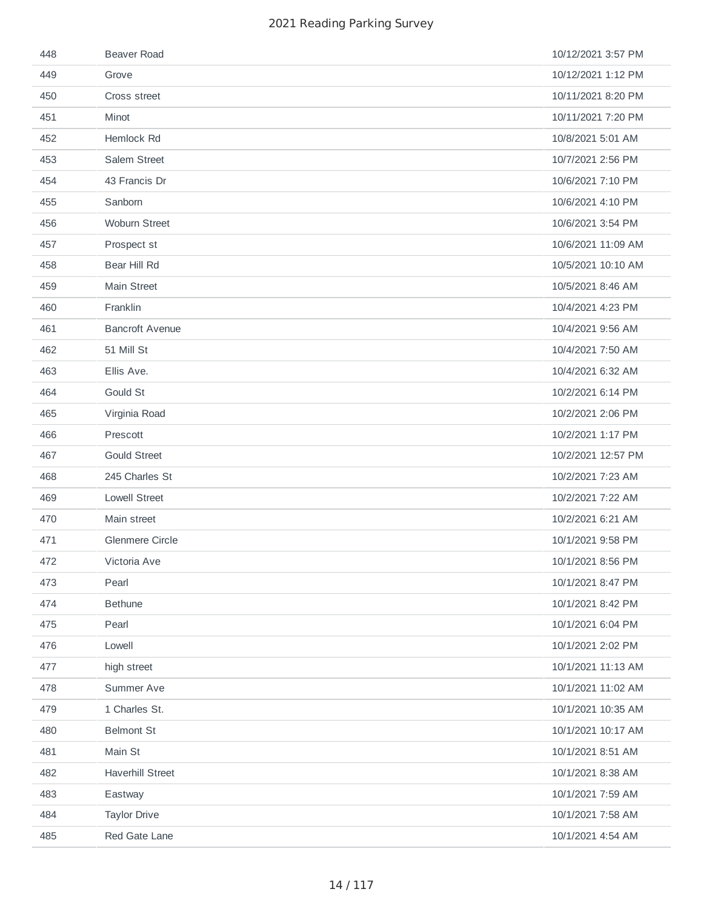| 448 | <b>Beaver Road</b>      | 10/12/2021 3:57 PM |
|-----|-------------------------|--------------------|
| 449 | Grove                   | 10/12/2021 1:12 PM |
| 450 | Cross street            | 10/11/2021 8:20 PM |
| 451 | Minot                   | 10/11/2021 7:20 PM |
| 452 | Hemlock Rd              | 10/8/2021 5:01 AM  |
| 453 | Salem Street            | 10/7/2021 2:56 PM  |
| 454 | 43 Francis Dr           | 10/6/2021 7:10 PM  |
| 455 | Sanborn                 | 10/6/2021 4:10 PM  |
| 456 | Woburn Street           | 10/6/2021 3:54 PM  |
| 457 | Prospect st             | 10/6/2021 11:09 AM |
| 458 | Bear Hill Rd            | 10/5/2021 10:10 AM |
| 459 | Main Street             | 10/5/2021 8:46 AM  |
| 460 | Franklin                | 10/4/2021 4:23 PM  |
| 461 | <b>Bancroft Avenue</b>  | 10/4/2021 9:56 AM  |
| 462 | 51 Mill St              | 10/4/2021 7:50 AM  |
| 463 | Ellis Ave.              | 10/4/2021 6:32 AM  |
| 464 | Gould St                | 10/2/2021 6:14 PM  |
| 465 | Virginia Road           | 10/2/2021 2:06 PM  |
| 466 | Prescott                | 10/2/2021 1:17 PM  |
| 467 | <b>Gould Street</b>     | 10/2/2021 12:57 PM |
| 468 | 245 Charles St          | 10/2/2021 7:23 AM  |
| 469 | <b>Lowell Street</b>    | 10/2/2021 7:22 AM  |
| 470 | Main street             | 10/2/2021 6:21 AM  |
| 471 | <b>Glenmere Circle</b>  | 10/1/2021 9:58 PM  |
| 472 | Victoria Ave            | 10/1/2021 8:56 PM  |
| 473 | Pearl                   | 10/1/2021 8:47 PM  |
| 474 | <b>Bethune</b>          | 10/1/2021 8:42 PM  |
| 475 | Pearl                   | 10/1/2021 6:04 PM  |
| 476 | Lowell                  | 10/1/2021 2:02 PM  |
| 477 | high street             | 10/1/2021 11:13 AM |
| 478 | Summer Ave              | 10/1/2021 11:02 AM |
| 479 | 1 Charles St.           | 10/1/2021 10:35 AM |
| 480 | <b>Belmont St</b>       | 10/1/2021 10:17 AM |
| 481 | Main St                 | 10/1/2021 8:51 AM  |
| 482 | <b>Haverhill Street</b> | 10/1/2021 8:38 AM  |
| 483 | Eastway                 | 10/1/2021 7:59 AM  |
| 484 | <b>Taylor Drive</b>     | 10/1/2021 7:58 AM  |
| 485 | Red Gate Lane           | 10/1/2021 4:54 AM  |
|     |                         |                    |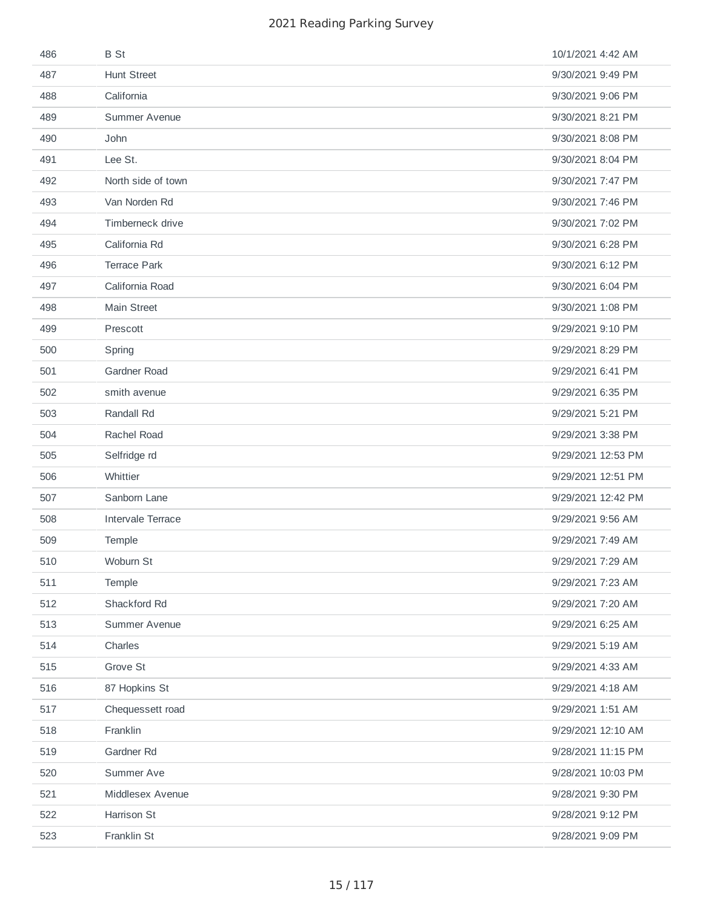| 486 | <b>B</b> St         | 10/1/2021 4:42 AM  |
|-----|---------------------|--------------------|
| 487 | <b>Hunt Street</b>  | 9/30/2021 9:49 PM  |
| 488 | California          | 9/30/2021 9:06 PM  |
| 489 | Summer Avenue       | 9/30/2021 8:21 PM  |
| 490 | John                | 9/30/2021 8:08 PM  |
| 491 | Lee St.             | 9/30/2021 8:04 PM  |
| 492 | North side of town  | 9/30/2021 7:47 PM  |
| 493 | Van Norden Rd       | 9/30/2021 7:46 PM  |
| 494 | Timberneck drive    | 9/30/2021 7:02 PM  |
| 495 | California Rd       | 9/30/2021 6:28 PM  |
| 496 | <b>Terrace Park</b> | 9/30/2021 6:12 PM  |
| 497 | California Road     | 9/30/2021 6:04 PM  |
| 498 | Main Street         | 9/30/2021 1:08 PM  |
| 499 | Prescott            | 9/29/2021 9:10 PM  |
| 500 | Spring              | 9/29/2021 8:29 PM  |
| 501 | <b>Gardner Road</b> | 9/29/2021 6:41 PM  |
| 502 | smith avenue        | 9/29/2021 6:35 PM  |
| 503 | Randall Rd          | 9/29/2021 5:21 PM  |
| 504 | Rachel Road         | 9/29/2021 3:38 PM  |
| 505 | Selfridge rd        | 9/29/2021 12:53 PM |
| 506 | Whittier            | 9/29/2021 12:51 PM |
| 507 | Sanborn Lane        | 9/29/2021 12:42 PM |
| 508 | Intervale Terrace   | 9/29/2021 9:56 AM  |
| 509 | Temple              | 9/29/2021 7:49 AM  |
| 510 | Woburn St           | 9/29/2021 7:29 AM  |
| 511 | Temple              | 9/29/2021 7:23 AM  |
| 512 | Shackford Rd        | 9/29/2021 7:20 AM  |
| 513 | Summer Avenue       | 9/29/2021 6:25 AM  |
| 514 | Charles             | 9/29/2021 5:19 AM  |
| 515 | Grove St            | 9/29/2021 4:33 AM  |
| 516 | 87 Hopkins St       | 9/29/2021 4:18 AM  |
| 517 | Chequessett road    | 9/29/2021 1:51 AM  |
| 518 | Franklin            | 9/29/2021 12:10 AM |
| 519 | Gardner Rd          | 9/28/2021 11:15 PM |
| 520 | Summer Ave          | 9/28/2021 10:03 PM |
| 521 | Middlesex Avenue    | 9/28/2021 9:30 PM  |
| 522 | Harrison St         | 9/28/2021 9:12 PM  |
| 523 | Franklin St         | 9/28/2021 9:09 PM  |
|     |                     |                    |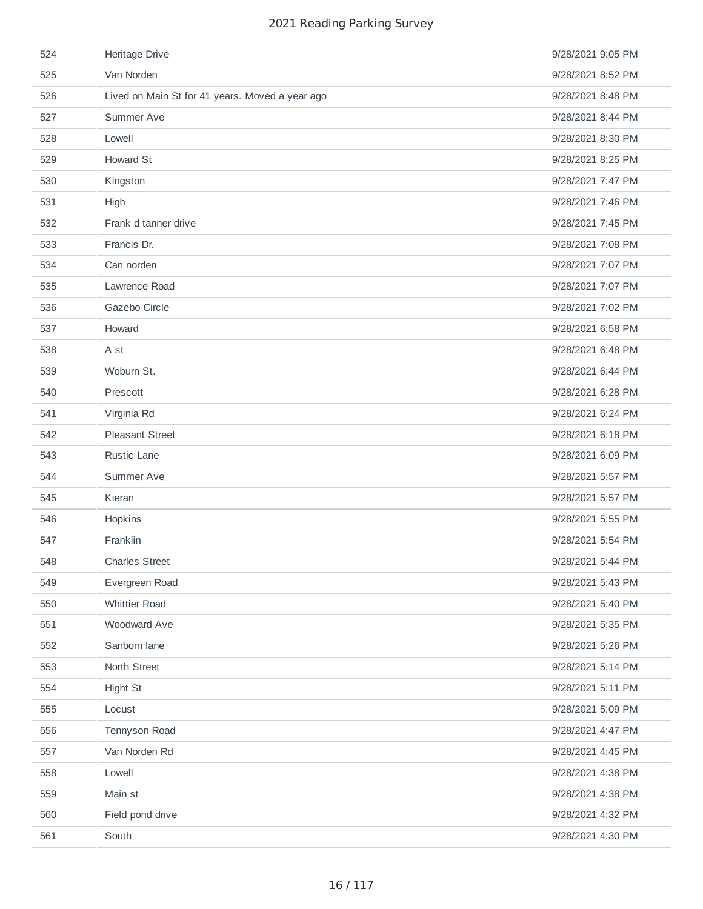| 524 | Heritage Drive                                  | 9/28/2021 9:05 PM |
|-----|-------------------------------------------------|-------------------|
| 525 | Van Norden                                      | 9/28/2021 8:52 PM |
| 526 | Lived on Main St for 41 years. Moved a year ago | 9/28/2021 8:48 PM |
| 527 | Summer Ave                                      | 9/28/2021 8:44 PM |
| 528 | Lowell                                          | 9/28/2021 8:30 PM |
| 529 | Howard St                                       | 9/28/2021 8:25 PM |
| 530 | Kingston                                        | 9/28/2021 7:47 PM |
| 531 | High                                            | 9/28/2021 7:46 PM |
| 532 | Frank d tanner drive                            | 9/28/2021 7:45 PM |
| 533 | Francis Dr.                                     | 9/28/2021 7:08 PM |
| 534 | Can norden                                      | 9/28/2021 7:07 PM |
| 535 | Lawrence Road                                   | 9/28/2021 7:07 PM |
| 536 | Gazebo Circle                                   | 9/28/2021 7:02 PM |
| 537 | Howard                                          | 9/28/2021 6:58 PM |
| 538 | A st                                            | 9/28/2021 6:48 PM |
| 539 | Woburn St.                                      | 9/28/2021 6:44 PM |
| 540 | Prescott                                        | 9/28/2021 6:28 PM |
| 541 | Virginia Rd                                     | 9/28/2021 6:24 PM |
| 542 | <b>Pleasant Street</b>                          | 9/28/2021 6:18 PM |
| 543 | Rustic Lane                                     | 9/28/2021 6:09 PM |
| 544 | Summer Ave                                      | 9/28/2021 5:57 PM |
| 545 | Kieran                                          | 9/28/2021 5:57 PM |
| 546 | Hopkins                                         | 9/28/2021 5:55 PM |
| 547 | Franklin                                        | 9/28/2021 5:54 PM |
| 548 | <b>Charles Street</b>                           | 9/28/2021 5:44 PM |
| 549 | Evergreen Road                                  | 9/28/2021 5:43 PM |
| 550 | <b>Whittier Road</b>                            | 9/28/2021 5:40 PM |
| 551 | Woodward Ave                                    | 9/28/2021 5:35 PM |
| 552 | Sanborn lane                                    | 9/28/2021 5:26 PM |
| 553 | North Street                                    | 9/28/2021 5:14 PM |
| 554 | Hight St                                        | 9/28/2021 5:11 PM |
| 555 | Locust                                          | 9/28/2021 5:09 PM |
| 556 | Tennyson Road                                   | 9/28/2021 4:47 PM |
| 557 | Van Norden Rd                                   | 9/28/2021 4:45 PM |
| 558 | Lowell                                          | 9/28/2021 4:38 PM |
| 559 | Main st                                         | 9/28/2021 4:38 PM |
| 560 | Field pond drive                                | 9/28/2021 4:32 PM |
| 561 | South                                           | 9/28/2021 4:30 PM |
|     |                                                 |                   |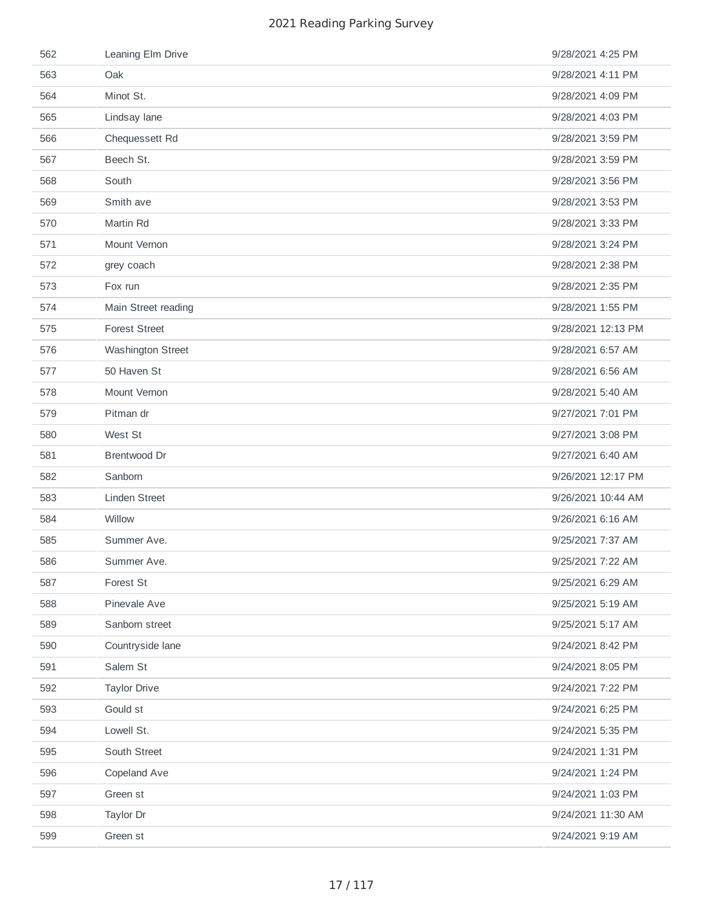| 562 | Leaning Elm Drive    | 9/28/2021 4:25 PM  |
|-----|----------------------|--------------------|
| 563 | Oak                  | 9/28/2021 4:11 PM  |
| 564 | Minot St.            | 9/28/2021 4:09 PM  |
| 565 | Lindsay lane         | 9/28/2021 4:03 PM  |
| 566 | Chequessett Rd       | 9/28/2021 3:59 PM  |
| 567 | Beech St.            | 9/28/2021 3:59 PM  |
| 568 | South                | 9/28/2021 3:56 PM  |
| 569 | Smith ave            | 9/28/2021 3:53 PM  |
| 570 | Martin Rd            | 9/28/2021 3:33 PM  |
| 571 | Mount Vernon         | 9/28/2021 3:24 PM  |
| 572 | grey coach           | 9/28/2021 2:38 PM  |
| 573 | Fox run              | 9/28/2021 2:35 PM  |
| 574 | Main Street reading  | 9/28/2021 1:55 PM  |
| 575 | <b>Forest Street</b> | 9/28/2021 12:13 PM |
| 576 | Washington Street    | 9/28/2021 6:57 AM  |
| 577 | 50 Haven St          | 9/28/2021 6:56 AM  |
| 578 | Mount Vernon         | 9/28/2021 5:40 AM  |
| 579 | Pitman dr            | 9/27/2021 7:01 PM  |
| 580 | West St              | 9/27/2021 3:08 PM  |
| 581 | Brentwood Dr         | 9/27/2021 6:40 AM  |
| 582 | Sanborn              | 9/26/2021 12:17 PM |
| 583 | <b>Linden Street</b> | 9/26/2021 10:44 AM |
| 584 | Willow               | 9/26/2021 6:16 AM  |
| 585 | Summer Ave.          | 9/25/2021 7:37 AM  |
| 586 | Summer Ave.          | 9/25/2021 7:22 AM  |
| 587 | Forest St            | 9/25/2021 6:29 AM  |
| 588 | Pinevale Ave         | 9/25/2021 5:19 AM  |
| 589 | Sanborn street       | 9/25/2021 5:17 AM  |
| 590 | Countryside lane     | 9/24/2021 8:42 PM  |
| 591 | Salem St             | 9/24/2021 8:05 PM  |
| 592 | <b>Taylor Drive</b>  | 9/24/2021 7:22 PM  |
| 593 | Gould st             | 9/24/2021 6:25 PM  |
| 594 | Lowell St.           | 9/24/2021 5:35 PM  |
| 595 | South Street         | 9/24/2021 1:31 PM  |
| 596 | Copeland Ave         | 9/24/2021 1:24 PM  |
| 597 | Green st             | 9/24/2021 1:03 PM  |
| 598 | Taylor Dr            | 9/24/2021 11:30 AM |
| 599 | Green st             | 9/24/2021 9:19 AM  |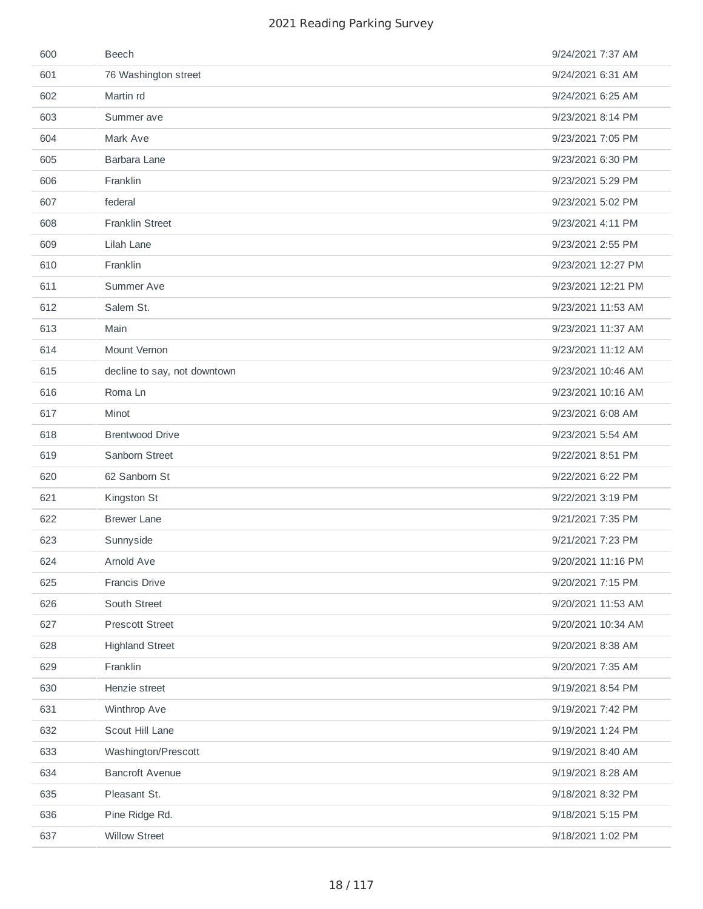| 600 | <b>Beech</b>                 | 9/24/2021 7:37 AM  |
|-----|------------------------------|--------------------|
| 601 | 76 Washington street         | 9/24/2021 6:31 AM  |
| 602 | Martin rd                    | 9/24/2021 6:25 AM  |
| 603 | Summer ave                   | 9/23/2021 8:14 PM  |
| 604 | Mark Ave                     | 9/23/2021 7:05 PM  |
| 605 | Barbara Lane                 | 9/23/2021 6:30 PM  |
| 606 | Franklin                     | 9/23/2021 5:29 PM  |
| 607 | federal                      | 9/23/2021 5:02 PM  |
| 608 | <b>Franklin Street</b>       | 9/23/2021 4:11 PM  |
| 609 | Lilah Lane                   | 9/23/2021 2:55 PM  |
| 610 | Franklin                     | 9/23/2021 12:27 PM |
| 611 | Summer Ave                   | 9/23/2021 12:21 PM |
| 612 | Salem St.                    | 9/23/2021 11:53 AM |
| 613 | Main                         | 9/23/2021 11:37 AM |
| 614 | Mount Vernon                 | 9/23/2021 11:12 AM |
| 615 | decline to say, not downtown | 9/23/2021 10:46 AM |
| 616 | Roma Ln                      | 9/23/2021 10:16 AM |
| 617 | Minot                        | 9/23/2021 6:08 AM  |
| 618 | <b>Brentwood Drive</b>       | 9/23/2021 5:54 AM  |
| 619 | Sanborn Street               | 9/22/2021 8:51 PM  |
| 620 | 62 Sanborn St                | 9/22/2021 6:22 PM  |
| 621 | Kingston St                  | 9/22/2021 3:19 PM  |
| 622 | <b>Brewer Lane</b>           | 9/21/2021 7:35 PM  |
| 623 | Sunnyside                    | 9/21/2021 7:23 PM  |
| 624 | Arnold Ave                   | 9/20/2021 11:16 PM |
| 625 | Francis Drive                | 9/20/2021 7:15 PM  |
| 626 | South Street                 | 9/20/2021 11:53 AM |
| 627 | <b>Prescott Street</b>       | 9/20/2021 10:34 AM |
| 628 | <b>Highland Street</b>       | 9/20/2021 8:38 AM  |
| 629 | Franklin                     | 9/20/2021 7:35 AM  |
| 630 | Henzie street                | 9/19/2021 8:54 PM  |
| 631 | Winthrop Ave                 | 9/19/2021 7:42 PM  |
| 632 | Scout Hill Lane              | 9/19/2021 1:24 PM  |
| 633 | Washington/Prescott          | 9/19/2021 8:40 AM  |
| 634 | <b>Bancroft Avenue</b>       | 9/19/2021 8:28 AM  |
| 635 | Pleasant St.                 | 9/18/2021 8:32 PM  |
| 636 | Pine Ridge Rd.               | 9/18/2021 5:15 PM  |
| 637 | <b>Willow Street</b>         | 9/18/2021 1:02 PM  |
|     |                              |                    |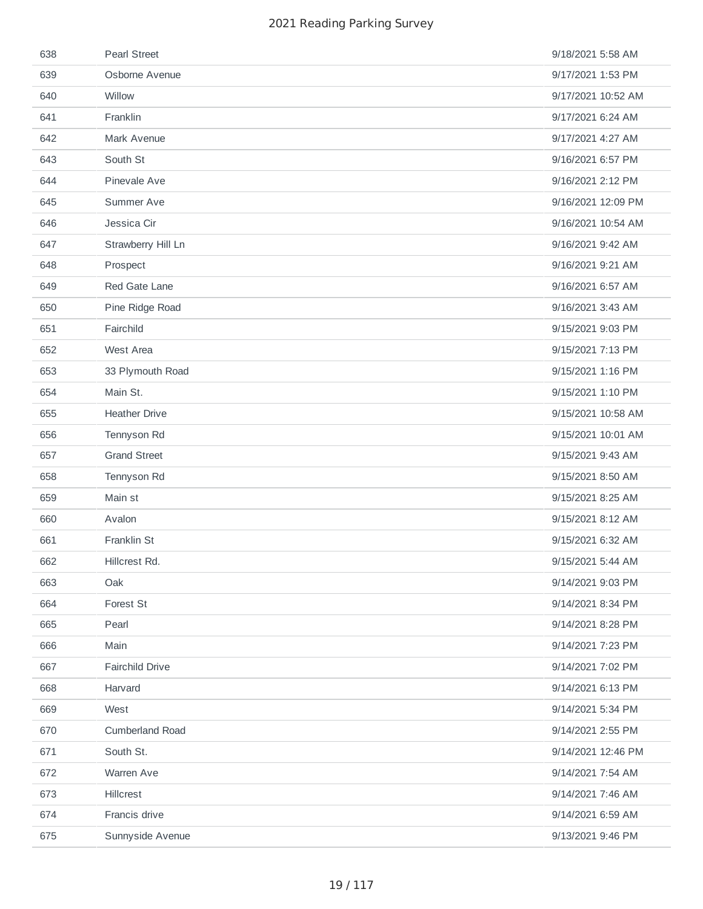| 638 | <b>Pearl Street</b>    | 9/18/2021 5:58 AM  |
|-----|------------------------|--------------------|
| 639 | Osborne Avenue         | 9/17/2021 1:53 PM  |
| 640 | Willow                 | 9/17/2021 10:52 AM |
| 641 | Franklin               | 9/17/2021 6:24 AM  |
| 642 | Mark Avenue            | 9/17/2021 4:27 AM  |
| 643 | South St               | 9/16/2021 6:57 PM  |
| 644 | Pinevale Ave           | 9/16/2021 2:12 PM  |
| 645 | Summer Ave             | 9/16/2021 12:09 PM |
| 646 | Jessica Cir            | 9/16/2021 10:54 AM |
| 647 | Strawberry Hill Ln     | 9/16/2021 9:42 AM  |
| 648 | Prospect               | 9/16/2021 9:21 AM  |
| 649 | Red Gate Lane          | 9/16/2021 6:57 AM  |
| 650 | Pine Ridge Road        | 9/16/2021 3:43 AM  |
| 651 | Fairchild              | 9/15/2021 9:03 PM  |
| 652 | West Area              | 9/15/2021 7:13 PM  |
| 653 | 33 Plymouth Road       | 9/15/2021 1:16 PM  |
| 654 | Main St.               | 9/15/2021 1:10 PM  |
| 655 | <b>Heather Drive</b>   | 9/15/2021 10:58 AM |
| 656 | Tennyson Rd            | 9/15/2021 10:01 AM |
| 657 | <b>Grand Street</b>    | 9/15/2021 9:43 AM  |
| 658 | Tennyson Rd            | 9/15/2021 8:50 AM  |
| 659 | Main st                | 9/15/2021 8:25 AM  |
| 660 | Avalon                 | 9/15/2021 8:12 AM  |
| 661 | Franklin St            | 9/15/2021 6:32 AM  |
| 662 | Hillcrest Rd.          | 9/15/2021 5:44 AM  |
| 663 | Oak                    | 9/14/2021 9:03 PM  |
| 664 | Forest St              | 9/14/2021 8:34 PM  |
| 665 | Pearl                  | 9/14/2021 8:28 PM  |
| 666 | Main                   | 9/14/2021 7:23 PM  |
| 667 | Fairchild Drive        | 9/14/2021 7:02 PM  |
| 668 | Harvard                | 9/14/2021 6:13 PM  |
| 669 | West                   | 9/14/2021 5:34 PM  |
| 670 | <b>Cumberland Road</b> | 9/14/2021 2:55 PM  |
| 671 | South St.              | 9/14/2021 12:46 PM |
| 672 | Warren Ave             | 9/14/2021 7:54 AM  |
| 673 | Hillcrest              | 9/14/2021 7:46 AM  |
| 674 | Francis drive          | 9/14/2021 6:59 AM  |
| 675 | Sunnyside Avenue       | 9/13/2021 9:46 PM  |
|     |                        |                    |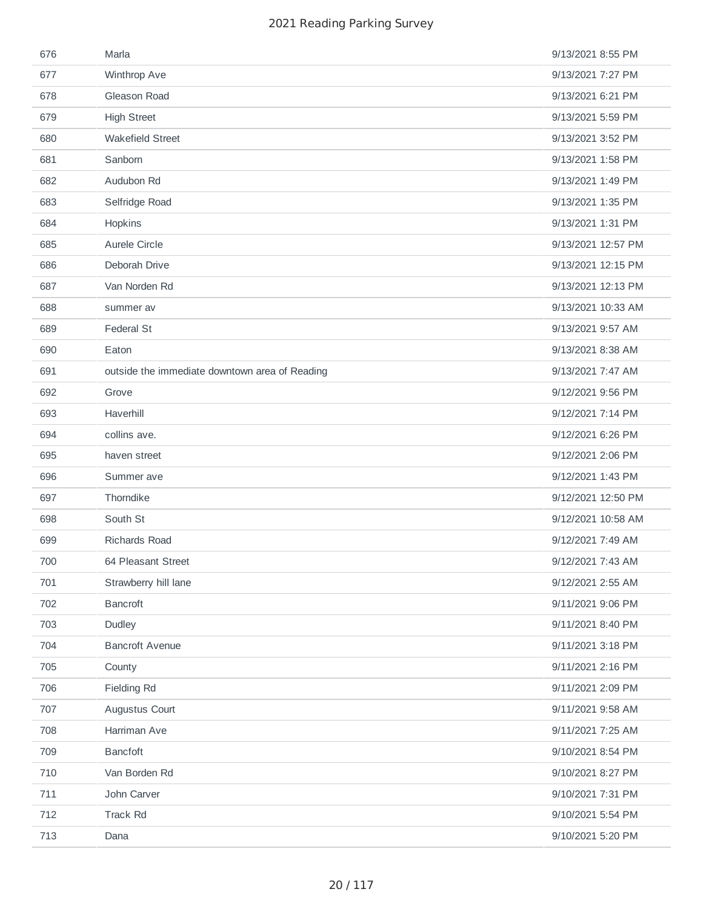| 676 | Marla                                          | 9/13/2021 8:55 PM  |
|-----|------------------------------------------------|--------------------|
| 677 | Winthrop Ave                                   | 9/13/2021 7:27 PM  |
| 678 | Gleason Road                                   | 9/13/2021 6:21 PM  |
| 679 | <b>High Street</b>                             | 9/13/2021 5:59 PM  |
| 680 | Wakefield Street                               | 9/13/2021 3:52 PM  |
| 681 | Sanborn                                        | 9/13/2021 1:58 PM  |
| 682 | Audubon Rd                                     | 9/13/2021 1:49 PM  |
| 683 | Selfridge Road                                 | 9/13/2021 1:35 PM  |
| 684 | Hopkins                                        | 9/13/2021 1:31 PM  |
| 685 | Aurele Circle                                  | 9/13/2021 12:57 PM |
| 686 | Deborah Drive                                  | 9/13/2021 12:15 PM |
| 687 | Van Norden Rd                                  | 9/13/2021 12:13 PM |
| 688 | summer av                                      | 9/13/2021 10:33 AM |
| 689 | <b>Federal St</b>                              | 9/13/2021 9:57 AM  |
| 690 | Eaton                                          | 9/13/2021 8:38 AM  |
| 691 | outside the immediate downtown area of Reading | 9/13/2021 7:47 AM  |
| 692 | Grove                                          | 9/12/2021 9:56 PM  |
| 693 | Haverhill                                      | 9/12/2021 7:14 PM  |
| 694 | collins ave.                                   | 9/12/2021 6:26 PM  |
| 695 | haven street                                   | 9/12/2021 2:06 PM  |
| 696 | Summer ave                                     | 9/12/2021 1:43 PM  |
| 697 | Thorndike                                      | 9/12/2021 12:50 PM |
| 698 | South St                                       | 9/12/2021 10:58 AM |
| 699 | <b>Richards Road</b>                           | 9/12/2021 7:49 AM  |
| 700 | 64 Pleasant Street                             | 9/12/2021 7:43 AM  |
| 701 | Strawberry hill lane                           | 9/12/2021 2:55 AM  |
| 702 | <b>Bancroft</b>                                | 9/11/2021 9:06 PM  |
| 703 | Dudley                                         | 9/11/2021 8:40 PM  |
| 704 | <b>Bancroft Avenue</b>                         | 9/11/2021 3:18 PM  |
| 705 | County                                         | 9/11/2021 2:16 PM  |
| 706 | Fielding Rd                                    | 9/11/2021 2:09 PM  |
| 707 | Augustus Court                                 | 9/11/2021 9:58 AM  |
| 708 | Harriman Ave                                   | 9/11/2021 7:25 AM  |
| 709 | <b>Bancfoft</b>                                | 9/10/2021 8:54 PM  |
| 710 | Van Borden Rd                                  | 9/10/2021 8:27 PM  |
| 711 | John Carver                                    | 9/10/2021 7:31 PM  |
| 712 | Track Rd                                       | 9/10/2021 5:54 PM  |
| 713 | Dana                                           | 9/10/2021 5:20 PM  |
|     |                                                |                    |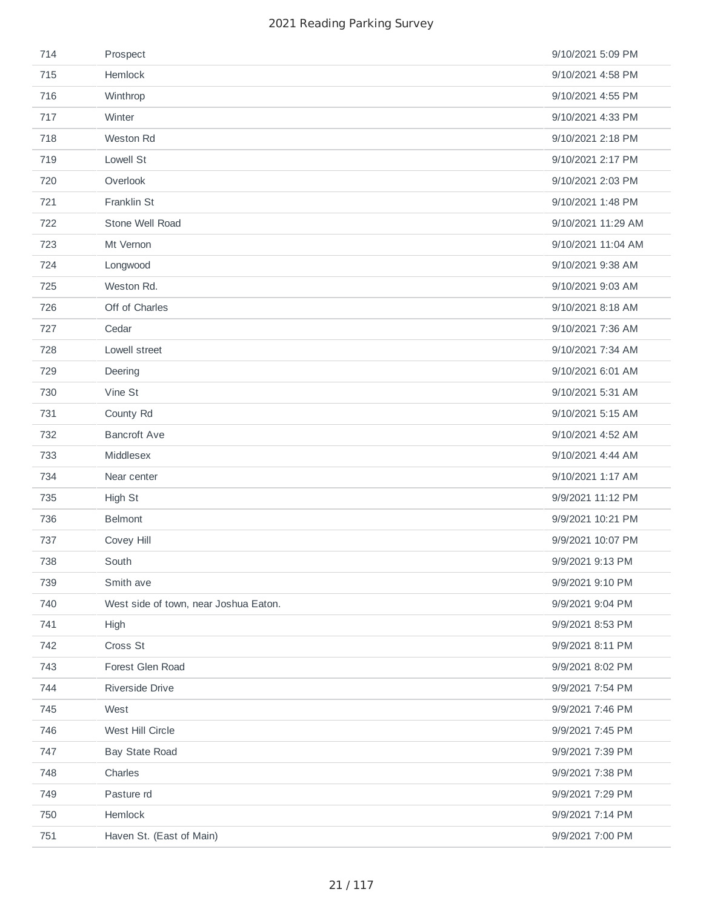| 714 | Prospect                              | 9/10/2021 5:09 PM  |
|-----|---------------------------------------|--------------------|
| 715 | Hemlock                               | 9/10/2021 4:58 PM  |
| 716 | Winthrop                              | 9/10/2021 4:55 PM  |
| 717 | Winter                                | 9/10/2021 4:33 PM  |
| 718 | Weston Rd                             | 9/10/2021 2:18 PM  |
| 719 | Lowell St                             | 9/10/2021 2:17 PM  |
| 720 | Overlook                              | 9/10/2021 2:03 PM  |
| 721 | Franklin St                           | 9/10/2021 1:48 PM  |
| 722 | Stone Well Road                       | 9/10/2021 11:29 AM |
| 723 | Mt Vernon                             | 9/10/2021 11:04 AM |
| 724 | Longwood                              | 9/10/2021 9:38 AM  |
| 725 | Weston Rd.                            | 9/10/2021 9:03 AM  |
| 726 | Off of Charles                        | 9/10/2021 8:18 AM  |
| 727 | Cedar                                 | 9/10/2021 7:36 AM  |
| 728 | Lowell street                         | 9/10/2021 7:34 AM  |
| 729 | Deering                               | 9/10/2021 6:01 AM  |
| 730 | Vine St                               | 9/10/2021 5:31 AM  |
| 731 | County Rd                             | 9/10/2021 5:15 AM  |
| 732 | <b>Bancroft Ave</b>                   | 9/10/2021 4:52 AM  |
| 733 | Middlesex                             | 9/10/2021 4:44 AM  |
| 734 | Near center                           | 9/10/2021 1:17 AM  |
| 735 | High St                               | 9/9/2021 11:12 PM  |
| 736 | <b>Belmont</b>                        | 9/9/2021 10:21 PM  |
| 737 | Covey Hill                            | 9/9/2021 10:07 PM  |
| 738 | South                                 | 9/9/2021 9:13 PM   |
| 739 | Smith ave                             | 9/9/2021 9:10 PM   |
| 740 | West side of town, near Joshua Eaton. | 9/9/2021 9:04 PM   |
| 741 | High                                  | 9/9/2021 8:53 PM   |
| 742 | Cross St                              | 9/9/2021 8:11 PM   |
| 743 | Forest Glen Road                      | 9/9/2021 8:02 PM   |
| 744 | Riverside Drive                       | 9/9/2021 7:54 PM   |
| 745 | West                                  | 9/9/2021 7:46 PM   |
| 746 | West Hill Circle                      | 9/9/2021 7:45 PM   |
| 747 | <b>Bay State Road</b>                 | 9/9/2021 7:39 PM   |
| 748 | Charles                               | 9/9/2021 7:38 PM   |
| 749 | Pasture rd                            | 9/9/2021 7:29 PM   |
| 750 | Hemlock                               | 9/9/2021 7:14 PM   |
| 751 | Haven St. (East of Main)              | 9/9/2021 7:00 PM   |
|     |                                       |                    |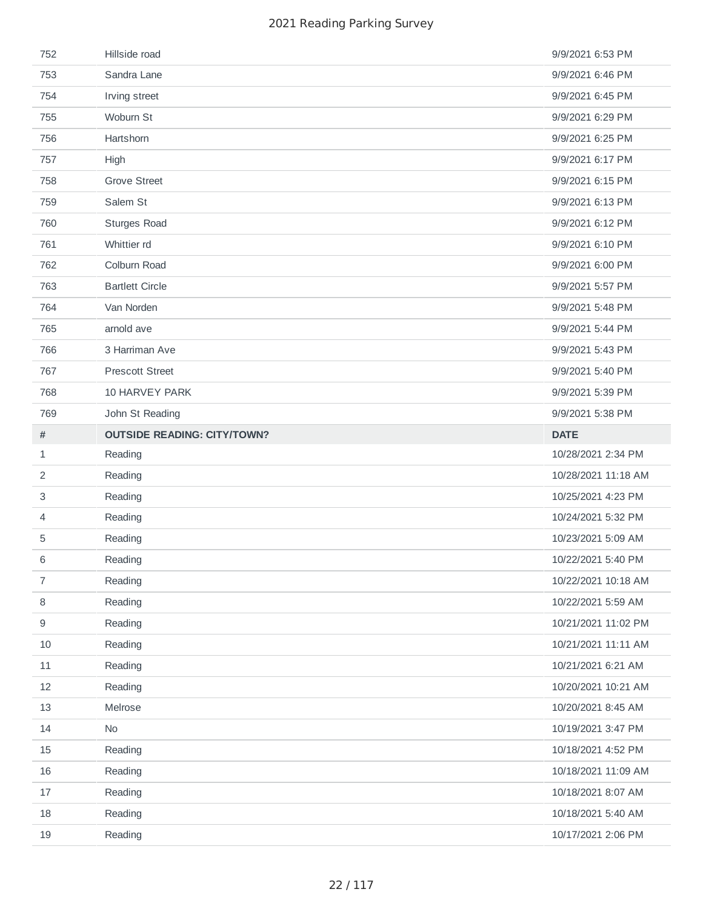| 752              | Hillside road                      | 9/9/2021 6:53 PM    |
|------------------|------------------------------------|---------------------|
| 753              | Sandra Lane                        | 9/9/2021 6:46 PM    |
| 754              | Irving street                      | 9/9/2021 6:45 PM    |
| 755              | Woburn St                          | 9/9/2021 6:29 PM    |
| 756              | Hartshorn                          | 9/9/2021 6:25 PM    |
| 757              | High                               | 9/9/2021 6:17 PM    |
| 758              | <b>Grove Street</b>                | 9/9/2021 6:15 PM    |
| 759              | Salem St                           | 9/9/2021 6:13 PM    |
| 760              | <b>Sturges Road</b>                | 9/9/2021 6:12 PM    |
| 761              | Whittier rd                        | 9/9/2021 6:10 PM    |
| 762              | Colburn Road                       | 9/9/2021 6:00 PM    |
| 763              | <b>Bartlett Circle</b>             | 9/9/2021 5:57 PM    |
| 764              | Van Norden                         | 9/9/2021 5:48 PM    |
| 765              | arnold ave                         | 9/9/2021 5:44 PM    |
| 766              | 3 Harriman Ave                     | 9/9/2021 5:43 PM    |
| 767              | <b>Prescott Street</b>             | 9/9/2021 5:40 PM    |
| 768              | <b>10 HARVEY PARK</b>              | 9/9/2021 5:39 PM    |
| 769              | John St Reading                    | 9/9/2021 5:38 PM    |
| $\#$             | <b>OUTSIDE READING: CITY/TOWN?</b> | <b>DATE</b>         |
| $\mathbf{1}$     | Reading                            | 10/28/2021 2:34 PM  |
|                  |                                    |                     |
| $\overline{c}$   | Reading                            | 10/28/2021 11:18 AM |
| 3                | Reading                            | 10/25/2021 4:23 PM  |
| 4                | Reading                            | 10/24/2021 5:32 PM  |
| 5                | Reading                            | 10/23/2021 5:09 AM  |
| 6                | Reading                            | 10/22/2021 5:40 PM  |
| $\overline{7}$   | Reading                            | 10/22/2021 10:18 AM |
| 8                | Reading                            | 10/22/2021 5:59 AM  |
| $\boldsymbol{9}$ | Reading                            | 10/21/2021 11:02 PM |
| 10               | Reading                            | 10/21/2021 11:11 AM |
| $11\,$           | Reading                            | 10/21/2021 6:21 AM  |
| 12               | Reading                            | 10/20/2021 10:21 AM |
| 13               | Melrose                            | 10/20/2021 8:45 AM  |
| 14               | No                                 | 10/19/2021 3:47 PM  |
| 15               | Reading                            | 10/18/2021 4:52 PM  |
| 16               | Reading                            | 10/18/2021 11:09 AM |
| 17               | Reading                            | 10/18/2021 8:07 AM  |
| 18               | Reading                            | 10/18/2021 5:40 AM  |
| 19               | Reading                            | 10/17/2021 2:06 PM  |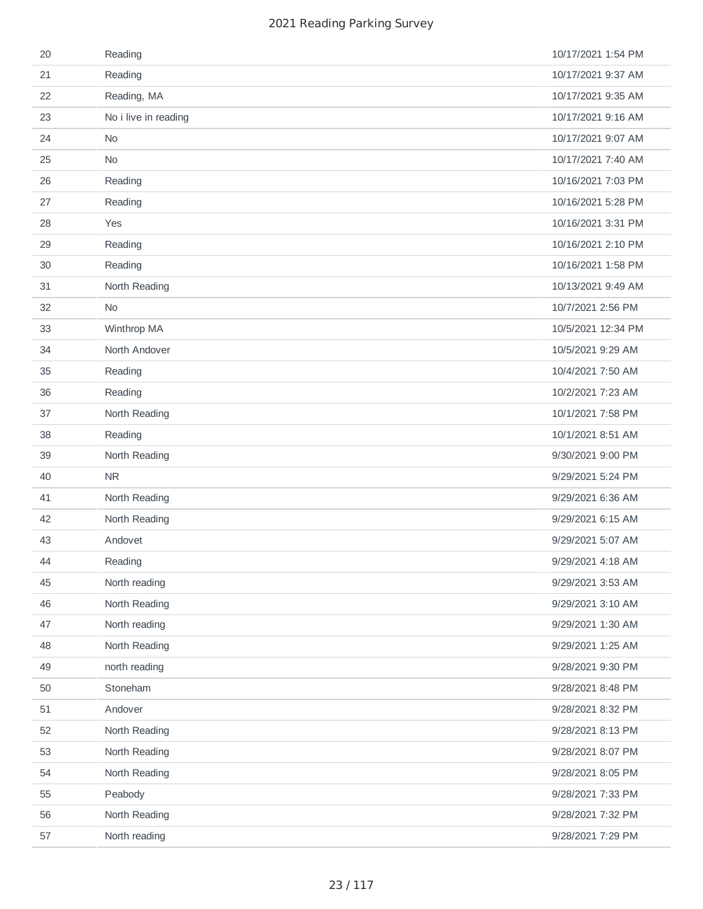| 20 | Reading              | 10/17/2021 1:54 PM |
|----|----------------------|--------------------|
| 21 | Reading              | 10/17/2021 9:37 AM |
| 22 | Reading, MA          | 10/17/2021 9:35 AM |
| 23 | No i live in reading | 10/17/2021 9:16 AM |
| 24 | <b>No</b>            | 10/17/2021 9:07 AM |
| 25 | No                   | 10/17/2021 7:40 AM |
| 26 | Reading              | 10/16/2021 7:03 PM |
| 27 | Reading              | 10/16/2021 5:28 PM |
| 28 | Yes                  | 10/16/2021 3:31 PM |
| 29 | Reading              | 10/16/2021 2:10 PM |
| 30 | Reading              | 10/16/2021 1:58 PM |
| 31 | North Reading        | 10/13/2021 9:49 AM |
| 32 | <b>No</b>            | 10/7/2021 2:56 PM  |
| 33 | Winthrop MA          | 10/5/2021 12:34 PM |
| 34 | North Andover        | 10/5/2021 9:29 AM  |
| 35 | Reading              | 10/4/2021 7:50 AM  |
| 36 | Reading              | 10/2/2021 7:23 AM  |
| 37 | North Reading        | 10/1/2021 7:58 PM  |
| 38 | Reading              | 10/1/2021 8:51 AM  |
| 39 | North Reading        | 9/30/2021 9:00 PM  |
| 40 | ${\sf NR}$           | 9/29/2021 5:24 PM  |
| 41 | North Reading        | 9/29/2021 6:36 AM  |
| 42 | North Reading        | 9/29/2021 6:15 AM  |
| 43 | Andovet              | 9/29/2021 5:07 AM  |
| 44 | Reading              | 9/29/2021 4:18 AM  |
| 45 | North reading        | 9/29/2021 3:53 AM  |
| 46 | North Reading        | 9/29/2021 3:10 AM  |
| 47 | North reading        | 9/29/2021 1:30 AM  |
| 48 | North Reading        | 9/29/2021 1:25 AM  |
| 49 | north reading        | 9/28/2021 9:30 PM  |
| 50 | Stoneham             | 9/28/2021 8:48 PM  |
| 51 | Andover              | 9/28/2021 8:32 PM  |
| 52 | North Reading        | 9/28/2021 8:13 PM  |
| 53 | North Reading        | 9/28/2021 8:07 PM  |
| 54 | North Reading        | 9/28/2021 8:05 PM  |
| 55 | Peabody              | 9/28/2021 7:33 PM  |
| 56 | North Reading        | 9/28/2021 7:32 PM  |
| 57 | North reading        | 9/28/2021 7:29 PM  |
|    |                      |                    |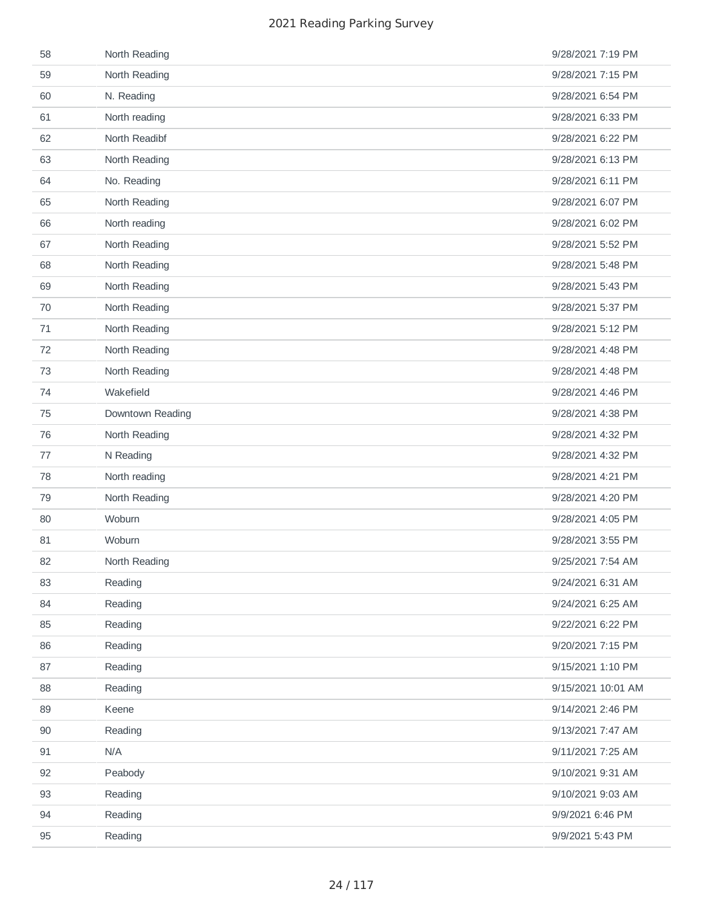| 58 | North Reading    | 9/28/2021 7:19 PM  |
|----|------------------|--------------------|
| 59 | North Reading    | 9/28/2021 7:15 PM  |
| 60 | N. Reading       | 9/28/2021 6:54 PM  |
| 61 | North reading    | 9/28/2021 6:33 PM  |
| 62 | North Readibf    | 9/28/2021 6:22 PM  |
| 63 | North Reading    | 9/28/2021 6:13 PM  |
| 64 | No. Reading      | 9/28/2021 6:11 PM  |
| 65 | North Reading    | 9/28/2021 6:07 PM  |
| 66 | North reading    | 9/28/2021 6:02 PM  |
| 67 | North Reading    | 9/28/2021 5:52 PM  |
| 68 | North Reading    | 9/28/2021 5:48 PM  |
| 69 | North Reading    | 9/28/2021 5:43 PM  |
| 70 | North Reading    | 9/28/2021 5:37 PM  |
| 71 | North Reading    | 9/28/2021 5:12 PM  |
| 72 | North Reading    | 9/28/2021 4:48 PM  |
| 73 | North Reading    | 9/28/2021 4:48 PM  |
| 74 | Wakefield        | 9/28/2021 4:46 PM  |
| 75 | Downtown Reading | 9/28/2021 4:38 PM  |
| 76 | North Reading    | 9/28/2021 4:32 PM  |
| 77 | N Reading        | 9/28/2021 4:32 PM  |
| 78 | North reading    | 9/28/2021 4:21 PM  |
| 79 | North Reading    | 9/28/2021 4:20 PM  |
| 80 | Woburn           | 9/28/2021 4:05 PM  |
| 81 | Woburn           | 9/28/2021 3:55 PM  |
| 82 | North Reading    | 9/25/2021 7:54 AM  |
| 83 | Reading          | 9/24/2021 6:31 AM  |
| 84 | Reading          | 9/24/2021 6:25 AM  |
| 85 | Reading          | 9/22/2021 6:22 PM  |
| 86 | Reading          | 9/20/2021 7:15 PM  |
| 87 | Reading          | 9/15/2021 1:10 PM  |
| 88 | Reading          | 9/15/2021 10:01 AM |
| 89 | Keene            | 9/14/2021 2:46 PM  |
| 90 | Reading          | 9/13/2021 7:47 AM  |
| 91 | N/A              | 9/11/2021 7:25 AM  |
| 92 | Peabody          | 9/10/2021 9:31 AM  |
| 93 | Reading          | 9/10/2021 9:03 AM  |
| 94 | Reading          | 9/9/2021 6:46 PM   |
| 95 | Reading          | 9/9/2021 5:43 PM   |
|    |                  |                    |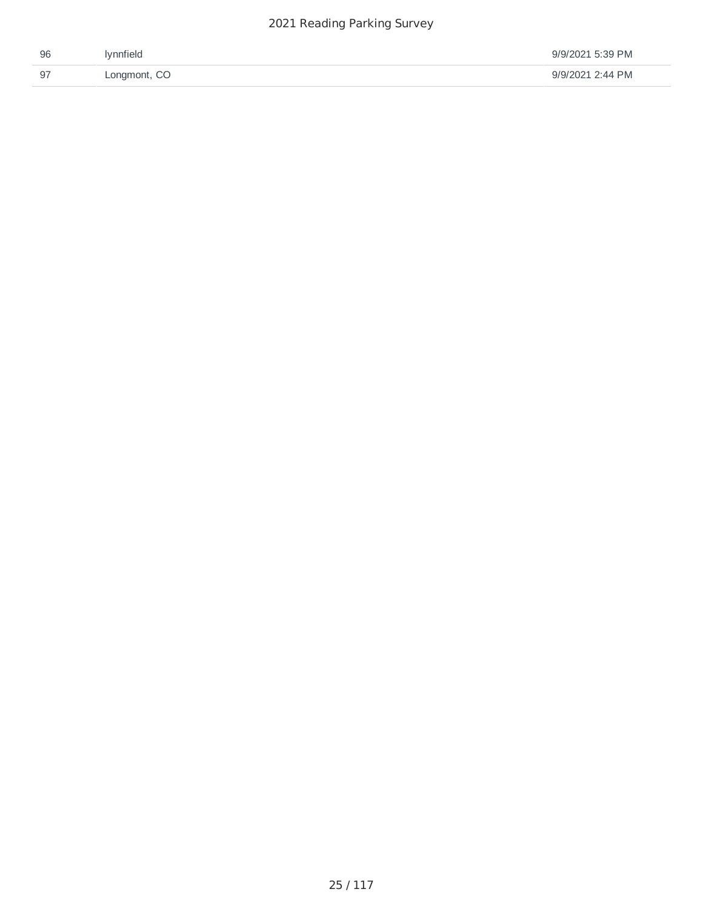| 96       | <b>Ivnnfield</b> | 9/9/2021 5:39 PM |
|----------|------------------|------------------|
| - Q<br>ັ | Longmont, CO     | 9/9/2021 2:44 PM |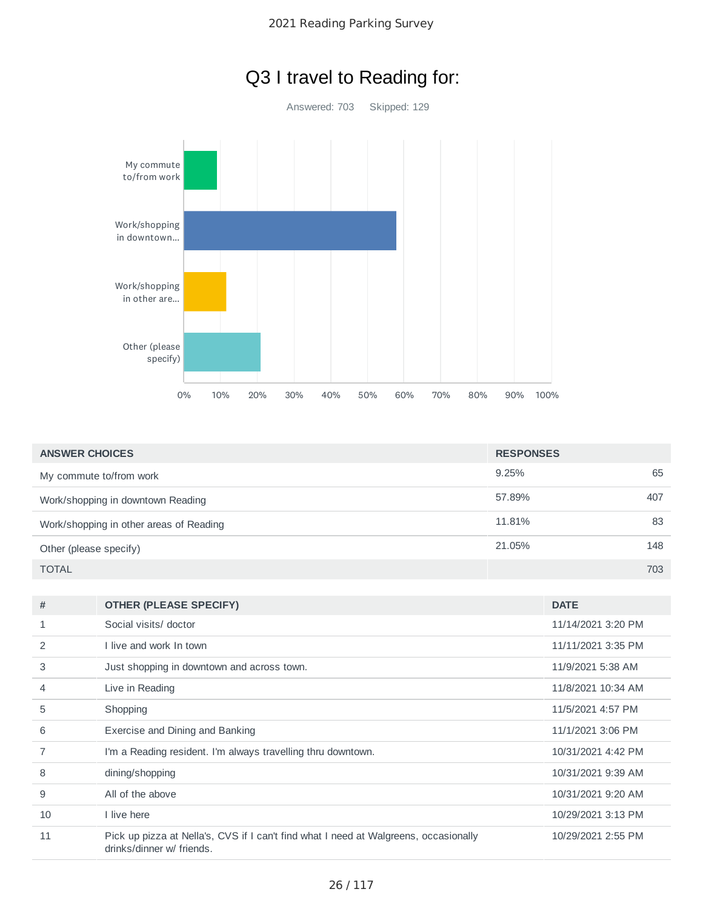



| <b>ANSWER CHOICES</b>                   | <b>RESPONSES</b> |     |
|-----------------------------------------|------------------|-----|
| My commute to/from work                 | 9.25%            | 65  |
| Work/shopping in downtown Reading       | 57.89%           | 407 |
| Work/shopping in other areas of Reading | 11.81%           | 83  |
| Other (please specify)                  | 21.05%           | 148 |
| <b>TOTAL</b>                            |                  | 703 |

| #  | <b>OTHER (PLEASE SPECIFY)</b>                                                                                     | <b>DATE</b>        |
|----|-------------------------------------------------------------------------------------------------------------------|--------------------|
| 1  | Social visits/ doctor                                                                                             | 11/14/2021 3:20 PM |
| 2  | I live and work In town                                                                                           | 11/11/2021 3:35 PM |
| 3  | Just shopping in downtown and across town.                                                                        | 11/9/2021 5:38 AM  |
| 4  | Live in Reading                                                                                                   | 11/8/2021 10:34 AM |
| 5  | Shopping                                                                                                          | 11/5/2021 4:57 PM  |
| 6  | Exercise and Dining and Banking                                                                                   | 11/1/2021 3:06 PM  |
|    | I'm a Reading resident. I'm always travelling thru downtown.                                                      | 10/31/2021 4:42 PM |
| 8  | dining/shopping                                                                                                   | 10/31/2021 9:39 AM |
| 9  | All of the above                                                                                                  | 10/31/2021 9:20 AM |
| 10 | I live here                                                                                                       | 10/29/2021 3:13 PM |
| 11 | Pick up pizza at Nella's, CVS if I can't find what I need at Walgreens, occasionally<br>drinks/dinner w/ friends. | 10/29/2021 2:55 PM |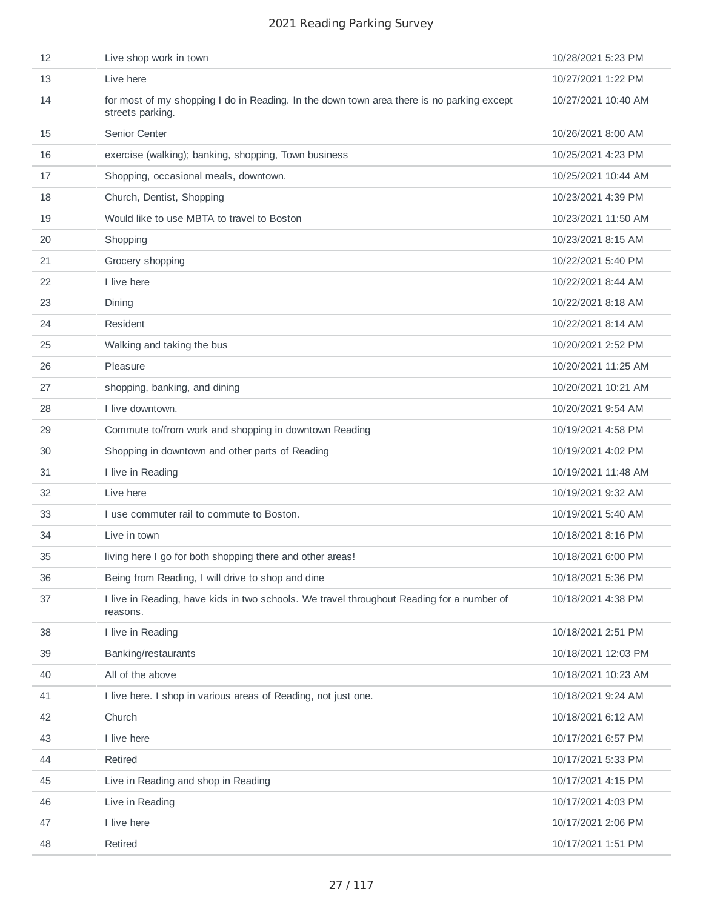| 12 | Live shop work in town                                                                                        | 10/28/2021 5:23 PM  |
|----|---------------------------------------------------------------------------------------------------------------|---------------------|
| 13 | Live here                                                                                                     | 10/27/2021 1:22 PM  |
| 14 | for most of my shopping I do in Reading. In the down town area there is no parking except<br>streets parking. | 10/27/2021 10:40 AM |
| 15 | Senior Center                                                                                                 | 10/26/2021 8:00 AM  |
| 16 | exercise (walking); banking, shopping, Town business                                                          | 10/25/2021 4:23 PM  |
| 17 | Shopping, occasional meals, downtown.                                                                         | 10/25/2021 10:44 AM |
| 18 | Church, Dentist, Shopping                                                                                     | 10/23/2021 4:39 PM  |
| 19 | Would like to use MBTA to travel to Boston                                                                    | 10/23/2021 11:50 AM |
| 20 | Shopping                                                                                                      | 10/23/2021 8:15 AM  |
| 21 | Grocery shopping                                                                                              | 10/22/2021 5:40 PM  |
| 22 | I live here                                                                                                   | 10/22/2021 8:44 AM  |
| 23 | Dining                                                                                                        | 10/22/2021 8:18 AM  |
| 24 | Resident                                                                                                      | 10/22/2021 8:14 AM  |
| 25 | Walking and taking the bus                                                                                    | 10/20/2021 2:52 PM  |
| 26 | Pleasure                                                                                                      | 10/20/2021 11:25 AM |
| 27 | shopping, banking, and dining                                                                                 | 10/20/2021 10:21 AM |
| 28 | I live downtown.                                                                                              | 10/20/2021 9:54 AM  |
| 29 | Commute to/from work and shopping in downtown Reading                                                         | 10/19/2021 4:58 PM  |
| 30 | Shopping in downtown and other parts of Reading                                                               | 10/19/2021 4:02 PM  |
| 31 | I live in Reading                                                                                             | 10/19/2021 11:48 AM |
| 32 | Live here                                                                                                     | 10/19/2021 9:32 AM  |
| 33 | I use commuter rail to commute to Boston.                                                                     | 10/19/2021 5:40 AM  |
| 34 | Live in town                                                                                                  | 10/18/2021 8:16 PM  |
| 35 | living here I go for both shopping there and other areas!                                                     | 10/18/2021 6:00 PM  |
| 36 | Being from Reading, I will drive to shop and dine                                                             | 10/18/2021 5:36 PM  |
| 37 | I live in Reading, have kids in two schools. We travel throughout Reading for a number of<br>reasons.         | 10/18/2021 4:38 PM  |
| 38 | I live in Reading                                                                                             | 10/18/2021 2:51 PM  |
| 39 | Banking/restaurants                                                                                           | 10/18/2021 12:03 PM |
| 40 | All of the above                                                                                              | 10/18/2021 10:23 AM |
| 41 | I live here. I shop in various areas of Reading, not just one.                                                | 10/18/2021 9:24 AM  |
| 42 | Church                                                                                                        | 10/18/2021 6:12 AM  |
| 43 | I live here                                                                                                   | 10/17/2021 6:57 PM  |
| 44 | Retired                                                                                                       | 10/17/2021 5:33 PM  |
| 45 | Live in Reading and shop in Reading                                                                           | 10/17/2021 4:15 PM  |
| 46 | Live in Reading                                                                                               | 10/17/2021 4:03 PM  |
| 47 | I live here                                                                                                   | 10/17/2021 2:06 PM  |
| 48 | Retired                                                                                                       | 10/17/2021 1:51 PM  |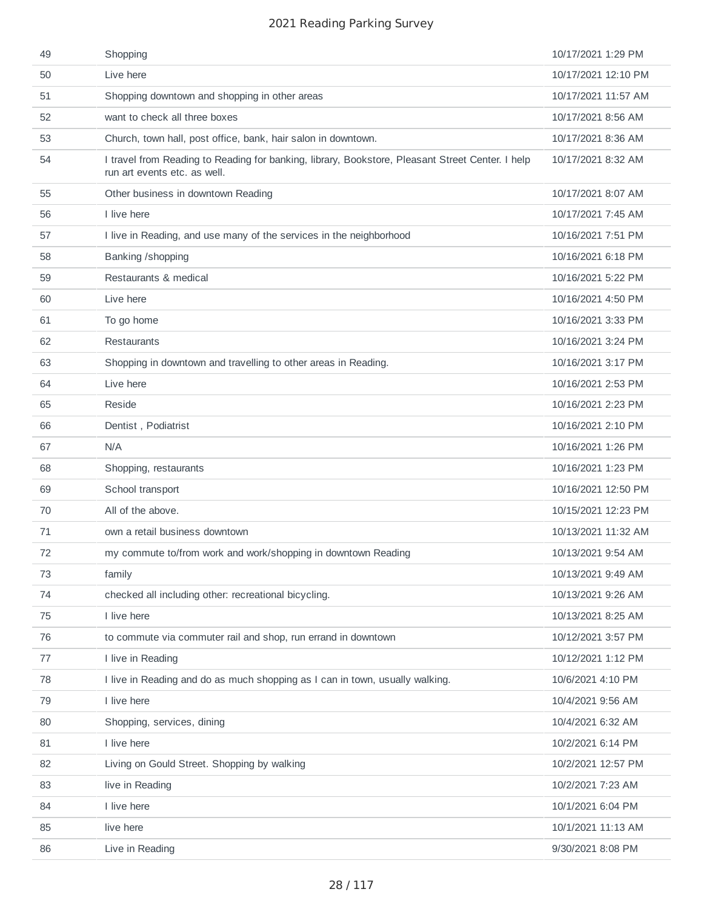| 49 | Shopping                                                                                                                         | 10/17/2021 1:29 PM  |
|----|----------------------------------------------------------------------------------------------------------------------------------|---------------------|
| 50 | Live here                                                                                                                        | 10/17/2021 12:10 PM |
| 51 | Shopping downtown and shopping in other areas                                                                                    | 10/17/2021 11:57 AM |
| 52 | want to check all three boxes                                                                                                    | 10/17/2021 8:56 AM  |
| 53 | Church, town hall, post office, bank, hair salon in downtown.                                                                    | 10/17/2021 8:36 AM  |
| 54 | I travel from Reading to Reading for banking, library, Bookstore, Pleasant Street Center. I help<br>run art events etc. as well. | 10/17/2021 8:32 AM  |
| 55 | Other business in downtown Reading                                                                                               | 10/17/2021 8:07 AM  |
| 56 | I live here                                                                                                                      | 10/17/2021 7:45 AM  |
| 57 | I live in Reading, and use many of the services in the neighborhood                                                              | 10/16/2021 7:51 PM  |
| 58 | Banking /shopping                                                                                                                | 10/16/2021 6:18 PM  |
| 59 | Restaurants & medical                                                                                                            | 10/16/2021 5:22 PM  |
| 60 | Live here                                                                                                                        | 10/16/2021 4:50 PM  |
| 61 | To go home                                                                                                                       | 10/16/2021 3:33 PM  |
| 62 | <b>Restaurants</b>                                                                                                               | 10/16/2021 3:24 PM  |
| 63 | Shopping in downtown and travelling to other areas in Reading.                                                                   | 10/16/2021 3:17 PM  |
| 64 | Live here                                                                                                                        | 10/16/2021 2:53 PM  |
| 65 | Reside                                                                                                                           | 10/16/2021 2:23 PM  |
| 66 | Dentist, Podiatrist                                                                                                              | 10/16/2021 2:10 PM  |
| 67 | N/A                                                                                                                              | 10/16/2021 1:26 PM  |
| 68 | Shopping, restaurants                                                                                                            | 10/16/2021 1:23 PM  |
| 69 | School transport                                                                                                                 | 10/16/2021 12:50 PM |
| 70 | All of the above.                                                                                                                | 10/15/2021 12:23 PM |
| 71 | own a retail business downtown                                                                                                   | 10/13/2021 11:32 AM |
| 72 | my commute to/from work and work/shopping in downtown Reading                                                                    | 10/13/2021 9:54 AM  |
| 73 | family                                                                                                                           | 10/13/2021 9:49 AM  |
| 74 | checked all including other: recreational bicycling.                                                                             | 10/13/2021 9:26 AM  |
| 75 | I live here                                                                                                                      | 10/13/2021 8:25 AM  |
| 76 | to commute via commuter rail and shop, run errand in downtown                                                                    | 10/12/2021 3:57 PM  |
| 77 | I live in Reading                                                                                                                | 10/12/2021 1:12 PM  |
| 78 | I live in Reading and do as much shopping as I can in town, usually walking.                                                     | 10/6/2021 4:10 PM   |
| 79 | I live here                                                                                                                      | 10/4/2021 9:56 AM   |
| 80 | Shopping, services, dining                                                                                                       | 10/4/2021 6:32 AM   |
| 81 | I live here                                                                                                                      | 10/2/2021 6:14 PM   |
| 82 | Living on Gould Street. Shopping by walking                                                                                      | 10/2/2021 12:57 PM  |
| 83 | live in Reading                                                                                                                  | 10/2/2021 7:23 AM   |
| 84 | I live here                                                                                                                      | 10/1/2021 6:04 PM   |
| 85 | live here                                                                                                                        | 10/1/2021 11:13 AM  |
| 86 | Live in Reading                                                                                                                  | 9/30/2021 8:08 PM   |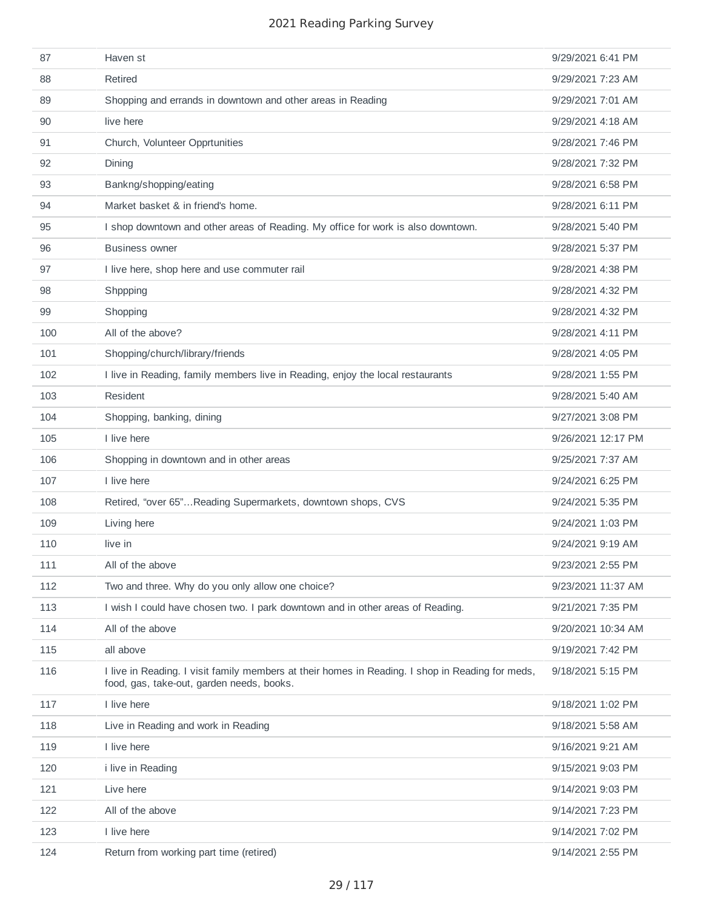| 87  | Haven st                                                                                                                                      | 9/29/2021 6:41 PM  |
|-----|-----------------------------------------------------------------------------------------------------------------------------------------------|--------------------|
| 88  | Retired                                                                                                                                       | 9/29/2021 7:23 AM  |
| 89  | Shopping and errands in downtown and other areas in Reading                                                                                   | 9/29/2021 7:01 AM  |
| 90  | live here                                                                                                                                     | 9/29/2021 4:18 AM  |
| 91  | Church, Volunteer Opprtunities                                                                                                                | 9/28/2021 7:46 PM  |
| 92  | Dining                                                                                                                                        | 9/28/2021 7:32 PM  |
| 93  | Bankng/shopping/eating                                                                                                                        | 9/28/2021 6:58 PM  |
| 94  | Market basket & in friend's home.                                                                                                             | 9/28/2021 6:11 PM  |
| 95  | I shop downtown and other areas of Reading. My office for work is also downtown.                                                              | 9/28/2021 5:40 PM  |
| 96  | <b>Business owner</b>                                                                                                                         | 9/28/2021 5:37 PM  |
| 97  | I live here, shop here and use commuter rail                                                                                                  | 9/28/2021 4:38 PM  |
| 98  | Shppping                                                                                                                                      | 9/28/2021 4:32 PM  |
| 99  | Shopping                                                                                                                                      | 9/28/2021 4:32 PM  |
| 100 | All of the above?                                                                                                                             | 9/28/2021 4:11 PM  |
| 101 | Shopping/church/library/friends                                                                                                               | 9/28/2021 4:05 PM  |
| 102 | I live in Reading, family members live in Reading, enjoy the local restaurants                                                                | 9/28/2021 1:55 PM  |
| 103 | Resident                                                                                                                                      | 9/28/2021 5:40 AM  |
| 104 | Shopping, banking, dining                                                                                                                     | 9/27/2021 3:08 PM  |
| 105 | I live here                                                                                                                                   | 9/26/2021 12:17 PM |
| 106 | Shopping in downtown and in other areas                                                                                                       | 9/25/2021 7:37 AM  |
| 107 | I live here                                                                                                                                   | 9/24/2021 6:25 PM  |
| 108 | Retired, "over 65"Reading Supermarkets, downtown shops, CVS                                                                                   | 9/24/2021 5:35 PM  |
| 109 | Living here                                                                                                                                   | 9/24/2021 1:03 PM  |
| 110 | live in                                                                                                                                       | 9/24/2021 9:19 AM  |
| 111 | All of the above                                                                                                                              | 9/23/2021 2:55 PM  |
| 112 | Two and three. Why do you only allow one choice?                                                                                              | 9/23/2021 11:37 AM |
| 113 | I wish I could have chosen two. I park downtown and in other areas of Reading.                                                                | 9/21/2021 7:35 PM  |
| 114 | All of the above                                                                                                                              | 9/20/2021 10:34 AM |
| 115 | all above                                                                                                                                     | 9/19/2021 7:42 PM  |
| 116 | I live in Reading. I visit family members at their homes in Reading. I shop in Reading for meds,<br>food, gas, take-out, garden needs, books. | 9/18/2021 5:15 PM  |
| 117 | I live here                                                                                                                                   | 9/18/2021 1:02 PM  |
| 118 | Live in Reading and work in Reading                                                                                                           | 9/18/2021 5:58 AM  |
| 119 | I live here                                                                                                                                   | 9/16/2021 9:21 AM  |
| 120 | i live in Reading                                                                                                                             | 9/15/2021 9:03 PM  |
| 121 | Live here                                                                                                                                     | 9/14/2021 9:03 PM  |
| 122 | All of the above                                                                                                                              | 9/14/2021 7:23 PM  |
| 123 | I live here                                                                                                                                   | 9/14/2021 7:02 PM  |
| 124 | Return from working part time (retired)                                                                                                       | 9/14/2021 2:55 PM  |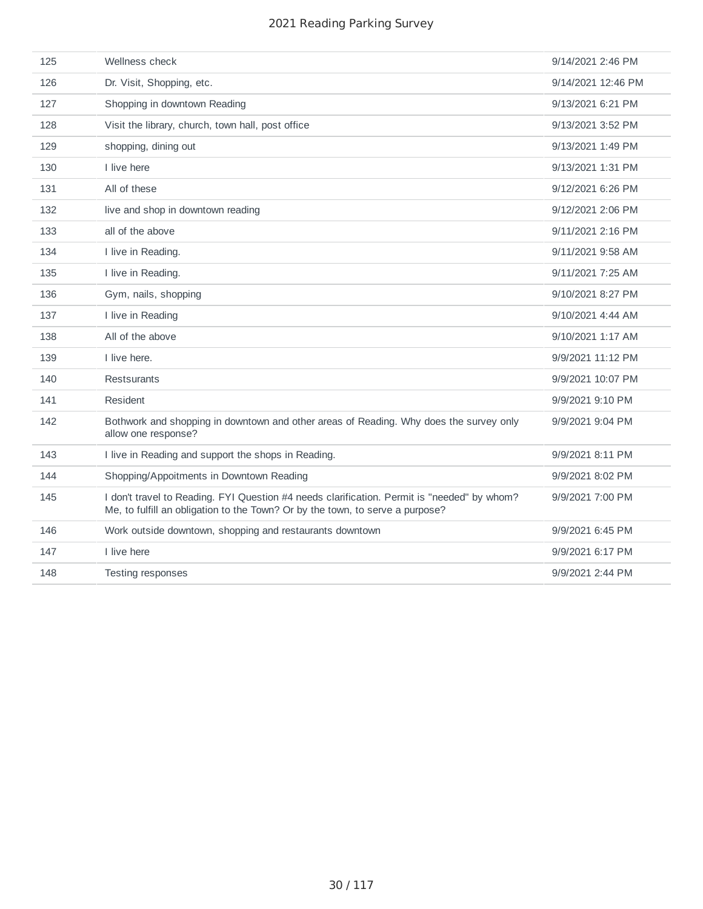| 125 | Wellness check                                                                                                                                                               | 9/14/2021 2:46 PM  |
|-----|------------------------------------------------------------------------------------------------------------------------------------------------------------------------------|--------------------|
| 126 | Dr. Visit, Shopping, etc.                                                                                                                                                    | 9/14/2021 12:46 PM |
| 127 | Shopping in downtown Reading                                                                                                                                                 | 9/13/2021 6:21 PM  |
| 128 | Visit the library, church, town hall, post office                                                                                                                            | 9/13/2021 3:52 PM  |
| 129 | shopping, dining out                                                                                                                                                         | 9/13/2021 1:49 PM  |
| 130 | I live here                                                                                                                                                                  | 9/13/2021 1:31 PM  |
| 131 | All of these                                                                                                                                                                 | 9/12/2021 6:26 PM  |
| 132 | live and shop in downtown reading                                                                                                                                            | 9/12/2021 2:06 PM  |
| 133 | all of the above                                                                                                                                                             | 9/11/2021 2:16 PM  |
| 134 | I live in Reading.                                                                                                                                                           | 9/11/2021 9:58 AM  |
| 135 | I live in Reading.                                                                                                                                                           | 9/11/2021 7:25 AM  |
| 136 | Gym, nails, shopping                                                                                                                                                         | 9/10/2021 8:27 PM  |
| 137 | I live in Reading                                                                                                                                                            | 9/10/2021 4:44 AM  |
| 138 | All of the above                                                                                                                                                             | 9/10/2021 1:17 AM  |
| 139 | I live here.                                                                                                                                                                 | 9/9/2021 11:12 PM  |
| 140 | <b>Restsurants</b>                                                                                                                                                           | 9/9/2021 10:07 PM  |
| 141 | Resident                                                                                                                                                                     | 9/9/2021 9:10 PM   |
| 142 | Bothwork and shopping in downtown and other areas of Reading. Why does the survey only<br>allow one response?                                                                | 9/9/2021 9:04 PM   |
| 143 | I live in Reading and support the shops in Reading.                                                                                                                          | 9/9/2021 8:11 PM   |
| 144 | Shopping/Appoitments in Downtown Reading                                                                                                                                     | 9/9/2021 8:02 PM   |
| 145 | I don't travel to Reading. FYI Question #4 needs clarification. Permit is "needed" by whom?<br>Me, to fulfill an obligation to the Town? Or by the town, to serve a purpose? | 9/9/2021 7:00 PM   |
| 146 | Work outside downtown, shopping and restaurants downtown                                                                                                                     | 9/9/2021 6:45 PM   |
| 147 | I live here                                                                                                                                                                  | 9/9/2021 6:17 PM   |
| 148 | Testing responses                                                                                                                                                            | 9/9/2021 2:44 PM   |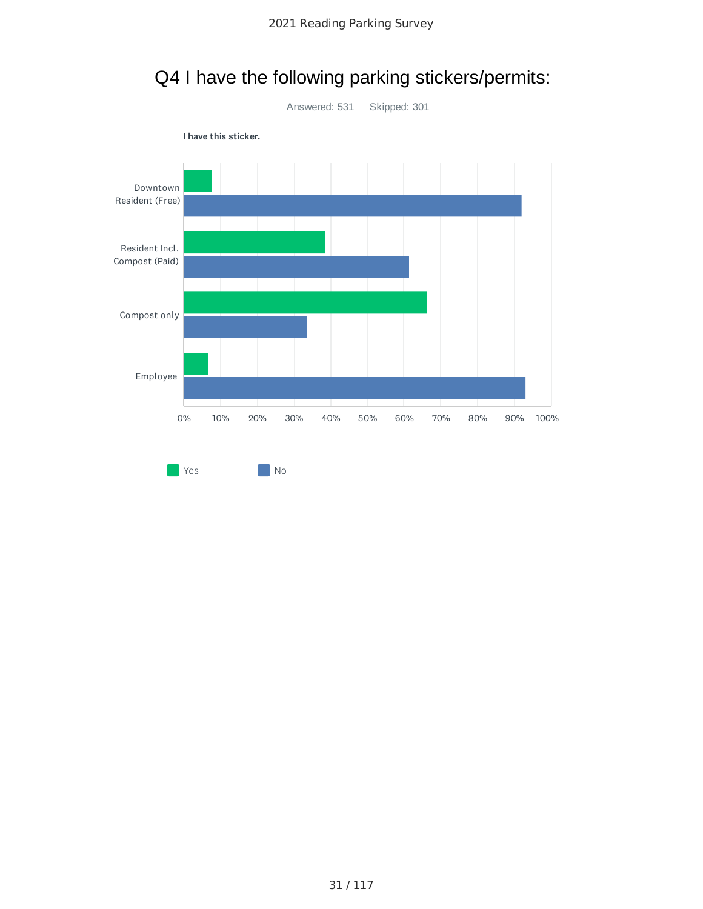

## Q4 I have the following parking stickers/permits: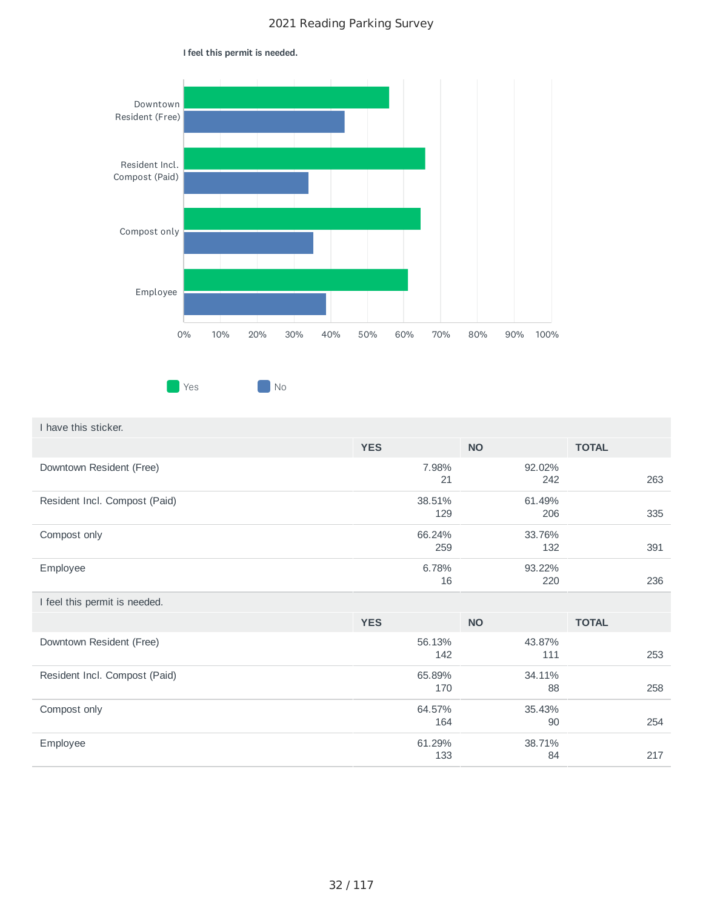

#### I feel this permit is needed.

| I have this sticker.          |               |               |              |
|-------------------------------|---------------|---------------|--------------|
|                               | <b>YES</b>    | <b>NO</b>     | <b>TOTAL</b> |
| Downtown Resident (Free)      | 7.98%<br>21   | 92.02%<br>242 | 263          |
| Resident Incl. Compost (Paid) | 38.51%<br>129 | 61.49%<br>206 | 335          |
| Compost only                  | 66.24%<br>259 | 33.76%<br>132 | 391          |
| Employee                      | 6.78%<br>16   | 93.22%<br>220 | 236          |
| I feel this permit is needed. |               |               |              |
|                               | <b>YES</b>    | <b>NO</b>     | <b>TOTAL</b> |
| Downtown Resident (Free)      | 56.13%<br>142 | 43.87%<br>111 | 253          |
| Resident Incl. Compost (Paid) | 65.89%<br>170 | 34.11%<br>88  | 258          |
| Compost only                  | 64.57%<br>164 | 35.43%<br>90  | 254          |
| Employee                      | 61.29%<br>133 | 38.71%<br>84  | 217          |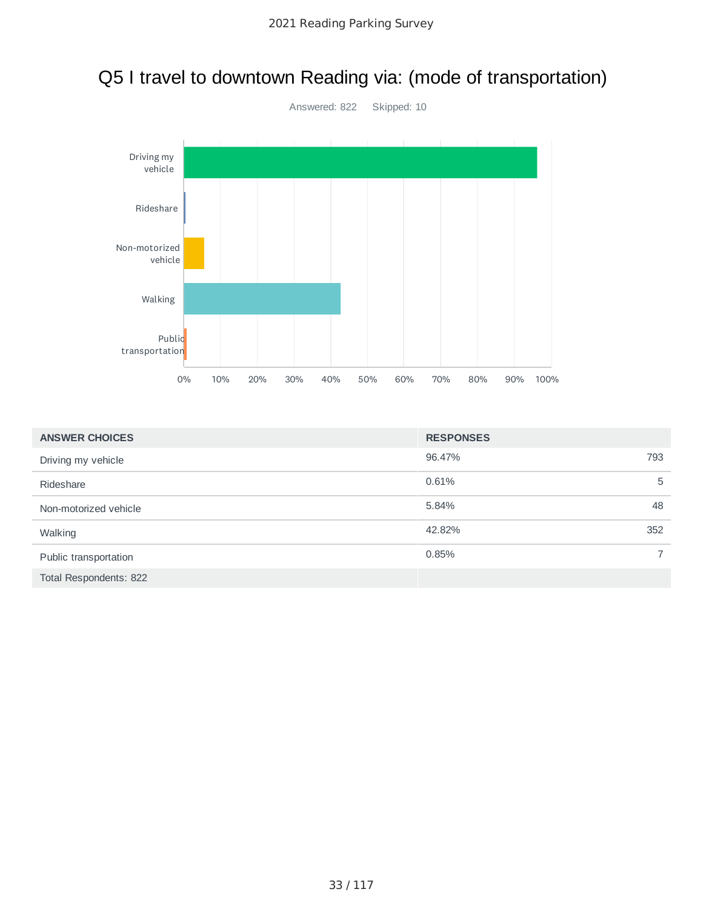

### Q5 I travel to downtown Reading via: (mode of transportation)

| <b>ANSWER CHOICES</b>  | <b>RESPONSES</b> |                |
|------------------------|------------------|----------------|
| Driving my vehicle     | 96.47%<br>793    |                |
| Rideshare              | 0.61%            | 5              |
| Non-motorized vehicle  | 5.84%            | 48             |
| Walking                | 42.82%<br>352    |                |
| Public transportation  | 0.85%            | $\overline{7}$ |
| Total Respondents: 822 |                  |                |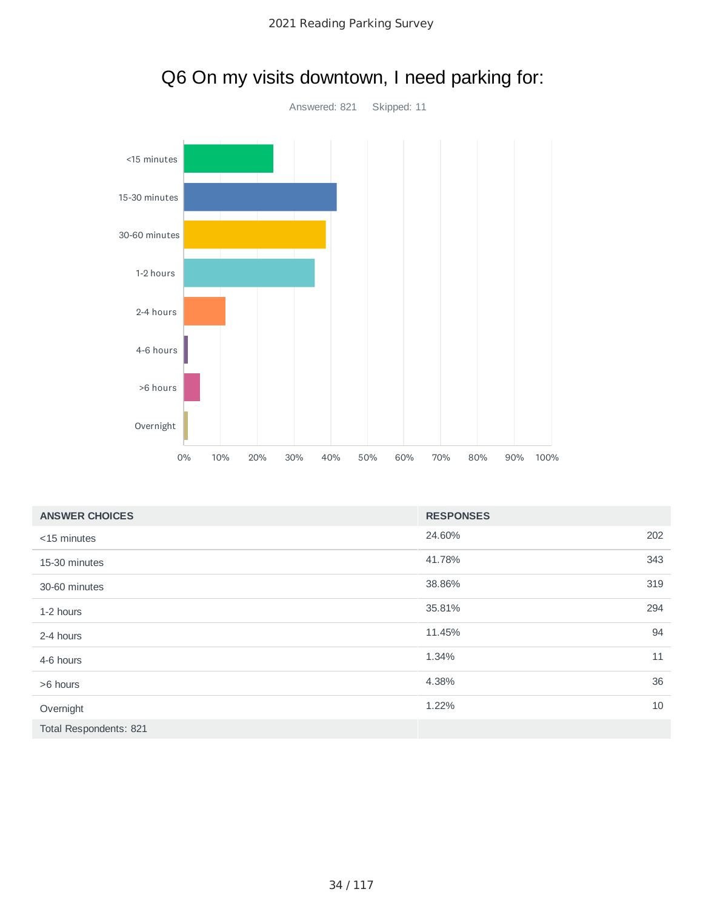

|                        | >6 hours<br>Overnight |    |     |     |     |     |     |     |                  |     |     |      |  |        |
|------------------------|-----------------------|----|-----|-----|-----|-----|-----|-----|------------------|-----|-----|------|--|--------|
|                        |                       | 0% | 10% | 20% | 30% | 40% | 50% | 60% | 70%              | 80% | 90% | 100% |  |        |
| <b>ANSWER CHOICES</b>  |                       |    |     |     |     |     |     |     | <b>RESPONSES</b> |     |     |      |  |        |
| <15 minutes            |                       |    |     |     |     |     |     |     | 24.60%           |     |     |      |  | 202    |
| 15-30 minutes          |                       |    |     |     |     |     |     |     | 41.78%           |     |     |      |  | 343    |
| 30-60 minutes          |                       |    |     |     |     |     |     |     | 38.86%           |     |     |      |  | 319    |
| 1-2 hours              |                       |    |     |     |     |     |     |     | 35.81%           |     |     |      |  | 294    |
| 2-4 hours              |                       |    |     |     |     |     |     |     | 11.45%           |     |     |      |  | 94     |
| 4-6 hours              |                       |    |     |     |     |     |     |     | 1.34%            |     |     |      |  | 11     |
| >6 hours               |                       |    |     |     |     |     |     |     | 4.38%            |     |     |      |  | 36     |
| Overnight              |                       |    |     |     |     |     |     |     | 1.22%            |     |     |      |  | $10\,$ |
| Total Respondents: 821 |                       |    |     |     |     |     |     |     |                  |     |     |      |  |        |
|                        |                       |    |     |     |     |     |     |     |                  |     |     |      |  |        |

### Q6 On my visits downtown, I need parking for: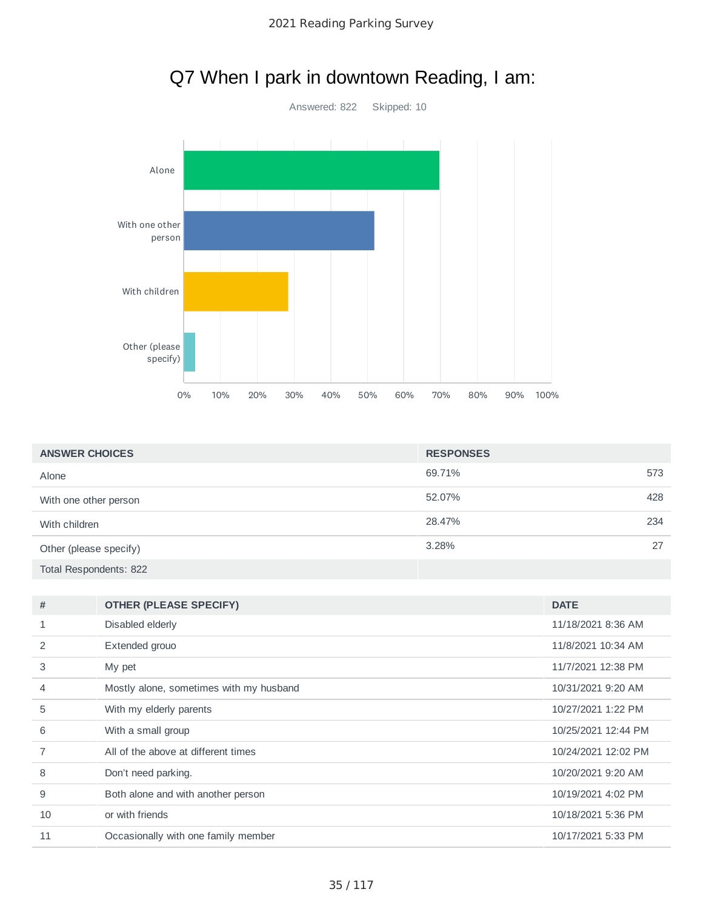

## Q7 When I park in downtown Reading, I am:

| <b>ANSWER CHOICES</b>  | <b>RESPONSES</b> |     |
|------------------------|------------------|-----|
| Alone                  | 69.71%           | 573 |
| With one other person  | 52.07%           | 428 |
| With children          | 28.47%           | 234 |
| Other (please specify) | 3.28%            | 27  |
| Total Respondents: 822 |                  |     |

| 11/18/2021 8:36 AM<br>Disabled elderly<br>1<br>Extended grouo<br>11/8/2021 10:34 AM<br>2 |  |
|------------------------------------------------------------------------------------------|--|
|                                                                                          |  |
|                                                                                          |  |
| 3<br>11/7/2021 12:38 PM<br>My pet                                                        |  |
| Mostly alone, sometimes with my husband<br>10/31/2021 9:20 AM<br>$\overline{4}$          |  |
| 5<br>10/27/2021 1:22 PM<br>With my elderly parents                                       |  |
| 6<br>With a small group<br>10/25/2021 12:44 PM                                           |  |
| All of the above at different times<br>10/24/2021 12:02 PM                               |  |
| 8<br>10/20/2021 9:20 AM<br>Don't need parking.                                           |  |
| 9<br>Both alone and with another person<br>10/19/2021 4:02 PM                            |  |
| or with friends<br>10<br>10/18/2021 5:36 PM                                              |  |
| 11<br>Occasionally with one family member<br>10/17/2021 5:33 PM                          |  |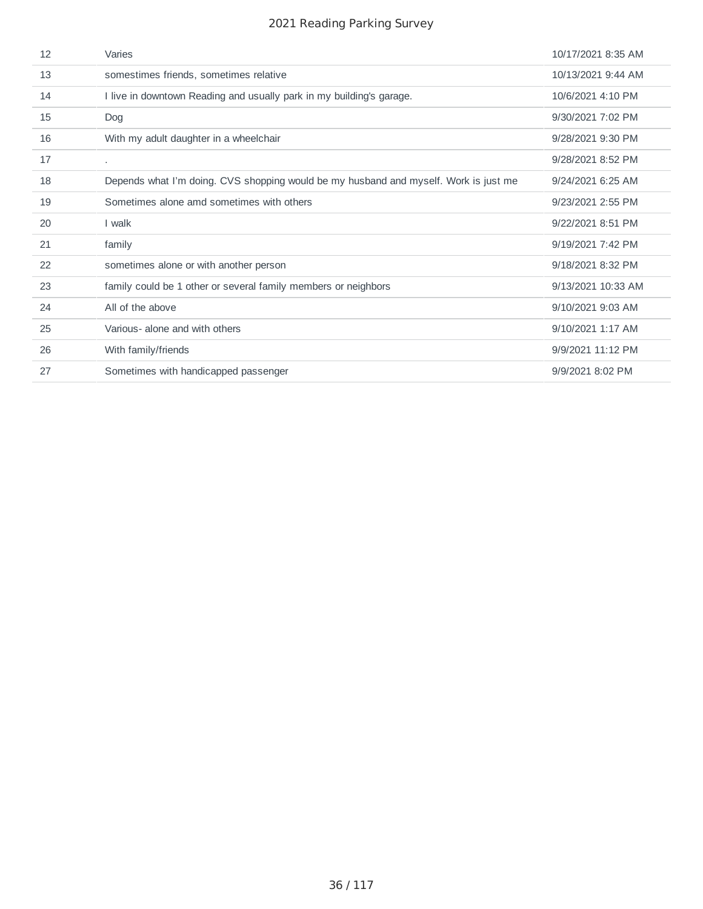| 12 | Varies                                                                               | 10/17/2021 8:35 AM |
|----|--------------------------------------------------------------------------------------|--------------------|
| 13 | somestimes friends, sometimes relative                                               | 10/13/2021 9:44 AM |
| 14 | I live in downtown Reading and usually park in my building's garage.                 | 10/6/2021 4:10 PM  |
| 15 | Dog                                                                                  | 9/30/2021 7:02 PM  |
| 16 | With my adult daughter in a wheelchair                                               | 9/28/2021 9:30 PM  |
| 17 | $\mathbf{r}$                                                                         | 9/28/2021 8:52 PM  |
| 18 | Depends what I'm doing. CVS shopping would be my husband and myself. Work is just me | 9/24/2021 6:25 AM  |
| 19 | Sometimes alone amd sometimes with others                                            | 9/23/2021 2:55 PM  |
| 20 | I walk                                                                               | 9/22/2021 8:51 PM  |
| 21 | family                                                                               | 9/19/2021 7:42 PM  |
| 22 | sometimes alone or with another person                                               | 9/18/2021 8:32 PM  |
| 23 | family could be 1 other or several family members or neighbors                       | 9/13/2021 10:33 AM |
| 24 | All of the above                                                                     | 9/10/2021 9:03 AM  |
| 25 | Various- alone and with others                                                       | 9/10/2021 1:17 AM  |
| 26 | With family/friends                                                                  | 9/9/2021 11:12 PM  |
| 27 | Sometimes with handicapped passenger                                                 | 9/9/2021 8:02 PM   |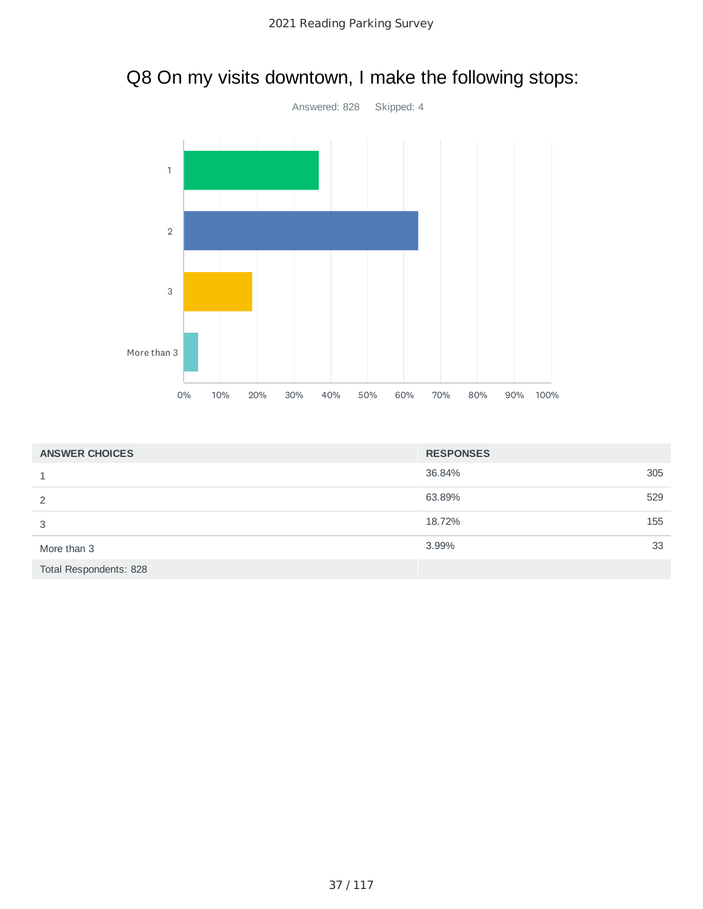

# Q8 On my visits downtown, I make the following stops:

| <b>ANSWER CHOICES</b>  | <b>RESPONSES</b> |     |
|------------------------|------------------|-----|
| 1                      | 36.84%           | 305 |
| 2                      | 63.89%           | 529 |
| 3                      | 18.72%           | 155 |
| More than 3            | 3.99%            | 33  |
| Total Respondents: 828 |                  |     |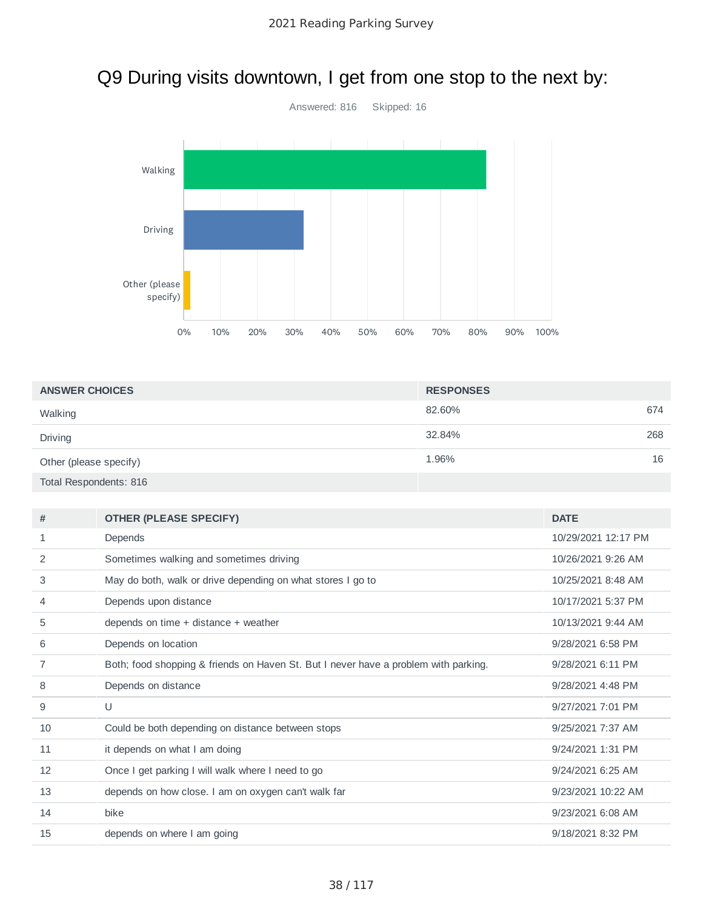# Q9 During visits downtown, I get from one stop to the next by:



| <b>ANSWER CHOICES</b>  | <b>RESPONSES</b> |     |
|------------------------|------------------|-----|
| Walking                | 82.60%           | 674 |
| Driving                | 32.84%           | 268 |
| Other (please specify) | 1.96%            | 16  |
| Total Respondents: 816 |                  |     |

| Depends<br>10/29/2021 12:17 PM<br>1<br>2<br>Sometimes walking and sometimes driving<br>10/26/2021 9:26 AM<br>3<br>May do both, walk or drive depending on what stores I go to<br>10/25/2021 8:48 AM<br>Depends upon distance<br>10/17/2021 5:37 PM<br>$\overline{4}$<br>5<br>depends on time + distance + weather<br>10/13/2021 9:44 AM<br>Depends on location<br>9/28/2021 6:58 PM<br>6<br>7<br>Both; food shopping & friends on Haven St. But I never have a problem with parking.<br>9/28/2021 6:11 PM<br>8<br>Depends on distance<br>9/28/2021 4:48 PM<br>9<br>U<br>9/27/2021 7:01 PM<br>10<br>Could be both depending on distance between stops<br>9/25/2021 7:37 AM<br>it depends on what I am doing<br>9/24/2021 1:31 PM<br>11 | #  | <b>OTHER (PLEASE SPECIFY)</b>                     | <b>DATE</b>       |
|---------------------------------------------------------------------------------------------------------------------------------------------------------------------------------------------------------------------------------------------------------------------------------------------------------------------------------------------------------------------------------------------------------------------------------------------------------------------------------------------------------------------------------------------------------------------------------------------------------------------------------------------------------------------------------------------------------------------------------------|----|---------------------------------------------------|-------------------|
|                                                                                                                                                                                                                                                                                                                                                                                                                                                                                                                                                                                                                                                                                                                                       |    |                                                   |                   |
|                                                                                                                                                                                                                                                                                                                                                                                                                                                                                                                                                                                                                                                                                                                                       |    |                                                   |                   |
|                                                                                                                                                                                                                                                                                                                                                                                                                                                                                                                                                                                                                                                                                                                                       |    |                                                   |                   |
|                                                                                                                                                                                                                                                                                                                                                                                                                                                                                                                                                                                                                                                                                                                                       |    |                                                   |                   |
|                                                                                                                                                                                                                                                                                                                                                                                                                                                                                                                                                                                                                                                                                                                                       |    |                                                   |                   |
|                                                                                                                                                                                                                                                                                                                                                                                                                                                                                                                                                                                                                                                                                                                                       |    |                                                   |                   |
|                                                                                                                                                                                                                                                                                                                                                                                                                                                                                                                                                                                                                                                                                                                                       |    |                                                   |                   |
|                                                                                                                                                                                                                                                                                                                                                                                                                                                                                                                                                                                                                                                                                                                                       |    |                                                   |                   |
|                                                                                                                                                                                                                                                                                                                                                                                                                                                                                                                                                                                                                                                                                                                                       |    |                                                   |                   |
|                                                                                                                                                                                                                                                                                                                                                                                                                                                                                                                                                                                                                                                                                                                                       |    |                                                   |                   |
|                                                                                                                                                                                                                                                                                                                                                                                                                                                                                                                                                                                                                                                                                                                                       |    |                                                   |                   |
|                                                                                                                                                                                                                                                                                                                                                                                                                                                                                                                                                                                                                                                                                                                                       | 12 | Once I get parking I will walk where I need to go | 9/24/2021 6:25 AM |
| depends on how close. I am on oxygen can't walk far<br>13<br>9/23/2021 10:22 AM                                                                                                                                                                                                                                                                                                                                                                                                                                                                                                                                                                                                                                                       |    |                                                   |                   |
| bike<br>14<br>9/23/2021 6:08 AM                                                                                                                                                                                                                                                                                                                                                                                                                                                                                                                                                                                                                                                                                                       |    |                                                   |                   |
| 9/18/2021 8:32 PM<br>15<br>depends on where I am going                                                                                                                                                                                                                                                                                                                                                                                                                                                                                                                                                                                                                                                                                |    |                                                   |                   |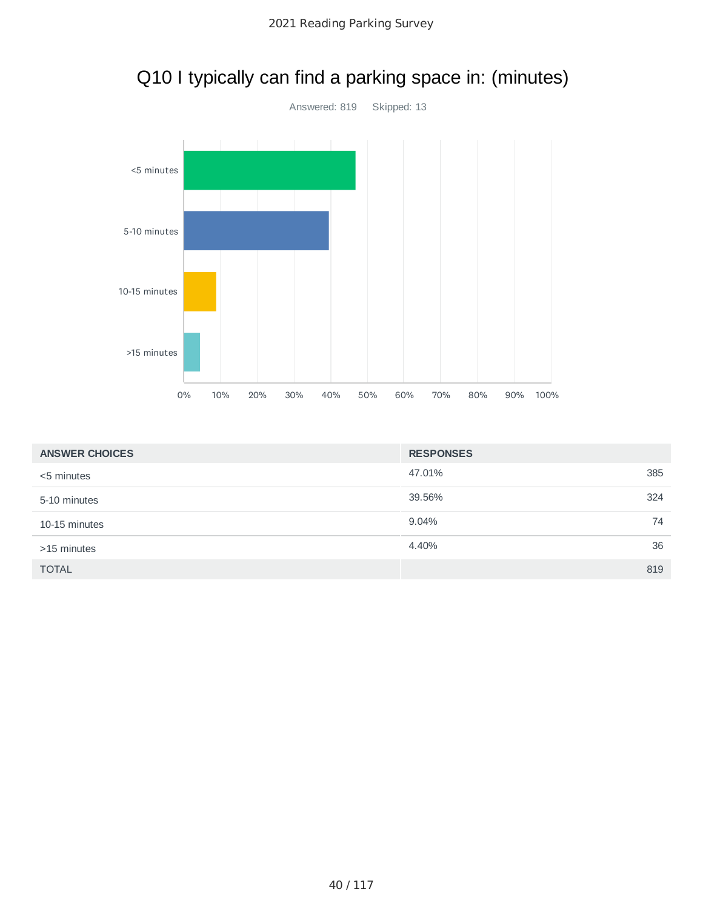



| <b>ANSWER CHOICES</b> | <b>RESPONSES</b> |    |
|-----------------------|------------------|----|
| <5 minutes            | 47.01%<br>385    |    |
| 5-10 minutes          | 39.56%<br>324    |    |
| 10-15 minutes         | 9.04%            | 74 |
| >15 minutes           | 4.40%            | 36 |
| <b>TOTAL</b>          | 819              |    |

# Q10 I typically can find a parking space in: (minutes)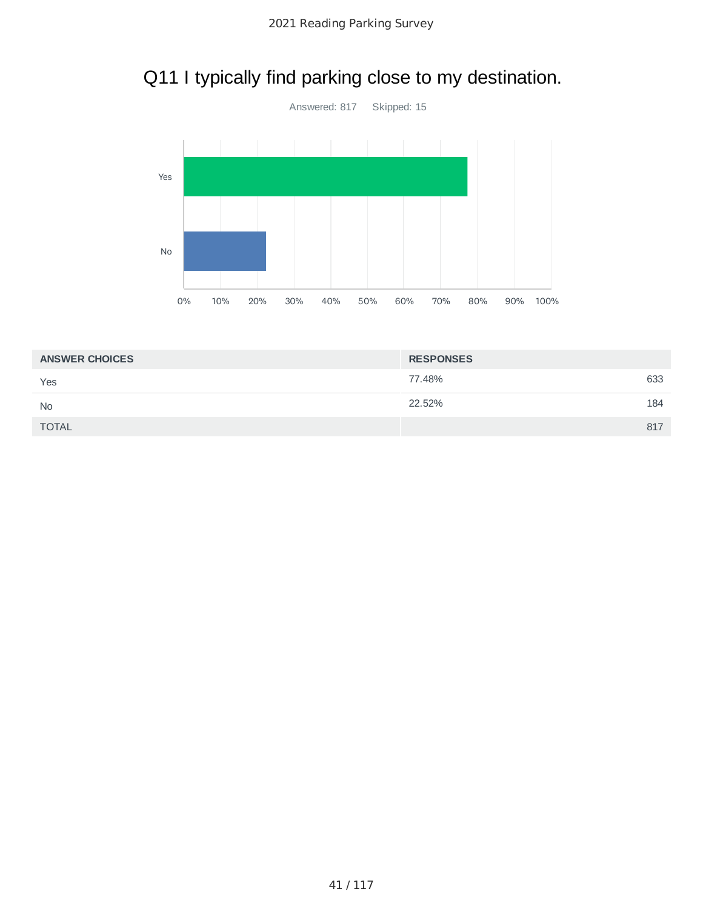# Q11 I typically find parking close to my destination.



| <b>ANSWER CHOICES</b> | <b>RESPONSES</b> |     |
|-----------------------|------------------|-----|
| Yes                   | 77.48%           | 633 |
| <b>No</b>             | 22.52%           | 184 |
| <b>TOTAL</b>          |                  | 817 |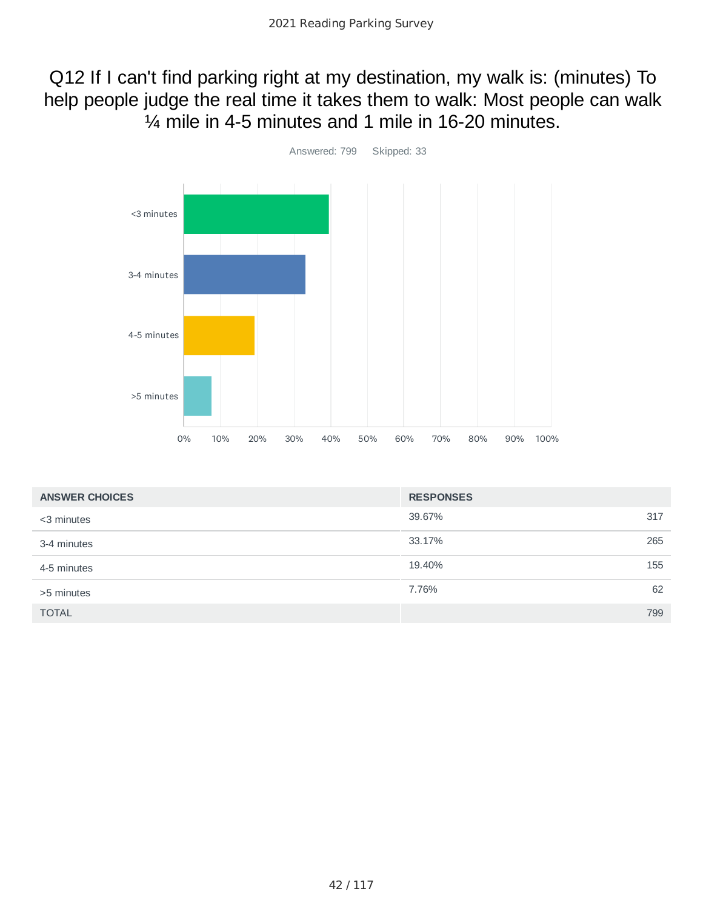# Q12 If I can't find parking right at my destination, my walk is: (minutes) To help people judge the real time it takes them to walk: Most people can walk ¼ mile in 4-5 minutes and 1 mile in 16-20 minutes.



| <b>ANSWER CHOICES</b> | <b>RESPONSES</b> |     |
|-----------------------|------------------|-----|
| <3 minutes            | 39.67%           | 317 |
| 3-4 minutes           | 33.17%           | 265 |
| 4-5 minutes           | 19.40%           | 155 |
| >5 minutes            | 7.76%            | 62  |
| <b>TOTAL</b>          |                  | 799 |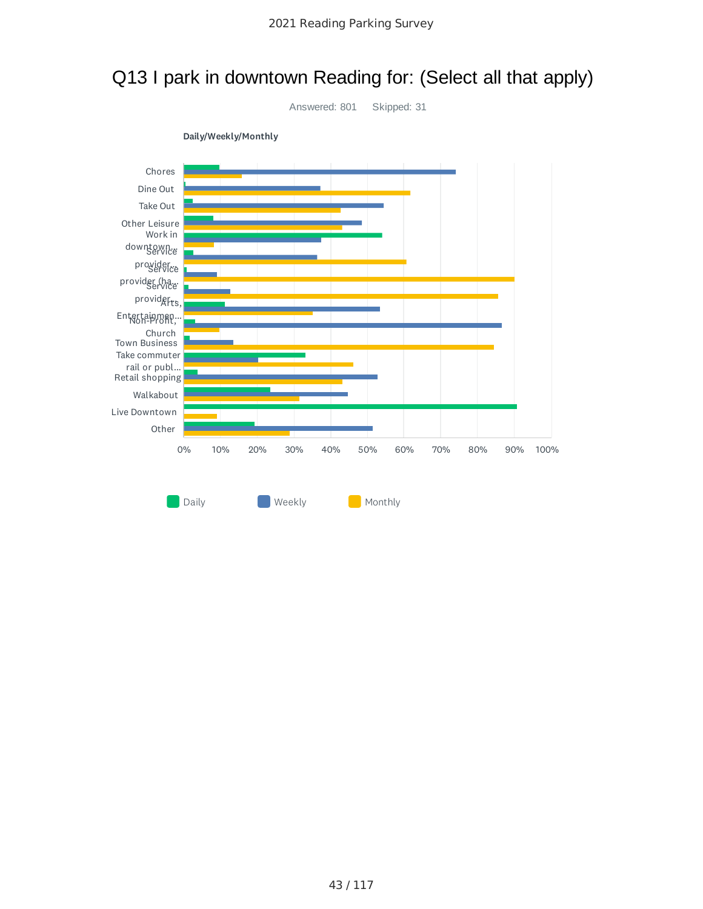

# Q13 I park in downtown Reading for: (Select all that apply)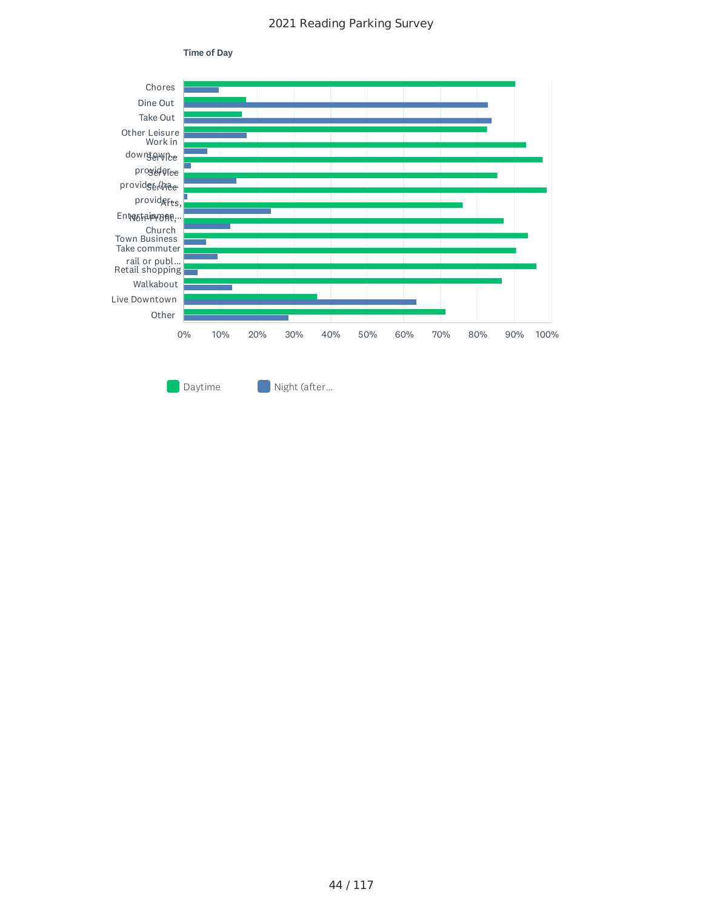

44 / 117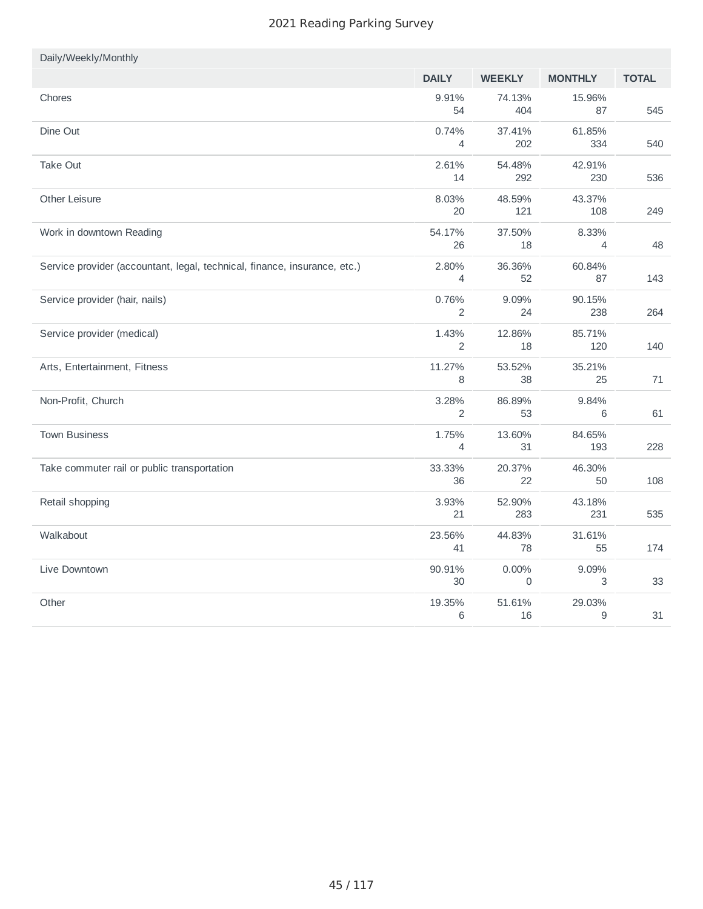| Daily/Weekly/Monthly                                                      |                         |               |                         |              |
|---------------------------------------------------------------------------|-------------------------|---------------|-------------------------|--------------|
|                                                                           | <b>DAILY</b>            | <b>WEEKLY</b> | <b>MONTHLY</b>          | <b>TOTAL</b> |
| Chores                                                                    | 9.91%<br>54             | 74.13%<br>404 | 15.96%<br>87            | 545          |
| Dine Out                                                                  | 0.74%<br>$\overline{4}$ | 37.41%<br>202 | 61.85%<br>334           | 540          |
| Take Out                                                                  | 2.61%<br>14             | 54.48%<br>292 | 42.91%<br>230           | 536          |
| Other Leisure                                                             | 8.03%<br>20             | 48.59%<br>121 | 43.37%<br>108           | 249          |
| Work in downtown Reading                                                  | 54.17%<br>26            | 37.50%<br>18  | 8.33%<br>$\overline{4}$ | 48           |
| Service provider (accountant, legal, technical, finance, insurance, etc.) | 2.80%<br>4              | 36.36%<br>52  | 60.84%<br>87            | 143          |
| Service provider (hair, nails)                                            | 0.76%<br>2              | 9.09%<br>24   | 90.15%<br>238           | 264          |
| Service provider (medical)                                                | 1.43%<br>2              | 12.86%<br>18  | 85.71%<br>120           | 140          |
| Arts, Entertainment, Fitness                                              | 11.27%<br>8             | 53.52%<br>38  | 35.21%<br>25            | 71           |
| Non-Profit, Church                                                        | 3.28%<br>2              | 86.89%<br>53  | 9.84%<br>6              | 61           |
| <b>Town Business</b>                                                      | 1.75%<br>$\overline{4}$ | 13.60%<br>31  | 84.65%<br>193           | 228          |
| Take commuter rail or public transportation                               | 33.33%<br>36            | 20.37%<br>22  | 46.30%<br>50            | 108          |
| Retail shopping                                                           | 3.93%<br>21             | 52.90%<br>283 | 43.18%<br>231           | 535          |
| Walkabout                                                                 | 23.56%<br>41            | 44.83%<br>78  | 31.61%<br>55            | 174          |
| Live Downtown                                                             | 90.91%<br>30            | $0.00\%$<br>0 | 9.09%<br>3              | 33           |
| Other                                                                     | 19.35%<br>6             | 51.61%<br>16  | 29.03%<br>9             | 31           |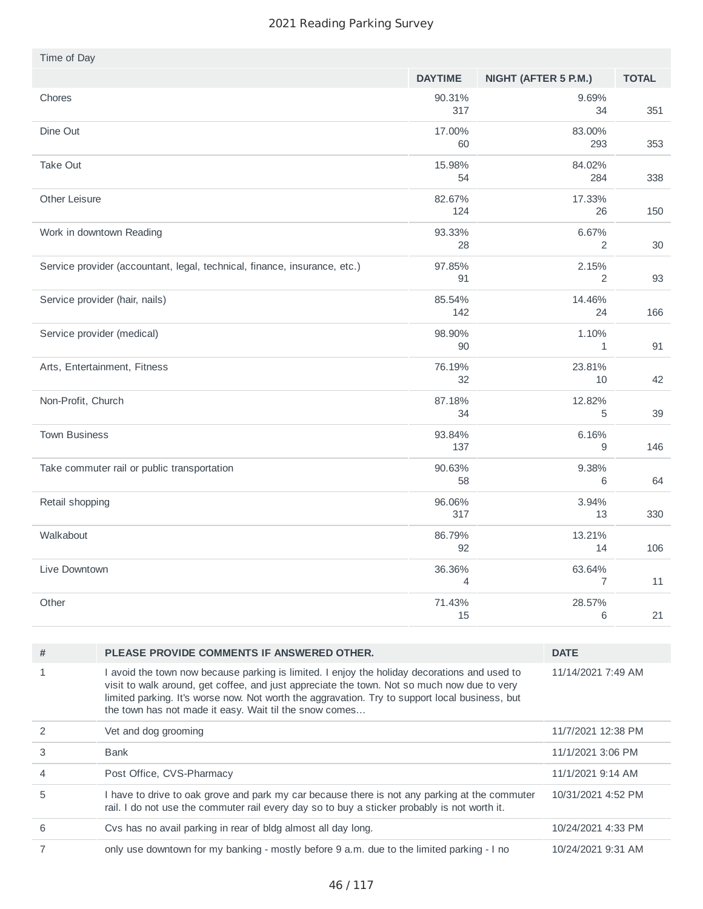| Time of Day                                                               |                |                          |              |
|---------------------------------------------------------------------------|----------------|--------------------------|--------------|
|                                                                           | <b>DAYTIME</b> | NIGHT (AFTER 5 P.M.)     | <b>TOTAL</b> |
| Chores                                                                    | 90.31%<br>317  | 9.69%<br>34              | 351          |
| Dine Out                                                                  | 17.00%<br>60   | 83.00%<br>293            | 353          |
| Take Out                                                                  | 15.98%<br>54   | 84.02%<br>284            | 338          |
| Other Leisure                                                             | 82.67%<br>124  | 17.33%<br>26             | 150          |
| Work in downtown Reading                                                  | 93.33%<br>28   | 6.67%<br>2               | 30           |
| Service provider (accountant, legal, technical, finance, insurance, etc.) | 97.85%<br>91   | 2.15%<br>$\overline{c}$  | 93           |
| Service provider (hair, nails)                                            | 85.54%<br>142  | 14.46%<br>24             | 166          |
| Service provider (medical)                                                | 98.90%<br>90   | 1.10%<br>1               | 91           |
| Arts, Entertainment, Fitness                                              | 76.19%<br>32   | 23.81%<br>10             | 42           |
| Non-Profit, Church                                                        | 87.18%<br>34   | 12.82%<br>5              | 39           |
| <b>Town Business</b>                                                      | 93.84%<br>137  | 6.16%<br>9               | 146          |
| Take commuter rail or public transportation                               | 90.63%<br>58   | 9.38%<br>6               | 64           |
| Retail shopping                                                           | 96.06%<br>317  | 3.94%<br>13              | 330          |
| Walkabout                                                                 | 86.79%<br>92   | 13.21%<br>14             | 106          |
| Live Downtown                                                             | 36.36%<br>4    | 63.64%<br>$\overline{7}$ | 11           |
| Other                                                                     | 71.43%<br>15   | 28.57%<br>$\,$ 6 $\,$    | 21           |
|                                                                           |                |                          |              |

| #              | PLEASE PROVIDE COMMENTS IF ANSWERED OTHER.                                                                                                                                                                                                                                                                                                              | <b>DATE</b>        |
|----------------|---------------------------------------------------------------------------------------------------------------------------------------------------------------------------------------------------------------------------------------------------------------------------------------------------------------------------------------------------------|--------------------|
|                | I avoid the town now because parking is limited. I enjoy the holiday decorations and used to<br>visit to walk around, get coffee, and just appreciate the town. Not so much now due to very<br>limited parking. It's worse now. Not worth the aggravation. Try to support local business, but<br>the town has not made it easy. Wait til the snow comes | 11/14/2021 7:49 AM |
|                | Vet and dog grooming                                                                                                                                                                                                                                                                                                                                    | 11/7/2021 12:38 PM |
| 3              | Bank                                                                                                                                                                                                                                                                                                                                                    | 11/1/2021 3:06 PM  |
| $\overline{4}$ | Post Office, CVS-Pharmacy                                                                                                                                                                                                                                                                                                                               | 11/1/2021 9:14 AM  |
| 5              | I have to drive to oak grove and park my car because there is not any parking at the commuter<br>rail. I do not use the commuter rail every day so to buy a sticker probably is not worth it.                                                                                                                                                           | 10/31/2021 4:52 PM |
| 6              | Cys has no avail parking in rear of bldg almost all day long.                                                                                                                                                                                                                                                                                           | 10/24/2021 4:33 PM |
|                | only use downtown for my banking - mostly before 9 a.m. due to the limited parking - I no                                                                                                                                                                                                                                                               | 10/24/2021 9:31 AM |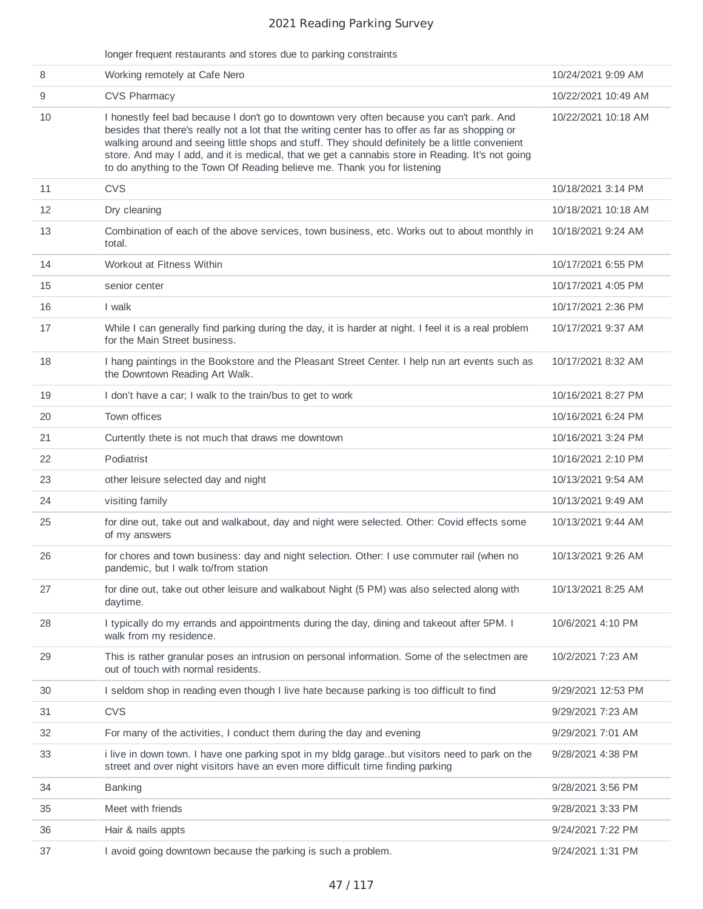|    | longer frequent restaurants and stores due to parking constraints                                                                                                                                                                                                                                                                                                                                                                                                                 |                     |
|----|-----------------------------------------------------------------------------------------------------------------------------------------------------------------------------------------------------------------------------------------------------------------------------------------------------------------------------------------------------------------------------------------------------------------------------------------------------------------------------------|---------------------|
| 8  | Working remotely at Cafe Nero                                                                                                                                                                                                                                                                                                                                                                                                                                                     | 10/24/2021 9:09 AM  |
| 9  | <b>CVS Pharmacy</b>                                                                                                                                                                                                                                                                                                                                                                                                                                                               | 10/22/2021 10:49 AM |
| 10 | I honestly feel bad because I don't go to downtown very often because you can't park. And<br>besides that there's really not a lot that the writing center has to offer as far as shopping or<br>walking around and seeing little shops and stuff. They should definitely be a little convenient<br>store. And may I add, and it is medical, that we get a cannabis store in Reading. It's not going<br>to do anything to the Town Of Reading believe me. Thank you for listening | 10/22/2021 10:18 AM |
| 11 | <b>CVS</b>                                                                                                                                                                                                                                                                                                                                                                                                                                                                        | 10/18/2021 3:14 PM  |
| 12 | Dry cleaning                                                                                                                                                                                                                                                                                                                                                                                                                                                                      | 10/18/2021 10:18 AM |
| 13 | Combination of each of the above services, town business, etc. Works out to about monthly in<br>total.                                                                                                                                                                                                                                                                                                                                                                            | 10/18/2021 9:24 AM  |
| 14 | Workout at Fitness Within                                                                                                                                                                                                                                                                                                                                                                                                                                                         | 10/17/2021 6:55 PM  |
| 15 | senior center                                                                                                                                                                                                                                                                                                                                                                                                                                                                     | 10/17/2021 4:05 PM  |
| 16 | I walk                                                                                                                                                                                                                                                                                                                                                                                                                                                                            | 10/17/2021 2:36 PM  |
| 17 | While I can generally find parking during the day, it is harder at night. I feel it is a real problem<br>for the Main Street business.                                                                                                                                                                                                                                                                                                                                            | 10/17/2021 9:37 AM  |
| 18 | I hang paintings in the Bookstore and the Pleasant Street Center. I help run art events such as<br>the Downtown Reading Art Walk.                                                                                                                                                                                                                                                                                                                                                 | 10/17/2021 8:32 AM  |
| 19 | I don't have a car; I walk to the train/bus to get to work                                                                                                                                                                                                                                                                                                                                                                                                                        | 10/16/2021 8:27 PM  |
| 20 | Town offices                                                                                                                                                                                                                                                                                                                                                                                                                                                                      | 10/16/2021 6:24 PM  |
| 21 | Curtently thete is not much that draws me downtown                                                                                                                                                                                                                                                                                                                                                                                                                                | 10/16/2021 3:24 PM  |
| 22 | Podiatrist                                                                                                                                                                                                                                                                                                                                                                                                                                                                        | 10/16/2021 2:10 PM  |
| 23 | other leisure selected day and night                                                                                                                                                                                                                                                                                                                                                                                                                                              | 10/13/2021 9:54 AM  |
| 24 | visiting family                                                                                                                                                                                                                                                                                                                                                                                                                                                                   | 10/13/2021 9:49 AM  |
| 25 | for dine out, take out and walkabout, day and night were selected. Other: Covid effects some<br>of my answers                                                                                                                                                                                                                                                                                                                                                                     | 10/13/2021 9:44 AM  |
| 26 | for chores and town business: day and night selection. Other: I use commuter rail (when no<br>pandemic, but I walk to/from station                                                                                                                                                                                                                                                                                                                                                | 10/13/2021 9:26 AM  |
| 27 | for dine out, take out other leisure and walkabout Night (5 PM) was also selected along with<br>daytime.                                                                                                                                                                                                                                                                                                                                                                          | 10/13/2021 8:25 AM  |
| 28 | I typically do my errands and appointments during the day, dining and takeout after 5PM. I<br>walk from my residence.                                                                                                                                                                                                                                                                                                                                                             | 10/6/2021 4:10 PM   |
| 29 | This is rather granular poses an intrusion on personal information. Some of the selectmen are<br>out of touch with normal residents.                                                                                                                                                                                                                                                                                                                                              | 10/2/2021 7:23 AM   |
| 30 | I seldom shop in reading even though I live hate because parking is too difficult to find                                                                                                                                                                                                                                                                                                                                                                                         | 9/29/2021 12:53 PM  |
| 31 | <b>CVS</b>                                                                                                                                                                                                                                                                                                                                                                                                                                                                        | 9/29/2021 7:23 AM   |
| 32 | For many of the activities, I conduct them during the day and evening                                                                                                                                                                                                                                                                                                                                                                                                             | 9/29/2021 7:01 AM   |
| 33 | i live in down town. I have one parking spot in my bldg garage. but visitors need to park on the<br>street and over night visitors have an even more difficult time finding parking                                                                                                                                                                                                                                                                                               | 9/28/2021 4:38 PM   |
| 34 | <b>Banking</b>                                                                                                                                                                                                                                                                                                                                                                                                                                                                    | 9/28/2021 3:56 PM   |
| 35 | Meet with friends                                                                                                                                                                                                                                                                                                                                                                                                                                                                 | 9/28/2021 3:33 PM   |
| 36 | Hair & nails appts                                                                                                                                                                                                                                                                                                                                                                                                                                                                | 9/24/2021 7:22 PM   |
| 37 | I avoid going downtown because the parking is such a problem.                                                                                                                                                                                                                                                                                                                                                                                                                     | 9/24/2021 1:31 PM   |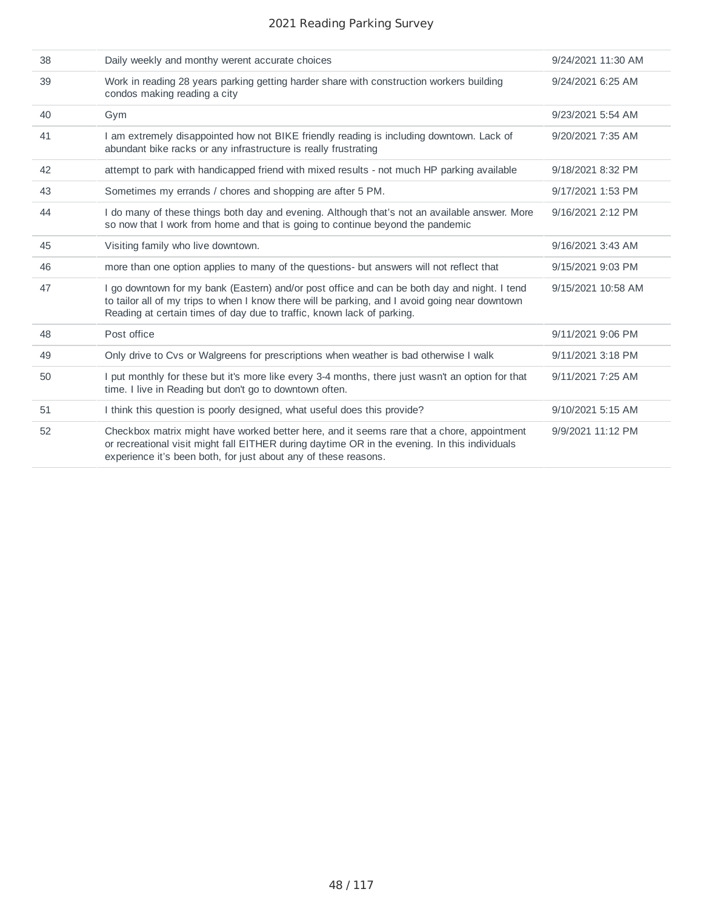| 38 | Daily weekly and monthy werent accurate choices                                                                                                                                                                                                                           | 9/24/2021 11:30 AM |
|----|---------------------------------------------------------------------------------------------------------------------------------------------------------------------------------------------------------------------------------------------------------------------------|--------------------|
| 39 | Work in reading 28 years parking getting harder share with construction workers building<br>condos making reading a city                                                                                                                                                  | 9/24/2021 6:25 AM  |
| 40 | Gym                                                                                                                                                                                                                                                                       | 9/23/2021 5:54 AM  |
| 41 | I am extremely disappointed how not BIKE friendly reading is including downtown. Lack of<br>abundant bike racks or any infrastructure is really frustrating                                                                                                               | 9/20/2021 7:35 AM  |
| 42 | attempt to park with handicapped friend with mixed results - not much HP parking available                                                                                                                                                                                | 9/18/2021 8:32 PM  |
| 43 | Sometimes my errands / chores and shopping are after 5 PM.                                                                                                                                                                                                                | 9/17/2021 1:53 PM  |
| 44 | I do many of these things both day and evening. Although that's not an available answer. More<br>so now that I work from home and that is going to continue beyond the pandemic                                                                                           | 9/16/2021 2:12 PM  |
| 45 | Visiting family who live downtown.                                                                                                                                                                                                                                        | 9/16/2021 3:43 AM  |
| 46 | more than one option applies to many of the questions- but answers will not reflect that                                                                                                                                                                                  | 9/15/2021 9:03 PM  |
| 47 | I go downtown for my bank (Eastern) and/or post office and can be both day and night. I tend<br>to tailor all of my trips to when I know there will be parking, and I avoid going near downtown<br>Reading at certain times of day due to traffic, known lack of parking. | 9/15/2021 10:58 AM |
| 48 | Post office                                                                                                                                                                                                                                                               | 9/11/2021 9:06 PM  |
| 49 | Only drive to Cvs or Walgreens for prescriptions when weather is bad otherwise I walk                                                                                                                                                                                     | 9/11/2021 3:18 PM  |
| 50 | I put monthly for these but it's more like every 3-4 months, there just wasn't an option for that<br>time. I live in Reading but don't go to downtown often.                                                                                                              | 9/11/2021 7:25 AM  |
| 51 | I think this question is poorly designed, what useful does this provide?                                                                                                                                                                                                  | 9/10/2021 5:15 AM  |
| 52 | Checkbox matrix might have worked better here, and it seems rare that a chore, appointment<br>or recreational visit might fall EITHER during daytime OR in the evening. In this individuals<br>experience it's been both, for just about any of these reasons.            | 9/9/2021 11:12 PM  |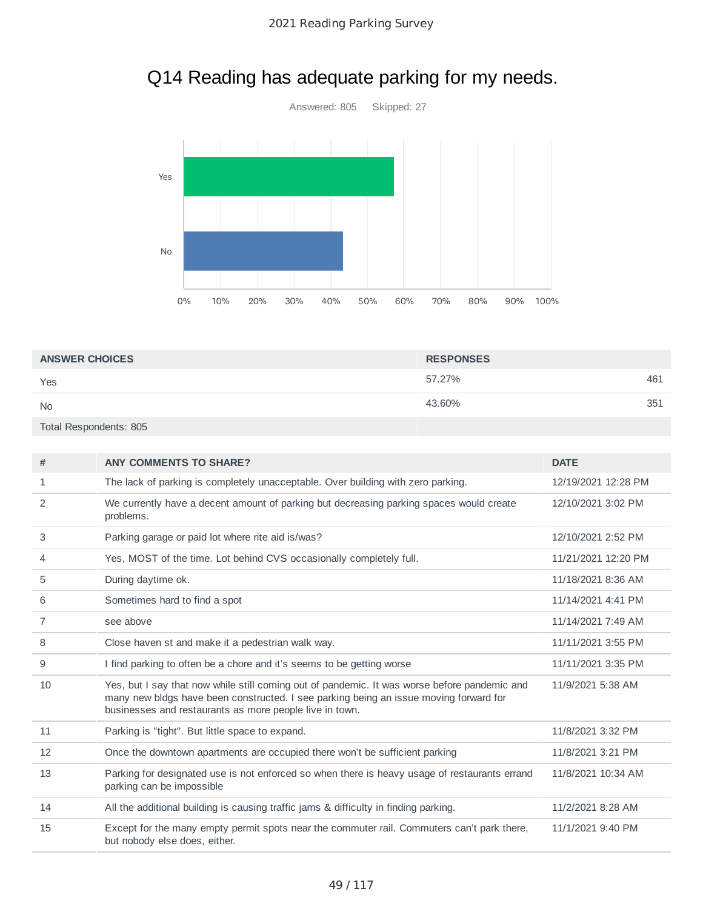

# Q14 Reading has adequate parking for my needs.

| <b>ANSWER CHOICES</b>  | <b>RESPONSES</b> |     |
|------------------------|------------------|-----|
| Yes                    | 57.27%           | 461 |
| <b>No</b>              | 43.60%           | 351 |
| Total Respondents: 805 |                  |     |

| #              | <b>ANY COMMENTS TO SHARE?</b>                                                                                                                                                                                                                    | <b>DATE</b>         |
|----------------|--------------------------------------------------------------------------------------------------------------------------------------------------------------------------------------------------------------------------------------------------|---------------------|
| 1              | The lack of parking is completely unacceptable. Over building with zero parking.                                                                                                                                                                 | 12/19/2021 12:28 PM |
| $\overline{c}$ | We currently have a decent amount of parking but decreasing parking spaces would create<br>problems.                                                                                                                                             | 12/10/2021 3:02 PM  |
| 3              | Parking garage or paid lot where rite aid is/was?                                                                                                                                                                                                | 12/10/2021 2:52 PM  |
| 4              | Yes, MOST of the time. Lot behind CVS occasionally completely full.                                                                                                                                                                              | 11/21/2021 12:20 PM |
| 5              | During daytime ok.                                                                                                                                                                                                                               | 11/18/2021 8:36 AM  |
| 6              | Sometimes hard to find a spot                                                                                                                                                                                                                    | 11/14/2021 4:41 PM  |
| 7              | see above                                                                                                                                                                                                                                        | 11/14/2021 7:49 AM  |
| 8              | Close haven st and make it a pedestrian walk way.                                                                                                                                                                                                | 11/11/2021 3:55 PM  |
| 9              | I find parking to often be a chore and it's seems to be getting worse                                                                                                                                                                            | 11/11/2021 3:35 PM  |
| 10             | Yes, but I say that now while still coming out of pandemic. It was worse before pandemic and<br>many new bldgs have been constructed. I see parking being an issue moving forward for<br>businesses and restaurants as more people live in town. | 11/9/2021 5:38 AM   |
| 11             | Parking is "tight". But little space to expand.                                                                                                                                                                                                  | 11/8/2021 3:32 PM   |
| 12             | Once the downtown apartments are occupied there won't be sufficient parking                                                                                                                                                                      | 11/8/2021 3:21 PM   |
| 13             | Parking for designated use is not enforced so when there is heavy usage of restaurants errand<br>parking can be impossible                                                                                                                       | 11/8/2021 10:34 AM  |
| 14             | All the additional building is causing traffic jams & difficulty in finding parking.                                                                                                                                                             | 11/2/2021 8:28 AM   |
| 15             | Except for the many empty permit spots near the commuter rail. Commuters can't park there,<br>but nobody else does, either.                                                                                                                      | 11/1/2021 9:40 PM   |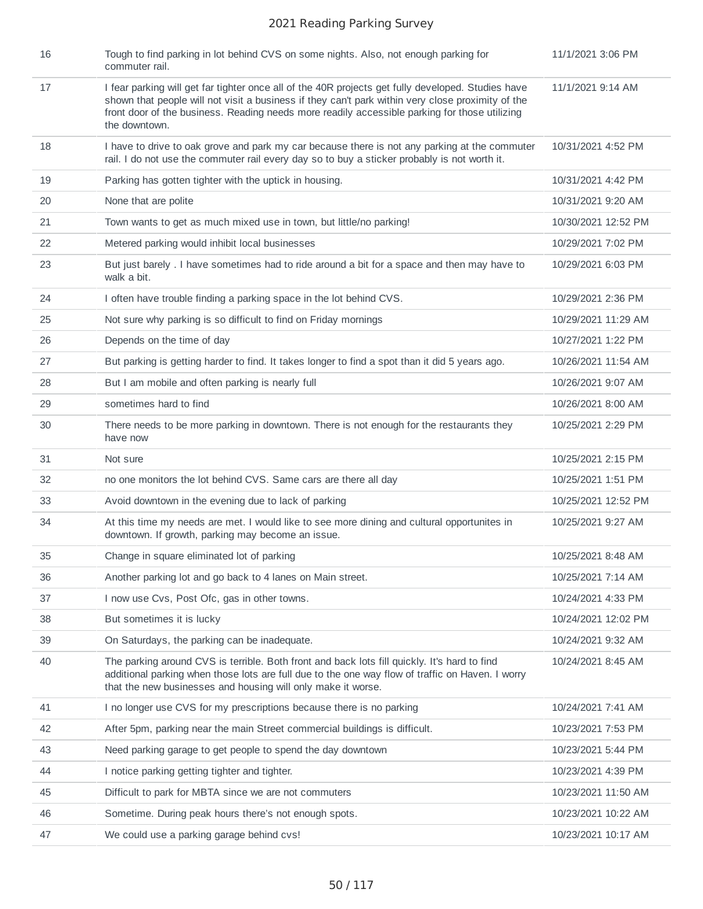| 16 | Tough to find parking in lot behind CVS on some nights. Also, not enough parking for<br>commuter rail.                                                                                                                                                                                                                    | 11/1/2021 3:06 PM   |
|----|---------------------------------------------------------------------------------------------------------------------------------------------------------------------------------------------------------------------------------------------------------------------------------------------------------------------------|---------------------|
| 17 | I fear parking will get far tighter once all of the 40R projects get fully developed. Studies have<br>shown that people will not visit a business if they can't park within very close proximity of the<br>front door of the business. Reading needs more readily accessible parking for those utilizing<br>the downtown. | 11/1/2021 9:14 AM   |
| 18 | I have to drive to oak grove and park my car because there is not any parking at the commuter<br>rail. I do not use the commuter rail every day so to buy a sticker probably is not worth it.                                                                                                                             | 10/31/2021 4:52 PM  |
| 19 | Parking has gotten tighter with the uptick in housing.                                                                                                                                                                                                                                                                    | 10/31/2021 4:42 PM  |
| 20 | None that are polite                                                                                                                                                                                                                                                                                                      | 10/31/2021 9:20 AM  |
| 21 | Town wants to get as much mixed use in town, but little/no parking!                                                                                                                                                                                                                                                       | 10/30/2021 12:52 PM |
| 22 | Metered parking would inhibit local businesses                                                                                                                                                                                                                                                                            | 10/29/2021 7:02 PM  |
| 23 | But just barely . I have sometimes had to ride around a bit for a space and then may have to<br>walk a bit.                                                                                                                                                                                                               | 10/29/2021 6:03 PM  |
| 24 | I often have trouble finding a parking space in the lot behind CVS.                                                                                                                                                                                                                                                       | 10/29/2021 2:36 PM  |
| 25 | Not sure why parking is so difficult to find on Friday mornings                                                                                                                                                                                                                                                           | 10/29/2021 11:29 AM |
| 26 | Depends on the time of day                                                                                                                                                                                                                                                                                                | 10/27/2021 1:22 PM  |
| 27 | But parking is getting harder to find. It takes longer to find a spot than it did 5 years ago.                                                                                                                                                                                                                            | 10/26/2021 11:54 AM |
| 28 | But I am mobile and often parking is nearly full                                                                                                                                                                                                                                                                          | 10/26/2021 9:07 AM  |
| 29 | sometimes hard to find                                                                                                                                                                                                                                                                                                    | 10/26/2021 8:00 AM  |
| 30 | There needs to be more parking in downtown. There is not enough for the restaurants they<br>have now                                                                                                                                                                                                                      | 10/25/2021 2:29 PM  |
| 31 | Not sure                                                                                                                                                                                                                                                                                                                  | 10/25/2021 2:15 PM  |
| 32 | no one monitors the lot behind CVS. Same cars are there all day                                                                                                                                                                                                                                                           | 10/25/2021 1:51 PM  |
| 33 | Avoid downtown in the evening due to lack of parking                                                                                                                                                                                                                                                                      | 10/25/2021 12:52 PM |
| 34 | At this time my needs are met. I would like to see more dining and cultural opportunites in<br>downtown. If growth, parking may become an issue.                                                                                                                                                                          | 10/25/2021 9:27 AM  |
| 35 | Change in square eliminated lot of parking                                                                                                                                                                                                                                                                                | 10/25/2021 8:48 AM  |
| 36 | Another parking lot and go back to 4 lanes on Main street.                                                                                                                                                                                                                                                                | 10/25/2021 7:14 AM  |
| 37 | I now use Cvs, Post Ofc, gas in other towns.                                                                                                                                                                                                                                                                              | 10/24/2021 4:33 PM  |
| 38 | But sometimes it is lucky                                                                                                                                                                                                                                                                                                 | 10/24/2021 12:02 PM |
| 39 | On Saturdays, the parking can be inadequate.                                                                                                                                                                                                                                                                              | 10/24/2021 9:32 AM  |
| 40 | The parking around CVS is terrible. Both front and back lots fill quickly. It's hard to find<br>additional parking when those lots are full due to the one way flow of traffic on Haven. I worry<br>that the new businesses and housing will only make it worse.                                                          | 10/24/2021 8:45 AM  |
| 41 | I no longer use CVS for my prescriptions because there is no parking                                                                                                                                                                                                                                                      | 10/24/2021 7:41 AM  |
| 42 | After 5pm, parking near the main Street commercial buildings is difficult.                                                                                                                                                                                                                                                | 10/23/2021 7:53 PM  |
| 43 | Need parking garage to get people to spend the day downtown                                                                                                                                                                                                                                                               | 10/23/2021 5:44 PM  |
| 44 | I notice parking getting tighter and tighter.                                                                                                                                                                                                                                                                             | 10/23/2021 4:39 PM  |
| 45 | Difficult to park for MBTA since we are not commuters                                                                                                                                                                                                                                                                     | 10/23/2021 11:50 AM |
| 46 | Sometime. During peak hours there's not enough spots.                                                                                                                                                                                                                                                                     | 10/23/2021 10:22 AM |
| 47 | We could use a parking garage behind cvs!                                                                                                                                                                                                                                                                                 | 10/23/2021 10:17 AM |
|    |                                                                                                                                                                                                                                                                                                                           |                     |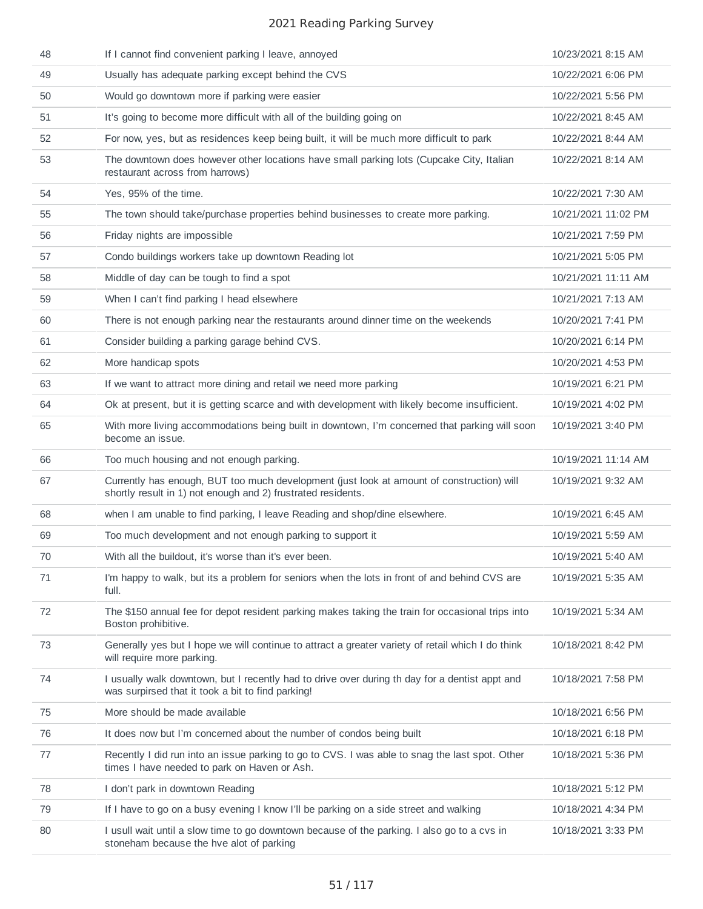| 48 | If I cannot find convenient parking I leave, annoyed                                                                                                      | 10/23/2021 8:15 AM  |
|----|-----------------------------------------------------------------------------------------------------------------------------------------------------------|---------------------|
| 49 | Usually has adequate parking except behind the CVS                                                                                                        | 10/22/2021 6:06 PM  |
| 50 | Would go downtown more if parking were easier                                                                                                             | 10/22/2021 5:56 PM  |
| 51 | It's going to become more difficult with all of the building going on                                                                                     | 10/22/2021 8:45 AM  |
| 52 | For now, yes, but as residences keep being built, it will be much more difficult to park                                                                  | 10/22/2021 8:44 AM  |
| 53 | The downtown does however other locations have small parking lots (Cupcake City, Italian<br>restaurant across from harrows)                               | 10/22/2021 8:14 AM  |
| 54 | Yes, 95% of the time.                                                                                                                                     | 10/22/2021 7:30 AM  |
| 55 | The town should take/purchase properties behind businesses to create more parking.                                                                        | 10/21/2021 11:02 PM |
| 56 | Friday nights are impossible                                                                                                                              | 10/21/2021 7:59 PM  |
| 57 | Condo buildings workers take up downtown Reading lot                                                                                                      | 10/21/2021 5:05 PM  |
| 58 | Middle of day can be tough to find a spot                                                                                                                 | 10/21/2021 11:11 AM |
| 59 | When I can't find parking I head elsewhere                                                                                                                | 10/21/2021 7:13 AM  |
| 60 | There is not enough parking near the restaurants around dinner time on the weekends                                                                       | 10/20/2021 7:41 PM  |
| 61 | Consider building a parking garage behind CVS.                                                                                                            | 10/20/2021 6:14 PM  |
| 62 | More handicap spots                                                                                                                                       | 10/20/2021 4:53 PM  |
| 63 | If we want to attract more dining and retail we need more parking                                                                                         | 10/19/2021 6:21 PM  |
| 64 | Ok at present, but it is getting scarce and with development with likely become insufficient.                                                             | 10/19/2021 4:02 PM  |
| 65 | With more living accommodations being built in downtown, I'm concerned that parking will soon<br>become an issue.                                         | 10/19/2021 3:40 PM  |
| 66 | Too much housing and not enough parking.                                                                                                                  | 10/19/2021 11:14 AM |
| 67 | Currently has enough, BUT too much development (just look at amount of construction) will<br>shortly result in 1) not enough and 2) frustrated residents. | 10/19/2021 9:32 AM  |
| 68 | when I am unable to find parking, I leave Reading and shop/dine elsewhere.                                                                                | 10/19/2021 6:45 AM  |
| 69 | Too much development and not enough parking to support it                                                                                                 | 10/19/2021 5:59 AM  |
| 70 | With all the buildout, it's worse than it's ever been.                                                                                                    | 10/19/2021 5:40 AM  |
| 71 | I'm happy to walk, but its a problem for seniors when the lots in front of and behind CVS are<br>full.                                                    | 10/19/2021 5:35 AM  |
| 72 | The \$150 annual fee for depot resident parking makes taking the train for occasional trips into<br>Boston prohibitive.                                   | 10/19/2021 5:34 AM  |
| 73 | Generally yes but I hope we will continue to attract a greater variety of retail which I do think<br>will require more parking.                           | 10/18/2021 8:42 PM  |
| 74 | I usually walk downtown, but I recently had to drive over during th day for a dentist appt and<br>was surpirsed that it took a bit to find parking!       | 10/18/2021 7:58 PM  |
| 75 | More should be made available                                                                                                                             | 10/18/2021 6:56 PM  |
| 76 | It does now but I'm concerned about the number of condos being built                                                                                      | 10/18/2021 6:18 PM  |
| 77 | Recently I did run into an issue parking to go to CVS. I was able to snag the last spot. Other<br>times I have needed to park on Haven or Ash.            | 10/18/2021 5:36 PM  |
| 78 | I don't park in downtown Reading                                                                                                                          | 10/18/2021 5:12 PM  |
| 79 | If I have to go on a busy evening I know I'll be parking on a side street and walking                                                                     | 10/18/2021 4:34 PM  |
| 80 | I usull wait until a slow time to go downtown because of the parking. I also go to a cvs in<br>stoneham because the hve alot of parking                   | 10/18/2021 3:33 PM  |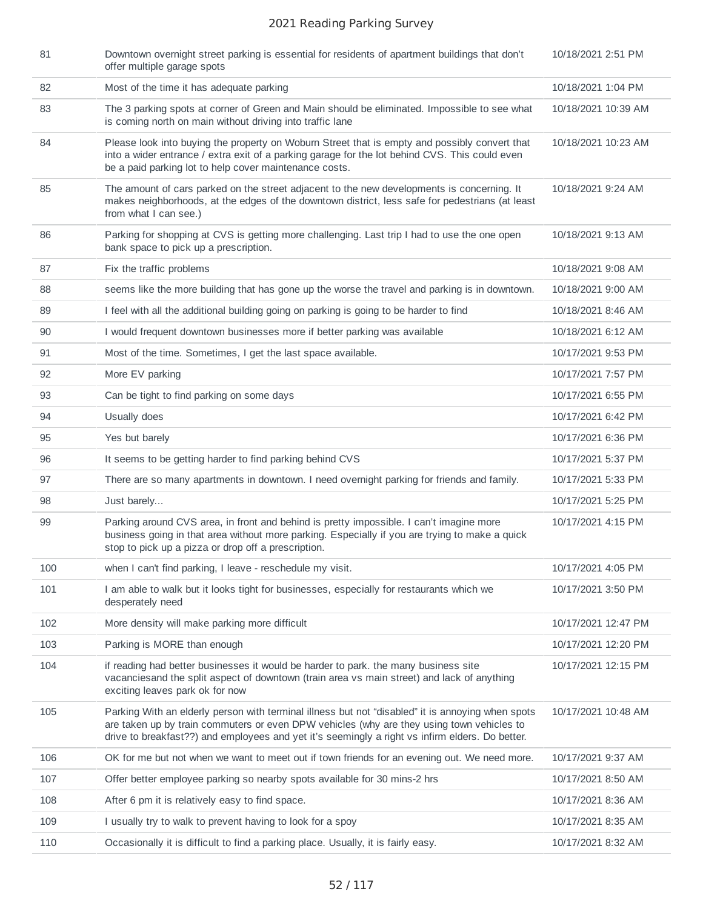| 81  | Downtown overnight street parking is essential for residents of apartment buildings that don't<br>offer multiple garage spots                                                                                                                                                                     | 10/18/2021 2:51 PM  |
|-----|---------------------------------------------------------------------------------------------------------------------------------------------------------------------------------------------------------------------------------------------------------------------------------------------------|---------------------|
| 82  | Most of the time it has adequate parking                                                                                                                                                                                                                                                          | 10/18/2021 1:04 PM  |
| 83  | The 3 parking spots at corner of Green and Main should be eliminated. Impossible to see what<br>is coming north on main without driving into traffic lane                                                                                                                                         | 10/18/2021 10:39 AM |
| 84  | Please look into buying the property on Woburn Street that is empty and possibly convert that<br>into a wider entrance / extra exit of a parking garage for the lot behind CVS. This could even<br>be a paid parking lot to help cover maintenance costs.                                         | 10/18/2021 10:23 AM |
| 85  | The amount of cars parked on the street adjacent to the new developments is concerning. It<br>makes neighborhoods, at the edges of the downtown district, less safe for pedestrians (at least<br>from what I can see.)                                                                            | 10/18/2021 9:24 AM  |
| 86  | Parking for shopping at CVS is getting more challenging. Last trip I had to use the one open<br>bank space to pick up a prescription.                                                                                                                                                             | 10/18/2021 9:13 AM  |
| 87  | Fix the traffic problems                                                                                                                                                                                                                                                                          | 10/18/2021 9:08 AM  |
| 88  | seems like the more building that has gone up the worse the travel and parking is in downtown.                                                                                                                                                                                                    | 10/18/2021 9:00 AM  |
| 89  | I feel with all the additional building going on parking is going to be harder to find                                                                                                                                                                                                            | 10/18/2021 8:46 AM  |
| 90  | I would frequent downtown businesses more if better parking was available                                                                                                                                                                                                                         | 10/18/2021 6:12 AM  |
| 91  | Most of the time. Sometimes, I get the last space available.                                                                                                                                                                                                                                      | 10/17/2021 9:53 PM  |
| 92  | More EV parking                                                                                                                                                                                                                                                                                   | 10/17/2021 7:57 PM  |
| 93  | Can be tight to find parking on some days                                                                                                                                                                                                                                                         | 10/17/2021 6:55 PM  |
| 94  | Usually does                                                                                                                                                                                                                                                                                      | 10/17/2021 6:42 PM  |
| 95  | Yes but barely                                                                                                                                                                                                                                                                                    | 10/17/2021 6:36 PM  |
| 96  | It seems to be getting harder to find parking behind CVS                                                                                                                                                                                                                                          | 10/17/2021 5:37 PM  |
| 97  | There are so many apartments in downtown. I need overnight parking for friends and family.                                                                                                                                                                                                        | 10/17/2021 5:33 PM  |
| 98  | Just barely                                                                                                                                                                                                                                                                                       | 10/17/2021 5:25 PM  |
| 99  | Parking around CVS area, in front and behind is pretty impossible. I can't imagine more<br>business going in that area without more parking. Especially if you are trying to make a quick<br>stop to pick up a pizza or drop off a prescription.                                                  | 10/17/2021 4:15 PM  |
| 100 | when I can't find parking, I leave - reschedule my visit.                                                                                                                                                                                                                                         | 10/17/2021 4:05 PM  |
| 101 | I am able to walk but it looks tight for businesses, especially for restaurants which we<br>desperately need                                                                                                                                                                                      | 10/17/2021 3:50 PM  |
| 102 | More density will make parking more difficult                                                                                                                                                                                                                                                     | 10/17/2021 12:47 PM |
| 103 | Parking is MORE than enough                                                                                                                                                                                                                                                                       | 10/17/2021 12:20 PM |
| 104 | if reading had better businesses it would be harder to park. the many business site<br>vacancies and the split aspect of downtown (train area vs main street) and lack of anything<br>exciting leaves park ok for now                                                                             | 10/17/2021 12:15 PM |
| 105 | Parking With an elderly person with terminal illness but not "disabled" it is annoying when spots<br>are taken up by train commuters or even DPW vehicles (why are they using town vehicles to<br>drive to breakfast??) and employees and yet it's seemingly a right vs infirm elders. Do better. | 10/17/2021 10:48 AM |
| 106 | OK for me but not when we want to meet out if town friends for an evening out. We need more.                                                                                                                                                                                                      | 10/17/2021 9:37 AM  |
| 107 | Offer better employee parking so nearby spots available for 30 mins-2 hrs                                                                                                                                                                                                                         | 10/17/2021 8:50 AM  |
| 108 | After 6 pm it is relatively easy to find space.                                                                                                                                                                                                                                                   | 10/17/2021 8:36 AM  |
| 109 | I usually try to walk to prevent having to look for a spoy                                                                                                                                                                                                                                        | 10/17/2021 8:35 AM  |
| 110 | Occasionally it is difficult to find a parking place. Usually, it is fairly easy.                                                                                                                                                                                                                 | 10/17/2021 8:32 AM  |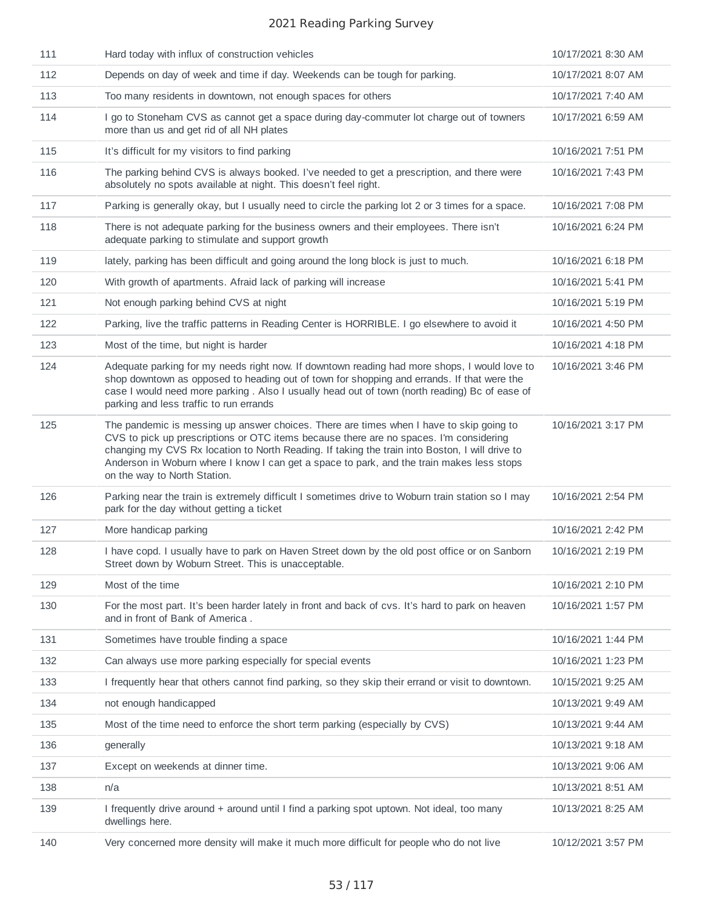| 111 | Hard today with influx of construction vehicles                                                                                                                                                                                                                                                                                                                                                                  | 10/17/2021 8:30 AM |
|-----|------------------------------------------------------------------------------------------------------------------------------------------------------------------------------------------------------------------------------------------------------------------------------------------------------------------------------------------------------------------------------------------------------------------|--------------------|
| 112 | Depends on day of week and time if day. Weekends can be tough for parking.                                                                                                                                                                                                                                                                                                                                       | 10/17/2021 8:07 AM |
| 113 | Too many residents in downtown, not enough spaces for others                                                                                                                                                                                                                                                                                                                                                     | 10/17/2021 7:40 AM |
| 114 | I go to Stoneham CVS as cannot get a space during day-commuter lot charge out of towners<br>more than us and get rid of all NH plates                                                                                                                                                                                                                                                                            | 10/17/2021 6:59 AM |
| 115 | It's difficult for my visitors to find parking                                                                                                                                                                                                                                                                                                                                                                   | 10/16/2021 7:51 PM |
| 116 | The parking behind CVS is always booked. I've needed to get a prescription, and there were<br>absolutely no spots available at night. This doesn't feel right.                                                                                                                                                                                                                                                   | 10/16/2021 7:43 PM |
| 117 | Parking is generally okay, but I usually need to circle the parking lot 2 or 3 times for a space.                                                                                                                                                                                                                                                                                                                | 10/16/2021 7:08 PM |
| 118 | There is not adequate parking for the business owners and their employees. There isn't<br>adequate parking to stimulate and support growth                                                                                                                                                                                                                                                                       | 10/16/2021 6:24 PM |
| 119 | lately, parking has been difficult and going around the long block is just to much.                                                                                                                                                                                                                                                                                                                              | 10/16/2021 6:18 PM |
| 120 | With growth of apartments. Afraid lack of parking will increase                                                                                                                                                                                                                                                                                                                                                  | 10/16/2021 5:41 PM |
| 121 | Not enough parking behind CVS at night                                                                                                                                                                                                                                                                                                                                                                           | 10/16/2021 5:19 PM |
| 122 | Parking, live the traffic patterns in Reading Center is HORRIBLE. I go elsewhere to avoid it                                                                                                                                                                                                                                                                                                                     | 10/16/2021 4:50 PM |
| 123 | Most of the time, but night is harder                                                                                                                                                                                                                                                                                                                                                                            | 10/16/2021 4:18 PM |
| 124 | Adequate parking for my needs right now. If downtown reading had more shops, I would love to<br>shop downtown as opposed to heading out of town for shopping and errands. If that were the<br>case I would need more parking . Also I usually head out of town (north reading) Bc of ease of<br>parking and less traffic to run errands                                                                          | 10/16/2021 3:46 PM |
| 125 | The pandemic is messing up answer choices. There are times when I have to skip going to<br>CVS to pick up prescriptions or OTC items because there are no spaces. I'm considering<br>changing my CVS Rx location to North Reading. If taking the train into Boston, I will drive to<br>Anderson in Woburn where I know I can get a space to park, and the train makes less stops<br>on the way to North Station. | 10/16/2021 3:17 PM |
| 126 | Parking near the train is extremely difficult I sometimes drive to Woburn train station so I may<br>park for the day without getting a ticket                                                                                                                                                                                                                                                                    | 10/16/2021 2:54 PM |
| 127 | More handicap parking                                                                                                                                                                                                                                                                                                                                                                                            | 10/16/2021 2:42 PM |
| 128 | I have copd. I usually have to park on Haven Street down by the old post office or on Sanborn<br>Street down by Woburn Street. This is unacceptable.                                                                                                                                                                                                                                                             | 10/16/2021 2:19 PM |
| 129 | Most of the time                                                                                                                                                                                                                                                                                                                                                                                                 | 10/16/2021 2:10 PM |
| 130 | For the most part. It's been harder lately in front and back of cvs. It's hard to park on heaven<br>and in front of Bank of America.                                                                                                                                                                                                                                                                             | 10/16/2021 1:57 PM |
| 131 | Sometimes have trouble finding a space                                                                                                                                                                                                                                                                                                                                                                           | 10/16/2021 1:44 PM |
| 132 | Can always use more parking especially for special events                                                                                                                                                                                                                                                                                                                                                        | 10/16/2021 1:23 PM |
| 133 | I frequently hear that others cannot find parking, so they skip their errand or visit to downtown.                                                                                                                                                                                                                                                                                                               | 10/15/2021 9:25 AM |
| 134 | not enough handicapped                                                                                                                                                                                                                                                                                                                                                                                           | 10/13/2021 9:49 AM |
| 135 | Most of the time need to enforce the short term parking (especially by CVS)                                                                                                                                                                                                                                                                                                                                      | 10/13/2021 9:44 AM |
| 136 | generally                                                                                                                                                                                                                                                                                                                                                                                                        | 10/13/2021 9:18 AM |
| 137 | Except on weekends at dinner time.                                                                                                                                                                                                                                                                                                                                                                               | 10/13/2021 9:06 AM |
| 138 | n/a                                                                                                                                                                                                                                                                                                                                                                                                              | 10/13/2021 8:51 AM |
| 139 | I frequently drive around + around until I find a parking spot uptown. Not ideal, too many<br>dwellings here.                                                                                                                                                                                                                                                                                                    | 10/13/2021 8:25 AM |
| 140 | Very concerned more density will make it much more difficult for people who do not live                                                                                                                                                                                                                                                                                                                          | 10/12/2021 3:57 PM |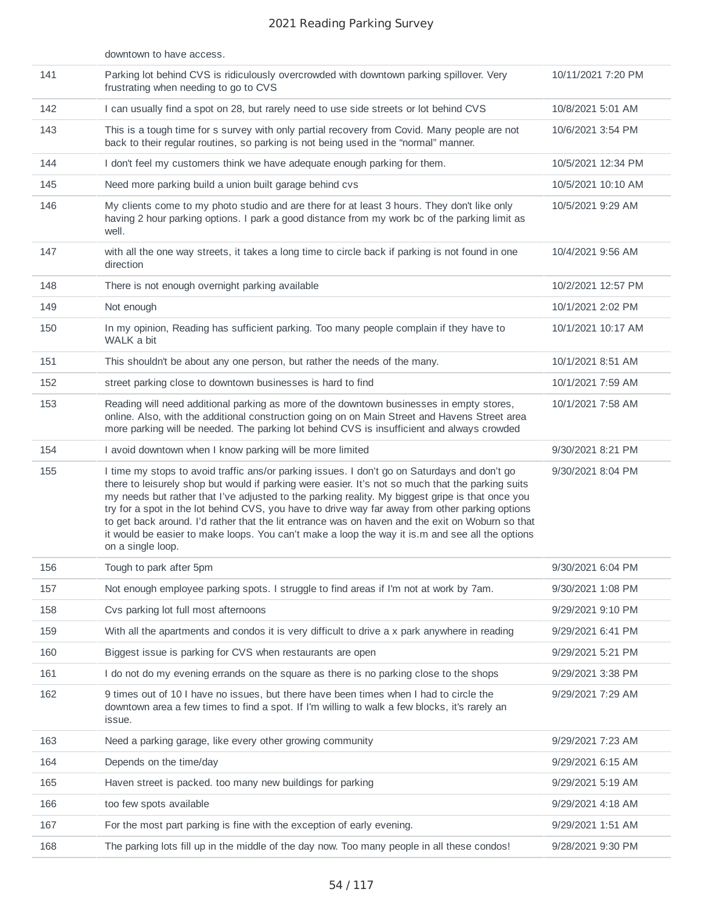|     | downtown to have access.                                                                                                                                                                                                                                                                                                                                                                                                                                                                                                                                                                                                             |                    |
|-----|--------------------------------------------------------------------------------------------------------------------------------------------------------------------------------------------------------------------------------------------------------------------------------------------------------------------------------------------------------------------------------------------------------------------------------------------------------------------------------------------------------------------------------------------------------------------------------------------------------------------------------------|--------------------|
| 141 | Parking lot behind CVS is ridiculously overcrowded with downtown parking spillover. Very<br>frustrating when needing to go to CVS                                                                                                                                                                                                                                                                                                                                                                                                                                                                                                    | 10/11/2021 7:20 PM |
| 142 | I can usually find a spot on 28, but rarely need to use side streets or lot behind CVS                                                                                                                                                                                                                                                                                                                                                                                                                                                                                                                                               | 10/8/2021 5:01 AM  |
| 143 | This is a tough time for s survey with only partial recovery from Covid. Many people are not<br>back to their regular routines, so parking is not being used in the "normal" manner.                                                                                                                                                                                                                                                                                                                                                                                                                                                 | 10/6/2021 3:54 PM  |
| 144 | I don't feel my customers think we have adequate enough parking for them.                                                                                                                                                                                                                                                                                                                                                                                                                                                                                                                                                            | 10/5/2021 12:34 PM |
| 145 | Need more parking build a union built garage behind cvs                                                                                                                                                                                                                                                                                                                                                                                                                                                                                                                                                                              | 10/5/2021 10:10 AM |
| 146 | My clients come to my photo studio and are there for at least 3 hours. They don't like only<br>having 2 hour parking options. I park a good distance from my work bc of the parking limit as<br>well.                                                                                                                                                                                                                                                                                                                                                                                                                                | 10/5/2021 9:29 AM  |
| 147 | with all the one way streets, it takes a long time to circle back if parking is not found in one<br>direction                                                                                                                                                                                                                                                                                                                                                                                                                                                                                                                        | 10/4/2021 9:56 AM  |
| 148 | There is not enough overnight parking available                                                                                                                                                                                                                                                                                                                                                                                                                                                                                                                                                                                      | 10/2/2021 12:57 PM |
| 149 | Not enough                                                                                                                                                                                                                                                                                                                                                                                                                                                                                                                                                                                                                           | 10/1/2021 2:02 PM  |
| 150 | In my opinion, Reading has sufficient parking. Too many people complain if they have to<br>WALK a bit                                                                                                                                                                                                                                                                                                                                                                                                                                                                                                                                | 10/1/2021 10:17 AM |
| 151 | This shouldn't be about any one person, but rather the needs of the many.                                                                                                                                                                                                                                                                                                                                                                                                                                                                                                                                                            | 10/1/2021 8:51 AM  |
| 152 | street parking close to downtown businesses is hard to find                                                                                                                                                                                                                                                                                                                                                                                                                                                                                                                                                                          | 10/1/2021 7:59 AM  |
| 153 | Reading will need additional parking as more of the downtown businesses in empty stores,<br>online. Also, with the additional construction going on on Main Street and Havens Street area<br>more parking will be needed. The parking lot behind CVS is insufficient and always crowded                                                                                                                                                                                                                                                                                                                                              | 10/1/2021 7:58 AM  |
| 154 | I avoid downtown when I know parking will be more limited                                                                                                                                                                                                                                                                                                                                                                                                                                                                                                                                                                            | 9/30/2021 8:21 PM  |
| 155 | I time my stops to avoid traffic ans/or parking issues. I don't go on Saturdays and don't go<br>there to leisurely shop but would if parking were easier. It's not so much that the parking suits<br>my needs but rather that I've adjusted to the parking reality. My biggest gripe is that once you<br>try for a spot in the lot behind CVS, you have to drive way far away from other parking options<br>to get back around. I'd rather that the lit entrance was on haven and the exit on Woburn so that<br>it would be easier to make loops. You can't make a loop the way it is.m and see all the options<br>on a single loop. | 9/30/2021 8:04 PM  |
| 156 | Tough to park after 5pm                                                                                                                                                                                                                                                                                                                                                                                                                                                                                                                                                                                                              | 9/30/2021 6:04 PM  |
| 157 | Not enough employee parking spots. I struggle to find areas if I'm not at work by 7am.                                                                                                                                                                                                                                                                                                                                                                                                                                                                                                                                               | 9/30/2021 1:08 PM  |
| 158 | Cvs parking lot full most afternoons                                                                                                                                                                                                                                                                                                                                                                                                                                                                                                                                                                                                 | 9/29/2021 9:10 PM  |
| 159 | With all the apartments and condos it is very difficult to drive a x park anywhere in reading                                                                                                                                                                                                                                                                                                                                                                                                                                                                                                                                        | 9/29/2021 6:41 PM  |
| 160 | Biggest issue is parking for CVS when restaurants are open                                                                                                                                                                                                                                                                                                                                                                                                                                                                                                                                                                           | 9/29/2021 5:21 PM  |
| 161 | I do not do my evening errands on the square as there is no parking close to the shops                                                                                                                                                                                                                                                                                                                                                                                                                                                                                                                                               | 9/29/2021 3:38 PM  |
| 162 | 9 times out of 10 I have no issues, but there have been times when I had to circle the<br>downtown area a few times to find a spot. If I'm willing to walk a few blocks, it's rarely an<br>issue.                                                                                                                                                                                                                                                                                                                                                                                                                                    | 9/29/2021 7:29 AM  |
| 163 | Need a parking garage, like every other growing community                                                                                                                                                                                                                                                                                                                                                                                                                                                                                                                                                                            | 9/29/2021 7:23 AM  |
| 164 | Depends on the time/day                                                                                                                                                                                                                                                                                                                                                                                                                                                                                                                                                                                                              | 9/29/2021 6:15 AM  |
| 165 | Haven street is packed, too many new buildings for parking                                                                                                                                                                                                                                                                                                                                                                                                                                                                                                                                                                           | 9/29/2021 5:19 AM  |
| 166 | too few spots available                                                                                                                                                                                                                                                                                                                                                                                                                                                                                                                                                                                                              | 9/29/2021 4:18 AM  |
| 167 | For the most part parking is fine with the exception of early evening.                                                                                                                                                                                                                                                                                                                                                                                                                                                                                                                                                               | 9/29/2021 1:51 AM  |
| 168 | The parking lots fill up in the middle of the day now. Too many people in all these condos!                                                                                                                                                                                                                                                                                                                                                                                                                                                                                                                                          | 9/28/2021 9:30 PM  |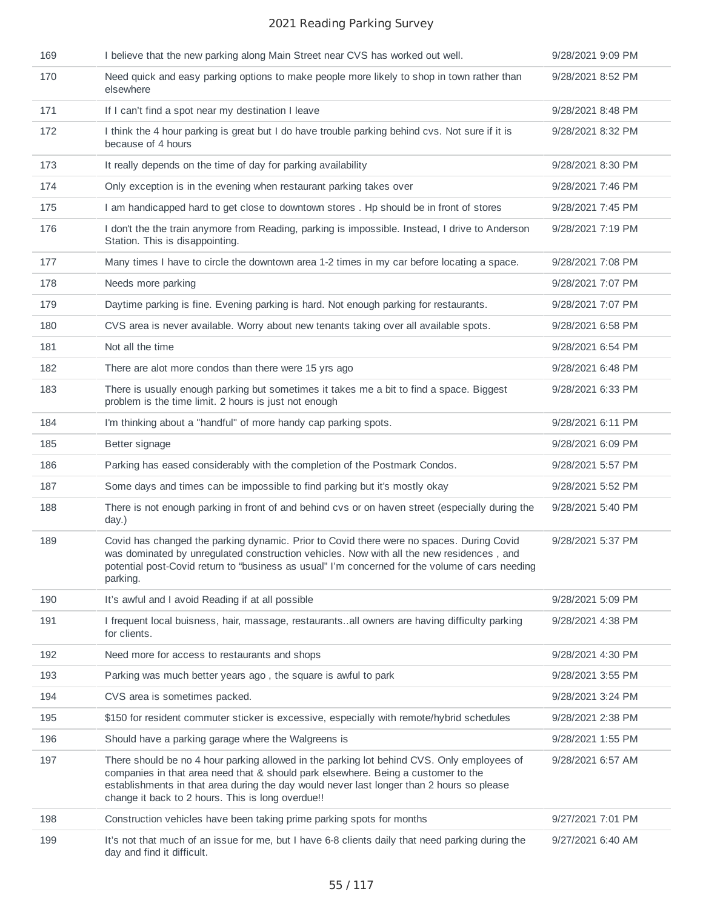| 169 | I believe that the new parking along Main Street near CVS has worked out well.                                                                                                                                                                                                                                                    | 9/28/2021 9:09 PM |
|-----|-----------------------------------------------------------------------------------------------------------------------------------------------------------------------------------------------------------------------------------------------------------------------------------------------------------------------------------|-------------------|
| 170 | Need quick and easy parking options to make people more likely to shop in town rather than<br>elsewhere                                                                                                                                                                                                                           | 9/28/2021 8:52 PM |
| 171 | If I can't find a spot near my destination I leave                                                                                                                                                                                                                                                                                | 9/28/2021 8:48 PM |
| 172 | I think the 4 hour parking is great but I do have trouble parking behind cvs. Not sure if it is<br>because of 4 hours                                                                                                                                                                                                             | 9/28/2021 8:32 PM |
| 173 | It really depends on the time of day for parking availability                                                                                                                                                                                                                                                                     | 9/28/2021 8:30 PM |
| 174 | Only exception is in the evening when restaurant parking takes over                                                                                                                                                                                                                                                               | 9/28/2021 7:46 PM |
| 175 | I am handicapped hard to get close to downtown stores. Hp should be in front of stores                                                                                                                                                                                                                                            | 9/28/2021 7:45 PM |
| 176 | I don't the the train anymore from Reading, parking is impossible. Instead, I drive to Anderson<br>Station. This is disappointing.                                                                                                                                                                                                | 9/28/2021 7:19 PM |
| 177 | Many times I have to circle the downtown area 1-2 times in my car before locating a space.                                                                                                                                                                                                                                        | 9/28/2021 7:08 PM |
| 178 | Needs more parking                                                                                                                                                                                                                                                                                                                | 9/28/2021 7:07 PM |
| 179 | Daytime parking is fine. Evening parking is hard. Not enough parking for restaurants.                                                                                                                                                                                                                                             | 9/28/2021 7:07 PM |
| 180 | CVS area is never available. Worry about new tenants taking over all available spots.                                                                                                                                                                                                                                             | 9/28/2021 6:58 PM |
| 181 | Not all the time                                                                                                                                                                                                                                                                                                                  | 9/28/2021 6:54 PM |
| 182 | There are alot more condos than there were 15 yrs ago                                                                                                                                                                                                                                                                             | 9/28/2021 6:48 PM |
| 183 | There is usually enough parking but sometimes it takes me a bit to find a space. Biggest<br>problem is the time limit. 2 hours is just not enough                                                                                                                                                                                 | 9/28/2021 6:33 PM |
| 184 | I'm thinking about a "handful" of more handy cap parking spots.                                                                                                                                                                                                                                                                   | 9/28/2021 6:11 PM |
| 185 | Better signage                                                                                                                                                                                                                                                                                                                    | 9/28/2021 6:09 PM |
| 186 | Parking has eased considerably with the completion of the Postmark Condos.                                                                                                                                                                                                                                                        | 9/28/2021 5:57 PM |
| 187 | Some days and times can be impossible to find parking but it's mostly okay                                                                                                                                                                                                                                                        | 9/28/2021 5:52 PM |
| 188 | There is not enough parking in front of and behind cvs or on haven street (especially during the<br>day.)                                                                                                                                                                                                                         | 9/28/2021 5:40 PM |
| 189 | Covid has changed the parking dynamic. Prior to Covid there were no spaces. During Covid<br>was dominated by unregulated construction vehicles. Now with all the new residences, and<br>potential post-Covid return to "business as usual" I'm concerned for the volume of cars needing<br>parking.                               | 9/28/2021 5:37 PM |
| 190 | It's awful and I avoid Reading if at all possible                                                                                                                                                                                                                                                                                 | 9/28/2021 5:09 PM |
| 191 | I frequent local buisness, hair, massage, restaurantsall owners are having difficulty parking<br>for clients.                                                                                                                                                                                                                     | 9/28/2021 4:38 PM |
| 192 | Need more for access to restaurants and shops                                                                                                                                                                                                                                                                                     | 9/28/2021 4:30 PM |
| 193 | Parking was much better years ago, the square is awful to park                                                                                                                                                                                                                                                                    | 9/28/2021 3:55 PM |
| 194 | CVS area is sometimes packed.                                                                                                                                                                                                                                                                                                     | 9/28/2021 3:24 PM |
| 195 | \$150 for resident commuter sticker is excessive, especially with remote/hybrid schedules                                                                                                                                                                                                                                         | 9/28/2021 2:38 PM |
| 196 | Should have a parking garage where the Walgreens is                                                                                                                                                                                                                                                                               | 9/28/2021 1:55 PM |
| 197 | There should be no 4 hour parking allowed in the parking lot behind CVS. Only employees of<br>companies in that area need that & should park elsewhere. Being a customer to the<br>establishments in that area during the day would never last longer than 2 hours so please<br>change it back to 2 hours. This is long overdue!! | 9/28/2021 6:57 AM |
| 198 | Construction vehicles have been taking prime parking spots for months                                                                                                                                                                                                                                                             | 9/27/2021 7:01 PM |
| 199 | It's not that much of an issue for me, but I have 6-8 clients daily that need parking during the<br>day and find it difficult.                                                                                                                                                                                                    | 9/27/2021 6:40 AM |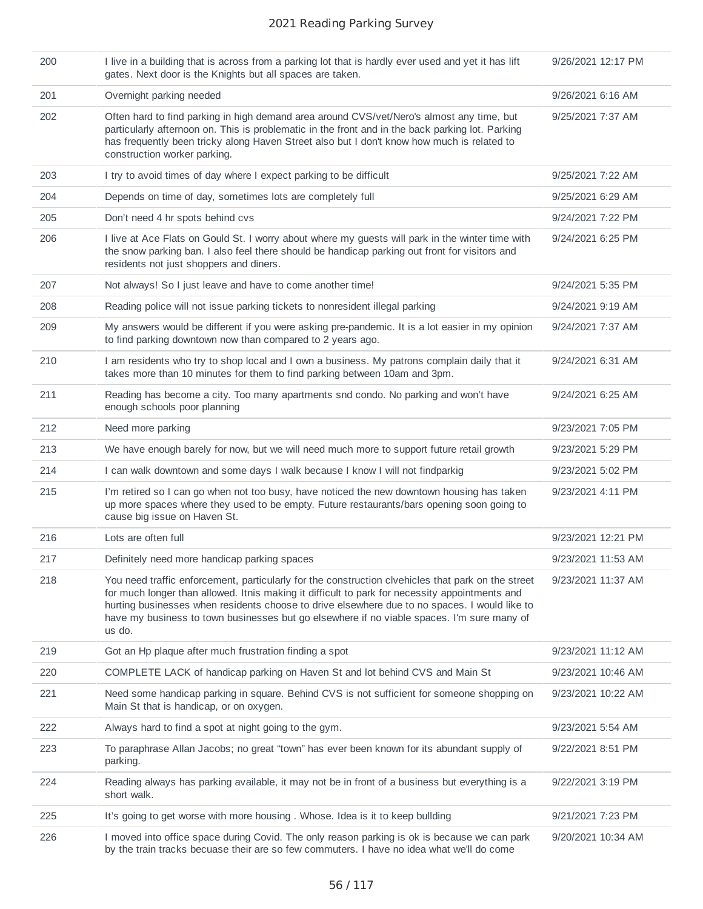| 200 | I live in a building that is across from a parking lot that is hardly ever used and yet it has lift<br>gates. Next door is the Knights but all spaces are taken.                                                                                                                                                                                                                                              | 9/26/2021 12:17 PM |
|-----|---------------------------------------------------------------------------------------------------------------------------------------------------------------------------------------------------------------------------------------------------------------------------------------------------------------------------------------------------------------------------------------------------------------|--------------------|
| 201 | Overnight parking needed                                                                                                                                                                                                                                                                                                                                                                                      | 9/26/2021 6:16 AM  |
| 202 | Often hard to find parking in high demand area around CVS/vet/Nero's almost any time, but<br>particularly afternoon on. This is problematic in the front and in the back parking lot. Parking<br>has frequently been tricky along Haven Street also but I don't know how much is related to<br>construction worker parking.                                                                                   | 9/25/2021 7:37 AM  |
| 203 | I try to avoid times of day where I expect parking to be difficult                                                                                                                                                                                                                                                                                                                                            | 9/25/2021 7:22 AM  |
| 204 | Depends on time of day, sometimes lots are completely full                                                                                                                                                                                                                                                                                                                                                    | 9/25/2021 6:29 AM  |
| 205 | Don't need 4 hr spots behind cvs                                                                                                                                                                                                                                                                                                                                                                              | 9/24/2021 7:22 PM  |
| 206 | I live at Ace Flats on Gould St. I worry about where my guests will park in the winter time with<br>the snow parking ban. I also feel there should be handicap parking out front for visitors and<br>residents not just shoppers and diners.                                                                                                                                                                  | 9/24/2021 6:25 PM  |
| 207 | Not always! So I just leave and have to come another time!                                                                                                                                                                                                                                                                                                                                                    | 9/24/2021 5:35 PM  |
| 208 | Reading police will not issue parking tickets to nonresident illegal parking                                                                                                                                                                                                                                                                                                                                  | 9/24/2021 9:19 AM  |
| 209 | My answers would be different if you were asking pre-pandemic. It is a lot easier in my opinion<br>to find parking downtown now than compared to 2 years ago.                                                                                                                                                                                                                                                 | 9/24/2021 7:37 AM  |
| 210 | I am residents who try to shop local and I own a business. My patrons complain daily that it<br>takes more than 10 minutes for them to find parking between 10am and 3pm.                                                                                                                                                                                                                                     | 9/24/2021 6:31 AM  |
| 211 | Reading has become a city. Too many apartments snd condo. No parking and won't have<br>enough schools poor planning                                                                                                                                                                                                                                                                                           | 9/24/2021 6:25 AM  |
| 212 | Need more parking                                                                                                                                                                                                                                                                                                                                                                                             | 9/23/2021 7:05 PM  |
| 213 | We have enough barely for now, but we will need much more to support future retail growth                                                                                                                                                                                                                                                                                                                     | 9/23/2021 5:29 PM  |
| 214 | I can walk downtown and some days I walk because I know I will not findparkig                                                                                                                                                                                                                                                                                                                                 | 9/23/2021 5:02 PM  |
| 215 | I'm retired so I can go when not too busy, have noticed the new downtown housing has taken<br>up more spaces where they used to be empty. Future restaurants/bars opening soon going to<br>cause big issue on Haven St.                                                                                                                                                                                       | 9/23/2021 4:11 PM  |
| 216 | Lots are often full                                                                                                                                                                                                                                                                                                                                                                                           | 9/23/2021 12:21 PM |
| 217 | Definitely need more handicap parking spaces                                                                                                                                                                                                                                                                                                                                                                  | 9/23/2021 11:53 AM |
| 218 | You need traffic enforcement, particularly for the construction clvehicles that park on the street<br>for much longer than allowed. Itnis making it difficult to park for necessity appointments and<br>hurting businesses when residents choose to drive elsewhere due to no spaces. I would like to<br>have my business to town businesses but go elsewhere if no viable spaces. I'm sure many of<br>us do. | 9/23/2021 11:37 AM |
| 219 | Got an Hp plaque after much frustration finding a spot                                                                                                                                                                                                                                                                                                                                                        | 9/23/2021 11:12 AM |
| 220 | COMPLETE LACK of handicap parking on Haven St and lot behind CVS and Main St                                                                                                                                                                                                                                                                                                                                  | 9/23/2021 10:46 AM |
| 221 | Need some handicap parking in square. Behind CVS is not sufficient for someone shopping on<br>Main St that is handicap, or on oxygen.                                                                                                                                                                                                                                                                         | 9/23/2021 10:22 AM |
| 222 | Always hard to find a spot at night going to the gym.                                                                                                                                                                                                                                                                                                                                                         | 9/23/2021 5:54 AM  |
| 223 | To paraphrase Allan Jacobs; no great "town" has ever been known for its abundant supply of<br>parking.                                                                                                                                                                                                                                                                                                        | 9/22/2021 8:51 PM  |
| 224 | Reading always has parking available, it may not be in front of a business but everything is a<br>short walk.                                                                                                                                                                                                                                                                                                 | 9/22/2021 3:19 PM  |
| 225 | It's going to get worse with more housing. Whose. Idea is it to keep bullding                                                                                                                                                                                                                                                                                                                                 | 9/21/2021 7:23 PM  |
| 226 | I moved into office space during Covid. The only reason parking is ok is because we can park<br>by the train tracks becuase their are so few commuters. I have no idea what we'll do come                                                                                                                                                                                                                     | 9/20/2021 10:34 AM |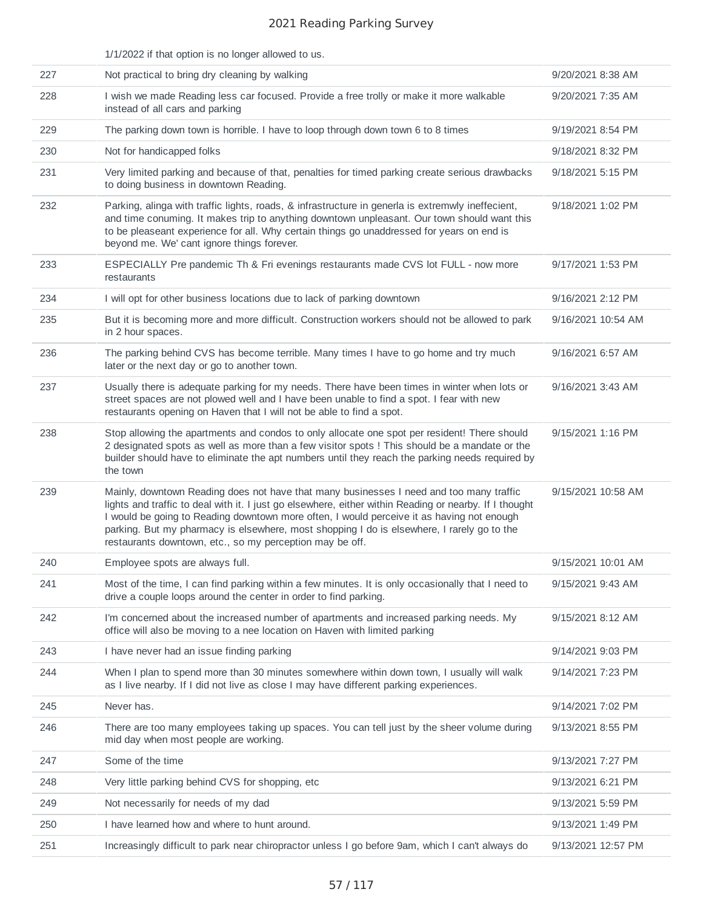|     | 1/1/2022 if that option is no longer allowed to us.                                                                                                                                                                                                                                                                                                                                                                                                      |                    |
|-----|----------------------------------------------------------------------------------------------------------------------------------------------------------------------------------------------------------------------------------------------------------------------------------------------------------------------------------------------------------------------------------------------------------------------------------------------------------|--------------------|
| 227 | Not practical to bring dry cleaning by walking                                                                                                                                                                                                                                                                                                                                                                                                           | 9/20/2021 8:38 AM  |
| 228 | I wish we made Reading less car focused. Provide a free trolly or make it more walkable<br>instead of all cars and parking                                                                                                                                                                                                                                                                                                                               | 9/20/2021 7:35 AM  |
| 229 | The parking down town is horrible. I have to loop through down town 6 to 8 times                                                                                                                                                                                                                                                                                                                                                                         | 9/19/2021 8:54 PM  |
| 230 | Not for handicapped folks                                                                                                                                                                                                                                                                                                                                                                                                                                | 9/18/2021 8:32 PM  |
| 231 | Very limited parking and because of that, penalties for timed parking create serious drawbacks<br>to doing business in downtown Reading.                                                                                                                                                                                                                                                                                                                 | 9/18/2021 5:15 PM  |
| 232 | Parking, alinga with traffic lights, roads, & infrastructure in generla is extremwly ineffecient,<br>and time conuming. It makes trip to anything downtown unpleasant. Our town should want this<br>to be pleaseant experience for all. Why certain things go unaddressed for years on end is<br>beyond me. We' cant ignore things forever.                                                                                                              | 9/18/2021 1:02 PM  |
| 233 | ESPECIALLY Pre pandemic Th & Fri evenings restaurants made CVS lot FULL - now more<br>restaurants                                                                                                                                                                                                                                                                                                                                                        | 9/17/2021 1:53 PM  |
| 234 | I will opt for other business locations due to lack of parking downtown                                                                                                                                                                                                                                                                                                                                                                                  | 9/16/2021 2:12 PM  |
| 235 | But it is becoming more and more difficult. Construction workers should not be allowed to park<br>in 2 hour spaces.                                                                                                                                                                                                                                                                                                                                      | 9/16/2021 10:54 AM |
| 236 | The parking behind CVS has become terrible. Many times I have to go home and try much<br>later or the next day or go to another town.                                                                                                                                                                                                                                                                                                                    | 9/16/2021 6:57 AM  |
| 237 | Usually there is adequate parking for my needs. There have been times in winter when lots or<br>street spaces are not plowed well and I have been unable to find a spot. I fear with new<br>restaurants opening on Haven that I will not be able to find a spot.                                                                                                                                                                                         | 9/16/2021 3:43 AM  |
| 238 | Stop allowing the apartments and condos to only allocate one spot per resident! There should<br>2 designated spots as well as more than a few visitor spots ! This should be a mandate or the<br>builder should have to eliminate the apt numbers until they reach the parking needs required by<br>the town                                                                                                                                             | 9/15/2021 1:16 PM  |
| 239 | Mainly, downtown Reading does not have that many businesses I need and too many traffic<br>lights and traffic to deal with it. I just go elsewhere, either within Reading or nearby. If I thought<br>I would be going to Reading downtown more often, I would perceive it as having not enough<br>parking. But my pharmacy is elsewhere, most shopping I do is elsewhere, I rarely go to the<br>restaurants downtown, etc., so my perception may be off. | 9/15/2021 10:58 AM |
| 240 | Employee spots are always full.                                                                                                                                                                                                                                                                                                                                                                                                                          | 9/15/2021 10:01 AM |
| 241 | Most of the time, I can find parking within a few minutes. It is only occasionally that I need to<br>drive a couple loops around the center in order to find parking.                                                                                                                                                                                                                                                                                    | 9/15/2021 9:43 AM  |
| 242 | I'm concerned about the increased number of apartments and increased parking needs. My<br>office will also be moving to a nee location on Haven with limited parking                                                                                                                                                                                                                                                                                     | 9/15/2021 8:12 AM  |
| 243 | I have never had an issue finding parking                                                                                                                                                                                                                                                                                                                                                                                                                | 9/14/2021 9:03 PM  |
| 244 | When I plan to spend more than 30 minutes somewhere within down town, I usually will walk<br>as I live nearby. If I did not live as close I may have different parking experiences.                                                                                                                                                                                                                                                                      | 9/14/2021 7:23 PM  |
| 245 | Never has.                                                                                                                                                                                                                                                                                                                                                                                                                                               | 9/14/2021 7:02 PM  |
| 246 | There are too many employees taking up spaces. You can tell just by the sheer volume during<br>mid day when most people are working.                                                                                                                                                                                                                                                                                                                     | 9/13/2021 8:55 PM  |
| 247 | Some of the time                                                                                                                                                                                                                                                                                                                                                                                                                                         | 9/13/2021 7:27 PM  |
| 248 | Very little parking behind CVS for shopping, etc.                                                                                                                                                                                                                                                                                                                                                                                                        | 9/13/2021 6:21 PM  |
| 249 | Not necessarily for needs of my dad                                                                                                                                                                                                                                                                                                                                                                                                                      | 9/13/2021 5:59 PM  |
| 250 | I have learned how and where to hunt around.                                                                                                                                                                                                                                                                                                                                                                                                             | 9/13/2021 1:49 PM  |
| 251 | Increasingly difficult to park near chiropractor unless I go before 9am, which I can't always do                                                                                                                                                                                                                                                                                                                                                         | 9/13/2021 12:57 PM |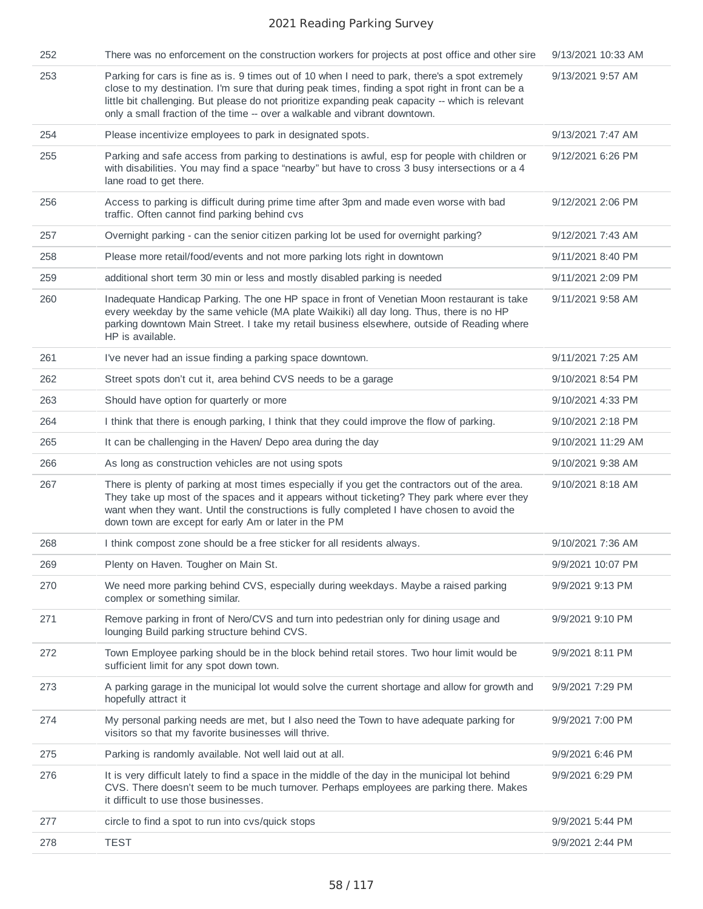| 252 | There was no enforcement on the construction workers for projects at post office and other sire                                                                                                                                                                                                                                                                                        | 9/13/2021 10:33 AM |
|-----|----------------------------------------------------------------------------------------------------------------------------------------------------------------------------------------------------------------------------------------------------------------------------------------------------------------------------------------------------------------------------------------|--------------------|
| 253 | Parking for cars is fine as is. 9 times out of 10 when I need to park, there's a spot extremely<br>close to my destination. I'm sure that during peak times, finding a spot right in front can be a<br>little bit challenging. But please do not prioritize expanding peak capacity -- which is relevant<br>only a small fraction of the time -- over a walkable and vibrant downtown. | 9/13/2021 9:57 AM  |
| 254 | Please incentivize employees to park in designated spots.                                                                                                                                                                                                                                                                                                                              | 9/13/2021 7:47 AM  |
| 255 | Parking and safe access from parking to destinations is awful, esp for people with children or<br>with disabilities. You may find a space "nearby" but have to cross 3 busy intersections or a 4<br>lane road to get there.                                                                                                                                                            | 9/12/2021 6:26 PM  |
| 256 | Access to parking is difficult during prime time after 3pm and made even worse with bad<br>traffic. Often cannot find parking behind cvs                                                                                                                                                                                                                                               | 9/12/2021 2:06 PM  |
| 257 | Overnight parking - can the senior citizen parking lot be used for overnight parking?                                                                                                                                                                                                                                                                                                  | 9/12/2021 7:43 AM  |
| 258 | Please more retail/food/events and not more parking lots right in downtown                                                                                                                                                                                                                                                                                                             | 9/11/2021 8:40 PM  |
| 259 | additional short term 30 min or less and mostly disabled parking is needed                                                                                                                                                                                                                                                                                                             | 9/11/2021 2:09 PM  |
| 260 | Inadequate Handicap Parking. The one HP space in front of Venetian Moon restaurant is take<br>every weekday by the same vehicle (MA plate Waikiki) all day long. Thus, there is no HP<br>parking downtown Main Street. I take my retail business elsewhere, outside of Reading where<br>HP is available.                                                                               | 9/11/2021 9:58 AM  |
| 261 | I've never had an issue finding a parking space downtown.                                                                                                                                                                                                                                                                                                                              | 9/11/2021 7:25 AM  |
| 262 | Street spots don't cut it, area behind CVS needs to be a garage                                                                                                                                                                                                                                                                                                                        | 9/10/2021 8:54 PM  |
| 263 | Should have option for quarterly or more                                                                                                                                                                                                                                                                                                                                               | 9/10/2021 4:33 PM  |
| 264 | I think that there is enough parking, I think that they could improve the flow of parking.                                                                                                                                                                                                                                                                                             | 9/10/2021 2:18 PM  |
| 265 | It can be challenging in the Haven/Depo area during the day                                                                                                                                                                                                                                                                                                                            | 9/10/2021 11:29 AM |
| 266 | As long as construction vehicles are not using spots                                                                                                                                                                                                                                                                                                                                   | 9/10/2021 9:38 AM  |
| 267 | There is plenty of parking at most times especially if you get the contractors out of the area.<br>They take up most of the spaces and it appears without ticketing? They park where ever they<br>want when they want. Until the constructions is fully completed I have chosen to avoid the<br>down town are except for early Am or later in the PM                                   | 9/10/2021 8:18 AM  |
| 268 | I think compost zone should be a free sticker for all residents always.                                                                                                                                                                                                                                                                                                                | 9/10/2021 7:36 AM  |
| 269 | Plenty on Haven. Tougher on Main St.                                                                                                                                                                                                                                                                                                                                                   | 9/9/2021 10:07 PM  |
| 270 | We need more parking behind CVS, especially during weekdays. Maybe a raised parking<br>complex or something similar.                                                                                                                                                                                                                                                                   | 9/9/2021 9:13 PM   |
| 271 | Remove parking in front of Nero/CVS and turn into pedestrian only for dining usage and<br>lounging Build parking structure behind CVS.                                                                                                                                                                                                                                                 | 9/9/2021 9:10 PM   |
| 272 | Town Employee parking should be in the block behind retail stores. Two hour limit would be<br>sufficient limit for any spot down town.                                                                                                                                                                                                                                                 | 9/9/2021 8:11 PM   |
| 273 | A parking garage in the municipal lot would solve the current shortage and allow for growth and<br>hopefully attract it                                                                                                                                                                                                                                                                | 9/9/2021 7:29 PM   |
| 274 | My personal parking needs are met, but I also need the Town to have adequate parking for<br>visitors so that my favorite businesses will thrive.                                                                                                                                                                                                                                       | 9/9/2021 7:00 PM   |
| 275 | Parking is randomly available. Not well laid out at all.                                                                                                                                                                                                                                                                                                                               | 9/9/2021 6:46 PM   |
| 276 | It is very difficult lately to find a space in the middle of the day in the municipal lot behind<br>CVS. There doesn't seem to be much turnover. Perhaps employees are parking there. Makes<br>it difficult to use those businesses.                                                                                                                                                   | 9/9/2021 6:29 PM   |
| 277 | circle to find a spot to run into cvs/quick stops                                                                                                                                                                                                                                                                                                                                      | 9/9/2021 5:44 PM   |
| 278 | <b>TEST</b>                                                                                                                                                                                                                                                                                                                                                                            | 9/9/2021 2:44 PM   |
|     |                                                                                                                                                                                                                                                                                                                                                                                        |                    |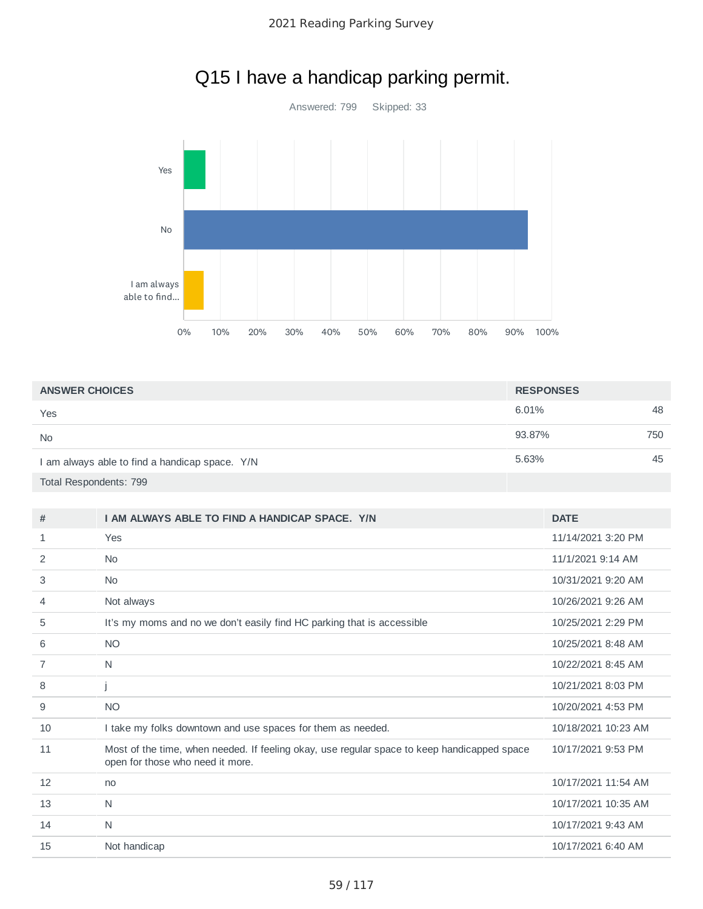

# Q15 I have a handicap parking permit.

| <b>ANSWER CHOICES</b>                          | <b>RESPONSES</b> |     |
|------------------------------------------------|------------------|-----|
| Yes                                            | 6.01%            | 48  |
| <b>No</b>                                      | 93.87%           | 750 |
| I am always able to find a handicap space. Y/N | 5.63%            | 45  |
| Total Respondents: 799                         |                  |     |

| #              | I AM ALWAYS ABLE TO FIND A HANDICAP SPACE. Y/N                                                                                  | <b>DATE</b>         |
|----------------|---------------------------------------------------------------------------------------------------------------------------------|---------------------|
| 1              | Yes                                                                                                                             | 11/14/2021 3:20 PM  |
| 2              | <b>No</b>                                                                                                                       | 11/1/2021 9:14 AM   |
| 3              | <b>No</b>                                                                                                                       | 10/31/2021 9:20 AM  |
| $\overline{4}$ | Not always                                                                                                                      | 10/26/2021 9:26 AM  |
| 5              | It's my moms and no we don't easily find HC parking that is accessible                                                          | 10/25/2021 2:29 PM  |
| 6              | <b>NO</b>                                                                                                                       | 10/25/2021 8:48 AM  |
| 7              | N                                                                                                                               | 10/22/2021 8:45 AM  |
| 8              |                                                                                                                                 | 10/21/2021 8:03 PM  |
| 9              | <b>NO</b>                                                                                                                       | 10/20/2021 4:53 PM  |
| 10             | I take my folks downtown and use spaces for them as needed.                                                                     | 10/18/2021 10:23 AM |
| 11             | Most of the time, when needed. If feeling okay, use regular space to keep handicapped space<br>open for those who need it more. | 10/17/2021 9:53 PM  |
| 12             | no                                                                                                                              | 10/17/2021 11:54 AM |
| 13             | N                                                                                                                               | 10/17/2021 10:35 AM |
| 14             | N                                                                                                                               | 10/17/2021 9:43 AM  |
| 15             | Not handicap                                                                                                                    | 10/17/2021 6:40 AM  |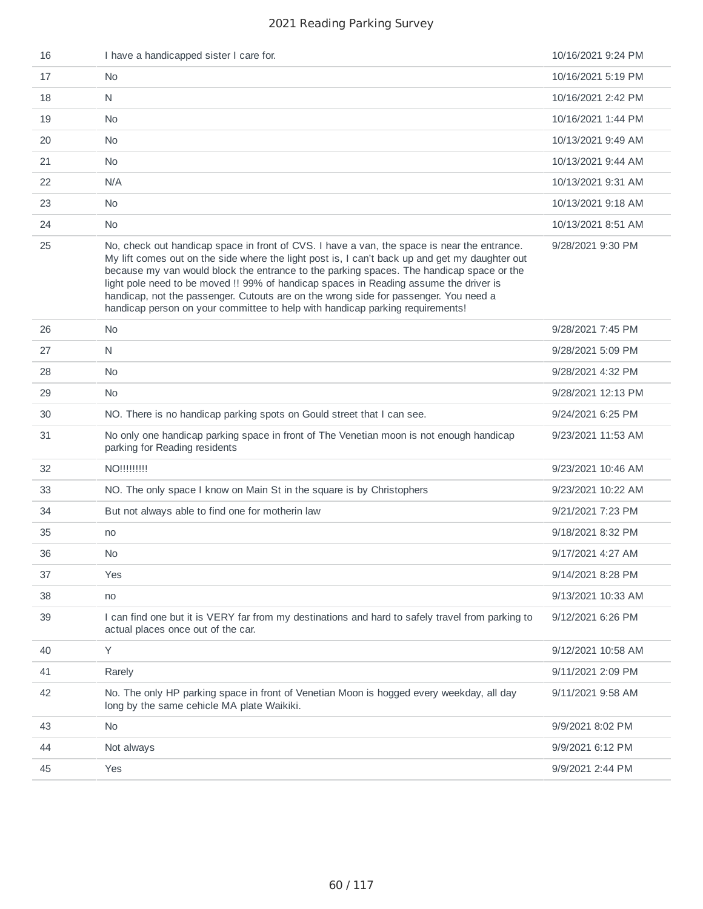| 16 | I have a handicapped sister I care for.                                                                                                                                                                                                                                                                                                                                                                                                                                                                                                                     | 10/16/2021 9:24 PM |
|----|-------------------------------------------------------------------------------------------------------------------------------------------------------------------------------------------------------------------------------------------------------------------------------------------------------------------------------------------------------------------------------------------------------------------------------------------------------------------------------------------------------------------------------------------------------------|--------------------|
| 17 | <b>No</b>                                                                                                                                                                                                                                                                                                                                                                                                                                                                                                                                                   | 10/16/2021 5:19 PM |
| 18 | $\mathsf{N}$                                                                                                                                                                                                                                                                                                                                                                                                                                                                                                                                                | 10/16/2021 2:42 PM |
| 19 | <b>No</b>                                                                                                                                                                                                                                                                                                                                                                                                                                                                                                                                                   | 10/16/2021 1:44 PM |
| 20 | <b>No</b>                                                                                                                                                                                                                                                                                                                                                                                                                                                                                                                                                   | 10/13/2021 9:49 AM |
| 21 | No.                                                                                                                                                                                                                                                                                                                                                                                                                                                                                                                                                         | 10/13/2021 9:44 AM |
| 22 | N/A                                                                                                                                                                                                                                                                                                                                                                                                                                                                                                                                                         | 10/13/2021 9:31 AM |
| 23 | No                                                                                                                                                                                                                                                                                                                                                                                                                                                                                                                                                          | 10/13/2021 9:18 AM |
| 24 | No.                                                                                                                                                                                                                                                                                                                                                                                                                                                                                                                                                         | 10/13/2021 8:51 AM |
| 25 | No, check out handicap space in front of CVS. I have a van, the space is near the entrance.<br>My lift comes out on the side where the light post is, I can't back up and get my daughter out<br>because my van would block the entrance to the parking spaces. The handicap space or the<br>light pole need to be moved !! 99% of handicap spaces in Reading assume the driver is<br>handicap, not the passenger. Cutouts are on the wrong side for passenger. You need a<br>handicap person on your committee to help with handicap parking requirements! | 9/28/2021 9:30 PM  |
| 26 | N <sub>0</sub>                                                                                                                                                                                                                                                                                                                                                                                                                                                                                                                                              | 9/28/2021 7:45 PM  |
| 27 | N                                                                                                                                                                                                                                                                                                                                                                                                                                                                                                                                                           | 9/28/2021 5:09 PM  |
| 28 | <b>No</b>                                                                                                                                                                                                                                                                                                                                                                                                                                                                                                                                                   | 9/28/2021 4:32 PM  |
| 29 | <b>No</b>                                                                                                                                                                                                                                                                                                                                                                                                                                                                                                                                                   | 9/28/2021 12:13 PM |
| 30 | NO. There is no handicap parking spots on Gould street that I can see.                                                                                                                                                                                                                                                                                                                                                                                                                                                                                      | 9/24/2021 6:25 PM  |
| 31 | No only one handicap parking space in front of The Venetian moon is not enough handicap<br>parking for Reading residents                                                                                                                                                                                                                                                                                                                                                                                                                                    | 9/23/2021 11:53 AM |
| 32 | <b>NO!!!!!!!!!</b>                                                                                                                                                                                                                                                                                                                                                                                                                                                                                                                                          | 9/23/2021 10:46 AM |
| 33 | NO. The only space I know on Main St in the square is by Christophers                                                                                                                                                                                                                                                                                                                                                                                                                                                                                       | 9/23/2021 10:22 AM |
| 34 | But not always able to find one for motherin law                                                                                                                                                                                                                                                                                                                                                                                                                                                                                                            | 9/21/2021 7:23 PM  |
| 35 | no                                                                                                                                                                                                                                                                                                                                                                                                                                                                                                                                                          | 9/18/2021 8:32 PM  |
| 36 | No.                                                                                                                                                                                                                                                                                                                                                                                                                                                                                                                                                         | 9/17/2021 4:27 AM  |
| 37 | Yes                                                                                                                                                                                                                                                                                                                                                                                                                                                                                                                                                         | 9/14/2021 8:28 PM  |
| 38 | no                                                                                                                                                                                                                                                                                                                                                                                                                                                                                                                                                          | 9/13/2021 10:33 AM |
| 39 | I can find one but it is VERY far from my destinations and hard to safely travel from parking to<br>actual places once out of the car.                                                                                                                                                                                                                                                                                                                                                                                                                      | 9/12/2021 6:26 PM  |
| 40 | Y                                                                                                                                                                                                                                                                                                                                                                                                                                                                                                                                                           | 9/12/2021 10:58 AM |
| 41 | Rarely                                                                                                                                                                                                                                                                                                                                                                                                                                                                                                                                                      | 9/11/2021 2:09 PM  |
| 42 | No. The only HP parking space in front of Venetian Moon is hogged every weekday, all day<br>long by the same cehicle MA plate Waikiki.                                                                                                                                                                                                                                                                                                                                                                                                                      | 9/11/2021 9:58 AM  |
| 43 | No.                                                                                                                                                                                                                                                                                                                                                                                                                                                                                                                                                         | 9/9/2021 8:02 PM   |
| 44 | Not always                                                                                                                                                                                                                                                                                                                                                                                                                                                                                                                                                  | 9/9/2021 6:12 PM   |
| 45 | Yes                                                                                                                                                                                                                                                                                                                                                                                                                                                                                                                                                         | 9/9/2021 2:44 PM   |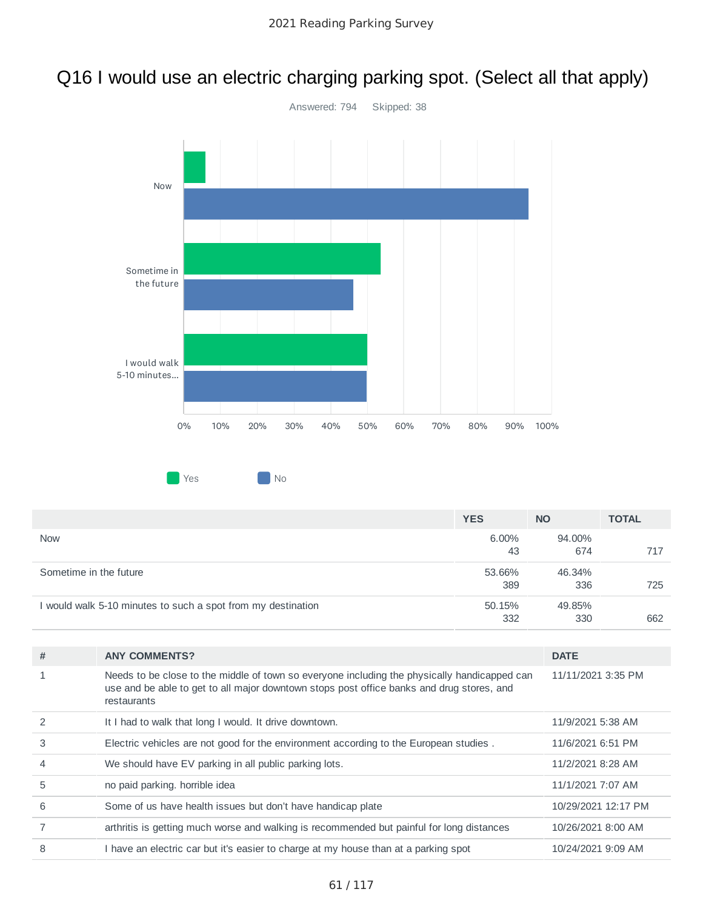# Q16 I would use an electric charging parking spot. (Select all that apply)



|                                                              | <b>YES</b>    | <b>NO</b>     | <b>TOTAL</b> |
|--------------------------------------------------------------|---------------|---------------|--------------|
| <b>Now</b>                                                   | 6.00%<br>43   | 94.00%<br>674 | 717          |
| Sometime in the future                                       | 53.66%<br>389 | 46.34%<br>336 | 725          |
| I would walk 5-10 minutes to such a spot from my destination | 50.15%<br>332 | 49.85%<br>330 | 662          |

| # | <b>ANY COMMENTS?</b>                                                                                                                                                                                     | <b>DATE</b>         |
|---|----------------------------------------------------------------------------------------------------------------------------------------------------------------------------------------------------------|---------------------|
|   | Needs to be close to the middle of town so everyone including the physically handicapped can<br>use and be able to get to all major downtown stops post office banks and drug stores, and<br>restaurants | 11/11/2021 3:35 PM  |
|   | It I had to walk that long I would. It drive downtown.                                                                                                                                                   | 11/9/2021 5:38 AM   |
| 3 | Electric vehicles are not good for the environment according to the European studies.                                                                                                                    | 11/6/2021 6:51 PM   |
| 4 | We should have EV parking in all public parking lots.                                                                                                                                                    | 11/2/2021 8:28 AM   |
| 5 | no paid parking. horrible idea                                                                                                                                                                           | 11/1/2021 7:07 AM   |
| 6 | Some of us have health issues but don't have handicap plate                                                                                                                                              | 10/29/2021 12:17 PM |
|   | arthritis is getting much worse and walking is recommended but painful for long distances                                                                                                                | 10/26/2021 8:00 AM  |
| 8 | I have an electric car but it's easier to charge at my house than at a parking spot                                                                                                                      | 10/24/2021 9:09 AM  |
|   |                                                                                                                                                                                                          |                     |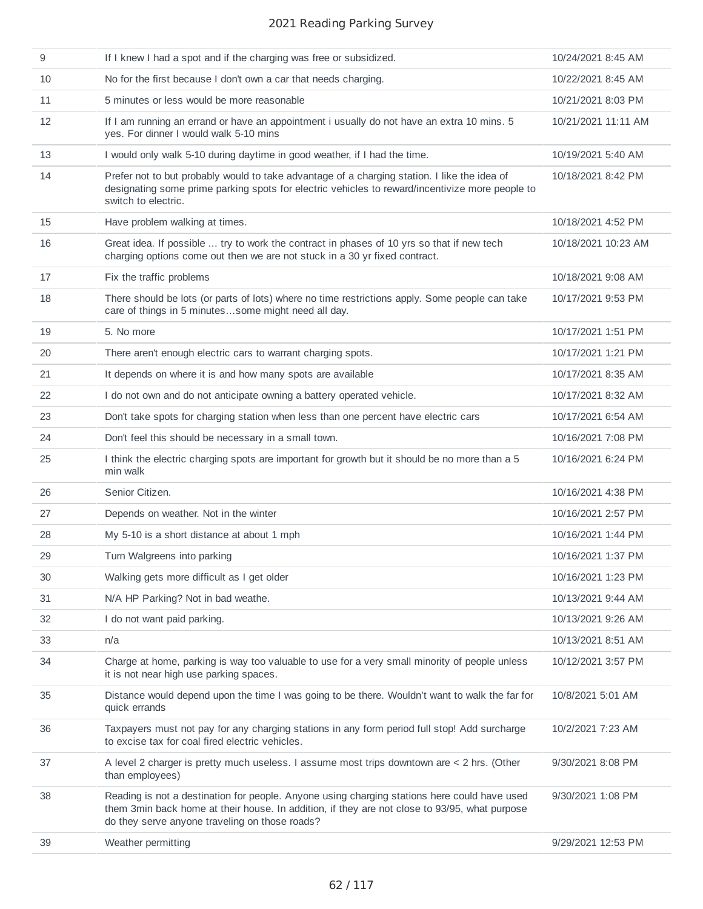| 9  | If I knew I had a spot and if the charging was free or subsidized.                                                                                                                                                                              | 10/24/2021 8:45 AM  |
|----|-------------------------------------------------------------------------------------------------------------------------------------------------------------------------------------------------------------------------------------------------|---------------------|
| 10 | No for the first because I don't own a car that needs charging.                                                                                                                                                                                 | 10/22/2021 8:45 AM  |
| 11 | 5 minutes or less would be more reasonable                                                                                                                                                                                                      | 10/21/2021 8:03 PM  |
| 12 | If I am running an errand or have an appointment i usually do not have an extra 10 mins. 5<br>yes. For dinner I would walk 5-10 mins                                                                                                            | 10/21/2021 11:11 AM |
| 13 | I would only walk 5-10 during daytime in good weather, if I had the time.                                                                                                                                                                       | 10/19/2021 5:40 AM  |
| 14 | Prefer not to but probably would to take advantage of a charging station. I like the idea of<br>designating some prime parking spots for electric vehicles to reward/incentivize more people to<br>switch to electric.                          | 10/18/2021 8:42 PM  |
| 15 | Have problem walking at times.                                                                                                                                                                                                                  | 10/18/2021 4:52 PM  |
| 16 | Great idea. If possible  try to work the contract in phases of 10 yrs so that if new tech<br>charging options come out then we are not stuck in a 30 yr fixed contract.                                                                         | 10/18/2021 10:23 AM |
| 17 | Fix the traffic problems                                                                                                                                                                                                                        | 10/18/2021 9:08 AM  |
| 18 | There should be lots (or parts of lots) where no time restrictions apply. Some people can take<br>care of things in 5 minutessome might need all day.                                                                                           | 10/17/2021 9:53 PM  |
| 19 | 5. No more                                                                                                                                                                                                                                      | 10/17/2021 1:51 PM  |
| 20 | There aren't enough electric cars to warrant charging spots.                                                                                                                                                                                    | 10/17/2021 1:21 PM  |
| 21 | It depends on where it is and how many spots are available                                                                                                                                                                                      | 10/17/2021 8:35 AM  |
| 22 | I do not own and do not anticipate owning a battery operated vehicle.                                                                                                                                                                           | 10/17/2021 8:32 AM  |
| 23 | Don't take spots for charging station when less than one percent have electric cars                                                                                                                                                             | 10/17/2021 6:54 AM  |
| 24 | Don't feel this should be necessary in a small town.                                                                                                                                                                                            | 10/16/2021 7:08 PM  |
| 25 | I think the electric charging spots are important for growth but it should be no more than a 5<br>min walk                                                                                                                                      | 10/16/2021 6:24 PM  |
| 26 | Senior Citizen.                                                                                                                                                                                                                                 | 10/16/2021 4:38 PM  |
| 27 | Depends on weather. Not in the winter                                                                                                                                                                                                           | 10/16/2021 2:57 PM  |
| 28 | My 5-10 is a short distance at about 1 mph                                                                                                                                                                                                      | 10/16/2021 1:44 PM  |
| 29 | Turn Walgreens into parking                                                                                                                                                                                                                     | 10/16/2021 1:37 PM  |
| 30 | Walking gets more difficult as I get older                                                                                                                                                                                                      | 10/16/2021 1:23 PM  |
| 31 | N/A HP Parking? Not in bad weathe.                                                                                                                                                                                                              | 10/13/2021 9:44 AM  |
| 32 | I do not want paid parking.                                                                                                                                                                                                                     | 10/13/2021 9:26 AM  |
| 33 | n/a                                                                                                                                                                                                                                             | 10/13/2021 8:51 AM  |
| 34 | Charge at home, parking is way too valuable to use for a very small minority of people unless<br>it is not near high use parking spaces.                                                                                                        | 10/12/2021 3:57 PM  |
| 35 | Distance would depend upon the time I was going to be there. Wouldn't want to walk the far for<br>quick errands                                                                                                                                 | 10/8/2021 5:01 AM   |
| 36 | Taxpayers must not pay for any charging stations in any form period full stop! Add surcharge<br>to excise tax for coal fired electric vehicles.                                                                                                 | 10/2/2021 7:23 AM   |
| 37 | A level 2 charger is pretty much useless. I assume most trips downtown are < 2 hrs. (Other<br>than employees)                                                                                                                                   | 9/30/2021 8:08 PM   |
| 38 | Reading is not a destination for people. Anyone using charging stations here could have used<br>them 3min back home at their house. In addition, if they are not close to 93/95, what purpose<br>do they serve anyone traveling on those roads? | 9/30/2021 1:08 PM   |
| 39 | Weather permitting                                                                                                                                                                                                                              | 9/29/2021 12:53 PM  |
|    |                                                                                                                                                                                                                                                 |                     |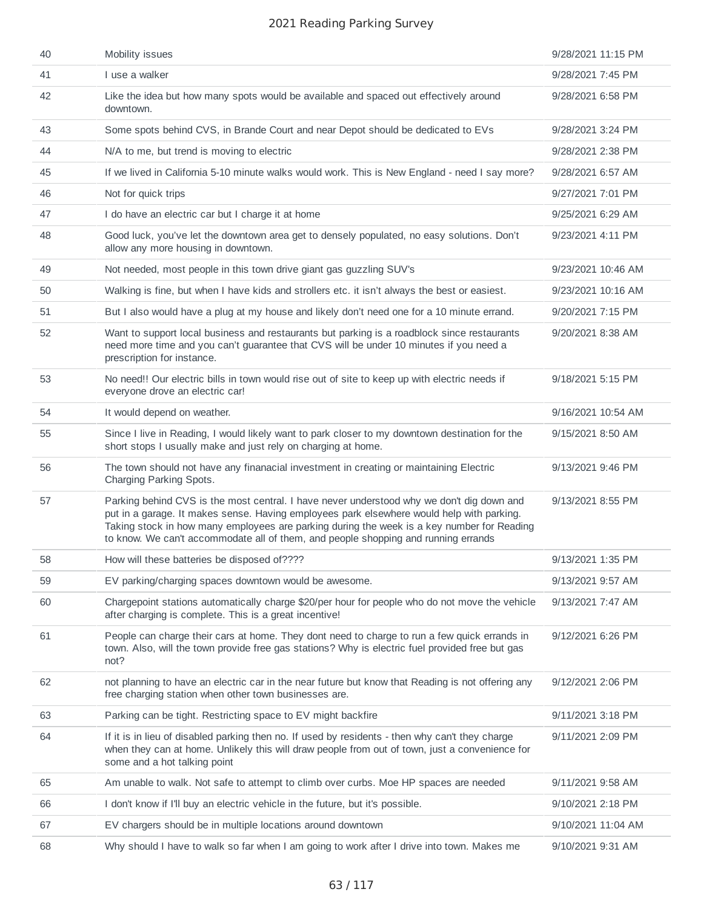| 40 | Mobility issues                                                                                                                                                                                                                                                                                                                                                            | 9/28/2021 11:15 PM |
|----|----------------------------------------------------------------------------------------------------------------------------------------------------------------------------------------------------------------------------------------------------------------------------------------------------------------------------------------------------------------------------|--------------------|
| 41 | I use a walker                                                                                                                                                                                                                                                                                                                                                             | 9/28/2021 7:45 PM  |
| 42 | Like the idea but how many spots would be available and spaced out effectively around<br>downtown.                                                                                                                                                                                                                                                                         | 9/28/2021 6:58 PM  |
| 43 | Some spots behind CVS, in Brande Court and near Depot should be dedicated to EVs                                                                                                                                                                                                                                                                                           | 9/28/2021 3:24 PM  |
| 44 | N/A to me, but trend is moving to electric                                                                                                                                                                                                                                                                                                                                 | 9/28/2021 2:38 PM  |
| 45 | If we lived in California 5-10 minute walks would work. This is New England - need I say more?                                                                                                                                                                                                                                                                             | 9/28/2021 6:57 AM  |
| 46 | Not for quick trips                                                                                                                                                                                                                                                                                                                                                        | 9/27/2021 7:01 PM  |
| 47 | I do have an electric car but I charge it at home                                                                                                                                                                                                                                                                                                                          | 9/25/2021 6:29 AM  |
| 48 | Good luck, you've let the downtown area get to densely populated, no easy solutions. Don't<br>allow any more housing in downtown.                                                                                                                                                                                                                                          | 9/23/2021 4:11 PM  |
| 49 | Not needed, most people in this town drive giant gas guzzling SUV's                                                                                                                                                                                                                                                                                                        | 9/23/2021 10:46 AM |
| 50 | Walking is fine, but when I have kids and strollers etc. it isn't always the best or easiest.                                                                                                                                                                                                                                                                              | 9/23/2021 10:16 AM |
| 51 | But I also would have a plug at my house and likely don't need one for a 10 minute errand.                                                                                                                                                                                                                                                                                 | 9/20/2021 7:15 PM  |
| 52 | Want to support local business and restaurants but parking is a roadblock since restaurants<br>need more time and you can't guarantee that CVS will be under 10 minutes if you need a<br>prescription for instance.                                                                                                                                                        | 9/20/2021 8:38 AM  |
| 53 | No need!! Our electric bills in town would rise out of site to keep up with electric needs if<br>everyone drove an electric car!                                                                                                                                                                                                                                           | 9/18/2021 5:15 PM  |
| 54 | It would depend on weather.                                                                                                                                                                                                                                                                                                                                                | 9/16/2021 10:54 AM |
| 55 | Since I live in Reading, I would likely want to park closer to my downtown destination for the<br>short stops I usually make and just rely on charging at home.                                                                                                                                                                                                            | 9/15/2021 8:50 AM  |
| 56 | The town should not have any finanacial investment in creating or maintaining Electric<br>Charging Parking Spots.                                                                                                                                                                                                                                                          | 9/13/2021 9:46 PM  |
| 57 | Parking behind CVS is the most central. I have never understood why we don't dig down and<br>put in a garage. It makes sense. Having employees park elsewhere would help with parking.<br>Taking stock in how many employees are parking during the week is a key number for Reading<br>to know. We can't accommodate all of them, and people shopping and running errands | 9/13/2021 8:55 PM  |
| 58 | How will these batteries be disposed of????                                                                                                                                                                                                                                                                                                                                | 9/13/2021 1:35 PM  |
| 59 | EV parking/charging spaces downtown would be awesome.                                                                                                                                                                                                                                                                                                                      | 9/13/2021 9:57 AM  |
| 60 | Chargepoint stations automatically charge \$20/per hour for people who do not move the vehicle<br>after charging is complete. This is a great incentive!                                                                                                                                                                                                                   | 9/13/2021 7:47 AM  |
| 61 | People can charge their cars at home. They dont need to charge to run a few quick errands in<br>town. Also, will the town provide free gas stations? Why is electric fuel provided free but gas<br>not?                                                                                                                                                                    | 9/12/2021 6:26 PM  |
| 62 | not planning to have an electric car in the near future but know that Reading is not offering any<br>free charging station when other town businesses are.                                                                                                                                                                                                                 | 9/12/2021 2:06 PM  |
| 63 | Parking can be tight. Restricting space to EV might backfire                                                                                                                                                                                                                                                                                                               | 9/11/2021 3:18 PM  |
| 64 | If it is in lieu of disabled parking then no. If used by residents - then why can't they charge<br>when they can at home. Unlikely this will draw people from out of town, just a convenience for<br>some and a hot talking point                                                                                                                                          | 9/11/2021 2:09 PM  |
| 65 | Am unable to walk. Not safe to attempt to climb over curbs. Moe HP spaces are needed                                                                                                                                                                                                                                                                                       | 9/11/2021 9:58 AM  |
| 66 | I don't know if I'll buy an electric vehicle in the future, but it's possible.                                                                                                                                                                                                                                                                                             | 9/10/2021 2:18 PM  |
| 67 | EV chargers should be in multiple locations around downtown                                                                                                                                                                                                                                                                                                                | 9/10/2021 11:04 AM |
| 68 | Why should I have to walk so far when I am going to work after I drive into town. Makes me                                                                                                                                                                                                                                                                                 | 9/10/2021 9:31 AM  |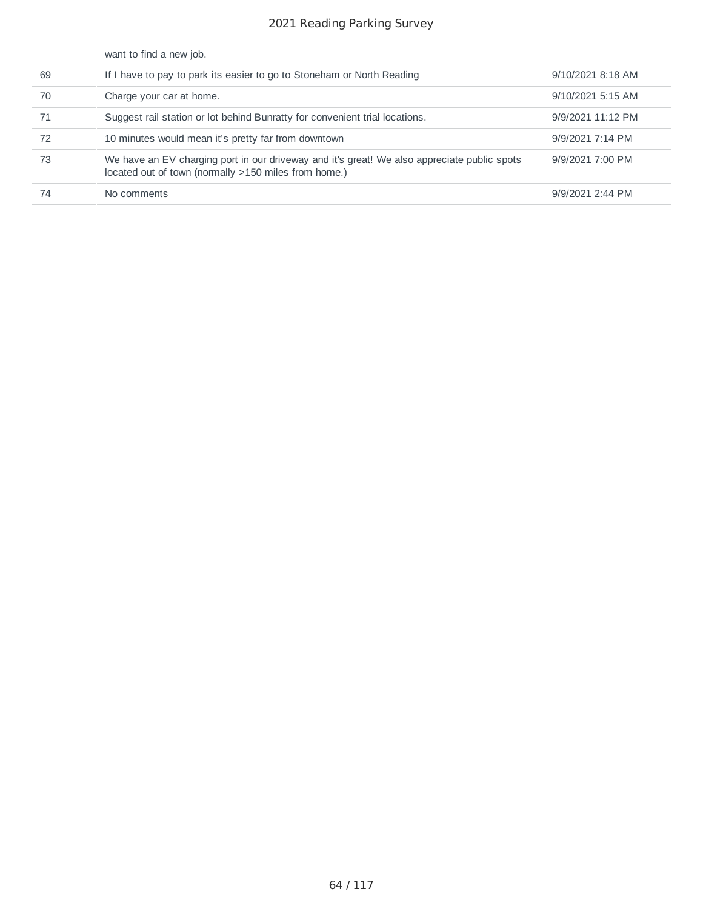|    | want to find a new job.                                                                                                                             |                   |
|----|-----------------------------------------------------------------------------------------------------------------------------------------------------|-------------------|
| 69 | If I have to pay to park its easier to go to Stoneham or North Reading                                                                              | 9/10/2021 8:18 AM |
| 70 | Charge your car at home.                                                                                                                            | 9/10/2021 5:15 AM |
| 71 | Suggest rail station or lot behind Bunratty for convenient trial locations.                                                                         | 9/9/2021 11:12 PM |
| 72 | 10 minutes would mean it's pretty far from downtown                                                                                                 | 9/9/2021 7:14 PM  |
| 73 | We have an EV charging port in our driveway and it's great! We also appreciate public spots<br>located out of town (normally >150 miles from home.) | 9/9/2021 7:00 PM  |
| 74 | No comments                                                                                                                                         | 9/9/2021 2:44 PM  |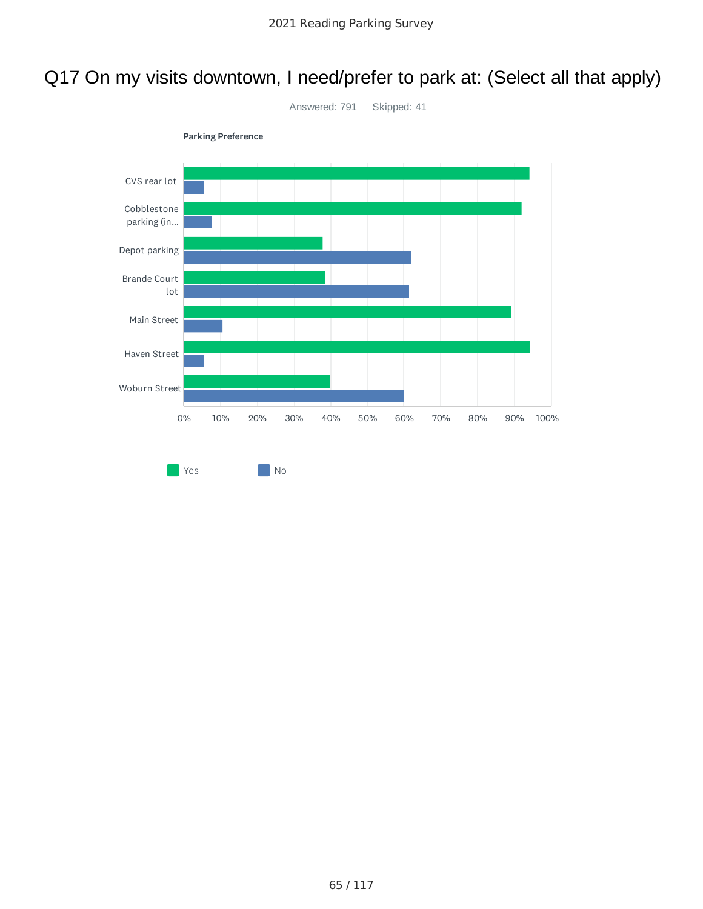# Q17 On my visits downtown, I need/prefer to park at: (Select all that apply)

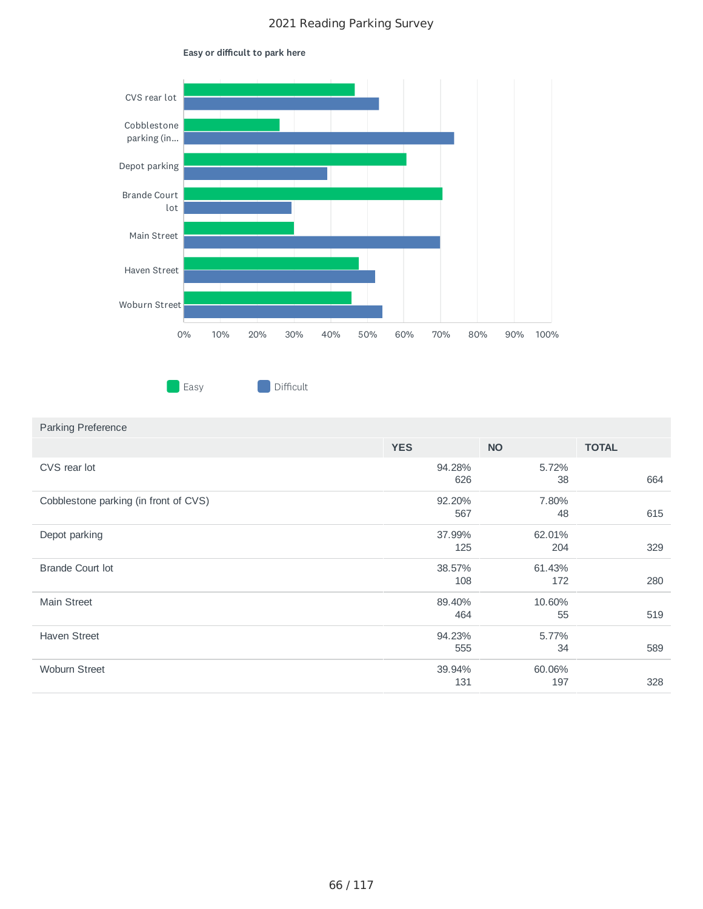

#### Easy or difficult to park here



# **YES NO TOTAL** CVS rear lot Cobblestone parking (in front of CVS)

Parking Preference

| Cobblestone parking (in front of CVS) | 92.20% | 7.80%  |     |
|---------------------------------------|--------|--------|-----|
|                                       | 567    | 48     | 615 |
| Depot parking                         | 37.99% | 62.01% |     |
|                                       | 125    | 204    | 329 |
| <b>Brande Court lot</b>               | 38.57% | 61.43% |     |
|                                       | 108    | 172    | 280 |
| <b>Main Street</b>                    | 89.40% | 10.60% |     |
|                                       | 464    | 55     | 519 |
| <b>Haven Street</b>                   | 94.23% | 5.77%  |     |
|                                       | 555    | 34     | 589 |
| <b>Woburn Street</b>                  | 39.94% | 60.06% |     |
|                                       | 131    | 197    | 328 |

94.28% 626 5.72%

38 664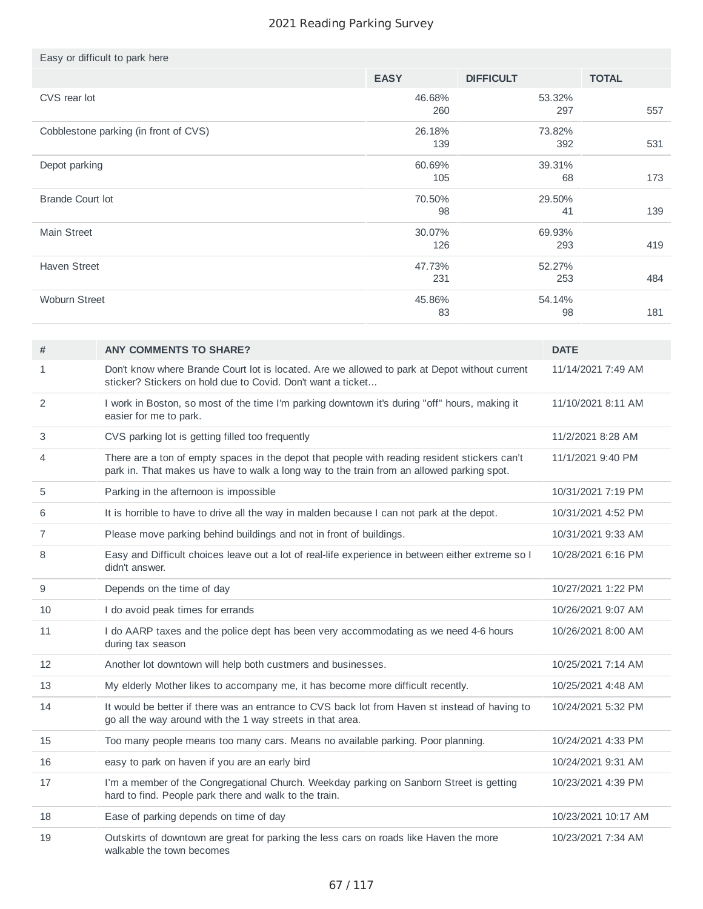|                      | Easy or difficult to park here                                                                                                                                                             |               |                  |               |                    |
|----------------------|--------------------------------------------------------------------------------------------------------------------------------------------------------------------------------------------|---------------|------------------|---------------|--------------------|
|                      |                                                                                                                                                                                            | <b>EASY</b>   | <b>DIFFICULT</b> |               | <b>TOTAL</b>       |
| CVS rear lot         |                                                                                                                                                                                            | 46.68%<br>260 |                  | 53.32%<br>297 | 557                |
|                      | Cobblestone parking (in front of CVS)<br>26.18%<br>73.82%<br>139<br>392                                                                                                                    |               | 531              |               |                    |
| Depot parking        |                                                                                                                                                                                            | 60.69%<br>105 |                  | 39.31%<br>68  | 173                |
|                      | Brande Court lot<br>70.50%<br>29.50%<br>98<br>41                                                                                                                                           |               | 139              |               |                    |
| <b>Main Street</b>   |                                                                                                                                                                                            | 30.07%<br>126 |                  | 69.93%<br>293 | 419                |
| <b>Haven Street</b>  |                                                                                                                                                                                            | 47.73%<br>231 |                  | 52.27%<br>253 | 484                |
| <b>Woburn Street</b> |                                                                                                                                                                                            | 45.86%<br>83  |                  | 54.14%<br>98  | 181                |
|                      |                                                                                                                                                                                            |               |                  |               |                    |
| #                    | <b>ANY COMMENTS TO SHARE?</b>                                                                                                                                                              |               |                  | <b>DATE</b>   |                    |
| $\mathbf{1}$         | Don't know where Brande Court lot is located. Are we allowed to park at Depot without current<br>sticker? Stickers on hold due to Covid. Don't want a ticket                               |               |                  |               | 11/14/2021 7:49 AM |
| 2                    | I work in Boston, so most of the time I'm parking downtown it's during "off" hours, making it<br>easier for me to park.                                                                    |               |                  |               | 11/10/2021 8:11 AM |
| 3                    | CVS parking lot is getting filled too frequently                                                                                                                                           |               |                  |               | 11/2/2021 8:28 AM  |
| 4                    | There are a ton of empty spaces in the depot that people with reading resident stickers can't<br>park in. That makes us have to walk a long way to the train from an allowed parking spot. |               |                  |               | 11/1/2021 9:40 PM  |
| 5                    | Parking in the afternoon is impossible                                                                                                                                                     |               |                  |               | 10/31/2021 7:19 PM |
| 6                    | It is horrible to have to drive all the way in malden because I can not park at the depot.                                                                                                 |               |                  |               | 10/31/2021 4:52 PM |
| $\overline{7}$       | Please move parking behind buildings and not in front of buildings.                                                                                                                        |               |                  |               | 10/31/2021 9:33 AM |
| 8                    | Easy and Difficult choices leave out a lot of real-life experience in between either extreme so I<br>didn't answer.                                                                        |               |                  |               | 10/28/2021 6:16 PM |
| 9                    | Depends on the time of day                                                                                                                                                                 |               |                  |               | 10/27/2021 1:22 PM |
| 10                   | I do avoid peak times for errands                                                                                                                                                          |               |                  |               | 10/26/2021 9:07 AM |
| 11                   | I do AARP taxes and the police dept has been very accommodating as we need 4-6 hours<br>during tax season                                                                                  |               |                  |               | 10/26/2021 8:00 AM |
| 12                   | Another lot downtown will help both custmers and businesses.                                                                                                                               |               |                  |               | 10/25/2021 7:14 AM |
| 13                   | My elderly Mother likes to accompany me, it has become more difficult recently.                                                                                                            |               |                  |               | 10/25/2021 4:48 AM |
| 14                   | It would be better if there was an entrance to CVS back lot from Haven st instead of having to<br>go all the way around with the 1 way streets in that area.                               |               |                  |               | 10/24/2021 5:32 PM |
| 15                   | Too many people means too many cars. Means no available parking. Poor planning.                                                                                                            |               |                  |               | 10/24/2021 4:33 PM |
| 16                   | easy to park on haven if you are an early bird                                                                                                                                             |               |                  |               | 10/24/2021 9:31 AM |
| 17                   | I'm a member of the Congregational Church. Weekday parking on Sanborn Street is getting                                                                                                    |               |                  |               | 10/23/2021 4:39 PM |

| 18 | Ease of parking depends on time of day                                                                              | 10/23/2021 10:17 AM |
|----|---------------------------------------------------------------------------------------------------------------------|---------------------|
|    | Outskirts of downtown are great for parking the less cars on roads like Haven the more<br>walkable the town becomes | 10/23/2021 7:34 AM  |

hard to find. People park there and walk to the train.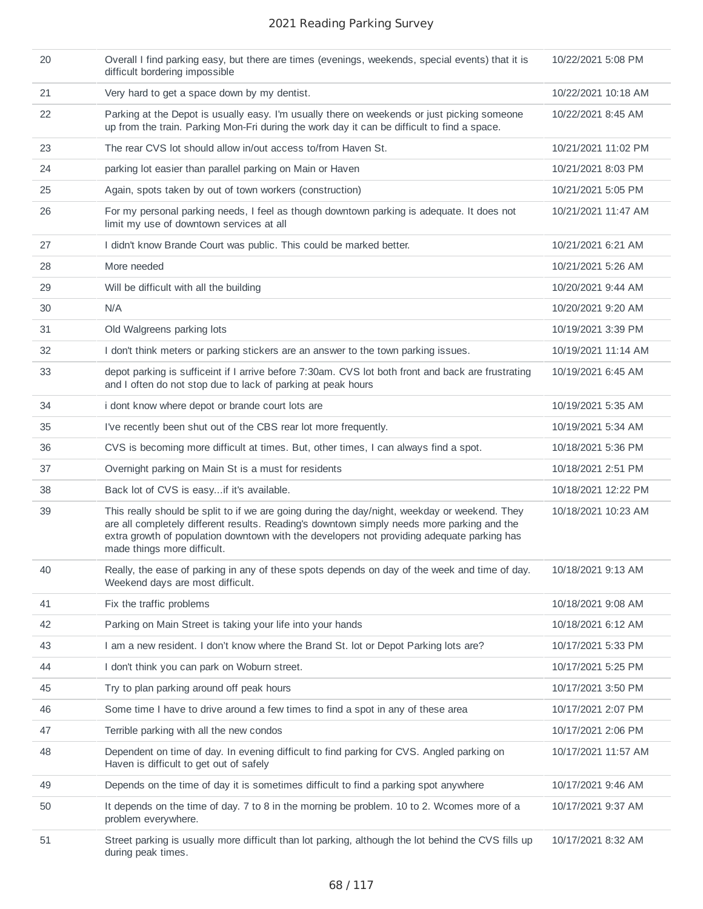| 20 | Overall I find parking easy, but there are times (evenings, weekends, special events) that it is<br>difficult bordering impossible                                                                                                                                                                                       | 10/22/2021 5:08 PM  |
|----|--------------------------------------------------------------------------------------------------------------------------------------------------------------------------------------------------------------------------------------------------------------------------------------------------------------------------|---------------------|
| 21 | Very hard to get a space down by my dentist.                                                                                                                                                                                                                                                                             | 10/22/2021 10:18 AM |
| 22 | Parking at the Depot is usually easy. I'm usually there on weekends or just picking someone<br>up from the train. Parking Mon-Fri during the work day it can be difficult to find a space.                                                                                                                               | 10/22/2021 8:45 AM  |
| 23 | The rear CVS lot should allow in/out access to/from Haven St.                                                                                                                                                                                                                                                            | 10/21/2021 11:02 PM |
| 24 | parking lot easier than parallel parking on Main or Haven                                                                                                                                                                                                                                                                | 10/21/2021 8:03 PM  |
| 25 | Again, spots taken by out of town workers (construction)                                                                                                                                                                                                                                                                 | 10/21/2021 5:05 PM  |
| 26 | For my personal parking needs, I feel as though downtown parking is adequate. It does not<br>limit my use of downtown services at all                                                                                                                                                                                    | 10/21/2021 11:47 AM |
| 27 | I didn't know Brande Court was public. This could be marked better.                                                                                                                                                                                                                                                      | 10/21/2021 6:21 AM  |
| 28 | More needed                                                                                                                                                                                                                                                                                                              | 10/21/2021 5:26 AM  |
| 29 | Will be difficult with all the building                                                                                                                                                                                                                                                                                  | 10/20/2021 9:44 AM  |
| 30 | N/A                                                                                                                                                                                                                                                                                                                      | 10/20/2021 9:20 AM  |
| 31 | Old Walgreens parking lots                                                                                                                                                                                                                                                                                               | 10/19/2021 3:39 PM  |
| 32 | I don't think meters or parking stickers are an answer to the town parking issues.                                                                                                                                                                                                                                       | 10/19/2021 11:14 AM |
| 33 | depot parking is sufficeint if I arrive before 7:30am. CVS lot both front and back are frustrating<br>and I often do not stop due to lack of parking at peak hours                                                                                                                                                       | 10/19/2021 6:45 AM  |
| 34 | i dont know where depot or brande court lots are                                                                                                                                                                                                                                                                         | 10/19/2021 5:35 AM  |
| 35 | I've recently been shut out of the CBS rear lot more frequently.                                                                                                                                                                                                                                                         | 10/19/2021 5:34 AM  |
| 36 | CVS is becoming more difficult at times. But, other times, I can always find a spot.                                                                                                                                                                                                                                     | 10/18/2021 5:36 PM  |
| 37 | Overnight parking on Main St is a must for residents                                                                                                                                                                                                                                                                     | 10/18/2021 2:51 PM  |
| 38 | Back lot of CVS is easyif it's available.                                                                                                                                                                                                                                                                                | 10/18/2021 12:22 PM |
| 39 | This really should be split to if we are going during the day/night, weekday or weekend. They<br>are all completely different results. Reading's downtown simply needs more parking and the<br>extra growth of population downtown with the developers not providing adequate parking has<br>made things more difficult. | 10/18/2021 10:23 AM |
| 40 | Really, the ease of parking in any of these spots depends on day of the week and time of day.<br>Weekend days are most difficult.                                                                                                                                                                                        | 10/18/2021 9:13 AM  |
| 41 | Fix the traffic problems                                                                                                                                                                                                                                                                                                 | 10/18/2021 9:08 AM  |
| 42 | Parking on Main Street is taking your life into your hands                                                                                                                                                                                                                                                               | 10/18/2021 6:12 AM  |
| 43 | I am a new resident. I don't know where the Brand St. lot or Depot Parking lots are?                                                                                                                                                                                                                                     | 10/17/2021 5:33 PM  |
| 44 | I don't think you can park on Woburn street.                                                                                                                                                                                                                                                                             | 10/17/2021 5:25 PM  |
| 45 | Try to plan parking around off peak hours                                                                                                                                                                                                                                                                                | 10/17/2021 3:50 PM  |
| 46 | Some time I have to drive around a few times to find a spot in any of these area                                                                                                                                                                                                                                         | 10/17/2021 2:07 PM  |
| 47 | Terrible parking with all the new condos                                                                                                                                                                                                                                                                                 | 10/17/2021 2:06 PM  |
| 48 | Dependent on time of day. In evening difficult to find parking for CVS. Angled parking on<br>Haven is difficult to get out of safely                                                                                                                                                                                     | 10/17/2021 11:57 AM |
| 49 | Depends on the time of day it is sometimes difficult to find a parking spot anywhere                                                                                                                                                                                                                                     | 10/17/2021 9:46 AM  |
| 50 | It depends on the time of day. 7 to 8 in the morning be problem. 10 to 2. Wcomes more of a<br>problem everywhere.                                                                                                                                                                                                        | 10/17/2021 9:37 AM  |
| 51 | Street parking is usually more difficult than lot parking, although the lot behind the CVS fills up<br>during peak times.                                                                                                                                                                                                | 10/17/2021 8:32 AM  |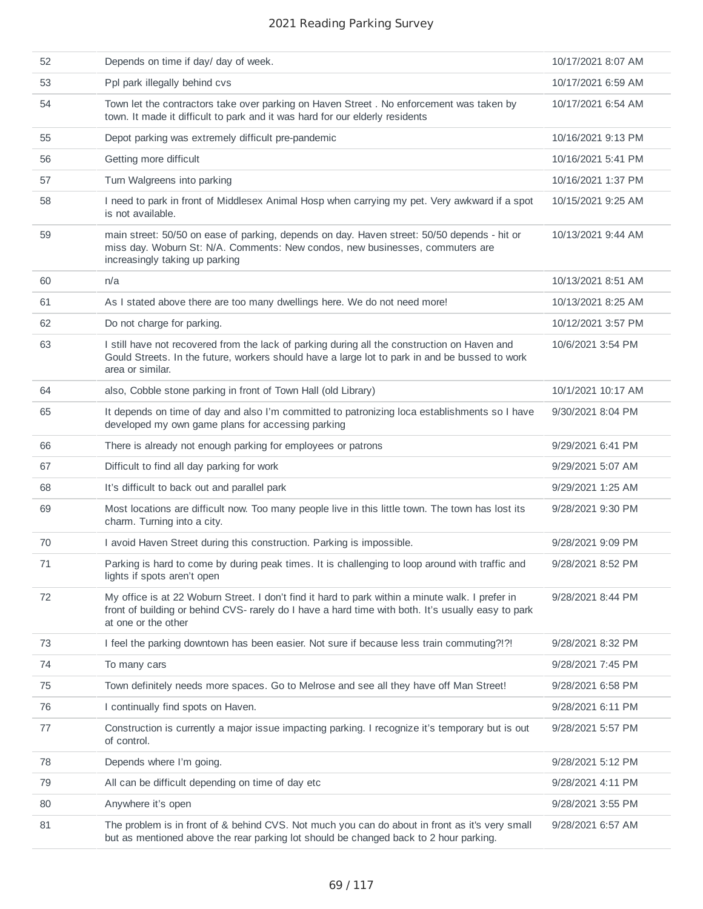| 52 | Depends on time if day/ day of week.                                                                                                                                                                                          | 10/17/2021 8:07 AM |
|----|-------------------------------------------------------------------------------------------------------------------------------------------------------------------------------------------------------------------------------|--------------------|
| 53 | Ppl park illegally behind cvs                                                                                                                                                                                                 | 10/17/2021 6:59 AM |
| 54 | Town let the contractors take over parking on Haven Street . No enforcement was taken by<br>town. It made it difficult to park and it was hard for our elderly residents                                                      | 10/17/2021 6:54 AM |
| 55 | Depot parking was extremely difficult pre-pandemic                                                                                                                                                                            | 10/16/2021 9:13 PM |
| 56 | Getting more difficult                                                                                                                                                                                                        | 10/16/2021 5:41 PM |
| 57 | Turn Walgreens into parking                                                                                                                                                                                                   | 10/16/2021 1:37 PM |
| 58 | I need to park in front of Middlesex Animal Hosp when carrying my pet. Very awkward if a spot<br>is not available.                                                                                                            | 10/15/2021 9:25 AM |
| 59 | main street: 50/50 on ease of parking, depends on day. Haven street: 50/50 depends - hit or<br>miss day. Woburn St: N/A. Comments: New condos, new businesses, commuters are<br>increasingly taking up parking                | 10/13/2021 9:44 AM |
| 60 | n/a                                                                                                                                                                                                                           | 10/13/2021 8:51 AM |
| 61 | As I stated above there are too many dwellings here. We do not need more!                                                                                                                                                     | 10/13/2021 8:25 AM |
| 62 | Do not charge for parking.                                                                                                                                                                                                    | 10/12/2021 3:57 PM |
| 63 | I still have not recovered from the lack of parking during all the construction on Haven and<br>Gould Streets. In the future, workers should have a large lot to park in and be bussed to work<br>area or similar.            | 10/6/2021 3:54 PM  |
| 64 | also, Cobble stone parking in front of Town Hall (old Library)                                                                                                                                                                | 10/1/2021 10:17 AM |
| 65 | It depends on time of day and also I'm committed to patronizing loca establishments so I have<br>developed my own game plans for accessing parking                                                                            | 9/30/2021 8:04 PM  |
| 66 | There is already not enough parking for employees or patrons                                                                                                                                                                  | 9/29/2021 6:41 PM  |
| 67 | Difficult to find all day parking for work                                                                                                                                                                                    | 9/29/2021 5:07 AM  |
| 68 | It's difficult to back out and parallel park                                                                                                                                                                                  | 9/29/2021 1:25 AM  |
| 69 | Most locations are difficult now. Too many people live in this little town. The town has lost its<br>charm. Turning into a city.                                                                                              | 9/28/2021 9:30 PM  |
| 70 | I avoid Haven Street during this construction. Parking is impossible.                                                                                                                                                         | 9/28/2021 9:09 PM  |
| 71 | Parking is hard to come by during peak times. It is challenging to loop around with traffic and<br>lights if spots aren't open                                                                                                | 9/28/2021 8:52 PM  |
| 72 | My office is at 22 Woburn Street. I don't find it hard to park within a minute walk. I prefer in<br>front of building or behind CVS- rarely do I have a hard time with both. It's usually easy to park<br>at one or the other | 9/28/2021 8:44 PM  |
| 73 | I feel the parking downtown has been easier. Not sure if because less train commuting?!?!                                                                                                                                     | 9/28/2021 8:32 PM  |
| 74 | To many cars                                                                                                                                                                                                                  | 9/28/2021 7:45 PM  |
| 75 | Town definitely needs more spaces. Go to Melrose and see all they have off Man Street!                                                                                                                                        | 9/28/2021 6:58 PM  |
| 76 | I continually find spots on Haven.                                                                                                                                                                                            | 9/28/2021 6:11 PM  |
| 77 | Construction is currently a major issue impacting parking. I recognize it's temporary but is out<br>of control.                                                                                                               | 9/28/2021 5:57 PM  |
| 78 | Depends where I'm going.                                                                                                                                                                                                      | 9/28/2021 5:12 PM  |
| 79 | All can be difficult depending on time of day etc                                                                                                                                                                             | 9/28/2021 4:11 PM  |
| 80 | Anywhere it's open                                                                                                                                                                                                            | 9/28/2021 3:55 PM  |
| 81 | The problem is in front of & behind CVS. Not much you can do about in front as it's very small<br>but as mentioned above the rear parking lot should be changed back to 2 hour parking.                                       | 9/28/2021 6:57 AM  |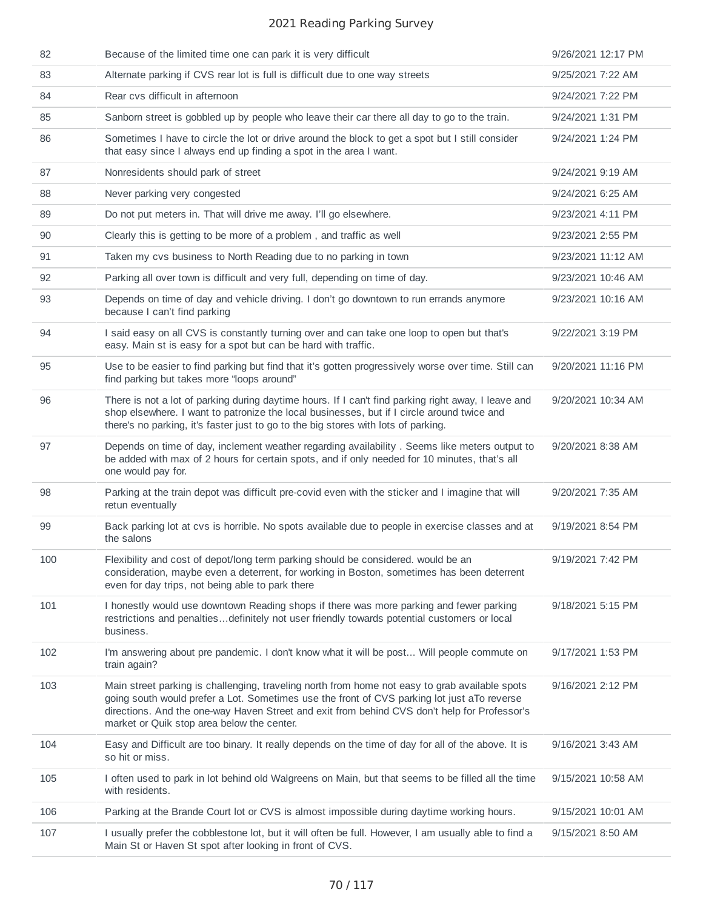| 82  | Because of the limited time one can park it is very difficult                                                                                                                                                                                                                                                                               | 9/26/2021 12:17 PM |
|-----|---------------------------------------------------------------------------------------------------------------------------------------------------------------------------------------------------------------------------------------------------------------------------------------------------------------------------------------------|--------------------|
| 83  | Alternate parking if CVS rear lot is full is difficult due to one way streets                                                                                                                                                                                                                                                               | 9/25/2021 7:22 AM  |
| 84  | Rear cvs difficult in afternoon                                                                                                                                                                                                                                                                                                             | 9/24/2021 7:22 PM  |
| 85  | Sanborn street is gobbled up by people who leave their car there all day to go to the train.                                                                                                                                                                                                                                                | 9/24/2021 1:31 PM  |
| 86  | Sometimes I have to circle the lot or drive around the block to get a spot but I still consider<br>that easy since I always end up finding a spot in the area I want.                                                                                                                                                                       | 9/24/2021 1:24 PM  |
| 87  | Nonresidents should park of street                                                                                                                                                                                                                                                                                                          | 9/24/2021 9:19 AM  |
| 88  | Never parking very congested                                                                                                                                                                                                                                                                                                                | 9/24/2021 6:25 AM  |
| 89  | Do not put meters in. That will drive me away. I'll go elsewhere.                                                                                                                                                                                                                                                                           | 9/23/2021 4:11 PM  |
| 90  | Clearly this is getting to be more of a problem, and traffic as well                                                                                                                                                                                                                                                                        | 9/23/2021 2:55 PM  |
| 91  | Taken my cvs business to North Reading due to no parking in town                                                                                                                                                                                                                                                                            | 9/23/2021 11:12 AM |
| 92  | Parking all over town is difficult and very full, depending on time of day.                                                                                                                                                                                                                                                                 | 9/23/2021 10:46 AM |
| 93  | Depends on time of day and vehicle driving. I don't go downtown to run errands anymore<br>because I can't find parking                                                                                                                                                                                                                      | 9/23/2021 10:16 AM |
| 94  | I said easy on all CVS is constantly turning over and can take one loop to open but that's<br>easy. Main st is easy for a spot but can be hard with traffic.                                                                                                                                                                                | 9/22/2021 3:19 PM  |
| 95  | Use to be easier to find parking but find that it's gotten progressively worse over time. Still can<br>find parking but takes more "loops around"                                                                                                                                                                                           | 9/20/2021 11:16 PM |
| 96  | There is not a lot of parking during daytime hours. If I can't find parking right away, I leave and<br>shop elsewhere. I want to patronize the local businesses, but if I circle around twice and<br>there's no parking, it's faster just to go to the big stores with lots of parking.                                                     | 9/20/2021 10:34 AM |
| 97  | Depends on time of day, inclement weather regarding availability . Seems like meters output to<br>be added with max of 2 hours for certain spots, and if only needed for 10 minutes, that's all<br>one would pay for.                                                                                                                       | 9/20/2021 8:38 AM  |
| 98  | Parking at the train depot was difficult pre-covid even with the sticker and I imagine that will<br>retun eventually                                                                                                                                                                                                                        | 9/20/2021 7:35 AM  |
| 99  | Back parking lot at cvs is horrible. No spots available due to people in exercise classes and at<br>the salons                                                                                                                                                                                                                              | 9/19/2021 8:54 PM  |
| 100 | Flexibility and cost of depot/long term parking should be considered. would be an<br>consideration, maybe even a deterrent, for working in Boston, sometimes has been deterrent<br>even for day trips, not being able to park there                                                                                                         | 9/19/2021 7:42 PM  |
| 101 | I honestly would use downtown Reading shops if there was more parking and fewer parking<br>restrictions and penaltiesdefinitely not user friendly towards potential customers or local<br>business.                                                                                                                                         | 9/18/2021 5:15 PM  |
| 102 | I'm answering about pre pandemic. I don't know what it will be post Will people commute on<br>train again?                                                                                                                                                                                                                                  | 9/17/2021 1:53 PM  |
| 103 | Main street parking is challenging, traveling north from home not easy to grab available spots<br>going south would prefer a Lot. Sometimes use the front of CVS parking lot just aTo reverse<br>directions. And the one-way Haven Street and exit from behind CVS don't help for Professor's<br>market or Quik stop area below the center. | 9/16/2021 2:12 PM  |
| 104 | Easy and Difficult are too binary. It really depends on the time of day for all of the above. It is<br>so hit or miss.                                                                                                                                                                                                                      | 9/16/2021 3:43 AM  |
| 105 | I often used to park in lot behind old Walgreens on Main, but that seems to be filled all the time<br>with residents.                                                                                                                                                                                                                       | 9/15/2021 10:58 AM |
| 106 | Parking at the Brande Court lot or CVS is almost impossible during daytime working hours.                                                                                                                                                                                                                                                   | 9/15/2021 10:01 AM |
| 107 | I usually prefer the cobblestone lot, but it will often be full. However, I am usually able to find a<br>Main St or Haven St spot after looking in front of CVS.                                                                                                                                                                            | 9/15/2021 8:50 AM  |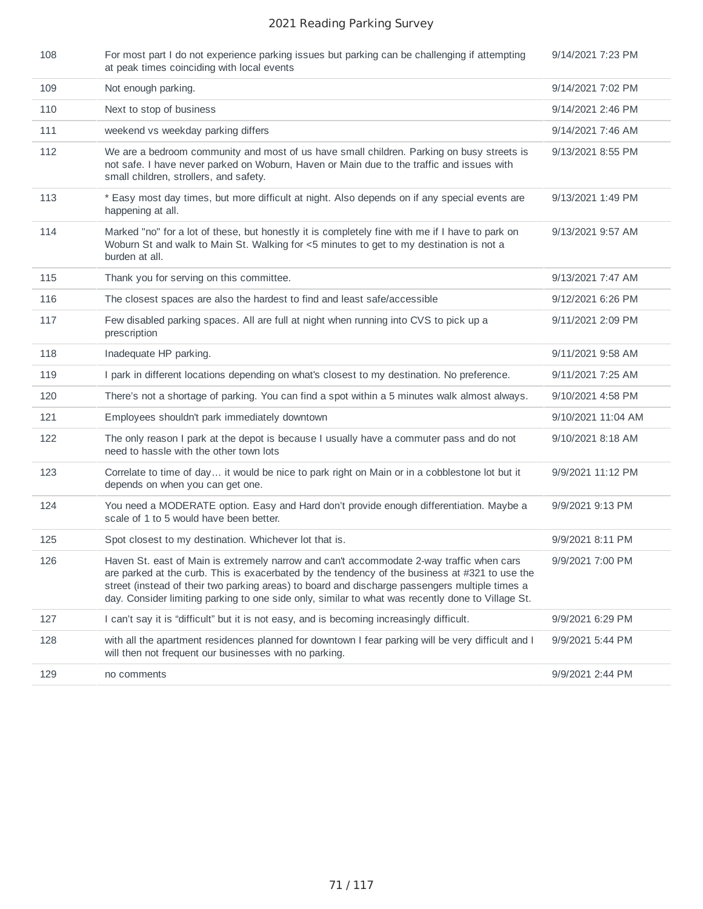| 108 | For most part I do not experience parking issues but parking can be challenging if attempting<br>at peak times coinciding with local events                                                                                                                                                                                                                                                       | 9/14/2021 7:23 PM  |
|-----|---------------------------------------------------------------------------------------------------------------------------------------------------------------------------------------------------------------------------------------------------------------------------------------------------------------------------------------------------------------------------------------------------|--------------------|
| 109 | Not enough parking.                                                                                                                                                                                                                                                                                                                                                                               | 9/14/2021 7:02 PM  |
| 110 | Next to stop of business                                                                                                                                                                                                                                                                                                                                                                          | 9/14/2021 2:46 PM  |
| 111 | weekend vs weekday parking differs                                                                                                                                                                                                                                                                                                                                                                | 9/14/2021 7:46 AM  |
| 112 | We are a bedroom community and most of us have small children. Parking on busy streets is<br>not safe. I have never parked on Woburn, Haven or Main due to the traffic and issues with<br>small children, strollers, and safety.                                                                                                                                                                  | 9/13/2021 8:55 PM  |
| 113 | * Easy most day times, but more difficult at night. Also depends on if any special events are<br>happening at all.                                                                                                                                                                                                                                                                                | 9/13/2021 1:49 PM  |
| 114 | Marked "no" for a lot of these, but honestly it is completely fine with me if I have to park on<br>Woburn St and walk to Main St. Walking for <5 minutes to get to my destination is not a<br>burden at all.                                                                                                                                                                                      | 9/13/2021 9:57 AM  |
| 115 | Thank you for serving on this committee.                                                                                                                                                                                                                                                                                                                                                          | 9/13/2021 7:47 AM  |
| 116 | The closest spaces are also the hardest to find and least safe/accessible                                                                                                                                                                                                                                                                                                                         | 9/12/2021 6:26 PM  |
| 117 | Few disabled parking spaces. All are full at night when running into CVS to pick up a<br>prescription                                                                                                                                                                                                                                                                                             | 9/11/2021 2:09 PM  |
| 118 | Inadequate HP parking.                                                                                                                                                                                                                                                                                                                                                                            | 9/11/2021 9:58 AM  |
| 119 | I park in different locations depending on what's closest to my destination. No preference.                                                                                                                                                                                                                                                                                                       | 9/11/2021 7:25 AM  |
| 120 | There's not a shortage of parking. You can find a spot within a 5 minutes walk almost always.                                                                                                                                                                                                                                                                                                     | 9/10/2021 4:58 PM  |
| 121 | Employees shouldn't park immediately downtown                                                                                                                                                                                                                                                                                                                                                     | 9/10/2021 11:04 AM |
| 122 | The only reason I park at the depot is because I usually have a commuter pass and do not<br>need to hassle with the other town lots                                                                                                                                                                                                                                                               | 9/10/2021 8:18 AM  |
| 123 | Correlate to time of day it would be nice to park right on Main or in a cobblestone lot but it<br>depends on when you can get one.                                                                                                                                                                                                                                                                | 9/9/2021 11:12 PM  |
| 124 | You need a MODERATE option. Easy and Hard don't provide enough differentiation. Maybe a<br>scale of 1 to 5 would have been better.                                                                                                                                                                                                                                                                | 9/9/2021 9:13 PM   |
| 125 | Spot closest to my destination. Whichever lot that is.                                                                                                                                                                                                                                                                                                                                            | 9/9/2021 8:11 PM   |
| 126 | Haven St. east of Main is extremely narrow and can't accommodate 2-way traffic when cars<br>are parked at the curb. This is exacerbated by the tendency of the business at #321 to use the<br>street (instead of their two parking areas) to board and discharge passengers multiple times a<br>day. Consider limiting parking to one side only, similar to what was recently done to Village St. | 9/9/2021 7:00 PM   |
| 127 | I can't say it is "difficult" but it is not easy, and is becoming increasingly difficult.                                                                                                                                                                                                                                                                                                         | 9/9/2021 6:29 PM   |
| 128 | with all the apartment residences planned for downtown I fear parking will be very difficult and I<br>will then not frequent our businesses with no parking.                                                                                                                                                                                                                                      | 9/9/2021 5:44 PM   |
| 129 | no comments                                                                                                                                                                                                                                                                                                                                                                                       | 9/9/2021 2:44 PM   |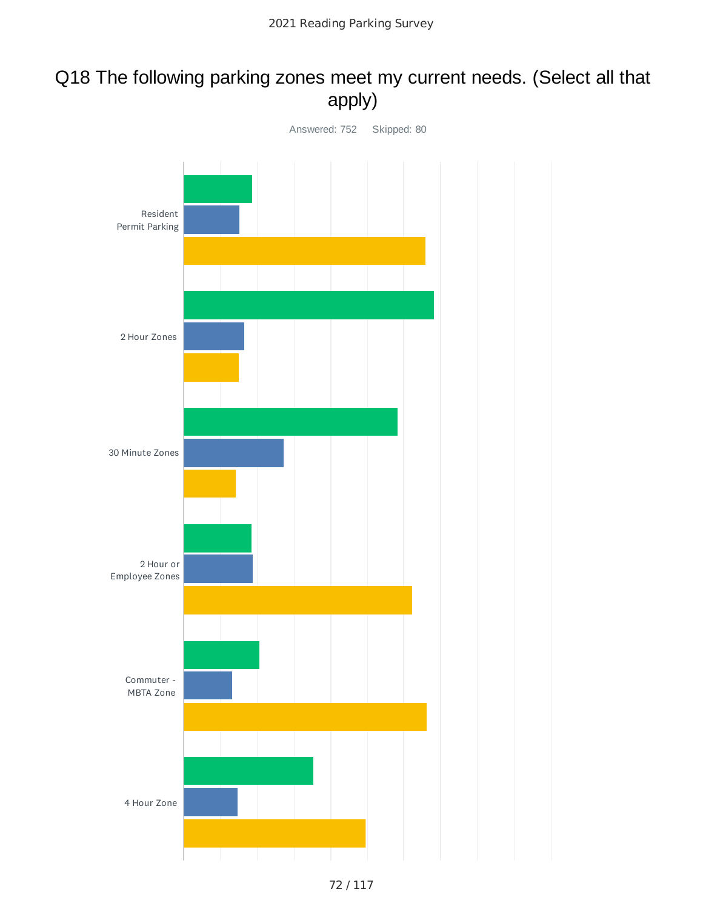# Q18 The following parking zones meet my current needs. (Select all that apply)

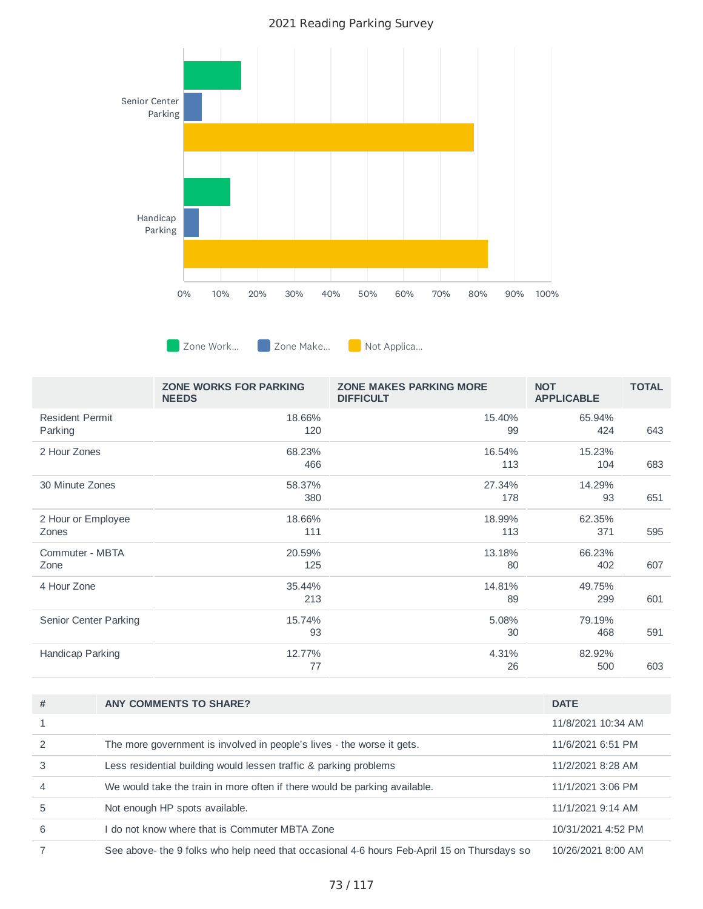

**Zone Work... Zone Make...** Not Applica...

|                                   | ZONE WORKS FOR PARKING<br><b>NEEDS</b> | <b>ZONE MAKES PARKING MORE</b><br><b>DIFFICULT</b> | <b>NOT</b><br><b>APPLICABLE</b> | <b>TOTAL</b> |
|-----------------------------------|----------------------------------------|----------------------------------------------------|---------------------------------|--------------|
| <b>Resident Permit</b><br>Parking | 18.66%<br>120                          | 15.40%<br>99                                       | 65.94%<br>424                   | 643          |
| 2 Hour Zones                      | 68.23%<br>466                          | 16.54%<br>113                                      | 15.23%<br>104                   | 683          |
| 30 Minute Zones                   | 58.37%<br>380                          | 27.34%<br>178                                      | 14.29%<br>93                    | 651          |
| 2 Hour or Employee<br>Zones       | 18.66%<br>111                          | 18.99%<br>113                                      | 62.35%<br>371                   | 595          |
| Commuter - MBTA<br>Zone           | 20.59%<br>125                          | 13.18%<br>80                                       | 66.23%<br>402                   | 607          |
| 4 Hour Zone                       | 35.44%<br>213                          | 14.81%<br>89                                       | 49.75%<br>299                   | 601          |
| Senior Center Parking             | 15.74%<br>93                           | 5.08%<br>30                                        | 79.19%<br>468                   | 591          |
| Handicap Parking                  | 12.77%<br>77                           | 4.31%<br>26                                        | 82.92%<br>500                   | 603          |

| # | <b>ANY COMMENTS TO SHARE?</b>                                                               | <b>DATE</b>        |
|---|---------------------------------------------------------------------------------------------|--------------------|
|   |                                                                                             | 11/8/2021 10:34 AM |
|   | The more government is involved in people's lives - the worse it gets.                      | 11/6/2021 6:51 PM  |
| 3 | Less residential building would lessen traffic & parking problems                           | 11/2/2021 8:28 AM  |
|   | We would take the train in more often if there would be parking available.                  | 11/1/2021 3:06 PM  |
| 5 | Not enough HP spots available.                                                              | 11/1/2021 9:14 AM  |
| 6 | do not know where that is Commuter MBTA Zone                                                | 10/31/2021 4:52 PM |
|   | See above- the 9 folks who help need that occasional 4-6 hours Feb-April 15 on Thursdays so | 10/26/2021 8:00 AM |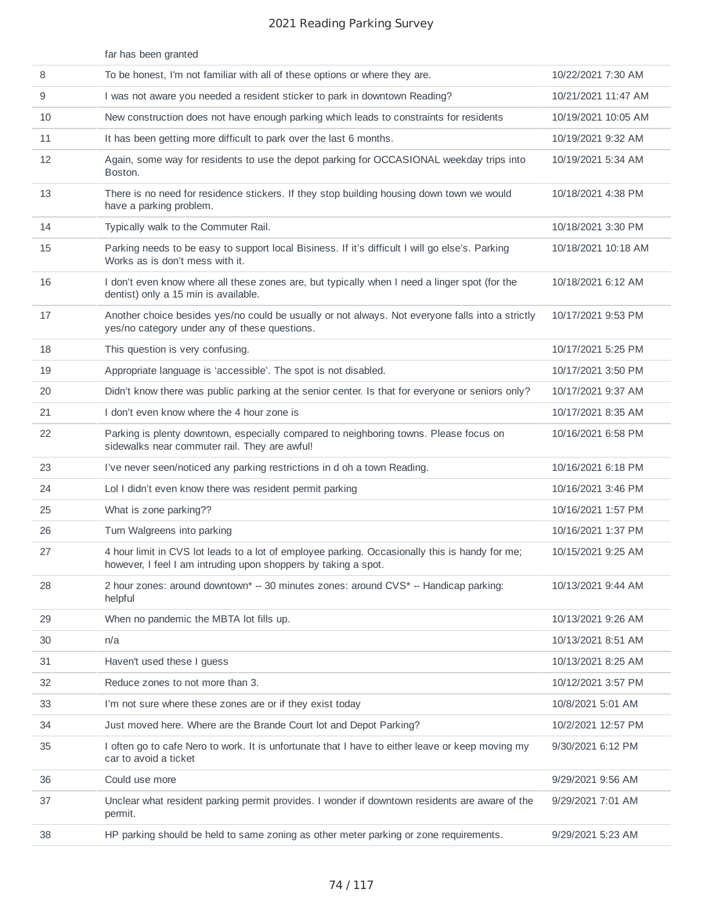|    | far has been granted                                                                                                                                             |                     |
|----|------------------------------------------------------------------------------------------------------------------------------------------------------------------|---------------------|
| 8  | To be honest, I'm not familiar with all of these options or where they are.                                                                                      | 10/22/2021 7:30 AM  |
| 9  | I was not aware you needed a resident sticker to park in downtown Reading?                                                                                       | 10/21/2021 11:47 AM |
| 10 | New construction does not have enough parking which leads to constraints for residents                                                                           | 10/19/2021 10:05 AM |
| 11 | It has been getting more difficult to park over the last 6 months.                                                                                               | 10/19/2021 9:32 AM  |
| 12 | Again, some way for residents to use the depot parking for OCCASIONAL weekday trips into<br>Boston.                                                              | 10/19/2021 5:34 AM  |
| 13 | There is no need for residence stickers. If they stop building housing down town we would<br>have a parking problem.                                             | 10/18/2021 4:38 PM  |
| 14 | Typically walk to the Commuter Rail.                                                                                                                             | 10/18/2021 3:30 PM  |
| 15 | Parking needs to be easy to support local Bisiness. If it's difficult I will go else's. Parking<br>Works as is don't mess with it.                               | 10/18/2021 10:18 AM |
| 16 | I don't even know where all these zones are, but typically when I need a linger spot (for the<br>dentist) only a 15 min is available.                            | 10/18/2021 6:12 AM  |
| 17 | Another choice besides yes/no could be usually or not always. Not everyone falls into a strictly<br>yes/no category under any of these questions.                | 10/17/2021 9:53 PM  |
| 18 | This question is very confusing.                                                                                                                                 | 10/17/2021 5:25 PM  |
| 19 | Appropriate language is 'accessible'. The spot is not disabled.                                                                                                  | 10/17/2021 3:50 PM  |
| 20 | Didn't know there was public parking at the senior center. Is that for everyone or seniors only?                                                                 | 10/17/2021 9:37 AM  |
| 21 | I don't even know where the 4 hour zone is                                                                                                                       | 10/17/2021 8:35 AM  |
| 22 | Parking is plenty downtown, especially compared to neighboring towns. Please focus on<br>sidewalks near commuter rail. They are awful!                           | 10/16/2021 6:58 PM  |
| 23 | I've never seen/noticed any parking restrictions in d oh a town Reading.                                                                                         | 10/16/2021 6:18 PM  |
| 24 | Lol I didn't even know there was resident permit parking                                                                                                         | 10/16/2021 3:46 PM  |
| 25 | What is zone parking??                                                                                                                                           | 10/16/2021 1:57 PM  |
| 26 | Turn Walgreens into parking                                                                                                                                      | 10/16/2021 1:37 PM  |
| 27 | 4 hour limit in CVS lot leads to a lot of employee parking. Occasionally this is handy for me;<br>however, I feel I am intruding upon shoppers by taking a spot. | 10/15/2021 9:25 AM  |
| 28 | 2 hour zones: around downtown* -- 30 minutes zones: around CVS* -- Handicap parking:<br>helpful                                                                  | 10/13/2021 9:44 AM  |
| 29 | When no pandemic the MBTA lot fills up.                                                                                                                          | 10/13/2021 9:26 AM  |
| 30 | n/a                                                                                                                                                              | 10/13/2021 8:51 AM  |
| 31 | Haven't used these I guess                                                                                                                                       | 10/13/2021 8:25 AM  |
| 32 | Reduce zones to not more than 3.                                                                                                                                 | 10/12/2021 3:57 PM  |
| 33 | I'm not sure where these zones are or if they exist today                                                                                                        | 10/8/2021 5:01 AM   |
| 34 | Just moved here. Where are the Brande Court lot and Depot Parking?                                                                                               | 10/2/2021 12:57 PM  |
| 35 | I often go to cafe Nero to work. It is unfortunate that I have to either leave or keep moving my<br>car to avoid a ticket                                        | 9/30/2021 6:12 PM   |
| 36 | Could use more                                                                                                                                                   | 9/29/2021 9:56 AM   |
| 37 | Unclear what resident parking permit provides. I wonder if downtown residents are aware of the<br>permit.                                                        | 9/29/2021 7:01 AM   |
| 38 | HP parking should be held to same zoning as other meter parking or zone requirements.                                                                            | 9/29/2021 5:23 AM   |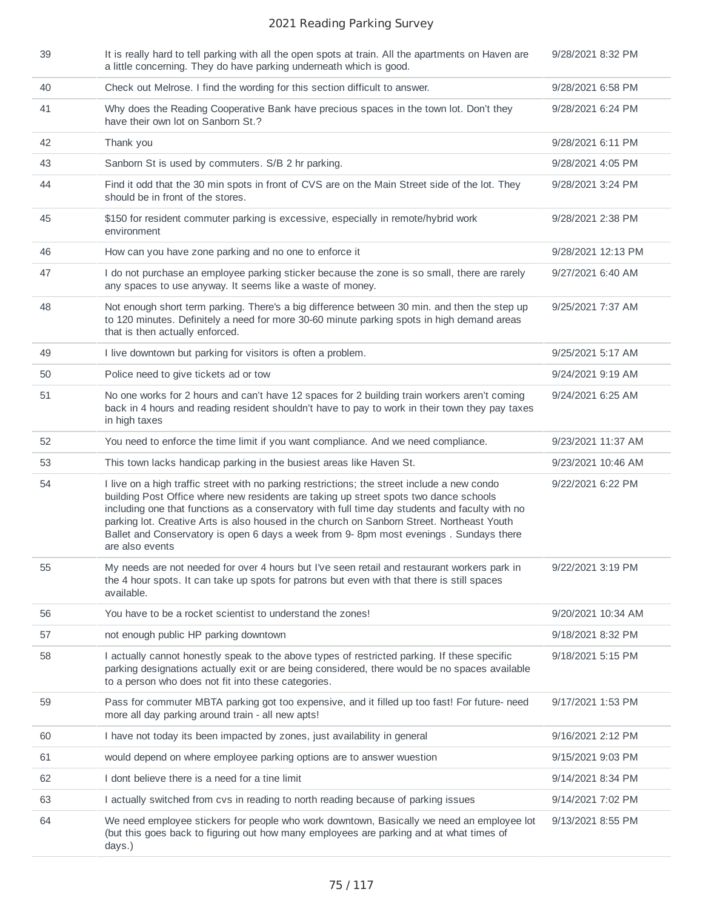| 39 | It is really hard to tell parking with all the open spots at train. All the apartments on Haven are<br>a little concerning. They do have parking underneath which is good.                                                                                                                                                                                                                                                                                                                        | 9/28/2021 8:32 PM  |
|----|---------------------------------------------------------------------------------------------------------------------------------------------------------------------------------------------------------------------------------------------------------------------------------------------------------------------------------------------------------------------------------------------------------------------------------------------------------------------------------------------------|--------------------|
| 40 | Check out Melrose. I find the wording for this section difficult to answer.                                                                                                                                                                                                                                                                                                                                                                                                                       | 9/28/2021 6:58 PM  |
| 41 | Why does the Reading Cooperative Bank have precious spaces in the town lot. Don't they<br>have their own lot on Sanborn St.?                                                                                                                                                                                                                                                                                                                                                                      | 9/28/2021 6:24 PM  |
| 42 | Thank you                                                                                                                                                                                                                                                                                                                                                                                                                                                                                         | 9/28/2021 6:11 PM  |
| 43 | Sanborn St is used by commuters. S/B 2 hr parking.                                                                                                                                                                                                                                                                                                                                                                                                                                                | 9/28/2021 4:05 PM  |
| 44 | Find it odd that the 30 min spots in front of CVS are on the Main Street side of the lot. They<br>should be in front of the stores.                                                                                                                                                                                                                                                                                                                                                               | 9/28/2021 3:24 PM  |
| 45 | \$150 for resident commuter parking is excessive, especially in remote/hybrid work<br>environment                                                                                                                                                                                                                                                                                                                                                                                                 | 9/28/2021 2:38 PM  |
| 46 | How can you have zone parking and no one to enforce it                                                                                                                                                                                                                                                                                                                                                                                                                                            | 9/28/2021 12:13 PM |
| 47 | I do not purchase an employee parking sticker because the zone is so small, there are rarely<br>any spaces to use anyway. It seems like a waste of money.                                                                                                                                                                                                                                                                                                                                         | 9/27/2021 6:40 AM  |
| 48 | Not enough short term parking. There's a big difference between 30 min. and then the step up<br>to 120 minutes. Definitely a need for more 30-60 minute parking spots in high demand areas<br>that is then actually enforced.                                                                                                                                                                                                                                                                     | 9/25/2021 7:37 AM  |
| 49 | I live downtown but parking for visitors is often a problem.                                                                                                                                                                                                                                                                                                                                                                                                                                      | 9/25/2021 5:17 AM  |
| 50 | Police need to give tickets ad or tow                                                                                                                                                                                                                                                                                                                                                                                                                                                             | 9/24/2021 9:19 AM  |
| 51 | No one works for 2 hours and can't have 12 spaces for 2 building train workers aren't coming<br>back in 4 hours and reading resident shouldn't have to pay to work in their town they pay taxes<br>in high taxes                                                                                                                                                                                                                                                                                  | 9/24/2021 6:25 AM  |
| 52 | You need to enforce the time limit if you want compliance. And we need compliance.                                                                                                                                                                                                                                                                                                                                                                                                                | 9/23/2021 11:37 AM |
| 53 | This town lacks handicap parking in the busiest areas like Haven St.                                                                                                                                                                                                                                                                                                                                                                                                                              | 9/23/2021 10:46 AM |
| 54 | I live on a high traffic street with no parking restrictions; the street include a new condo<br>building Post Office where new residents are taking up street spots two dance schools<br>including one that functions as a conservatory with full time day students and faculty with no<br>parking lot. Creative Arts is also housed in the church on Sanborn Street. Northeast Youth<br>Ballet and Conservatory is open 6 days a week from 9-8pm most evenings. Sundays there<br>are also events | 9/22/2021 6:22 PM  |
| 55 | My needs are not needed for over 4 hours but I've seen retail and restaurant workers park in<br>the 4 hour spots. It can take up spots for patrons but even with that there is still spaces<br>available.                                                                                                                                                                                                                                                                                         | 9/22/2021 3:19 PM  |
| 56 | You have to be a rocket scientist to understand the zones!                                                                                                                                                                                                                                                                                                                                                                                                                                        | 9/20/2021 10:34 AM |
| 57 | not enough public HP parking downtown                                                                                                                                                                                                                                                                                                                                                                                                                                                             | 9/18/2021 8:32 PM  |
| 58 | I actually cannot honestly speak to the above types of restricted parking. If these specific<br>parking designations actually exit or are being considered, there would be no spaces available<br>to a person who does not fit into these categories.                                                                                                                                                                                                                                             | 9/18/2021 5:15 PM  |
| 59 | Pass for commuter MBTA parking got too expensive, and it filled up too fast! For future- need<br>more all day parking around train - all new apts!                                                                                                                                                                                                                                                                                                                                                | 9/17/2021 1:53 PM  |
| 60 | I have not today its been impacted by zones, just availability in general                                                                                                                                                                                                                                                                                                                                                                                                                         | 9/16/2021 2:12 PM  |
| 61 | would depend on where employee parking options are to answer wuestion                                                                                                                                                                                                                                                                                                                                                                                                                             | 9/15/2021 9:03 PM  |
| 62 | I dont believe there is a need for a tine limit                                                                                                                                                                                                                                                                                                                                                                                                                                                   | 9/14/2021 8:34 PM  |
| 63 | I actually switched from cvs in reading to north reading because of parking issues                                                                                                                                                                                                                                                                                                                                                                                                                | 9/14/2021 7:02 PM  |
| 64 | We need employee stickers for people who work downtown, Basically we need an employee lot<br>(but this goes back to figuring out how many employees are parking and at what times of<br>days.)                                                                                                                                                                                                                                                                                                    | 9/13/2021 8:55 PM  |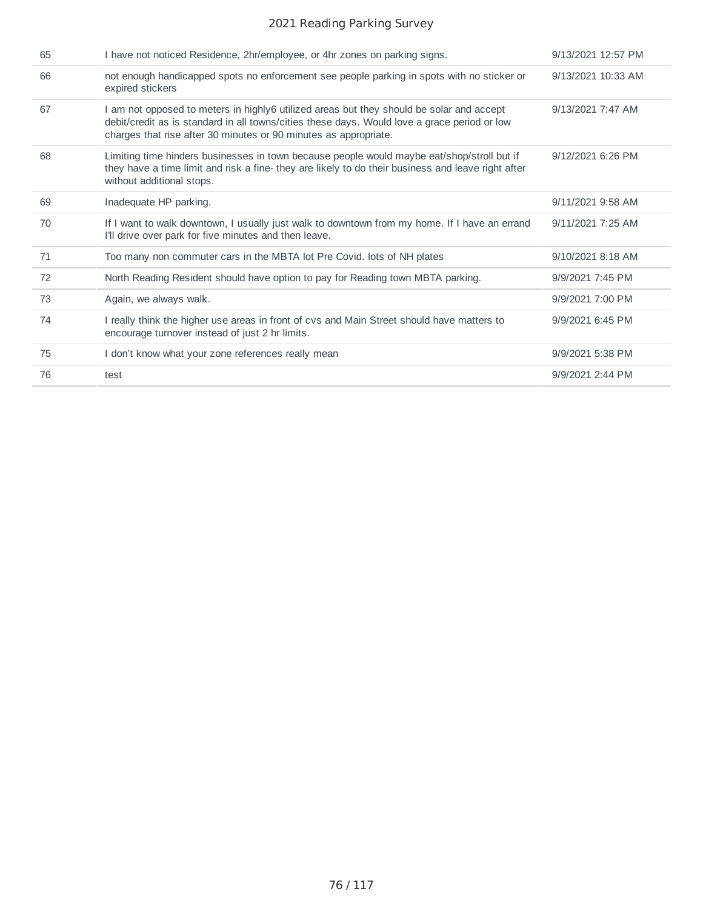| 65 | I have not noticed Residence, 2hr/employee, or 4hr zones on parking signs.                                                                                                                                                                                   | 9/13/2021 12:57 PM |
|----|--------------------------------------------------------------------------------------------------------------------------------------------------------------------------------------------------------------------------------------------------------------|--------------------|
| 66 | not enough handicapped spots no enforcement see people parking in spots with no sticker or<br>expired stickers                                                                                                                                               | 9/13/2021 10:33 AM |
| 67 | I am not opposed to meters in highly6 utilized areas but they should be solar and accept<br>debit/credit as is standard in all towns/cities these days. Would love a grace period or low<br>charges that rise after 30 minutes or 90 minutes as appropriate. | 9/13/2021 7:47 AM  |
| 68 | Limiting time hinders businesses in town because people would maybe eat/shop/stroll but if<br>they have a time limit and risk a fine- they are likely to do their business and leave right after<br>without additional stops.                                | 9/12/2021 6:26 PM  |
| 69 | Inadequate HP parking.                                                                                                                                                                                                                                       | 9/11/2021 9:58 AM  |
| 70 | If I want to walk downtown, I usually just walk to downtown from my home. If I have an errand<br>I'll drive over park for five minutes and then leave.                                                                                                       | 9/11/2021 7:25 AM  |
| 71 | Too many non commuter cars in the MBTA lot Pre Covid. lots of NH plates                                                                                                                                                                                      | 9/10/2021 8:18 AM  |
| 72 | North Reading Resident should have option to pay for Reading town MBTA parking.                                                                                                                                                                              | 9/9/2021 7:45 PM   |
| 73 | Again, we always walk.                                                                                                                                                                                                                                       | 9/9/2021 7:00 PM   |
| 74 | I really think the higher use areas in front of cvs and Main Street should have matters to<br>encourage turnover instead of just 2 hr limits.                                                                                                                | 9/9/2021 6:45 PM   |
| 75 | I don't know what your zone references really mean                                                                                                                                                                                                           | 9/9/2021 5:38 PM   |
| 76 | test                                                                                                                                                                                                                                                         | 9/9/2021 2:44 PM   |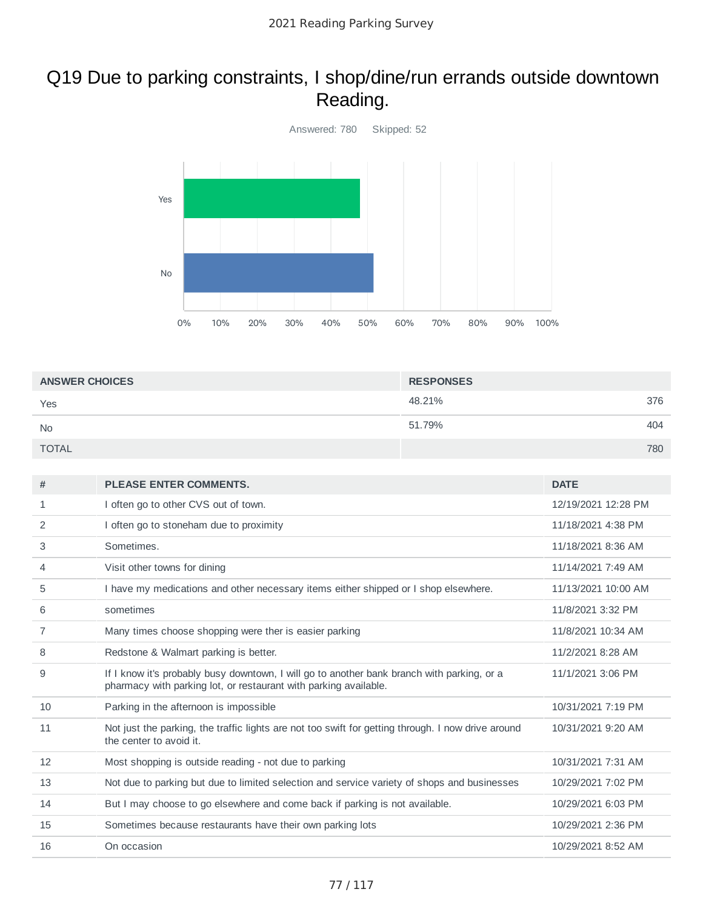# Q19 Due to parking constraints, I shop/dine/run errands outside downtown Reading.



| <b>ANSWER CHOICES</b> | <b>RESPONSES</b> |     |
|-----------------------|------------------|-----|
| Yes                   | 48.21%           | 376 |
| <b>No</b>             | 51.79%           | 404 |
| <b>TOTAL</b>          |                  | 780 |

| #  | <b>PLEASE ENTER COMMENTS.</b>                                                                                                                                  | <b>DATE</b>         |
|----|----------------------------------------------------------------------------------------------------------------------------------------------------------------|---------------------|
| 1  | I often go to other CVS out of town.                                                                                                                           | 12/19/2021 12:28 PM |
| 2  | I often go to stoneham due to proximity                                                                                                                        | 11/18/2021 4:38 PM  |
| 3  | Sometimes.                                                                                                                                                     | 11/18/2021 8:36 AM  |
| 4  | Visit other towns for dining                                                                                                                                   | 11/14/2021 7:49 AM  |
| 5  | I have my medications and other necessary items either shipped or I shop elsewhere.                                                                            | 11/13/2021 10:00 AM |
| 6  | sometimes                                                                                                                                                      | 11/8/2021 3:32 PM   |
| 7  | Many times choose shopping were ther is easier parking                                                                                                         | 11/8/2021 10:34 AM  |
| 8  | Redstone & Walmart parking is better.                                                                                                                          | 11/2/2021 8:28 AM   |
| 9  | If I know it's probably busy downtown, I will go to another bank branch with parking, or a<br>pharmacy with parking lot, or restaurant with parking available. | 11/1/2021 3:06 PM   |
| 10 | Parking in the afternoon is impossible                                                                                                                         | 10/31/2021 7:19 PM  |
| 11 | Not just the parking, the traffic lights are not too swift for getting through. I now drive around<br>the center to avoid it.                                  | 10/31/2021 9:20 AM  |
| 12 | Most shopping is outside reading - not due to parking                                                                                                          | 10/31/2021 7:31 AM  |
| 13 | Not due to parking but due to limited selection and service variety of shops and businesses                                                                    | 10/29/2021 7:02 PM  |
| 14 | But I may choose to go elsewhere and come back if parking is not available.                                                                                    | 10/29/2021 6:03 PM  |
| 15 | Sometimes because restaurants have their own parking lots                                                                                                      | 10/29/2021 2:36 PM  |
| 16 | On occasion                                                                                                                                                    | 10/29/2021 8:52 AM  |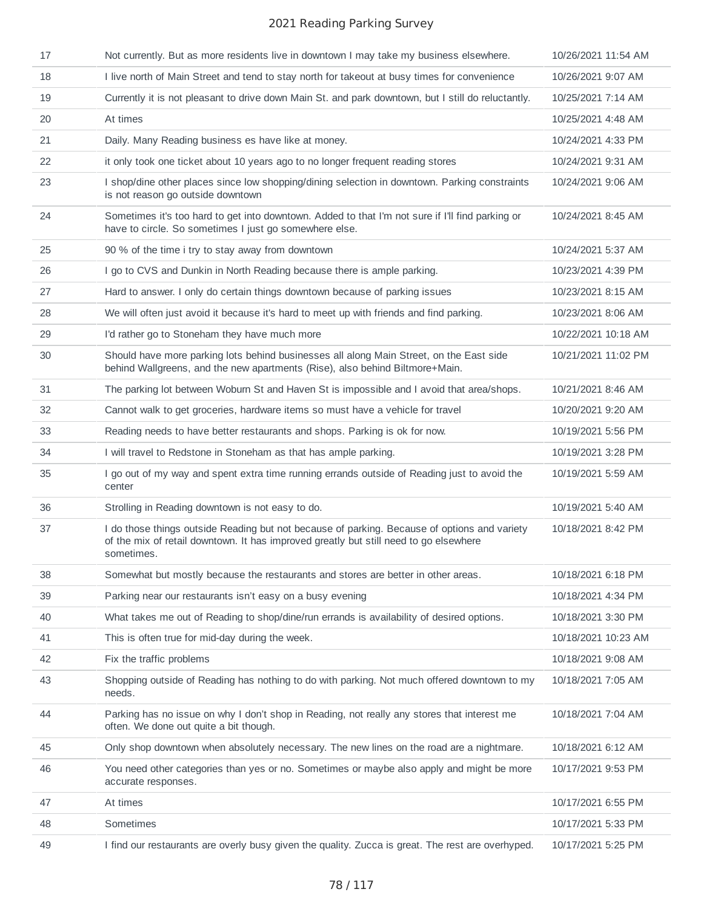| 17 | Not currently. But as more residents live in downtown I may take my business elsewhere.                                                                                                             | 10/26/2021 11:54 AM |
|----|-----------------------------------------------------------------------------------------------------------------------------------------------------------------------------------------------------|---------------------|
| 18 | I live north of Main Street and tend to stay north for takeout at busy times for convenience                                                                                                        | 10/26/2021 9:07 AM  |
| 19 | Currently it is not pleasant to drive down Main St. and park downtown, but I still do reluctantly.                                                                                                  | 10/25/2021 7:14 AM  |
| 20 | At times                                                                                                                                                                                            | 10/25/2021 4:48 AM  |
| 21 | Daily. Many Reading business es have like at money.                                                                                                                                                 | 10/24/2021 4:33 PM  |
| 22 | it only took one ticket about 10 years ago to no longer frequent reading stores                                                                                                                     | 10/24/2021 9:31 AM  |
| 23 | I shop/dine other places since low shopping/dining selection in downtown. Parking constraints<br>is not reason go outside downtown                                                                  | 10/24/2021 9:06 AM  |
| 24 | Sometimes it's too hard to get into downtown. Added to that I'm not sure if I'll find parking or<br>have to circle. So sometimes I just go somewhere else.                                          | 10/24/2021 8:45 AM  |
| 25 | 90 % of the time i try to stay away from downtown                                                                                                                                                   | 10/24/2021 5:37 AM  |
| 26 | I go to CVS and Dunkin in North Reading because there is ample parking.                                                                                                                             | 10/23/2021 4:39 PM  |
| 27 | Hard to answer. I only do certain things downtown because of parking issues                                                                                                                         | 10/23/2021 8:15 AM  |
| 28 | We will often just avoid it because it's hard to meet up with friends and find parking.                                                                                                             | 10/23/2021 8:06 AM  |
| 29 | I'd rather go to Stoneham they have much more                                                                                                                                                       | 10/22/2021 10:18 AM |
| 30 | Should have more parking lots behind businesses all along Main Street, on the East side<br>behind Wallgreens, and the new apartments (Rise), also behind Biltmore+Main.                             | 10/21/2021 11:02 PM |
| 31 | The parking lot between Woburn St and Haven St is impossible and I avoid that area/shops.                                                                                                           | 10/21/2021 8:46 AM  |
| 32 | Cannot walk to get groceries, hardware items so must have a vehicle for travel                                                                                                                      | 10/20/2021 9:20 AM  |
| 33 | Reading needs to have better restaurants and shops. Parking is ok for now.                                                                                                                          | 10/19/2021 5:56 PM  |
| 34 | I will travel to Redstone in Stoneham as that has ample parking.                                                                                                                                    | 10/19/2021 3:28 PM  |
| 35 | I go out of my way and spent extra time running errands outside of Reading just to avoid the<br>center                                                                                              | 10/19/2021 5:59 AM  |
| 36 | Strolling in Reading downtown is not easy to do.                                                                                                                                                    | 10/19/2021 5:40 AM  |
| 37 | I do those things outside Reading but not because of parking. Because of options and variety<br>of the mix of retail downtown. It has improved greatly but still need to go elsewhere<br>sometimes. | 10/18/2021 8:42 PM  |
| 38 | Somewhat but mostly because the restaurants and stores are better in other areas.                                                                                                                   | 10/18/2021 6:18 PM  |
| 39 | Parking near our restaurants isn't easy on a busy evening                                                                                                                                           | 10/18/2021 4:34 PM  |
| 40 | What takes me out of Reading to shop/dine/run errands is availability of desired options.                                                                                                           | 10/18/2021 3:30 PM  |
| 41 | This is often true for mid-day during the week.                                                                                                                                                     | 10/18/2021 10:23 AM |
| 42 | Fix the traffic problems                                                                                                                                                                            | 10/18/2021 9:08 AM  |
| 43 | Shopping outside of Reading has nothing to do with parking. Not much offered downtown to my<br>needs.                                                                                               | 10/18/2021 7:05 AM  |
| 44 | Parking has no issue on why I don't shop in Reading, not really any stores that interest me<br>often. We done out quite a bit though.                                                               | 10/18/2021 7:04 AM  |
| 45 | Only shop downtown when absolutely necessary. The new lines on the road are a nightmare.                                                                                                            | 10/18/2021 6:12 AM  |
| 46 | You need other categories than yes or no. Sometimes or maybe also apply and might be more<br>accurate responses.                                                                                    | 10/17/2021 9:53 PM  |
| 47 | At times                                                                                                                                                                                            | 10/17/2021 6:55 PM  |
| 48 | Sometimes                                                                                                                                                                                           | 10/17/2021 5:33 PM  |
| 49 | I find our restaurants are overly busy given the quality. Zucca is great. The rest are overhyped.                                                                                                   | 10/17/2021 5:25 PM  |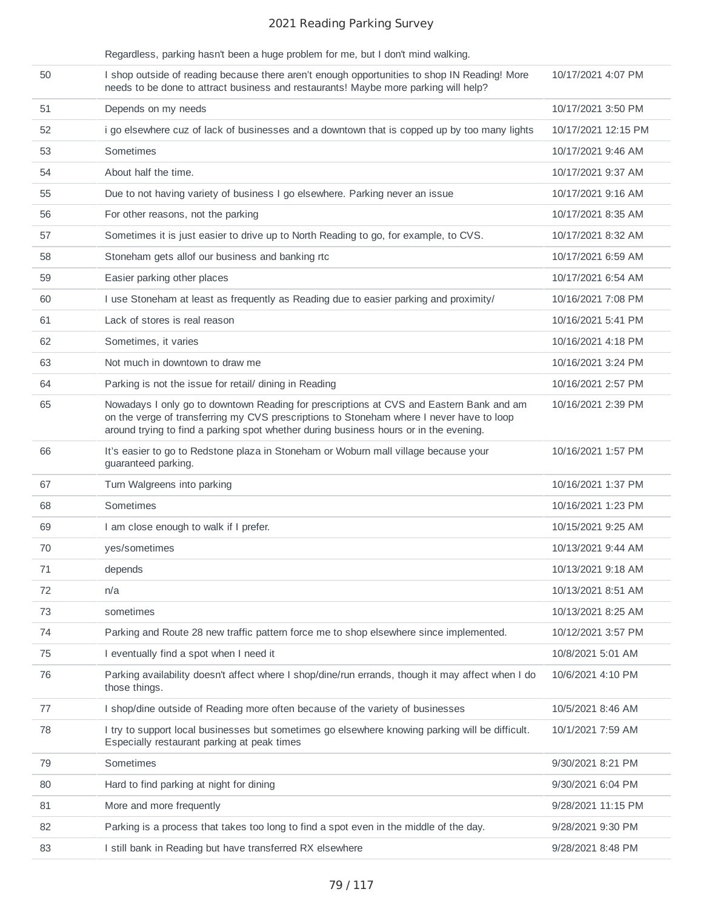|    | Regardless, parking hasn't been a huge problem for me, but I don't mind walking.                                                                                                                                                                                             |                     |
|----|------------------------------------------------------------------------------------------------------------------------------------------------------------------------------------------------------------------------------------------------------------------------------|---------------------|
| 50 | I shop outside of reading because there aren't enough opportunities to shop IN Reading! More<br>needs to be done to attract business and restaurants! Maybe more parking will help?                                                                                          | 10/17/2021 4:07 PM  |
| 51 | Depends on my needs                                                                                                                                                                                                                                                          | 10/17/2021 3:50 PM  |
| 52 | i go elsewhere cuz of lack of businesses and a downtown that is copped up by too many lights                                                                                                                                                                                 | 10/17/2021 12:15 PM |
| 53 | Sometimes                                                                                                                                                                                                                                                                    | 10/17/2021 9:46 AM  |
| 54 | About half the time.                                                                                                                                                                                                                                                         | 10/17/2021 9:37 AM  |
| 55 | Due to not having variety of business I go elsewhere. Parking never an issue                                                                                                                                                                                                 | 10/17/2021 9:16 AM  |
| 56 | For other reasons, not the parking                                                                                                                                                                                                                                           | 10/17/2021 8:35 AM  |
| 57 | Sometimes it is just easier to drive up to North Reading to go, for example, to CVS.                                                                                                                                                                                         | 10/17/2021 8:32 AM  |
| 58 | Stoneham gets allof our business and banking rtc                                                                                                                                                                                                                             | 10/17/2021 6:59 AM  |
| 59 | Easier parking other places                                                                                                                                                                                                                                                  | 10/17/2021 6:54 AM  |
| 60 | I use Stoneham at least as frequently as Reading due to easier parking and proximity/                                                                                                                                                                                        | 10/16/2021 7:08 PM  |
| 61 | Lack of stores is real reason                                                                                                                                                                                                                                                | 10/16/2021 5:41 PM  |
| 62 | Sometimes, it varies                                                                                                                                                                                                                                                         | 10/16/2021 4:18 PM  |
| 63 | Not much in downtown to draw me                                                                                                                                                                                                                                              | 10/16/2021 3:24 PM  |
| 64 | Parking is not the issue for retail/ dining in Reading                                                                                                                                                                                                                       | 10/16/2021 2:57 PM  |
| 65 | Nowadays I only go to downtown Reading for prescriptions at CVS and Eastern Bank and am<br>on the verge of transferring my CVS prescriptions to Stoneham where I never have to loop<br>around trying to find a parking spot whether during business hours or in the evening. | 10/16/2021 2:39 PM  |
| 66 | It's easier to go to Redstone plaza in Stoneham or Woburn mall village because your<br>guaranteed parking.                                                                                                                                                                   | 10/16/2021 1:57 PM  |
| 67 | Turn Walgreens into parking                                                                                                                                                                                                                                                  | 10/16/2021 1:37 PM  |
| 68 | Sometimes                                                                                                                                                                                                                                                                    | 10/16/2021 1:23 PM  |
| 69 | I am close enough to walk if I prefer.                                                                                                                                                                                                                                       | 10/15/2021 9:25 AM  |
| 70 | yes/sometimes                                                                                                                                                                                                                                                                | 10/13/2021 9:44 AM  |
| 71 | depends                                                                                                                                                                                                                                                                      | 10/13/2021 9:18 AM  |
| 72 | n/a                                                                                                                                                                                                                                                                          | 10/13/2021 8:51 AM  |
| 73 | sometimes                                                                                                                                                                                                                                                                    | 10/13/2021 8:25 AM  |
| 74 | Parking and Route 28 new traffic pattern force me to shop elsewhere since implemented.                                                                                                                                                                                       | 10/12/2021 3:57 PM  |
| 75 | I eventually find a spot when I need it                                                                                                                                                                                                                                      | 10/8/2021 5:01 AM   |
| 76 | Parking availability doesn't affect where I shop/dine/run errands, though it may affect when I do<br>those things.                                                                                                                                                           | 10/6/2021 4:10 PM   |
| 77 | I shop/dine outside of Reading more often because of the variety of businesses                                                                                                                                                                                               | 10/5/2021 8:46 AM   |
| 78 | I try to support local businesses but sometimes go elsewhere knowing parking will be difficult.<br>Especially restaurant parking at peak times                                                                                                                               | 10/1/2021 7:59 AM   |
| 79 | Sometimes                                                                                                                                                                                                                                                                    | 9/30/2021 8:21 PM   |
| 80 | Hard to find parking at night for dining                                                                                                                                                                                                                                     | 9/30/2021 6:04 PM   |
| 81 | More and more frequently                                                                                                                                                                                                                                                     | 9/28/2021 11:15 PM  |
| 82 | Parking is a process that takes too long to find a spot even in the middle of the day.                                                                                                                                                                                       | 9/28/2021 9:30 PM   |
| 83 | I still bank in Reading but have transferred RX elsewhere                                                                                                                                                                                                                    | 9/28/2021 8:48 PM   |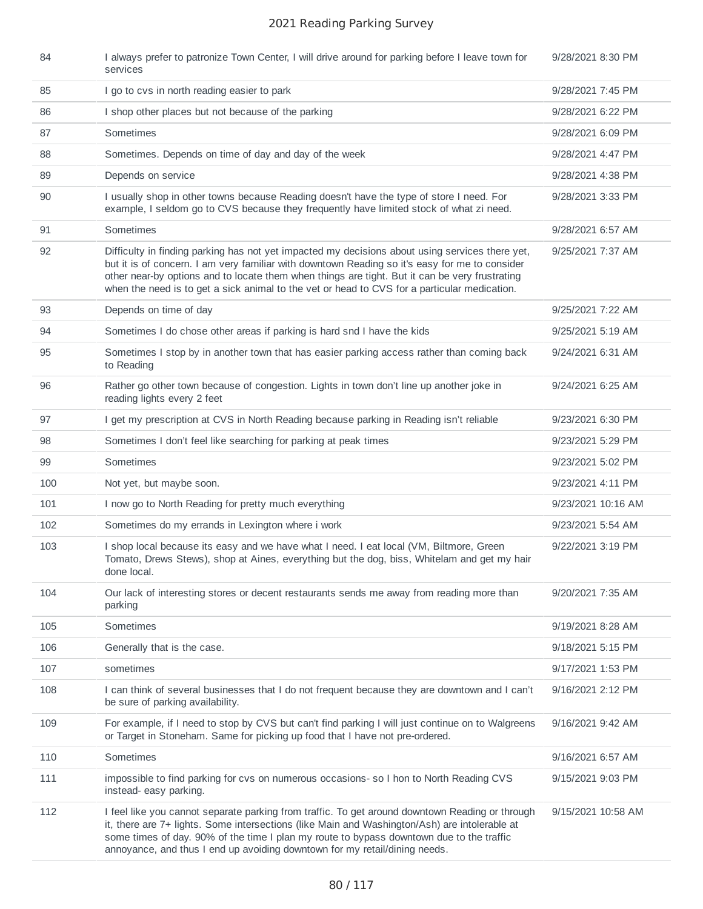| 84  | I always prefer to patronize Town Center, I will drive around for parking before I leave town for<br>services                                                                                                                                                                                                                                                                                       | 9/28/2021 8:30 PM  |
|-----|-----------------------------------------------------------------------------------------------------------------------------------------------------------------------------------------------------------------------------------------------------------------------------------------------------------------------------------------------------------------------------------------------------|--------------------|
| 85  | I go to cvs in north reading easier to park                                                                                                                                                                                                                                                                                                                                                         | 9/28/2021 7:45 PM  |
| 86  | I shop other places but not because of the parking                                                                                                                                                                                                                                                                                                                                                  | 9/28/2021 6:22 PM  |
| 87  | Sometimes                                                                                                                                                                                                                                                                                                                                                                                           | 9/28/2021 6:09 PM  |
| 88  | Sometimes. Depends on time of day and day of the week                                                                                                                                                                                                                                                                                                                                               | 9/28/2021 4:47 PM  |
| 89  | Depends on service                                                                                                                                                                                                                                                                                                                                                                                  | 9/28/2021 4:38 PM  |
| 90  | I usually shop in other towns because Reading doesn't have the type of store I need. For<br>example, I seldom go to CVS because they frequently have limited stock of what zi need.                                                                                                                                                                                                                 | 9/28/2021 3:33 PM  |
| 91  | Sometimes                                                                                                                                                                                                                                                                                                                                                                                           | 9/28/2021 6:57 AM  |
| 92  | Difficulty in finding parking has not yet impacted my decisions about using services there yet,<br>but it is of concern. I am very familiar with downtown Reading so it's easy for me to consider<br>other near-by options and to locate them when things are tight. But it can be very frustrating<br>when the need is to get a sick animal to the vet or head to CVS for a particular medication. | 9/25/2021 7:37 AM  |
| 93  | Depends on time of day                                                                                                                                                                                                                                                                                                                                                                              | 9/25/2021 7:22 AM  |
| 94  | Sometimes I do chose other areas if parking is hard snd I have the kids                                                                                                                                                                                                                                                                                                                             | 9/25/2021 5:19 AM  |
| 95  | Sometimes I stop by in another town that has easier parking access rather than coming back<br>to Reading                                                                                                                                                                                                                                                                                            | 9/24/2021 6:31 AM  |
| 96  | Rather go other town because of congestion. Lights in town don't line up another joke in<br>reading lights every 2 feet                                                                                                                                                                                                                                                                             | 9/24/2021 6:25 AM  |
| 97  | I get my prescription at CVS in North Reading because parking in Reading isn't reliable                                                                                                                                                                                                                                                                                                             | 9/23/2021 6:30 PM  |
| 98  | Sometimes I don't feel like searching for parking at peak times                                                                                                                                                                                                                                                                                                                                     | 9/23/2021 5:29 PM  |
| 99  | Sometimes                                                                                                                                                                                                                                                                                                                                                                                           | 9/23/2021 5:02 PM  |
| 100 | Not yet, but maybe soon.                                                                                                                                                                                                                                                                                                                                                                            | 9/23/2021 4:11 PM  |
| 101 | I now go to North Reading for pretty much everything                                                                                                                                                                                                                                                                                                                                                | 9/23/2021 10:16 AM |
| 102 | Sometimes do my errands in Lexington where i work                                                                                                                                                                                                                                                                                                                                                   | 9/23/2021 5:54 AM  |
| 103 | I shop local because its easy and we have what I need. I eat local (VM, Biltmore, Green<br>Tomato, Drews Stews), shop at Aines, everything but the dog, biss, Whitelam and get my hair<br>done local.                                                                                                                                                                                               | 9/22/2021 3:19 PM  |
| 104 | Our lack of interesting stores or decent restaurants sends me away from reading more than<br>parking                                                                                                                                                                                                                                                                                                | 9/20/2021 7:35 AM  |
| 105 | Sometimes                                                                                                                                                                                                                                                                                                                                                                                           | 9/19/2021 8:28 AM  |
| 106 | Generally that is the case.                                                                                                                                                                                                                                                                                                                                                                         | 9/18/2021 5:15 PM  |
| 107 | sometimes                                                                                                                                                                                                                                                                                                                                                                                           | 9/17/2021 1:53 PM  |
| 108 | I can think of several businesses that I do not frequent because they are downtown and I can't<br>be sure of parking availability.                                                                                                                                                                                                                                                                  | 9/16/2021 2:12 PM  |
| 109 | For example, if I need to stop by CVS but can't find parking I will just continue on to Walgreens<br>or Target in Stoneham. Same for picking up food that I have not pre-ordered.                                                                                                                                                                                                                   | 9/16/2021 9:42 AM  |
| 110 | Sometimes                                                                                                                                                                                                                                                                                                                                                                                           | 9/16/2021 6:57 AM  |
| 111 | impossible to find parking for cvs on numerous occasions-so I hon to North Reading CVS<br>instead- easy parking.                                                                                                                                                                                                                                                                                    | 9/15/2021 9:03 PM  |
| 112 | I feel like you cannot separate parking from traffic. To get around downtown Reading or through<br>it, there are 7+ lights. Some intersections (like Main and Washington/Ash) are intolerable at<br>some times of day. 90% of the time I plan my route to bypass downtown due to the traffic<br>annoyance, and thus I end up avoiding downtown for my retail/dining needs.                          | 9/15/2021 10:58 AM |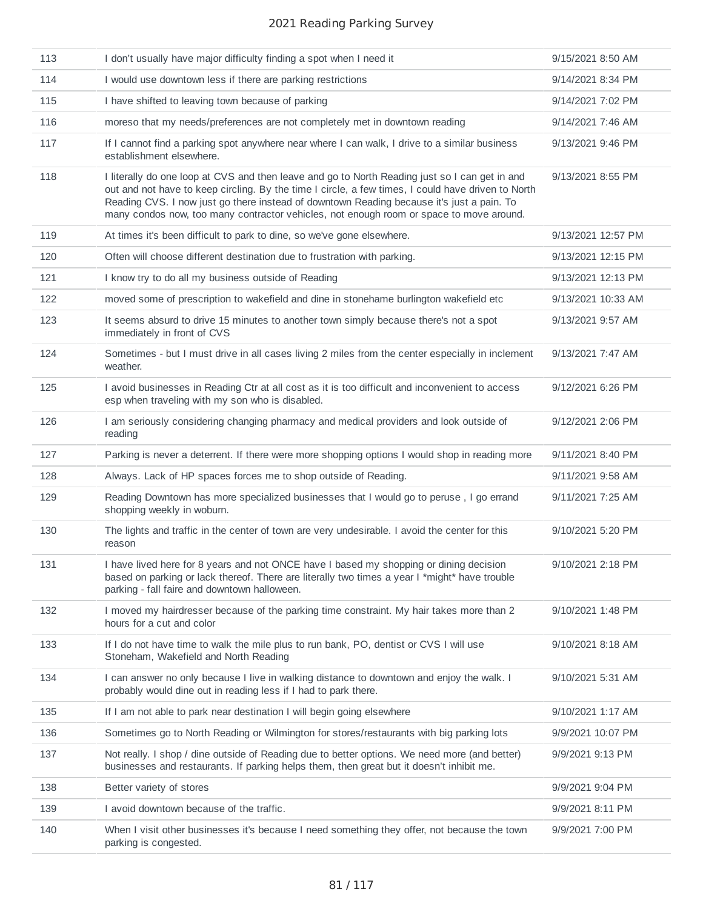| 113 | I don't usually have major difficulty finding a spot when I need it                                                                                                                                                                                                                                                                                                                          | 9/15/2021 8:50 AM  |
|-----|----------------------------------------------------------------------------------------------------------------------------------------------------------------------------------------------------------------------------------------------------------------------------------------------------------------------------------------------------------------------------------------------|--------------------|
| 114 | I would use downtown less if there are parking restrictions                                                                                                                                                                                                                                                                                                                                  | 9/14/2021 8:34 PM  |
| 115 | I have shifted to leaving town because of parking                                                                                                                                                                                                                                                                                                                                            | 9/14/2021 7:02 PM  |
| 116 | moreso that my needs/preferences are not completely met in downtown reading                                                                                                                                                                                                                                                                                                                  | 9/14/2021 7:46 AM  |
| 117 | If I cannot find a parking spot anywhere near where I can walk, I drive to a similar business<br>establishment elsewhere.                                                                                                                                                                                                                                                                    | 9/13/2021 9:46 PM  |
| 118 | I literally do one loop at CVS and then leave and go to North Reading just so I can get in and<br>out and not have to keep circling. By the time I circle, a few times, I could have driven to North<br>Reading CVS. I now just go there instead of downtown Reading because it's just a pain. To<br>many condos now, too many contractor vehicles, not enough room or space to move around. | 9/13/2021 8:55 PM  |
| 119 | At times it's been difficult to park to dine, so we've gone elsewhere.                                                                                                                                                                                                                                                                                                                       | 9/13/2021 12:57 PM |
| 120 | Often will choose different destination due to frustration with parking.                                                                                                                                                                                                                                                                                                                     | 9/13/2021 12:15 PM |
| 121 | I know try to do all my business outside of Reading                                                                                                                                                                                                                                                                                                                                          | 9/13/2021 12:13 PM |
| 122 | moved some of prescription to wakefield and dine in stonehame burlington wakefield etc                                                                                                                                                                                                                                                                                                       | 9/13/2021 10:33 AM |
| 123 | It seems absurd to drive 15 minutes to another town simply because there's not a spot<br>immediately in front of CVS                                                                                                                                                                                                                                                                         | 9/13/2021 9:57 AM  |
| 124 | Sometimes - but I must drive in all cases living 2 miles from the center especially in inclement<br>weather.                                                                                                                                                                                                                                                                                 | 9/13/2021 7:47 AM  |
| 125 | I avoid businesses in Reading Ctr at all cost as it is too difficult and inconvenient to access<br>esp when traveling with my son who is disabled.                                                                                                                                                                                                                                           | 9/12/2021 6:26 PM  |
| 126 | I am seriously considering changing pharmacy and medical providers and look outside of<br>reading                                                                                                                                                                                                                                                                                            | 9/12/2021 2:06 PM  |
| 127 | Parking is never a deterrent. If there were more shopping options I would shop in reading more                                                                                                                                                                                                                                                                                               | 9/11/2021 8:40 PM  |
| 128 | Always. Lack of HP spaces forces me to shop outside of Reading.                                                                                                                                                                                                                                                                                                                              | 9/11/2021 9:58 AM  |
| 129 | Reading Downtown has more specialized businesses that I would go to peruse, I go errand<br>shopping weekly in woburn.                                                                                                                                                                                                                                                                        | 9/11/2021 7:25 AM  |
| 130 | The lights and traffic in the center of town are very undesirable. I avoid the center for this<br>reason                                                                                                                                                                                                                                                                                     | 9/10/2021 5:20 PM  |
| 131 | I have lived here for 8 years and not ONCE have I based my shopping or dining decision<br>based on parking or lack thereof. There are literally two times a year I *might* have trouble<br>parking - fall faire and downtown halloween.                                                                                                                                                      | 9/10/2021 2:18 PM  |
| 132 | I moved my hairdresser because of the parking time constraint. My hair takes more than 2<br>hours for a cut and color                                                                                                                                                                                                                                                                        | 9/10/2021 1:48 PM  |
| 133 | If I do not have time to walk the mile plus to run bank, PO, dentist or CVS I will use<br>Stoneham, Wakefield and North Reading                                                                                                                                                                                                                                                              | 9/10/2021 8:18 AM  |
| 134 | I can answer no only because I live in walking distance to downtown and enjoy the walk. I<br>probably would dine out in reading less if I had to park there.                                                                                                                                                                                                                                 | 9/10/2021 5:31 AM  |
| 135 | If I am not able to park near destination I will begin going elsewhere                                                                                                                                                                                                                                                                                                                       | 9/10/2021 1:17 AM  |
| 136 | Sometimes go to North Reading or Wilmington for stores/restaurants with big parking lots                                                                                                                                                                                                                                                                                                     | 9/9/2021 10:07 PM  |
| 137 | Not really. I shop / dine outside of Reading due to better options. We need more (and better)<br>businesses and restaurants. If parking helps them, then great but it doesn't inhibit me.                                                                                                                                                                                                    | 9/9/2021 9:13 PM   |
| 138 | Better variety of stores                                                                                                                                                                                                                                                                                                                                                                     | 9/9/2021 9:04 PM   |
| 139 | I avoid downtown because of the traffic.                                                                                                                                                                                                                                                                                                                                                     | 9/9/2021 8:11 PM   |
| 140 | When I visit other businesses it's because I need something they offer, not because the town<br>parking is congested.                                                                                                                                                                                                                                                                        | 9/9/2021 7:00 PM   |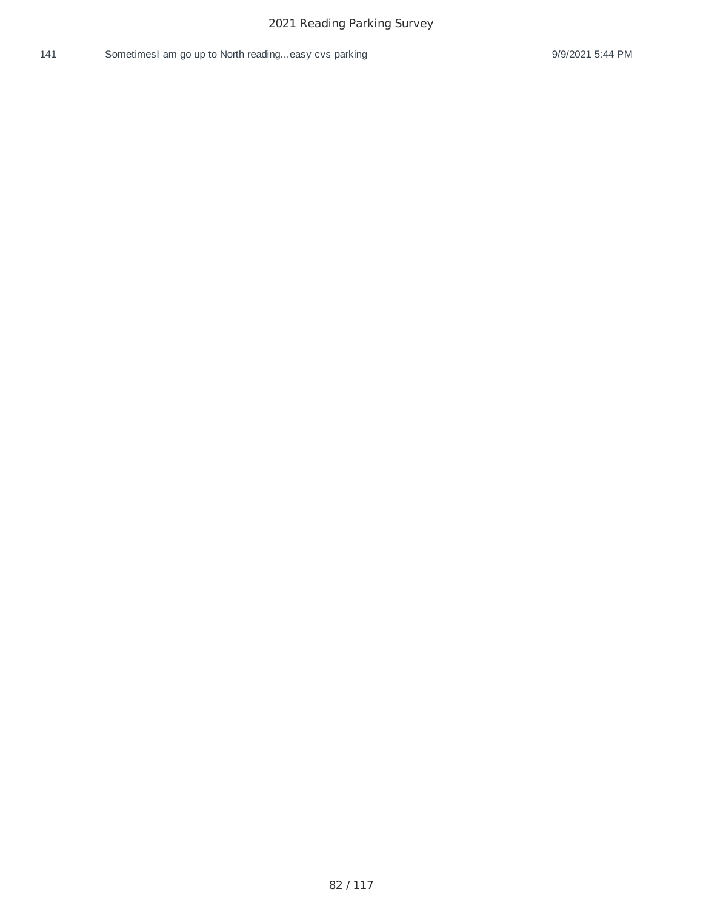/ 117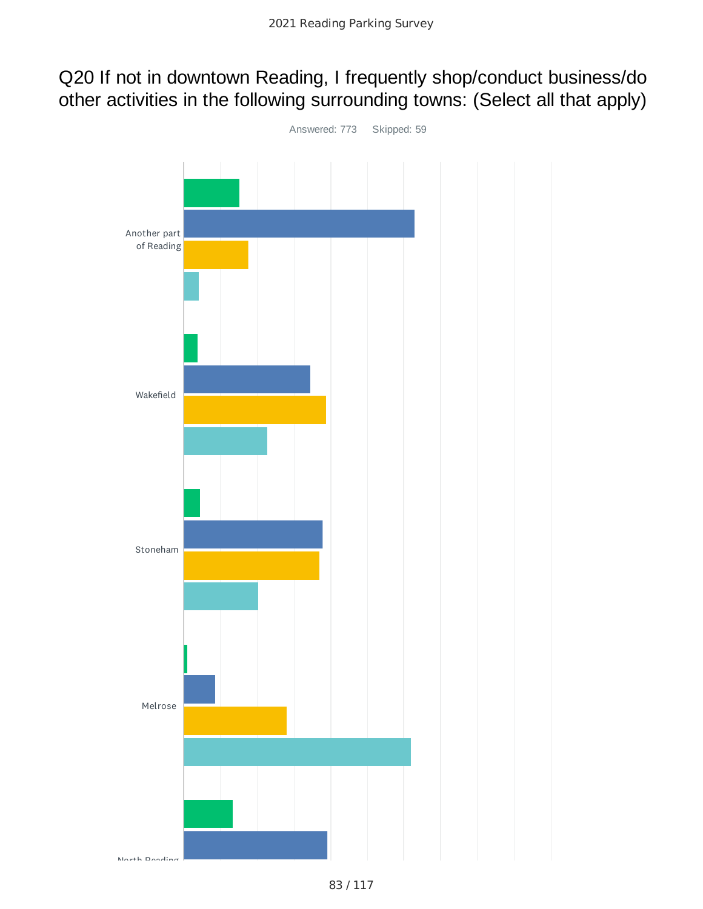# Q20 If not in downtown Reading, I frequently shop/conduct business/do other activities in the following surrounding towns: (Select all that apply)

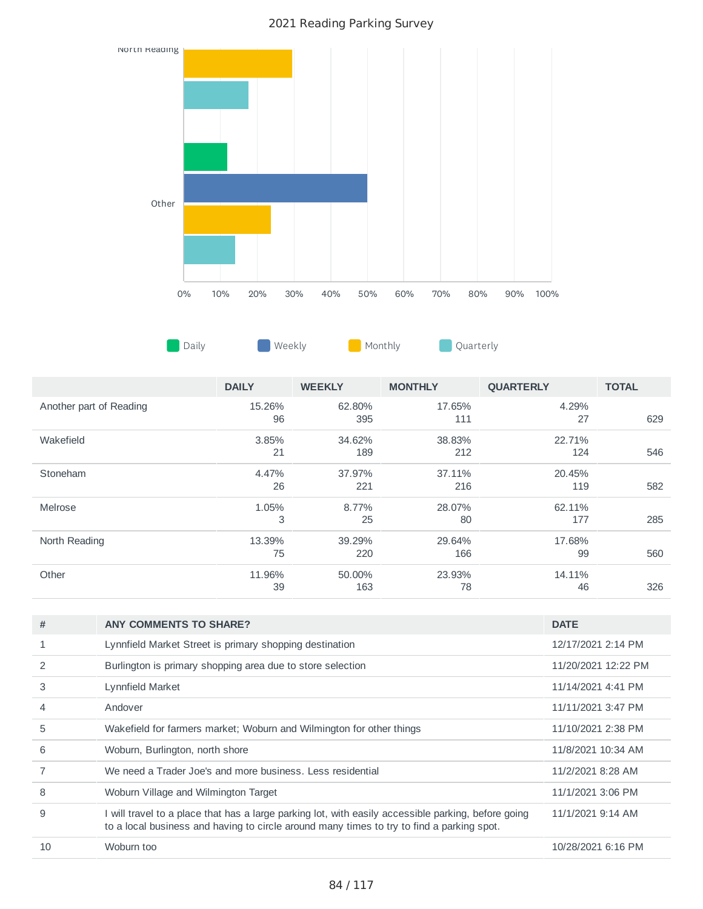

|                         | <b>DAILY</b> | <b>WEEKLY</b> | <b>MONTHLY</b> | <b>OUARTERLY</b> | <b>TOTAL</b> |
|-------------------------|--------------|---------------|----------------|------------------|--------------|
| Another part of Reading | 15.26%<br>96 | 62.80%<br>395 | 17.65%<br>111  | 4.29%<br>27      | 629          |
| Wakefield               | 3.85%<br>21  | 34.62%<br>189 | 38.83%<br>212  | 22.71%<br>124    | 546          |
| Stoneham                | 4.47%<br>26  | 37.97%<br>221 | 37.11%<br>216  | 20.45%<br>119    | 582          |
| Melrose                 | 1.05%<br>3   | 8.77%<br>25   | 28.07%<br>80   | 62.11%<br>177    | 285          |
| North Reading           | 13.39%<br>75 | 39.29%<br>220 | 29.64%<br>166  | 17.68%<br>99     | 560          |
| Other                   | 11.96%<br>39 | 50.00%<br>163 | 23.93%<br>78   | 14.11%<br>46     | 326          |

| #              | <b>ANY COMMENTS TO SHARE?</b>                                                                                                                                                                    | <b>DATE</b>         |
|----------------|--------------------------------------------------------------------------------------------------------------------------------------------------------------------------------------------------|---------------------|
|                | Lynnfield Market Street is primary shopping destination                                                                                                                                          | 12/17/2021 2:14 PM  |
|                | Burlington is primary shopping area due to store selection                                                                                                                                       | 11/20/2021 12:22 PM |
| 3              | Lynnfield Market                                                                                                                                                                                 | 11/14/2021 4:41 PM  |
| $\overline{4}$ | Andover                                                                                                                                                                                          | 11/11/2021 3:47 PM  |
| 5              | Wakefield for farmers market; Woburn and Wilmington for other things                                                                                                                             | 11/10/2021 2:38 PM  |
| 6              | Woburn, Burlington, north shore                                                                                                                                                                  | 11/8/2021 10:34 AM  |
|                | We need a Trader Joe's and more business. Less residential                                                                                                                                       | 11/2/2021 8:28 AM   |
| 8              | Woburn Village and Wilmington Target                                                                                                                                                             | 11/1/2021 3:06 PM   |
| 9              | I will travel to a place that has a large parking lot, with easily accessible parking, before going<br>to a local business and having to circle around many times to try to find a parking spot. | 11/1/2021 9:14 AM   |
| 10             | Woburn too                                                                                                                                                                                       | 10/28/2021 6:16 PM  |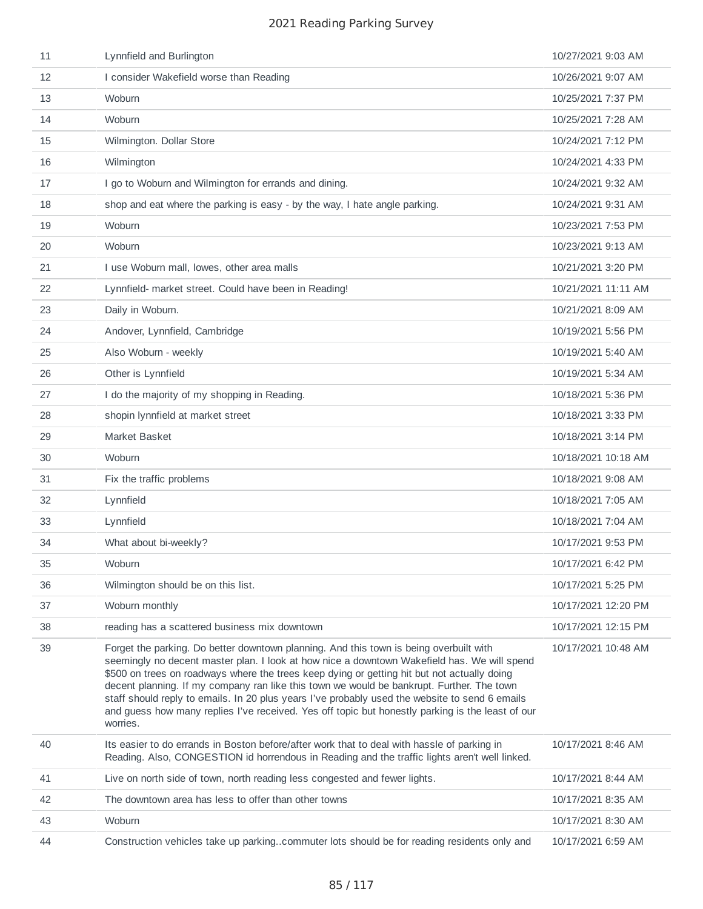| 11 | Lynnfield and Burlington                                                                                                                                                                                                                                                                                                                                                                                                                                                                                                                                                                            | 10/27/2021 9:03 AM  |
|----|-----------------------------------------------------------------------------------------------------------------------------------------------------------------------------------------------------------------------------------------------------------------------------------------------------------------------------------------------------------------------------------------------------------------------------------------------------------------------------------------------------------------------------------------------------------------------------------------------------|---------------------|
| 12 | I consider Wakefield worse than Reading                                                                                                                                                                                                                                                                                                                                                                                                                                                                                                                                                             | 10/26/2021 9:07 AM  |
| 13 | Woburn                                                                                                                                                                                                                                                                                                                                                                                                                                                                                                                                                                                              | 10/25/2021 7:37 PM  |
| 14 | Woburn                                                                                                                                                                                                                                                                                                                                                                                                                                                                                                                                                                                              | 10/25/2021 7:28 AM  |
| 15 | Wilmington. Dollar Store                                                                                                                                                                                                                                                                                                                                                                                                                                                                                                                                                                            | 10/24/2021 7:12 PM  |
| 16 | Wilmington                                                                                                                                                                                                                                                                                                                                                                                                                                                                                                                                                                                          | 10/24/2021 4:33 PM  |
| 17 | I go to Woburn and Wilmington for errands and dining.                                                                                                                                                                                                                                                                                                                                                                                                                                                                                                                                               | 10/24/2021 9:32 AM  |
| 18 | shop and eat where the parking is easy - by the way, I hate angle parking.                                                                                                                                                                                                                                                                                                                                                                                                                                                                                                                          | 10/24/2021 9:31 AM  |
| 19 | Woburn                                                                                                                                                                                                                                                                                                                                                                                                                                                                                                                                                                                              | 10/23/2021 7:53 PM  |
| 20 | Woburn                                                                                                                                                                                                                                                                                                                                                                                                                                                                                                                                                                                              | 10/23/2021 9:13 AM  |
| 21 | I use Woburn mall, lowes, other area malls                                                                                                                                                                                                                                                                                                                                                                                                                                                                                                                                                          | 10/21/2021 3:20 PM  |
| 22 | Lynnfield- market street. Could have been in Reading!                                                                                                                                                                                                                                                                                                                                                                                                                                                                                                                                               | 10/21/2021 11:11 AM |
| 23 | Daily in Woburn.                                                                                                                                                                                                                                                                                                                                                                                                                                                                                                                                                                                    | 10/21/2021 8:09 AM  |
| 24 | Andover, Lynnfield, Cambridge                                                                                                                                                                                                                                                                                                                                                                                                                                                                                                                                                                       | 10/19/2021 5:56 PM  |
| 25 | Also Woburn - weekly                                                                                                                                                                                                                                                                                                                                                                                                                                                                                                                                                                                | 10/19/2021 5:40 AM  |
| 26 | Other is Lynnfield                                                                                                                                                                                                                                                                                                                                                                                                                                                                                                                                                                                  | 10/19/2021 5:34 AM  |
| 27 | I do the majority of my shopping in Reading.                                                                                                                                                                                                                                                                                                                                                                                                                                                                                                                                                        | 10/18/2021 5:36 PM  |
| 28 | shopin lynnfield at market street                                                                                                                                                                                                                                                                                                                                                                                                                                                                                                                                                                   | 10/18/2021 3:33 PM  |
| 29 | Market Basket                                                                                                                                                                                                                                                                                                                                                                                                                                                                                                                                                                                       | 10/18/2021 3:14 PM  |
| 30 | Woburn                                                                                                                                                                                                                                                                                                                                                                                                                                                                                                                                                                                              | 10/18/2021 10:18 AM |
| 31 | Fix the traffic problems                                                                                                                                                                                                                                                                                                                                                                                                                                                                                                                                                                            | 10/18/2021 9:08 AM  |
| 32 | Lynnfield                                                                                                                                                                                                                                                                                                                                                                                                                                                                                                                                                                                           | 10/18/2021 7:05 AM  |
| 33 | Lynnfield                                                                                                                                                                                                                                                                                                                                                                                                                                                                                                                                                                                           | 10/18/2021 7:04 AM  |
| 34 | What about bi-weekly?                                                                                                                                                                                                                                                                                                                                                                                                                                                                                                                                                                               | 10/17/2021 9:53 PM  |
| 35 | Woburn                                                                                                                                                                                                                                                                                                                                                                                                                                                                                                                                                                                              | 10/17/2021 6:42 PM  |
| 36 | Wilmington should be on this list.                                                                                                                                                                                                                                                                                                                                                                                                                                                                                                                                                                  | 10/17/2021 5:25 PM  |
| 37 | Woburn monthly                                                                                                                                                                                                                                                                                                                                                                                                                                                                                                                                                                                      | 10/17/2021 12:20 PM |
| 38 | reading has a scattered business mix downtown                                                                                                                                                                                                                                                                                                                                                                                                                                                                                                                                                       | 10/17/2021 12:15 PM |
| 39 | Forget the parking. Do better downtown planning. And this town is being overbuilt with<br>seemingly no decent master plan. I look at how nice a downtown Wakefield has. We will spend<br>\$500 on trees on roadways where the trees keep dying or getting hit but not actually doing<br>decent planning. If my company ran like this town we would be bankrupt. Further. The town<br>staff should reply to emails. In 20 plus years I've probably used the website to send 6 emails<br>and guess how many replies I've received. Yes off topic but honestly parking is the least of our<br>worries. | 10/17/2021 10:48 AM |
| 40 | Its easier to do errands in Boston before/after work that to deal with hassle of parking in<br>Reading. Also, CONGESTION id horrendous in Reading and the traffic lights aren't well linked.                                                                                                                                                                                                                                                                                                                                                                                                        | 10/17/2021 8:46 AM  |
| 41 | Live on north side of town, north reading less congested and fewer lights.                                                                                                                                                                                                                                                                                                                                                                                                                                                                                                                          | 10/17/2021 8:44 AM  |
| 42 | The downtown area has less to offer than other towns                                                                                                                                                                                                                                                                                                                                                                                                                                                                                                                                                | 10/17/2021 8:35 AM  |
| 43 | Woburn                                                                                                                                                                                                                                                                                                                                                                                                                                                                                                                                                                                              | 10/17/2021 8:30 AM  |
| 44 | Construction vehicles take up parkingcommuter lots should be for reading residents only and                                                                                                                                                                                                                                                                                                                                                                                                                                                                                                         | 10/17/2021 6:59 AM  |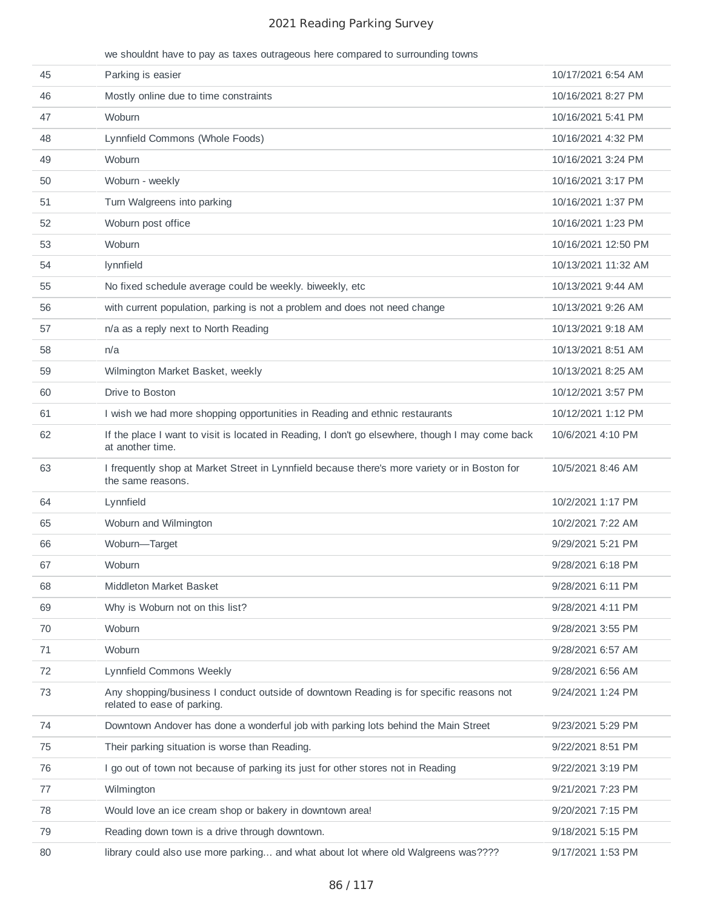we shouldnt have to pay as taxes outrageous here compared to surrounding towns

| 45 | Parking is easier                                                                                                      | 10/17/2021 6:54 AM  |
|----|------------------------------------------------------------------------------------------------------------------------|---------------------|
| 46 | Mostly online due to time constraints                                                                                  | 10/16/2021 8:27 PM  |
| 47 | Woburn                                                                                                                 | 10/16/2021 5:41 PM  |
| 48 | Lynnfield Commons (Whole Foods)                                                                                        | 10/16/2021 4:32 PM  |
| 49 | Woburn                                                                                                                 | 10/16/2021 3:24 PM  |
| 50 | Woburn - weekly                                                                                                        | 10/16/2021 3:17 PM  |
| 51 | Turn Walgreens into parking                                                                                            | 10/16/2021 1:37 PM  |
| 52 | Woburn post office                                                                                                     | 10/16/2021 1:23 PM  |
| 53 | Woburn                                                                                                                 | 10/16/2021 12:50 PM |
| 54 | lynnfield                                                                                                              | 10/13/2021 11:32 AM |
| 55 | No fixed schedule average could be weekly. biweekly, etc.                                                              | 10/13/2021 9:44 AM  |
| 56 | with current population, parking is not a problem and does not need change                                             | 10/13/2021 9:26 AM  |
| 57 | n/a as a reply next to North Reading                                                                                   | 10/13/2021 9:18 AM  |
| 58 | n/a                                                                                                                    | 10/13/2021 8:51 AM  |
| 59 | Wilmington Market Basket, weekly                                                                                       | 10/13/2021 8:25 AM  |
| 60 | Drive to Boston                                                                                                        | 10/12/2021 3:57 PM  |
| 61 | I wish we had more shopping opportunities in Reading and ethnic restaurants                                            | 10/12/2021 1:12 PM  |
| 62 | If the place I want to visit is located in Reading, I don't go elsewhere, though I may come back<br>at another time.   | 10/6/2021 4:10 PM   |
| 63 | I frequently shop at Market Street in Lynnfield because there's more variety or in Boston for<br>the same reasons.     | 10/5/2021 8:46 AM   |
| 64 | Lynnfield                                                                                                              | 10/2/2021 1:17 PM   |
| 65 | Woburn and Wilmington                                                                                                  | 10/2/2021 7:22 AM   |
| 66 | Woburn-Target                                                                                                          | 9/29/2021 5:21 PM   |
| 67 | Woburn                                                                                                                 | 9/28/2021 6:18 PM   |
| 68 | Middleton Market Basket                                                                                                | 9/28/2021 6:11 PM   |
| 69 | Why is Woburn not on this list?                                                                                        | 9/28/2021 4:11 PM   |
| 70 | Woburn                                                                                                                 | 9/28/2021 3:55 PM   |
| 71 | Woburn                                                                                                                 | 9/28/2021 6:57 AM   |
| 72 | Lynnfield Commons Weekly                                                                                               | 9/28/2021 6:56 AM   |
| 73 | Any shopping/business I conduct outside of downtown Reading is for specific reasons not<br>related to ease of parking. | 9/24/2021 1:24 PM   |
| 74 | Downtown Andover has done a wonderful job with parking lots behind the Main Street                                     | 9/23/2021 5:29 PM   |
| 75 | Their parking situation is worse than Reading.                                                                         | 9/22/2021 8:51 PM   |
| 76 | I go out of town not because of parking its just for other stores not in Reading                                       | 9/22/2021 3:19 PM   |
| 77 | Wilmington                                                                                                             | 9/21/2021 7:23 PM   |
| 78 | Would love an ice cream shop or bakery in downtown area!                                                               | 9/20/2021 7:15 PM   |
| 79 | Reading down town is a drive through downtown.                                                                         | 9/18/2021 5:15 PM   |
| 80 | library could also use more parking and what about lot where old Walgreens was????                                     | 9/17/2021 1:53 PM   |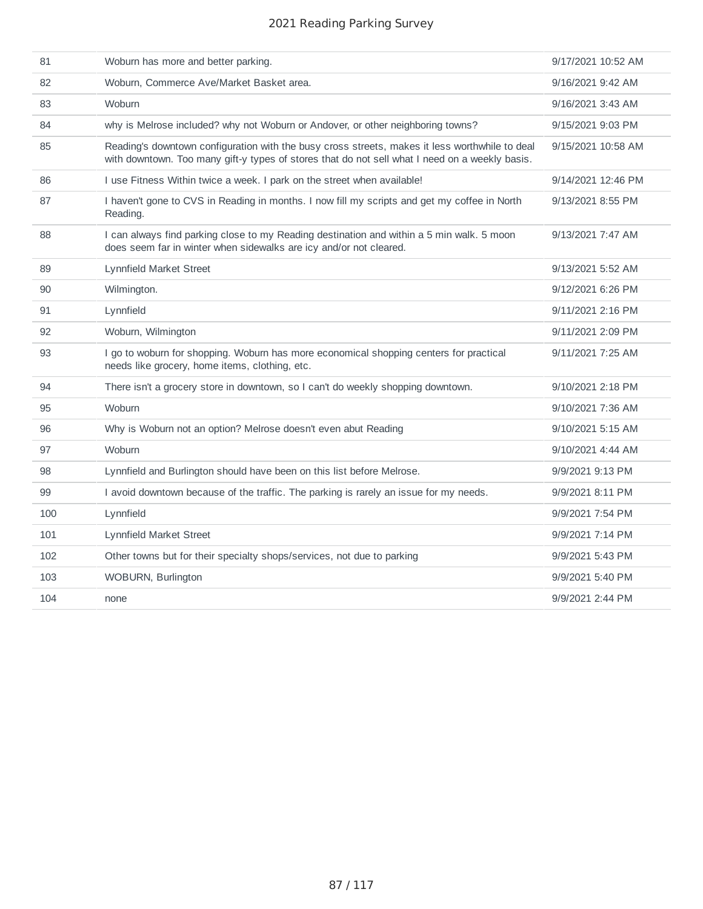| 81  | Woburn has more and better parking.                                                                                                                                                              | 9/17/2021 10:52 AM |
|-----|--------------------------------------------------------------------------------------------------------------------------------------------------------------------------------------------------|--------------------|
| 82  | Woburn, Commerce Ave/Market Basket area.                                                                                                                                                         | 9/16/2021 9:42 AM  |
| 83  | Woburn                                                                                                                                                                                           | 9/16/2021 3:43 AM  |
| 84  | why is Melrose included? why not Woburn or Andover, or other neighboring towns?                                                                                                                  | 9/15/2021 9:03 PM  |
| 85  | Reading's downtown configuration with the busy cross streets, makes it less worthwhile to deal<br>with downtown. Too many gift-y types of stores that do not sell what I need on a weekly basis. | 9/15/2021 10:58 AM |
| 86  | I use Fitness Within twice a week. I park on the street when available!                                                                                                                          | 9/14/2021 12:46 PM |
| 87  | I haven't gone to CVS in Reading in months. I now fill my scripts and get my coffee in North<br>Reading.                                                                                         | 9/13/2021 8:55 PM  |
| 88  | I can always find parking close to my Reading destination and within a 5 min walk. 5 moon<br>does seem far in winter when sidewalks are icy and/or not cleared.                                  | 9/13/2021 7:47 AM  |
| 89  | Lynnfield Market Street                                                                                                                                                                          | 9/13/2021 5:52 AM  |
| 90  | Wilmington.                                                                                                                                                                                      | 9/12/2021 6:26 PM  |
| 91  | Lynnfield                                                                                                                                                                                        | 9/11/2021 2:16 PM  |
| 92  | Woburn, Wilmington                                                                                                                                                                               | 9/11/2021 2:09 PM  |
| 93  | I go to woburn for shopping. Woburn has more economical shopping centers for practical<br>needs like grocery, home items, clothing, etc.                                                         | 9/11/2021 7:25 AM  |
| 94  | There isn't a grocery store in downtown, so I can't do weekly shopping downtown.                                                                                                                 | 9/10/2021 2:18 PM  |
| 95  | Woburn                                                                                                                                                                                           | 9/10/2021 7:36 AM  |
| 96  | Why is Woburn not an option? Melrose doesn't even abut Reading                                                                                                                                   | 9/10/2021 5:15 AM  |
| 97  | Woburn                                                                                                                                                                                           | 9/10/2021 4:44 AM  |
| 98  | Lynnfield and Burlington should have been on this list before Melrose.                                                                                                                           | 9/9/2021 9:13 PM   |
| 99  | I avoid downtown because of the traffic. The parking is rarely an issue for my needs.                                                                                                            | 9/9/2021 8:11 PM   |
| 100 | Lynnfield                                                                                                                                                                                        | 9/9/2021 7:54 PM   |
| 101 | Lynnfield Market Street                                                                                                                                                                          | 9/9/2021 7:14 PM   |
| 102 | Other towns but for their specialty shops/services, not due to parking                                                                                                                           | 9/9/2021 5:43 PM   |
| 103 | WOBURN, Burlington                                                                                                                                                                               | 9/9/2021 5:40 PM   |
| 104 | none                                                                                                                                                                                             | 9/9/2021 2:44 PM   |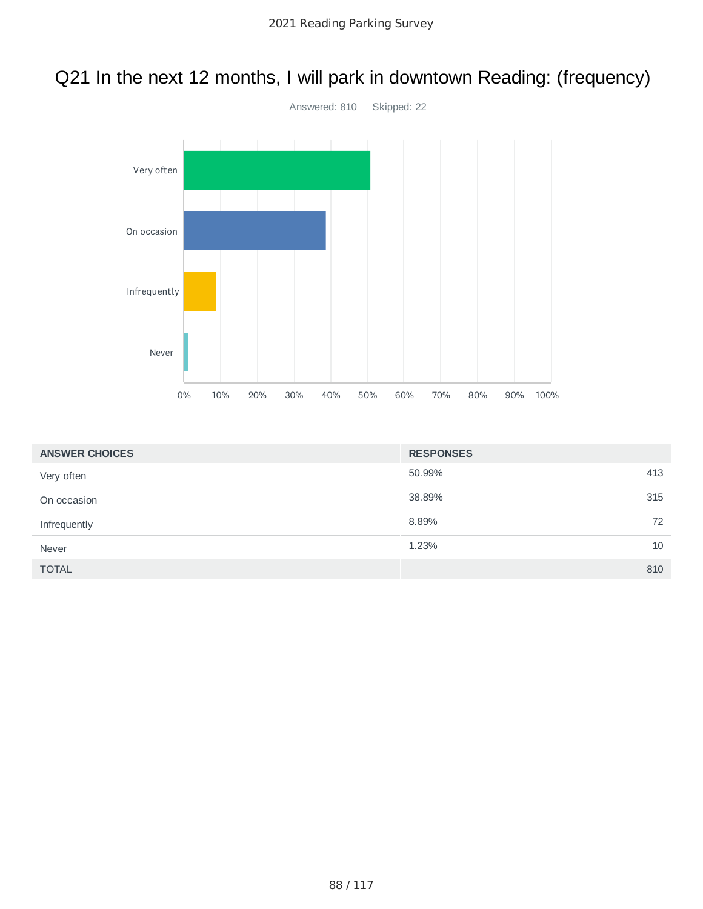# Q21 In the next 12 months, I will park in downtown Reading: (frequency)



| <b>ANSWER CHOICES</b> | <b>RESPONSES</b> |     |
|-----------------------|------------------|-----|
| Very often            | 50.99%           | 413 |
| On occasion           | 38.89%           | 315 |
| Infrequently          | 8.89%            | 72  |
| Never                 | 1.23%            | 10  |
| <b>TOTAL</b>          |                  | 810 |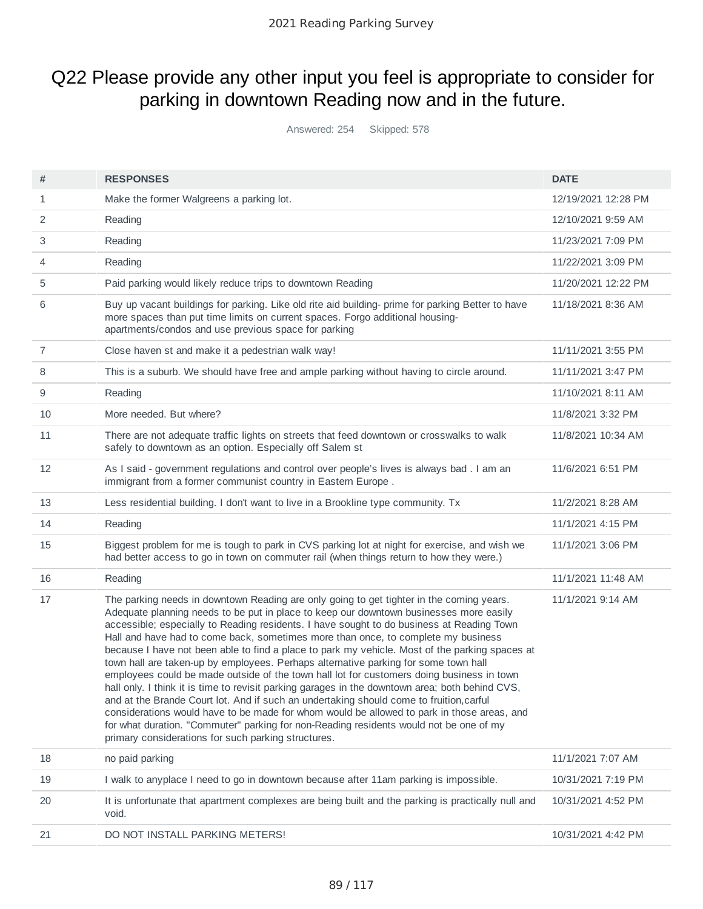# Q22 Please provide any other input you feel is appropriate to consider for parking in downtown Reading now and in the future.

Answered: 254 Skipped: 578

|        | <b>RESPONSES</b>                                                                                                                                                                                                                                                                                                                                                                                                                                                                                                                                                                                                                                                                                                                                                                                                                                                                                                                                                                                                                                                                                        | <b>DATE</b>         |
|--------|---------------------------------------------------------------------------------------------------------------------------------------------------------------------------------------------------------------------------------------------------------------------------------------------------------------------------------------------------------------------------------------------------------------------------------------------------------------------------------------------------------------------------------------------------------------------------------------------------------------------------------------------------------------------------------------------------------------------------------------------------------------------------------------------------------------------------------------------------------------------------------------------------------------------------------------------------------------------------------------------------------------------------------------------------------------------------------------------------------|---------------------|
| #<br>1 | Make the former Walgreens a parking lot.                                                                                                                                                                                                                                                                                                                                                                                                                                                                                                                                                                                                                                                                                                                                                                                                                                                                                                                                                                                                                                                                | 12/19/2021 12:28 PM |
| 2      | Reading                                                                                                                                                                                                                                                                                                                                                                                                                                                                                                                                                                                                                                                                                                                                                                                                                                                                                                                                                                                                                                                                                                 | 12/10/2021 9:59 AM  |
|        |                                                                                                                                                                                                                                                                                                                                                                                                                                                                                                                                                                                                                                                                                                                                                                                                                                                                                                                                                                                                                                                                                                         |                     |
| 3      | Reading                                                                                                                                                                                                                                                                                                                                                                                                                                                                                                                                                                                                                                                                                                                                                                                                                                                                                                                                                                                                                                                                                                 | 11/23/2021 7:09 PM  |
| 4      | Reading                                                                                                                                                                                                                                                                                                                                                                                                                                                                                                                                                                                                                                                                                                                                                                                                                                                                                                                                                                                                                                                                                                 | 11/22/2021 3:09 PM  |
| 5      | Paid parking would likely reduce trips to downtown Reading                                                                                                                                                                                                                                                                                                                                                                                                                                                                                                                                                                                                                                                                                                                                                                                                                                                                                                                                                                                                                                              | 11/20/2021 12:22 PM |
| 6      | Buy up vacant buildings for parking. Like old rite aid building- prime for parking Better to have<br>more spaces than put time limits on current spaces. Forgo additional housing-<br>apartments/condos and use previous space for parking                                                                                                                                                                                                                                                                                                                                                                                                                                                                                                                                                                                                                                                                                                                                                                                                                                                              | 11/18/2021 8:36 AM  |
| 7      | Close haven st and make it a pedestrian walk way!                                                                                                                                                                                                                                                                                                                                                                                                                                                                                                                                                                                                                                                                                                                                                                                                                                                                                                                                                                                                                                                       | 11/11/2021 3:55 PM  |
| 8      | This is a suburb. We should have free and ample parking without having to circle around.                                                                                                                                                                                                                                                                                                                                                                                                                                                                                                                                                                                                                                                                                                                                                                                                                                                                                                                                                                                                                | 11/11/2021 3:47 PM  |
| 9      | Reading                                                                                                                                                                                                                                                                                                                                                                                                                                                                                                                                                                                                                                                                                                                                                                                                                                                                                                                                                                                                                                                                                                 | 11/10/2021 8:11 AM  |
| 10     | More needed. But where?                                                                                                                                                                                                                                                                                                                                                                                                                                                                                                                                                                                                                                                                                                                                                                                                                                                                                                                                                                                                                                                                                 | 11/8/2021 3:32 PM   |
| 11     | There are not adequate traffic lights on streets that feed downtown or crosswalks to walk<br>safely to downtown as an option. Especially off Salem st                                                                                                                                                                                                                                                                                                                                                                                                                                                                                                                                                                                                                                                                                                                                                                                                                                                                                                                                                   | 11/8/2021 10:34 AM  |
| 12     | As I said - government regulations and control over people's lives is always bad . I am an<br>immigrant from a former communist country in Eastern Europe.                                                                                                                                                                                                                                                                                                                                                                                                                                                                                                                                                                                                                                                                                                                                                                                                                                                                                                                                              | 11/6/2021 6:51 PM   |
| 13     | Less residential building. I don't want to live in a Brookline type community. Tx                                                                                                                                                                                                                                                                                                                                                                                                                                                                                                                                                                                                                                                                                                                                                                                                                                                                                                                                                                                                                       | 11/2/2021 8:28 AM   |
| 14     | Reading                                                                                                                                                                                                                                                                                                                                                                                                                                                                                                                                                                                                                                                                                                                                                                                                                                                                                                                                                                                                                                                                                                 | 11/1/2021 4:15 PM   |
| 15     | Biggest problem for me is tough to park in CVS parking lot at night for exercise, and wish we<br>had better access to go in town on commuter rail (when things return to how they were.)                                                                                                                                                                                                                                                                                                                                                                                                                                                                                                                                                                                                                                                                                                                                                                                                                                                                                                                | 11/1/2021 3:06 PM   |
| 16     | Reading                                                                                                                                                                                                                                                                                                                                                                                                                                                                                                                                                                                                                                                                                                                                                                                                                                                                                                                                                                                                                                                                                                 | 11/1/2021 11:48 AM  |
| 17     | The parking needs in downtown Reading are only going to get tighter in the coming years.<br>Adequate planning needs to be put in place to keep our downtown businesses more easily<br>accessible; especially to Reading residents. I have sought to do business at Reading Town<br>Hall and have had to come back, sometimes more than once, to complete my business<br>because I have not been able to find a place to park my vehicle. Most of the parking spaces at<br>town hall are taken-up by employees. Perhaps alternative parking for some town hall<br>employees could be made outside of the town hall lot for customers doing business in town<br>hall only. I think it is time to revisit parking garages in the downtown area; both behind CVS,<br>and at the Brande Court lot. And if such an undertaking should come to fruition, carful<br>considerations would have to be made for whom would be allowed to park in those areas, and<br>for what duration. "Commuter" parking for non-Reading residents would not be one of my<br>primary considerations for such parking structures. | 11/1/2021 9:14 AM   |
| 18     | no paid parking                                                                                                                                                                                                                                                                                                                                                                                                                                                                                                                                                                                                                                                                                                                                                                                                                                                                                                                                                                                                                                                                                         | 11/1/2021 7:07 AM   |
| 19     | I walk to anyplace I need to go in downtown because after 11am parking is impossible.                                                                                                                                                                                                                                                                                                                                                                                                                                                                                                                                                                                                                                                                                                                                                                                                                                                                                                                                                                                                                   | 10/31/2021 7:19 PM  |
| 20     | It is unfortunate that apartment complexes are being built and the parking is practically null and<br>void.                                                                                                                                                                                                                                                                                                                                                                                                                                                                                                                                                                                                                                                                                                                                                                                                                                                                                                                                                                                             | 10/31/2021 4:52 PM  |
| 21     | DO NOT INSTALL PARKING METERS!                                                                                                                                                                                                                                                                                                                                                                                                                                                                                                                                                                                                                                                                                                                                                                                                                                                                                                                                                                                                                                                                          | 10/31/2021 4:42 PM  |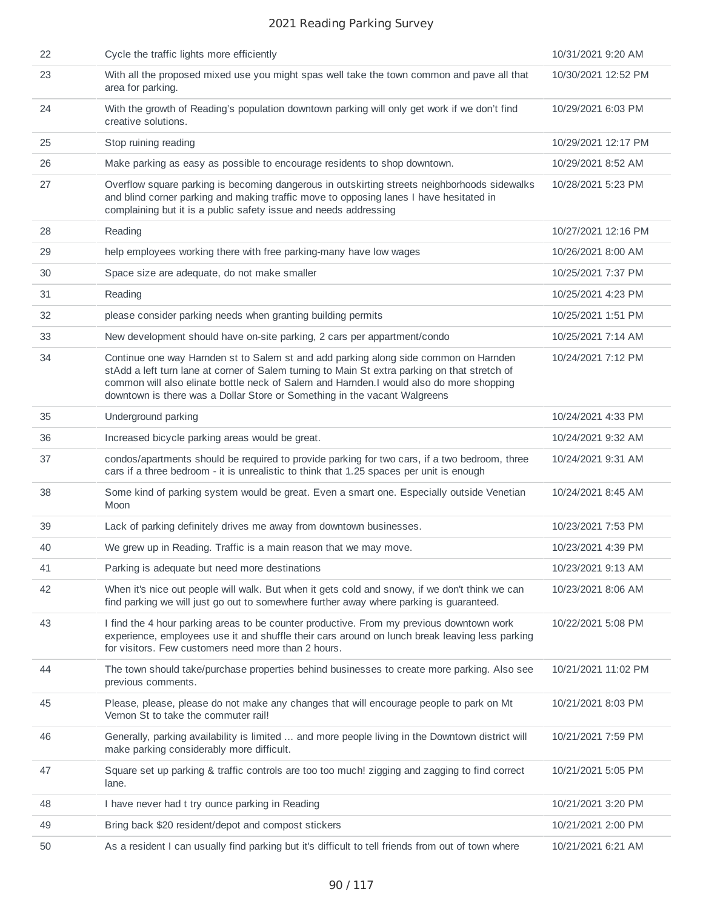| 22 | Cycle the traffic lights more efficiently                                                                                                                                                                                                                                                                                                                      | 10/31/2021 9:20 AM  |
|----|----------------------------------------------------------------------------------------------------------------------------------------------------------------------------------------------------------------------------------------------------------------------------------------------------------------------------------------------------------------|---------------------|
| 23 | With all the proposed mixed use you might spas well take the town common and pave all that<br>area for parking.                                                                                                                                                                                                                                                | 10/30/2021 12:52 PM |
| 24 | With the growth of Reading's population downtown parking will only get work if we don't find<br>creative solutions.                                                                                                                                                                                                                                            | 10/29/2021 6:03 PM  |
| 25 | Stop ruining reading                                                                                                                                                                                                                                                                                                                                           | 10/29/2021 12:17 PM |
| 26 | Make parking as easy as possible to encourage residents to shop downtown.                                                                                                                                                                                                                                                                                      | 10/29/2021 8:52 AM  |
| 27 | Overflow square parking is becoming dangerous in outskirting streets neighborhoods sidewalks<br>and blind corner parking and making traffic move to opposing lanes I have hesitated in<br>complaining but it is a public safety issue and needs addressing                                                                                                     | 10/28/2021 5:23 PM  |
| 28 | Reading                                                                                                                                                                                                                                                                                                                                                        | 10/27/2021 12:16 PM |
| 29 | help employees working there with free parking-many have low wages                                                                                                                                                                                                                                                                                             | 10/26/2021 8:00 AM  |
| 30 | Space size are adequate, do not make smaller                                                                                                                                                                                                                                                                                                                   | 10/25/2021 7:37 PM  |
| 31 | Reading                                                                                                                                                                                                                                                                                                                                                        | 10/25/2021 4:23 PM  |
| 32 | please consider parking needs when granting building permits                                                                                                                                                                                                                                                                                                   | 10/25/2021 1:51 PM  |
| 33 | New development should have on-site parking, 2 cars per appartment/condo                                                                                                                                                                                                                                                                                       | 10/25/2021 7:14 AM  |
| 34 | Continue one way Harnden st to Salem st and add parking along side common on Harnden<br>stAdd a left turn lane at corner of Salem turning to Main St extra parking on that stretch of<br>common will also elinate bottle neck of Salem and Harnden. I would also do more shopping<br>downtown is there was a Dollar Store or Something in the vacant Walgreens | 10/24/2021 7:12 PM  |
| 35 | Underground parking                                                                                                                                                                                                                                                                                                                                            | 10/24/2021 4:33 PM  |
| 36 | Increased bicycle parking areas would be great.                                                                                                                                                                                                                                                                                                                | 10/24/2021 9:32 AM  |
| 37 | condos/apartments should be required to provide parking for two cars, if a two bedroom, three<br>cars if a three bedroom - it is unrealistic to think that 1.25 spaces per unit is enough                                                                                                                                                                      | 10/24/2021 9:31 AM  |
| 38 | Some kind of parking system would be great. Even a smart one. Especially outside Venetian<br>Moon                                                                                                                                                                                                                                                              | 10/24/2021 8:45 AM  |
| 39 | Lack of parking definitely drives me away from downtown businesses.                                                                                                                                                                                                                                                                                            | 10/23/2021 7:53 PM  |
| 40 | We grew up in Reading. Traffic is a main reason that we may move.                                                                                                                                                                                                                                                                                              | 10/23/2021 4:39 PM  |
| 41 | Parking is adequate but need more destinations                                                                                                                                                                                                                                                                                                                 | 10/23/2021 9:13 AM  |
| 42 | When it's nice out people will walk. But when it gets cold and snowy, if we don't think we can<br>find parking we will just go out to somewhere further away where parking is guaranteed.                                                                                                                                                                      | 10/23/2021 8:06 AM  |
| 43 | I find the 4 hour parking areas to be counter productive. From my previous downtown work<br>experience, employees use it and shuffle their cars around on lunch break leaving less parking<br>for visitors. Few customers need more than 2 hours.                                                                                                              | 10/22/2021 5:08 PM  |
| 44 | The town should take/purchase properties behind businesses to create more parking. Also see<br>previous comments.                                                                                                                                                                                                                                              | 10/21/2021 11:02 PM |
| 45 | Please, please, please do not make any changes that will encourage people to park on Mt<br>Vernon St to take the commuter rail!                                                                                                                                                                                                                                | 10/21/2021 8:03 PM  |
| 46 | Generally, parking availability is limited  and more people living in the Downtown district will<br>make parking considerably more difficult.                                                                                                                                                                                                                  | 10/21/2021 7:59 PM  |
| 47 | Square set up parking & traffic controls are too too much! zigging and zagging to find correct<br>lane.                                                                                                                                                                                                                                                        | 10/21/2021 5:05 PM  |
| 48 | I have never had t try ounce parking in Reading                                                                                                                                                                                                                                                                                                                | 10/21/2021 3:20 PM  |
| 49 | Bring back \$20 resident/depot and compost stickers                                                                                                                                                                                                                                                                                                            | 10/21/2021 2:00 PM  |
| 50 | As a resident I can usually find parking but it's difficult to tell friends from out of town where                                                                                                                                                                                                                                                             | 10/21/2021 6:21 AM  |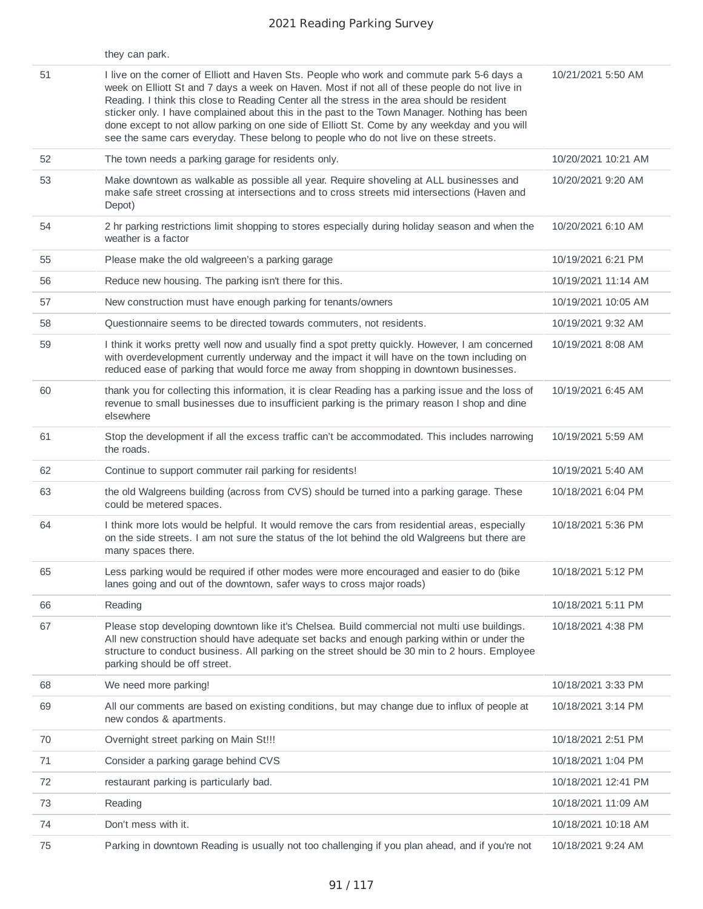|    | they can park.                                                                                                                                                                                                                                                                                                                                                                                                                                                                                                                                                                     |                     |
|----|------------------------------------------------------------------------------------------------------------------------------------------------------------------------------------------------------------------------------------------------------------------------------------------------------------------------------------------------------------------------------------------------------------------------------------------------------------------------------------------------------------------------------------------------------------------------------------|---------------------|
| 51 | I live on the corner of Elliott and Haven Sts. People who work and commute park 5-6 days a<br>week on Elliott St and 7 days a week on Haven. Most if not all of these people do not live in<br>Reading. I think this close to Reading Center all the stress in the area should be resident<br>sticker only. I have complained about this in the past to the Town Manager. Nothing has been<br>done except to not allow parking on one side of Elliott St. Come by any weekday and you will<br>see the same cars everyday. These belong to people who do not live on these streets. | 10/21/2021 5:50 AM  |
| 52 | The town needs a parking garage for residents only.                                                                                                                                                                                                                                                                                                                                                                                                                                                                                                                                | 10/20/2021 10:21 AM |
| 53 | Make downtown as walkable as possible all year. Require shoveling at ALL businesses and<br>make safe street crossing at intersections and to cross streets mid intersections (Haven and<br>Depot)                                                                                                                                                                                                                                                                                                                                                                                  | 10/20/2021 9:20 AM  |
| 54 | 2 hr parking restrictions limit shopping to stores especially during holiday season and when the<br>weather is a factor                                                                                                                                                                                                                                                                                                                                                                                                                                                            | 10/20/2021 6:10 AM  |
| 55 | Please make the old walgreeen's a parking garage                                                                                                                                                                                                                                                                                                                                                                                                                                                                                                                                   | 10/19/2021 6:21 PM  |
| 56 | Reduce new housing. The parking isn't there for this.                                                                                                                                                                                                                                                                                                                                                                                                                                                                                                                              | 10/19/2021 11:14 AM |
| 57 | New construction must have enough parking for tenants/owners                                                                                                                                                                                                                                                                                                                                                                                                                                                                                                                       | 10/19/2021 10:05 AM |
| 58 | Questionnaire seems to be directed towards commuters, not residents.                                                                                                                                                                                                                                                                                                                                                                                                                                                                                                               | 10/19/2021 9:32 AM  |
| 59 | I think it works pretty well now and usually find a spot pretty quickly. However, I am concerned<br>with overdevelopment currently underway and the impact it will have on the town including on<br>reduced ease of parking that would force me away from shopping in downtown businesses.                                                                                                                                                                                                                                                                                         | 10/19/2021 8:08 AM  |
| 60 | thank you for collecting this information, it is clear Reading has a parking issue and the loss of<br>revenue to small businesses due to insufficient parking is the primary reason I shop and dine<br>elsewhere                                                                                                                                                                                                                                                                                                                                                                   | 10/19/2021 6:45 AM  |
| 61 | Stop the development if all the excess traffic can't be accommodated. This includes narrowing<br>the roads.                                                                                                                                                                                                                                                                                                                                                                                                                                                                        | 10/19/2021 5:59 AM  |
| 62 | Continue to support commuter rail parking for residents!                                                                                                                                                                                                                                                                                                                                                                                                                                                                                                                           | 10/19/2021 5:40 AM  |
| 63 | the old Walgreens building (across from CVS) should be turned into a parking garage. These<br>could be metered spaces.                                                                                                                                                                                                                                                                                                                                                                                                                                                             | 10/18/2021 6:04 PM  |
| 64 | I think more lots would be helpful. It would remove the cars from residential areas, especially<br>on the side streets. I am not sure the status of the lot behind the old Walgreens but there are<br>many spaces there.                                                                                                                                                                                                                                                                                                                                                           | 10/18/2021 5:36 PM  |
| 65 | Less parking would be required if other modes were more encouraged and easier to do (bike<br>lanes going and out of the downtown, safer ways to cross major roads)                                                                                                                                                                                                                                                                                                                                                                                                                 | 10/18/2021 5:12 PM  |
| 66 | Reading                                                                                                                                                                                                                                                                                                                                                                                                                                                                                                                                                                            | 10/18/2021 5:11 PM  |
| 67 | Please stop developing downtown like it's Chelsea. Build commercial not multi use buildings.<br>All new construction should have adequate set backs and enough parking within or under the<br>structure to conduct business. All parking on the street should be 30 min to 2 hours. Employee<br>parking should be off street.                                                                                                                                                                                                                                                      | 10/18/2021 4:38 PM  |
| 68 | We need more parking!                                                                                                                                                                                                                                                                                                                                                                                                                                                                                                                                                              | 10/18/2021 3:33 PM  |
| 69 | All our comments are based on existing conditions, but may change due to influx of people at<br>new condos & apartments.                                                                                                                                                                                                                                                                                                                                                                                                                                                           | 10/18/2021 3:14 PM  |
| 70 | Overnight street parking on Main St!!!                                                                                                                                                                                                                                                                                                                                                                                                                                                                                                                                             | 10/18/2021 2:51 PM  |
| 71 | Consider a parking garage behind CVS                                                                                                                                                                                                                                                                                                                                                                                                                                                                                                                                               | 10/18/2021 1:04 PM  |
| 72 | restaurant parking is particularly bad.                                                                                                                                                                                                                                                                                                                                                                                                                                                                                                                                            | 10/18/2021 12:41 PM |
| 73 | Reading                                                                                                                                                                                                                                                                                                                                                                                                                                                                                                                                                                            | 10/18/2021 11:09 AM |
| 74 | Don't mess with it.                                                                                                                                                                                                                                                                                                                                                                                                                                                                                                                                                                | 10/18/2021 10:18 AM |
| 75 | Parking in downtown Reading is usually not too challenging if you plan ahead, and if you're not                                                                                                                                                                                                                                                                                                                                                                                                                                                                                    | 10/18/2021 9:24 AM  |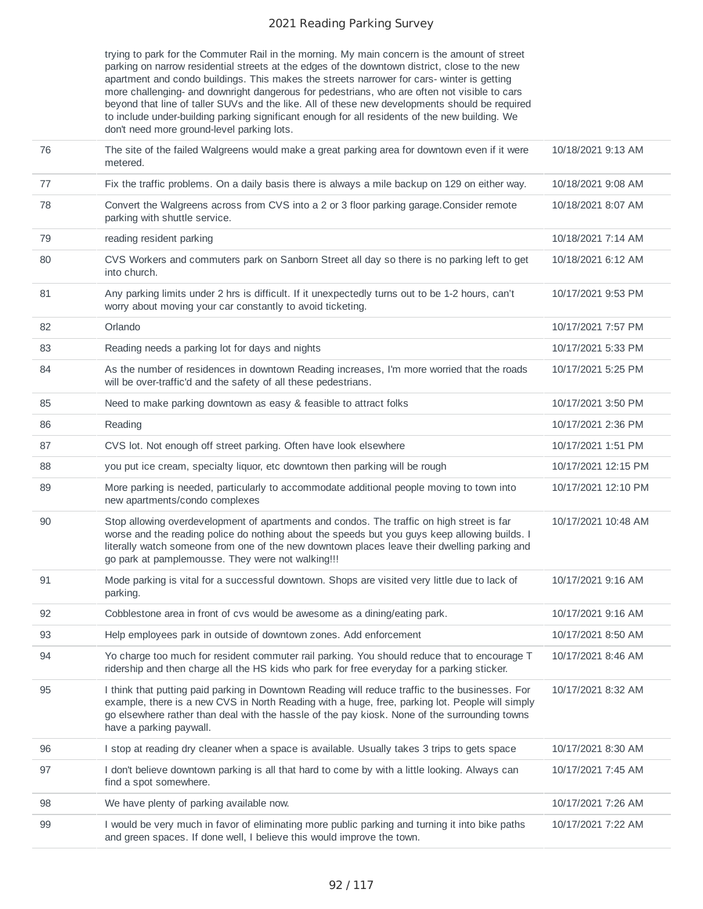trying to park for the Commuter Rail in the morning. My main concern is the amount of street parking on narrow residential streets at the edges of the downtown district, close to the new apartment and condo buildings. This makes the streets narrower for cars- winter is getting more challenging- and downright dangerous for pedestrians, who are often not visible to cars beyond that line of taller SUVs and the like. All of these new developments should be required to include under-building parking significant enough for all residents of the new building. We don't need more ground-level parking lots.

| 76 | The site of the failed Walgreens would make a great parking area for downtown even if it were<br>metered.                                                                                                                                                                                                                                       | 10/18/2021 9:13 AM  |
|----|-------------------------------------------------------------------------------------------------------------------------------------------------------------------------------------------------------------------------------------------------------------------------------------------------------------------------------------------------|---------------------|
| 77 | Fix the traffic problems. On a daily basis there is always a mile backup on 129 on either way.                                                                                                                                                                                                                                                  | 10/18/2021 9:08 AM  |
| 78 | Convert the Walgreens across from CVS into a 2 or 3 floor parking garage. Consider remote<br>parking with shuttle service.                                                                                                                                                                                                                      | 10/18/2021 8:07 AM  |
| 79 | reading resident parking                                                                                                                                                                                                                                                                                                                        | 10/18/2021 7:14 AM  |
| 80 | CVS Workers and commuters park on Sanborn Street all day so there is no parking left to get<br>into church.                                                                                                                                                                                                                                     | 10/18/2021 6:12 AM  |
| 81 | Any parking limits under 2 hrs is difficult. If it unexpectedly turns out to be 1-2 hours, can't<br>worry about moving your car constantly to avoid ticketing.                                                                                                                                                                                  | 10/17/2021 9:53 PM  |
| 82 | Orlando                                                                                                                                                                                                                                                                                                                                         | 10/17/2021 7:57 PM  |
| 83 | Reading needs a parking lot for days and nights                                                                                                                                                                                                                                                                                                 | 10/17/2021 5:33 PM  |
| 84 | As the number of residences in downtown Reading increases, I'm more worried that the roads<br>will be over-traffic'd and the safety of all these pedestrians.                                                                                                                                                                                   | 10/17/2021 5:25 PM  |
| 85 | Need to make parking downtown as easy & feasible to attract folks                                                                                                                                                                                                                                                                               | 10/17/2021 3:50 PM  |
| 86 | Reading                                                                                                                                                                                                                                                                                                                                         | 10/17/2021 2:36 PM  |
| 87 | CVS lot. Not enough off street parking. Often have look elsewhere                                                                                                                                                                                                                                                                               | 10/17/2021 1:51 PM  |
| 88 | you put ice cream, specialty liquor, etc downtown then parking will be rough                                                                                                                                                                                                                                                                    | 10/17/2021 12:15 PM |
| 89 | More parking is needed, particularly to accommodate additional people moving to town into<br>new apartments/condo complexes                                                                                                                                                                                                                     | 10/17/2021 12:10 PM |
| 90 | Stop allowing overdevelopment of apartments and condos. The traffic on high street is far<br>worse and the reading police do nothing about the speeds but you guys keep allowing builds. I<br>literally watch someone from one of the new downtown places leave their dwelling parking and<br>go park at pamplemousse. They were not walking!!! | 10/17/2021 10:48 AM |
| 91 | Mode parking is vital for a successful downtown. Shops are visited very little due to lack of<br>parking.                                                                                                                                                                                                                                       | 10/17/2021 9:16 AM  |
| 92 | Cobblestone area in front of cvs would be awesome as a dining/eating park.                                                                                                                                                                                                                                                                      | 10/17/2021 9:16 AM  |
| 93 | Help employees park in outside of downtown zones. Add enforcement                                                                                                                                                                                                                                                                               | 10/17/2021 8:50 AM  |
| 94 | Yo charge too much for resident commuter rail parking. You should reduce that to encourage T<br>ridership and then charge all the HS kids who park for free everyday for a parking sticker.                                                                                                                                                     | 10/17/2021 8:46 AM  |
| 95 | I think that putting paid parking in Downtown Reading will reduce traffic to the businesses. For<br>example, there is a new CVS in North Reading with a huge, free, parking lot. People will simply<br>go elsewhere rather than deal with the hassle of the pay kiosk. None of the surrounding towns<br>have a parking paywall.                 | 10/17/2021 8:32 AM  |
| 96 | I stop at reading dry cleaner when a space is available. Usually takes 3 trips to gets space                                                                                                                                                                                                                                                    | 10/17/2021 8:30 AM  |
| 97 | I don't believe downtown parking is all that hard to come by with a little looking. Always can<br>find a spot somewhere.                                                                                                                                                                                                                        | 10/17/2021 7:45 AM  |
| 98 | We have plenty of parking available now.                                                                                                                                                                                                                                                                                                        | 10/17/2021 7:26 AM  |
| 99 | I would be very much in favor of eliminating more public parking and turning it into bike paths<br>and green spaces. If done well, I believe this would improve the town.                                                                                                                                                                       | 10/17/2021 7:22 AM  |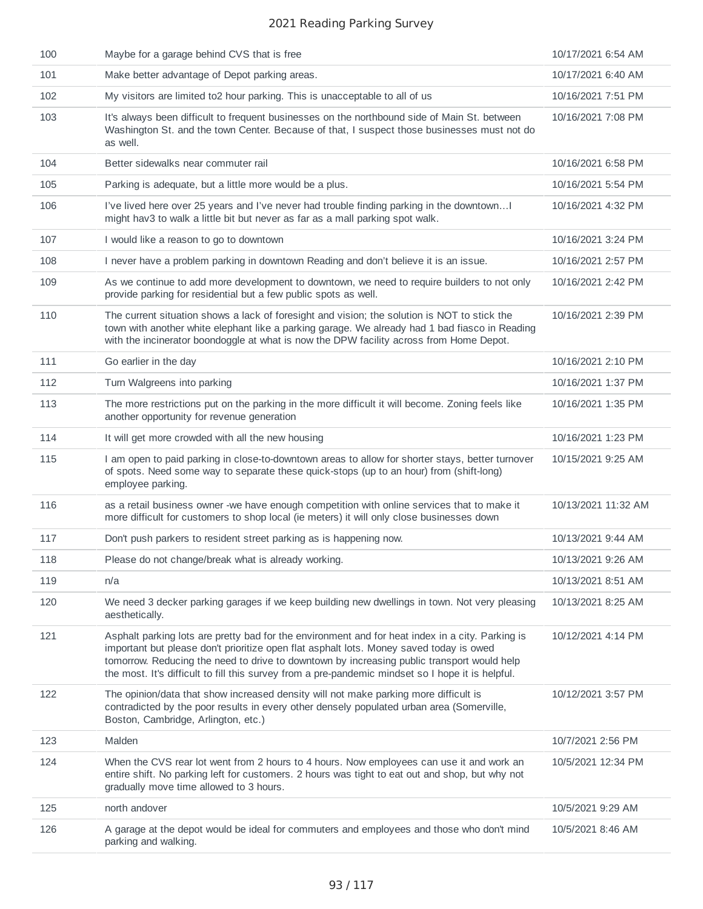| 100 | Maybe for a garage behind CVS that is free                                                                                                                                                                                                                                                                                                                                                     | 10/17/2021 6:54 AM  |
|-----|------------------------------------------------------------------------------------------------------------------------------------------------------------------------------------------------------------------------------------------------------------------------------------------------------------------------------------------------------------------------------------------------|---------------------|
| 101 | Make better advantage of Depot parking areas.                                                                                                                                                                                                                                                                                                                                                  | 10/17/2021 6:40 AM  |
| 102 | My visitors are limited to2 hour parking. This is unacceptable to all of us                                                                                                                                                                                                                                                                                                                    | 10/16/2021 7:51 PM  |
| 103 | It's always been difficult to frequent businesses on the northbound side of Main St. between<br>Washington St. and the town Center. Because of that, I suspect those businesses must not do<br>as well.                                                                                                                                                                                        | 10/16/2021 7:08 PM  |
| 104 | Better sidewalks near commuter rail                                                                                                                                                                                                                                                                                                                                                            | 10/16/2021 6:58 PM  |
| 105 | Parking is adequate, but a little more would be a plus.                                                                                                                                                                                                                                                                                                                                        | 10/16/2021 5:54 PM  |
| 106 | I've lived here over 25 years and I've never had trouble finding parking in the downtownI<br>might hav3 to walk a little bit but never as far as a mall parking spot walk.                                                                                                                                                                                                                     | 10/16/2021 4:32 PM  |
| 107 | I would like a reason to go to downtown                                                                                                                                                                                                                                                                                                                                                        | 10/16/2021 3:24 PM  |
| 108 | I never have a problem parking in downtown Reading and don't believe it is an issue.                                                                                                                                                                                                                                                                                                           | 10/16/2021 2:57 PM  |
| 109 | As we continue to add more development to downtown, we need to require builders to not only<br>provide parking for residential but a few public spots as well.                                                                                                                                                                                                                                 | 10/16/2021 2:42 PM  |
| 110 | The current situation shows a lack of foresight and vision; the solution is NOT to stick the<br>town with another white elephant like a parking garage. We already had 1 bad fiasco in Reading<br>with the incinerator boondoggle at what is now the DPW facility across from Home Depot.                                                                                                      | 10/16/2021 2:39 PM  |
| 111 | Go earlier in the day                                                                                                                                                                                                                                                                                                                                                                          | 10/16/2021 2:10 PM  |
| 112 | Turn Walgreens into parking                                                                                                                                                                                                                                                                                                                                                                    | 10/16/2021 1:37 PM  |
| 113 | The more restrictions put on the parking in the more difficult it will become. Zoning feels like<br>another opportunity for revenue generation                                                                                                                                                                                                                                                 | 10/16/2021 1:35 PM  |
| 114 | It will get more crowded with all the new housing                                                                                                                                                                                                                                                                                                                                              | 10/16/2021 1:23 PM  |
| 115 | I am open to paid parking in close-to-downtown areas to allow for shorter stays, better turnover<br>of spots. Need some way to separate these quick-stops (up to an hour) from (shift-long)<br>employee parking.                                                                                                                                                                               | 10/15/2021 9:25 AM  |
| 116 | as a retail business owner -we have enough competition with online services that to make it<br>more difficult for customers to shop local (ie meters) it will only close businesses down                                                                                                                                                                                                       | 10/13/2021 11:32 AM |
| 117 | Don't push parkers to resident street parking as is happening now.                                                                                                                                                                                                                                                                                                                             | 10/13/2021 9:44 AM  |
| 118 | Please do not change/break what is already working.                                                                                                                                                                                                                                                                                                                                            | 10/13/2021 9:26 AM  |
| 119 | n/a                                                                                                                                                                                                                                                                                                                                                                                            | 10/13/2021 8:51 AM  |
| 120 | We need 3 decker parking garages if we keep building new dwellings in town. Not very pleasing<br>aesthetically.                                                                                                                                                                                                                                                                                | 10/13/2021 8:25 AM  |
| 121 | Asphalt parking lots are pretty bad for the environment and for heat index in a city. Parking is<br>important but please don't prioritize open flat asphalt lots. Money saved today is owed<br>tomorrow. Reducing the need to drive to downtown by increasing public transport would help<br>the most. It's difficult to fill this survey from a pre-pandemic mindset so I hope it is helpful. | 10/12/2021 4:14 PM  |
| 122 | The opinion/data that show increased density will not make parking more difficult is<br>contradicted by the poor results in every other densely populated urban area (Somerville,<br>Boston, Cambridge, Arlington, etc.)                                                                                                                                                                       | 10/12/2021 3:57 PM  |
| 123 | Malden                                                                                                                                                                                                                                                                                                                                                                                         | 10/7/2021 2:56 PM   |
| 124 | When the CVS rear lot went from 2 hours to 4 hours. Now employees can use it and work an<br>entire shift. No parking left for customers. 2 hours was tight to eat out and shop, but why not<br>gradually move time allowed to 3 hours.                                                                                                                                                         | 10/5/2021 12:34 PM  |
| 125 | north andover                                                                                                                                                                                                                                                                                                                                                                                  | 10/5/2021 9:29 AM   |
| 126 | A garage at the depot would be ideal for commuters and employees and those who don't mind<br>parking and walking.                                                                                                                                                                                                                                                                              | 10/5/2021 8:46 AM   |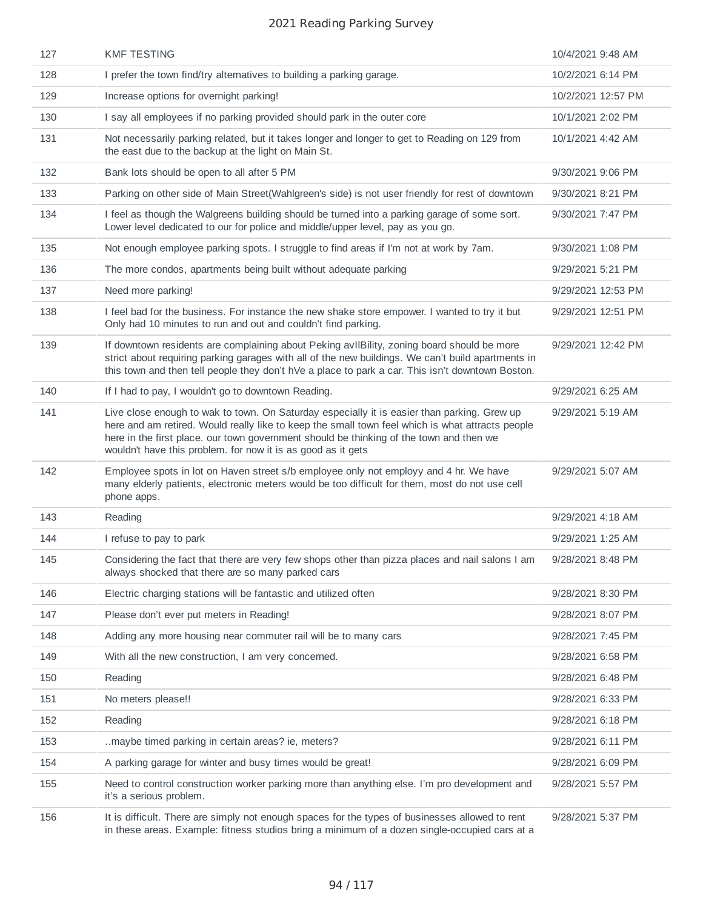| 127 | <b>KMF TESTING</b>                                                                                                                                                                                                                                                                                                                                         | 10/4/2021 9:48 AM  |
|-----|------------------------------------------------------------------------------------------------------------------------------------------------------------------------------------------------------------------------------------------------------------------------------------------------------------------------------------------------------------|--------------------|
| 128 | I prefer the town find/try alternatives to building a parking garage.                                                                                                                                                                                                                                                                                      | 10/2/2021 6:14 PM  |
| 129 | Increase options for overnight parking!                                                                                                                                                                                                                                                                                                                    | 10/2/2021 12:57 PM |
| 130 | I say all employees if no parking provided should park in the outer core                                                                                                                                                                                                                                                                                   | 10/1/2021 2:02 PM  |
| 131 | Not necessarily parking related, but it takes longer and longer to get to Reading on 129 from<br>the east due to the backup at the light on Main St.                                                                                                                                                                                                       | 10/1/2021 4:42 AM  |
| 132 | Bank lots should be open to all after 5 PM                                                                                                                                                                                                                                                                                                                 | 9/30/2021 9:06 PM  |
| 133 | Parking on other side of Main Street(Wahlgreen's side) is not user friendly for rest of downtown                                                                                                                                                                                                                                                           | 9/30/2021 8:21 PM  |
| 134 | I feel as though the Walgreens building should be turned into a parking garage of some sort.<br>Lower level dedicated to our for police and middle/upper level, pay as you go.                                                                                                                                                                             | 9/30/2021 7:47 PM  |
| 135 | Not enough employee parking spots. I struggle to find areas if I'm not at work by 7am.                                                                                                                                                                                                                                                                     | 9/30/2021 1:08 PM  |
| 136 | The more condos, apartments being built without adequate parking                                                                                                                                                                                                                                                                                           | 9/29/2021 5:21 PM  |
| 137 | Need more parking!                                                                                                                                                                                                                                                                                                                                         | 9/29/2021 12:53 PM |
| 138 | I feel bad for the business. For instance the new shake store empower. I wanted to try it but<br>Only had 10 minutes to run and out and couldn't find parking.                                                                                                                                                                                             | 9/29/2021 12:51 PM |
| 139 | If downtown residents are complaining about Peking avIIBility, zoning board should be more<br>strict about requiring parking garages with all of the new buildings. We can't build apartments in<br>this town and then tell people they don't hVe a place to park a car. This isn't downtown Boston.                                                       | 9/29/2021 12:42 PM |
| 140 | If I had to pay, I wouldn't go to downtown Reading.                                                                                                                                                                                                                                                                                                        | 9/29/2021 6:25 AM  |
| 141 | Live close enough to wak to town. On Saturday especially it is easier than parking. Grew up<br>here and am retired. Would really like to keep the small town feel which is what attracts people<br>here in the first place. our town government should be thinking of the town and then we<br>wouldn't have this problem. for now it is as good as it gets | 9/29/2021 5:19 AM  |
| 142 | Employee spots in lot on Haven street s/b employee only not employy and 4 hr. We have<br>many elderly patients, electronic meters would be too difficult for them, most do not use cell<br>phone apps.                                                                                                                                                     | 9/29/2021 5:07 AM  |
| 143 | Reading                                                                                                                                                                                                                                                                                                                                                    | 9/29/2021 4:18 AM  |
| 144 | I refuse to pay to park                                                                                                                                                                                                                                                                                                                                    | 9/29/2021 1:25 AM  |
| 145 | Considering the fact that there are very few shops other than pizza places and nail salons I am<br>always shocked that there are so many parked cars                                                                                                                                                                                                       | 9/28/2021 8:48 PM  |
| 146 | Electric charging stations will be fantastic and utilized often                                                                                                                                                                                                                                                                                            | 9/28/2021 8:30 PM  |
| 147 | Please don't ever put meters in Reading!                                                                                                                                                                                                                                                                                                                   | 9/28/2021 8:07 PM  |
| 148 | Adding any more housing near commuter rail will be to many cars                                                                                                                                                                                                                                                                                            | 9/28/2021 7:45 PM  |
| 149 | With all the new construction, I am very concerned.                                                                                                                                                                                                                                                                                                        | 9/28/2021 6:58 PM  |
| 150 | Reading                                                                                                                                                                                                                                                                                                                                                    | 9/28/2021 6:48 PM  |
| 151 | No meters please!!                                                                                                                                                                                                                                                                                                                                         | 9/28/2021 6:33 PM  |
| 152 | Reading                                                                                                                                                                                                                                                                                                                                                    | 9/28/2021 6:18 PM  |
| 153 | maybe timed parking in certain areas? ie, meters?                                                                                                                                                                                                                                                                                                          | 9/28/2021 6:11 PM  |
| 154 | A parking garage for winter and busy times would be great!                                                                                                                                                                                                                                                                                                 | 9/28/2021 6:09 PM  |
| 155 | Need to control construction worker parking more than anything else. I'm pro development and<br>it's a serious problem.                                                                                                                                                                                                                                    | 9/28/2021 5:57 PM  |
| 156 | It is difficult. There are simply not enough spaces for the types of businesses allowed to rent<br>in these areas. Example: fitness studios bring a minimum of a dozen single-occupied cars at a                                                                                                                                                           | 9/28/2021 5:37 PM  |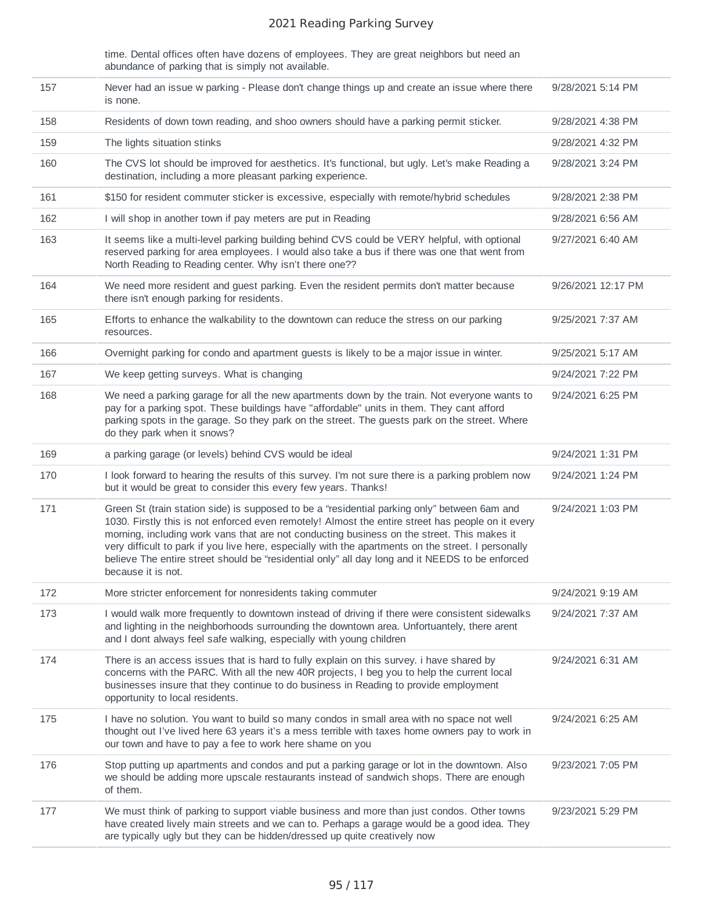time. Dental offices often have dozens of employees. They are great neighbors but need an abundance of parking that is simply not available.

| 157 | Never had an issue w parking - Please don't change things up and create an issue where there<br>is none.                                                                                                                                                                                                                                                                                                                                                                                                                        | 9/28/2021 5:14 PM  |
|-----|---------------------------------------------------------------------------------------------------------------------------------------------------------------------------------------------------------------------------------------------------------------------------------------------------------------------------------------------------------------------------------------------------------------------------------------------------------------------------------------------------------------------------------|--------------------|
| 158 | Residents of down town reading, and shoo owners should have a parking permit sticker.                                                                                                                                                                                                                                                                                                                                                                                                                                           | 9/28/2021 4:38 PM  |
| 159 | The lights situation stinks                                                                                                                                                                                                                                                                                                                                                                                                                                                                                                     | 9/28/2021 4:32 PM  |
| 160 | The CVS lot should be improved for aesthetics. It's functional, but ugly. Let's make Reading a<br>destination, including a more pleasant parking experience.                                                                                                                                                                                                                                                                                                                                                                    | 9/28/2021 3:24 PM  |
| 161 | \$150 for resident commuter sticker is excessive, especially with remote/hybrid schedules                                                                                                                                                                                                                                                                                                                                                                                                                                       | 9/28/2021 2:38 PM  |
| 162 | I will shop in another town if pay meters are put in Reading                                                                                                                                                                                                                                                                                                                                                                                                                                                                    | 9/28/2021 6:56 AM  |
| 163 | It seems like a multi-level parking building behind CVS could be VERY helpful, with optional<br>reserved parking for area employees. I would also take a bus if there was one that went from<br>North Reading to Reading center. Why isn't there one??                                                                                                                                                                                                                                                                          | 9/27/2021 6:40 AM  |
| 164 | We need more resident and guest parking. Even the resident permits don't matter because<br>there isn't enough parking for residents.                                                                                                                                                                                                                                                                                                                                                                                            | 9/26/2021 12:17 PM |
| 165 | Efforts to enhance the walkability to the downtown can reduce the stress on our parking<br>resources.                                                                                                                                                                                                                                                                                                                                                                                                                           | 9/25/2021 7:37 AM  |
| 166 | Overnight parking for condo and apartment guests is likely to be a major issue in winter.                                                                                                                                                                                                                                                                                                                                                                                                                                       | 9/25/2021 5:17 AM  |
| 167 | We keep getting surveys. What is changing                                                                                                                                                                                                                                                                                                                                                                                                                                                                                       | 9/24/2021 7:22 PM  |
| 168 | We need a parking garage for all the new apartments down by the train. Not everyone wants to<br>pay for a parking spot. These buildings have "affordable" units in them. They cant afford<br>parking spots in the garage. So they park on the street. The guests park on the street. Where<br>do they park when it snows?                                                                                                                                                                                                       | 9/24/2021 6:25 PM  |
| 169 | a parking garage (or levels) behind CVS would be ideal                                                                                                                                                                                                                                                                                                                                                                                                                                                                          | 9/24/2021 1:31 PM  |
| 170 | I look forward to hearing the results of this survey. I'm not sure there is a parking problem now<br>but it would be great to consider this every few years. Thanks!                                                                                                                                                                                                                                                                                                                                                            | 9/24/2021 1:24 PM  |
| 171 | Green St (train station side) is supposed to be a "residential parking only" between 6am and<br>1030. Firstly this is not enforced even remotely! Almost the entire street has people on it every<br>morning, including work vans that are not conducting business on the street. This makes it<br>very difficult to park if you live here, especially with the apartments on the street. I personally<br>believe The entire street should be "residential only" all day long and it NEEDS to be enforced<br>because it is not. | 9/24/2021 1:03 PM  |
| 172 | More stricter enforcement for nonresidents taking commuter                                                                                                                                                                                                                                                                                                                                                                                                                                                                      | 9/24/2021 9:19 AM  |
| 173 | I would walk more frequently to downtown instead of driving if there were consistent sidewalks<br>and lighting in the neighborhoods surrounding the downtown area. Unfortuantely, there arent<br>and I dont always feel safe walking, especially with young children                                                                                                                                                                                                                                                            | 9/24/2021 7:37 AM  |
| 174 | There is an access issues that is hard to fully explain on this survey. I have shared by<br>concerns with the PARC. With all the new 40R projects, I beg you to help the current local<br>businesses insure that they continue to do business in Reading to provide employment<br>opportunity to local residents.                                                                                                                                                                                                               | 9/24/2021 6:31 AM  |
| 175 | I have no solution. You want to build so many condos in small area with no space not well<br>thought out I've lived here 63 years it's a mess terrible with taxes home owners pay to work in<br>our town and have to pay a fee to work here shame on you                                                                                                                                                                                                                                                                        | 9/24/2021 6:25 AM  |
| 176 | Stop putting up apartments and condos and put a parking garage or lot in the downtown. Also<br>we should be adding more upscale restaurants instead of sandwich shops. There are enough<br>of them.                                                                                                                                                                                                                                                                                                                             | 9/23/2021 7:05 PM  |
| 177 | We must think of parking to support viable business and more than just condos. Other towns<br>have created lively main streets and we can to. Perhaps a garage would be a good idea. They<br>are typically ugly but they can be hidden/dressed up quite creatively now                                                                                                                                                                                                                                                          | 9/23/2021 5:29 PM  |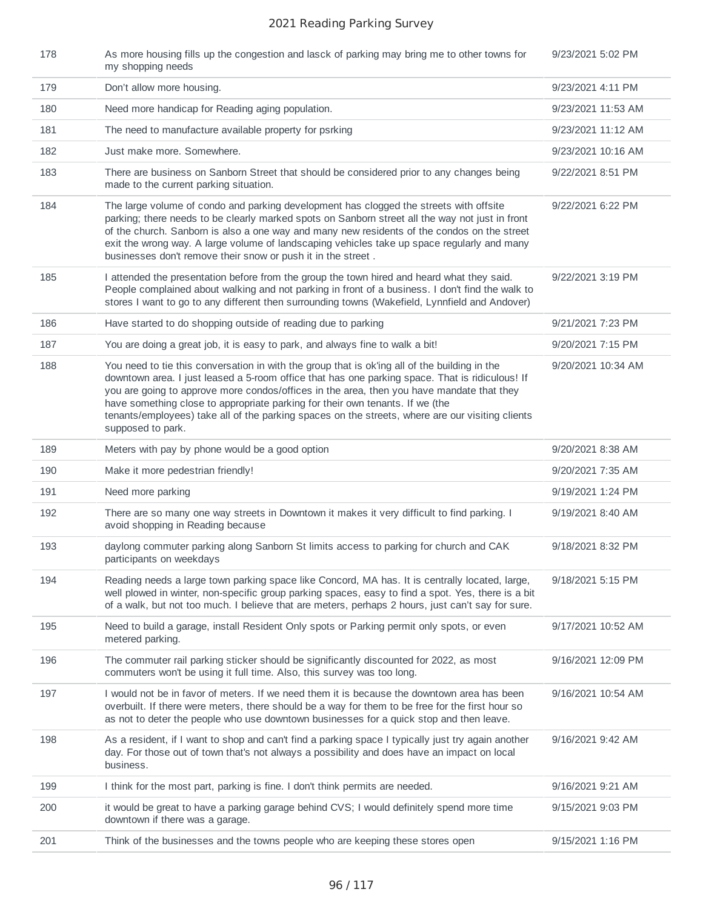| 178 | As more housing fills up the congestion and lasck of parking may bring me to other towns for<br>my shopping needs                                                                                                                                                                                                                                                                                                                                                                                       | 9/23/2021 5:02 PM  |
|-----|---------------------------------------------------------------------------------------------------------------------------------------------------------------------------------------------------------------------------------------------------------------------------------------------------------------------------------------------------------------------------------------------------------------------------------------------------------------------------------------------------------|--------------------|
| 179 | Don't allow more housing.                                                                                                                                                                                                                                                                                                                                                                                                                                                                               | 9/23/2021 4:11 PM  |
| 180 | Need more handicap for Reading aging population.                                                                                                                                                                                                                                                                                                                                                                                                                                                        | 9/23/2021 11:53 AM |
| 181 | The need to manufacture available property for psrking                                                                                                                                                                                                                                                                                                                                                                                                                                                  | 9/23/2021 11:12 AM |
| 182 | Just make more. Somewhere.                                                                                                                                                                                                                                                                                                                                                                                                                                                                              | 9/23/2021 10:16 AM |
| 183 | There are business on Sanborn Street that should be considered prior to any changes being<br>made to the current parking situation.                                                                                                                                                                                                                                                                                                                                                                     | 9/22/2021 8:51 PM  |
| 184 | The large volume of condo and parking development has clogged the streets with offsite<br>parking; there needs to be clearly marked spots on Sanborn street all the way not just in front<br>of the church. Sanborn is also a one way and many new residents of the condos on the street<br>exit the wrong way. A large volume of landscaping vehicles take up space regularly and many<br>businesses don't remove their snow or push it in the street.                                                 | 9/22/2021 6:22 PM  |
| 185 | I attended the presentation before from the group the town hired and heard what they said.<br>People complained about walking and not parking in front of a business. I don't find the walk to<br>stores I want to go to any different then surrounding towns (Wakefield, Lynnfield and Andover)                                                                                                                                                                                                        | 9/22/2021 3:19 PM  |
| 186 | Have started to do shopping outside of reading due to parking                                                                                                                                                                                                                                                                                                                                                                                                                                           | 9/21/2021 7:23 PM  |
| 187 | You are doing a great job, it is easy to park, and always fine to walk a bit!                                                                                                                                                                                                                                                                                                                                                                                                                           | 9/20/2021 7:15 PM  |
| 188 | You need to tie this conversation in with the group that is ok'ing all of the building in the<br>downtown area. I just leased a 5-room office that has one parking space. That is ridiculous! If<br>you are going to approve more condos/offices in the area, then you have mandate that they<br>have something close to appropriate parking for their own tenants. If we (the<br>tenants/employees) take all of the parking spaces on the streets, where are our visiting clients<br>supposed to park. | 9/20/2021 10:34 AM |
| 189 | Meters with pay by phone would be a good option                                                                                                                                                                                                                                                                                                                                                                                                                                                         | 9/20/2021 8:38 AM  |
| 190 | Make it more pedestrian friendly!                                                                                                                                                                                                                                                                                                                                                                                                                                                                       | 9/20/2021 7:35 AM  |
| 191 | Need more parking                                                                                                                                                                                                                                                                                                                                                                                                                                                                                       | 9/19/2021 1:24 PM  |
| 192 | There are so many one way streets in Downtown it makes it very difficult to find parking. I<br>avoid shopping in Reading because                                                                                                                                                                                                                                                                                                                                                                        | 9/19/2021 8:40 AM  |
| 193 | daylong commuter parking along Sanborn St limits access to parking for church and CAK<br>participants on weekdays                                                                                                                                                                                                                                                                                                                                                                                       | 9/18/2021 8:32 PM  |
| 194 | Reading needs a large town parking space like Concord, MA has. It is centrally located, large,<br>well plowed in winter, non-specific group parking spaces, easy to find a spot. Yes, there is a bit<br>of a walk, but not too much. I believe that are meters, perhaps 2 hours, just can't say for sure.                                                                                                                                                                                               | 9/18/2021 5:15 PM  |
| 195 | Need to build a garage, install Resident Only spots or Parking permit only spots, or even<br>metered parking.                                                                                                                                                                                                                                                                                                                                                                                           | 9/17/2021 10:52 AM |
| 196 | The commuter rail parking sticker should be significantly discounted for 2022, as most<br>commuters won't be using it full time. Also, this survey was too long.                                                                                                                                                                                                                                                                                                                                        | 9/16/2021 12:09 PM |
| 197 | I would not be in favor of meters. If we need them it is because the downtown area has been<br>overbuilt. If there were meters, there should be a way for them to be free for the first hour so<br>as not to deter the people who use downtown businesses for a quick stop and then leave.                                                                                                                                                                                                              | 9/16/2021 10:54 AM |
| 198 | As a resident, if I want to shop and can't find a parking space I typically just try again another<br>day. For those out of town that's not always a possibility and does have an impact on local<br>business.                                                                                                                                                                                                                                                                                          | 9/16/2021 9:42 AM  |
| 199 | I think for the most part, parking is fine. I don't think permits are needed.                                                                                                                                                                                                                                                                                                                                                                                                                           | 9/16/2021 9:21 AM  |
| 200 | it would be great to have a parking garage behind CVS; I would definitely spend more time<br>downtown if there was a garage.                                                                                                                                                                                                                                                                                                                                                                            | 9/15/2021 9:03 PM  |
| 201 | Think of the businesses and the towns people who are keeping these stores open                                                                                                                                                                                                                                                                                                                                                                                                                          | 9/15/2021 1:16 PM  |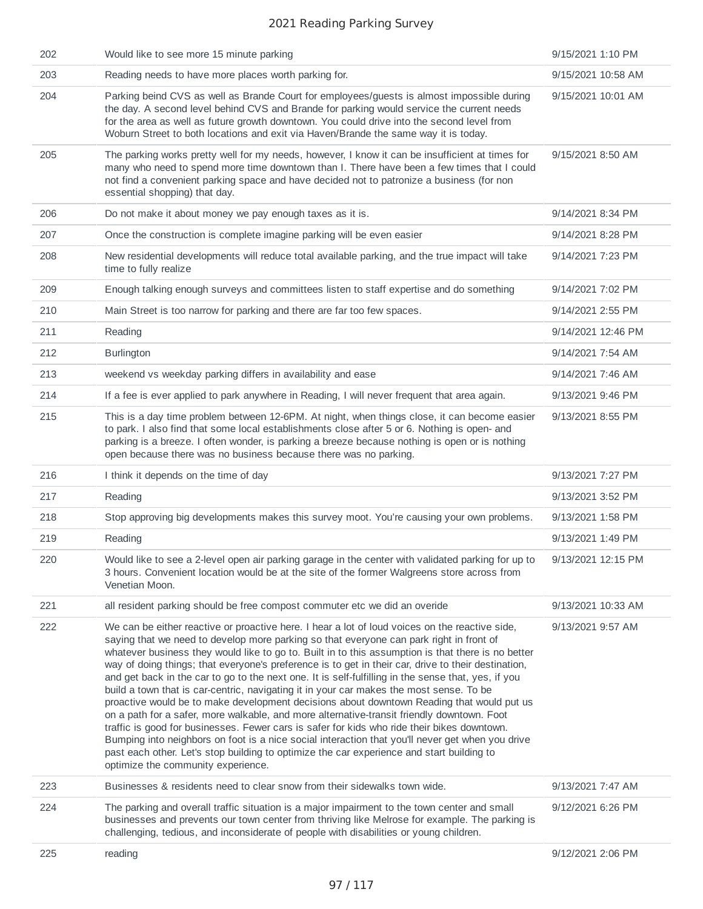| 202 | Would like to see more 15 minute parking                                                                                                                                                                                                                                                                                                                                                                                                                                                                                                                                                                                                                                                                                                                                                                                                                                                                                                                                                                                                                                                                                                  | 9/15/2021 1:10 PM  |
|-----|-------------------------------------------------------------------------------------------------------------------------------------------------------------------------------------------------------------------------------------------------------------------------------------------------------------------------------------------------------------------------------------------------------------------------------------------------------------------------------------------------------------------------------------------------------------------------------------------------------------------------------------------------------------------------------------------------------------------------------------------------------------------------------------------------------------------------------------------------------------------------------------------------------------------------------------------------------------------------------------------------------------------------------------------------------------------------------------------------------------------------------------------|--------------------|
| 203 | Reading needs to have more places worth parking for.                                                                                                                                                                                                                                                                                                                                                                                                                                                                                                                                                                                                                                                                                                                                                                                                                                                                                                                                                                                                                                                                                      | 9/15/2021 10:58 AM |
| 204 | Parking beind CVS as well as Brande Court for employees/guests is almost impossible during<br>the day. A second level behind CVS and Brande for parking would service the current needs<br>for the area as well as future growth downtown. You could drive into the second level from<br>Woburn Street to both locations and exit via Haven/Brande the same way it is today.                                                                                                                                                                                                                                                                                                                                                                                                                                                                                                                                                                                                                                                                                                                                                              | 9/15/2021 10:01 AM |
| 205 | The parking works pretty well for my needs, however, I know it can be insufficient at times for<br>many who need to spend more time downtown than I. There have been a few times that I could<br>not find a convenient parking space and have decided not to patronize a business (for non<br>essential shopping) that day.                                                                                                                                                                                                                                                                                                                                                                                                                                                                                                                                                                                                                                                                                                                                                                                                               | 9/15/2021 8:50 AM  |
| 206 | Do not make it about money we pay enough taxes as it is.                                                                                                                                                                                                                                                                                                                                                                                                                                                                                                                                                                                                                                                                                                                                                                                                                                                                                                                                                                                                                                                                                  | 9/14/2021 8:34 PM  |
| 207 | Once the construction is complete imagine parking will be even easier                                                                                                                                                                                                                                                                                                                                                                                                                                                                                                                                                                                                                                                                                                                                                                                                                                                                                                                                                                                                                                                                     | 9/14/2021 8:28 PM  |
| 208 | New residential developments will reduce total available parking, and the true impact will take<br>time to fully realize                                                                                                                                                                                                                                                                                                                                                                                                                                                                                                                                                                                                                                                                                                                                                                                                                                                                                                                                                                                                                  | 9/14/2021 7:23 PM  |
| 209 | Enough talking enough surveys and committees listen to staff expertise and do something                                                                                                                                                                                                                                                                                                                                                                                                                                                                                                                                                                                                                                                                                                                                                                                                                                                                                                                                                                                                                                                   | 9/14/2021 7:02 PM  |
| 210 | Main Street is too narrow for parking and there are far too few spaces.                                                                                                                                                                                                                                                                                                                                                                                                                                                                                                                                                                                                                                                                                                                                                                                                                                                                                                                                                                                                                                                                   | 9/14/2021 2:55 PM  |
| 211 | Reading                                                                                                                                                                                                                                                                                                                                                                                                                                                                                                                                                                                                                                                                                                                                                                                                                                                                                                                                                                                                                                                                                                                                   | 9/14/2021 12:46 PM |
| 212 | <b>Burlington</b>                                                                                                                                                                                                                                                                                                                                                                                                                                                                                                                                                                                                                                                                                                                                                                                                                                                                                                                                                                                                                                                                                                                         | 9/14/2021 7:54 AM  |
| 213 | weekend vs weekday parking differs in availability and ease                                                                                                                                                                                                                                                                                                                                                                                                                                                                                                                                                                                                                                                                                                                                                                                                                                                                                                                                                                                                                                                                               | 9/14/2021 7:46 AM  |
| 214 | If a fee is ever applied to park anywhere in Reading, I will never frequent that area again.                                                                                                                                                                                                                                                                                                                                                                                                                                                                                                                                                                                                                                                                                                                                                                                                                                                                                                                                                                                                                                              | 9/13/2021 9:46 PM  |
| 215 | This is a day time problem between 12-6PM. At night, when things close, it can become easier<br>to park. I also find that some local establishments close after 5 or 6. Nothing is open- and<br>parking is a breeze. I often wonder, is parking a breeze because nothing is open or is nothing<br>open because there was no business because there was no parking.                                                                                                                                                                                                                                                                                                                                                                                                                                                                                                                                                                                                                                                                                                                                                                        | 9/13/2021 8:55 PM  |
| 216 | I think it depends on the time of day                                                                                                                                                                                                                                                                                                                                                                                                                                                                                                                                                                                                                                                                                                                                                                                                                                                                                                                                                                                                                                                                                                     | 9/13/2021 7:27 PM  |
| 217 | Reading                                                                                                                                                                                                                                                                                                                                                                                                                                                                                                                                                                                                                                                                                                                                                                                                                                                                                                                                                                                                                                                                                                                                   | 9/13/2021 3:52 PM  |
| 218 | Stop approving big developments makes this survey moot. You're causing your own problems.                                                                                                                                                                                                                                                                                                                                                                                                                                                                                                                                                                                                                                                                                                                                                                                                                                                                                                                                                                                                                                                 | 9/13/2021 1:58 PM  |
| 219 | Reading                                                                                                                                                                                                                                                                                                                                                                                                                                                                                                                                                                                                                                                                                                                                                                                                                                                                                                                                                                                                                                                                                                                                   | 9/13/2021 1:49 PM  |
| 220 | Would like to see a 2-level open air parking garage in the center with validated parking for up to<br>3 hours. Convenient location would be at the site of the former Walgreens store across from<br>Venetian Moon.                                                                                                                                                                                                                                                                                                                                                                                                                                                                                                                                                                                                                                                                                                                                                                                                                                                                                                                       | 9/13/2021 12:15 PM |
| 221 | all resident parking should be free compost commuter etc we did an overide                                                                                                                                                                                                                                                                                                                                                                                                                                                                                                                                                                                                                                                                                                                                                                                                                                                                                                                                                                                                                                                                | 9/13/2021 10:33 AM |
| 222 | We can be either reactive or proactive here. I hear a lot of loud voices on the reactive side,<br>saying that we need to develop more parking so that everyone can park right in front of<br>whatever business they would like to go to. Built in to this assumption is that there is no better<br>way of doing things; that everyone's preference is to get in their car, drive to their destination,<br>and get back in the car to go to the next one. It is self-fulfilling in the sense that, yes, if you<br>build a town that is car-centric, navigating it in your car makes the most sense. To be<br>proactive would be to make development decisions about downtown Reading that would put us<br>on a path for a safer, more walkable, and more alternative-transit friendly downtown. Foot<br>traffic is good for businesses. Fewer cars is safer for kids who ride their bikes downtown.<br>Bumping into neighbors on foot is a nice social interaction that you'll never get when you drive<br>past each other. Let's stop building to optimize the car experience and start building to<br>optimize the community experience. | 9/13/2021 9:57 AM  |
| 223 | Businesses & residents need to clear snow from their sidewalks town wide.                                                                                                                                                                                                                                                                                                                                                                                                                                                                                                                                                                                                                                                                                                                                                                                                                                                                                                                                                                                                                                                                 | 9/13/2021 7:47 AM  |
| 224 | The parking and overall traffic situation is a major impairment to the town center and small<br>businesses and prevents our town center from thriving like Melrose for example. The parking is<br>challenging, tedious, and inconsiderate of people with disabilities or young children.                                                                                                                                                                                                                                                                                                                                                                                                                                                                                                                                                                                                                                                                                                                                                                                                                                                  | 9/12/2021 6:26 PM  |
| 225 | reading                                                                                                                                                                                                                                                                                                                                                                                                                                                                                                                                                                                                                                                                                                                                                                                                                                                                                                                                                                                                                                                                                                                                   | 9/12/2021 2:06 PM  |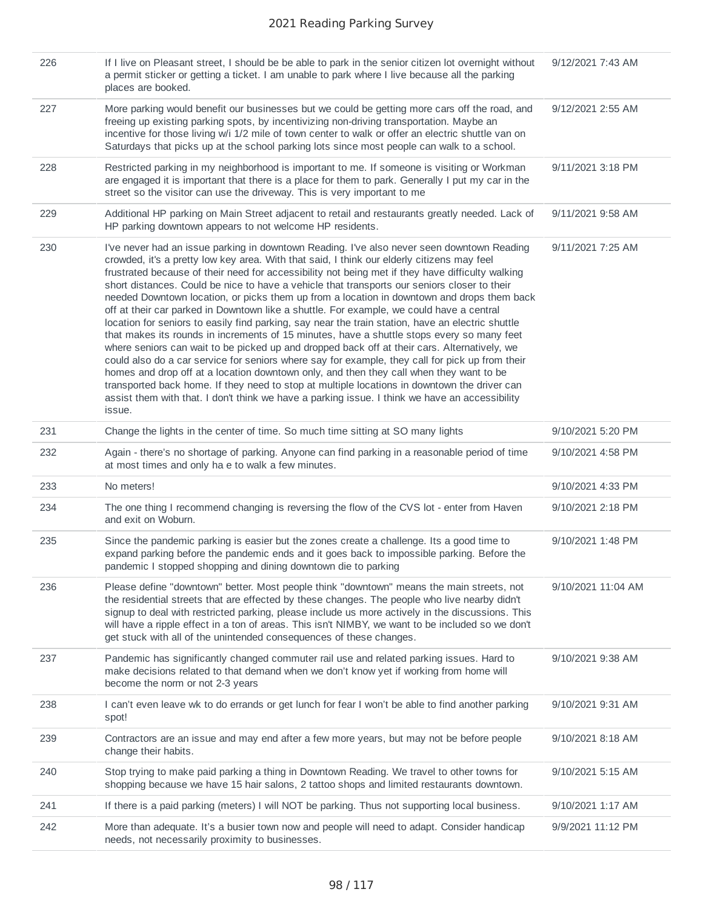| 226 | If I live on Pleasant street, I should be be able to park in the senior citizen lot overnight without<br>a permit sticker or getting a ticket. I am unable to park where I live because all the parking<br>places are booked.                                                                                                                                                                                                                                                                                                                                                                                                                                                                                                                                                                                                                                                                                                                                                                                                                                                                                                                                                                                                                                                                       | 9/12/2021 7:43 AM  |
|-----|-----------------------------------------------------------------------------------------------------------------------------------------------------------------------------------------------------------------------------------------------------------------------------------------------------------------------------------------------------------------------------------------------------------------------------------------------------------------------------------------------------------------------------------------------------------------------------------------------------------------------------------------------------------------------------------------------------------------------------------------------------------------------------------------------------------------------------------------------------------------------------------------------------------------------------------------------------------------------------------------------------------------------------------------------------------------------------------------------------------------------------------------------------------------------------------------------------------------------------------------------------------------------------------------------------|--------------------|
| 227 | More parking would benefit our businesses but we could be getting more cars off the road, and<br>freeing up existing parking spots, by incentivizing non-driving transportation. Maybe an<br>incentive for those living w/i 1/2 mile of town center to walk or offer an electric shuttle van on<br>Saturdays that picks up at the school parking lots since most people can walk to a school.                                                                                                                                                                                                                                                                                                                                                                                                                                                                                                                                                                                                                                                                                                                                                                                                                                                                                                       | 9/12/2021 2:55 AM  |
| 228 | Restricted parking in my neighborhood is important to me. If someone is visiting or Workman<br>are engaged it is important that there is a place for them to park. Generally I put my car in the<br>street so the visitor can use the driveway. This is very important to me                                                                                                                                                                                                                                                                                                                                                                                                                                                                                                                                                                                                                                                                                                                                                                                                                                                                                                                                                                                                                        | 9/11/2021 3:18 PM  |
| 229 | Additional HP parking on Main Street adjacent to retail and restaurants greatly needed. Lack of<br>HP parking downtown appears to not welcome HP residents.                                                                                                                                                                                                                                                                                                                                                                                                                                                                                                                                                                                                                                                                                                                                                                                                                                                                                                                                                                                                                                                                                                                                         | 9/11/2021 9:58 AM  |
| 230 | I've never had an issue parking in downtown Reading. I've also never seen downtown Reading<br>crowded, it's a pretty low key area. With that said, I think our elderly citizens may feel<br>frustrated because of their need for accessibility not being met if they have difficulty walking<br>short distances. Could be nice to have a vehicle that transports our seniors closer to their<br>needed Downtown location, or picks them up from a location in downtown and drops them back<br>off at their car parked in Downtown like a shuttle. For example, we could have a central<br>location for seniors to easily find parking, say near the train station, have an electric shuttle<br>that makes its rounds in increments of 15 minutes, have a shuttle stops every so many feet<br>where seniors can wait to be picked up and dropped back off at their cars. Alternatively, we<br>could also do a car service for seniors where say for example, they call for pick up from their<br>homes and drop off at a location downtown only, and then they call when they want to be<br>transported back home. If they need to stop at multiple locations in downtown the driver can<br>assist them with that. I don't think we have a parking issue. I think we have an accessibility<br>issue. | 9/11/2021 7:25 AM  |
| 231 | Change the lights in the center of time. So much time sitting at SO many lights                                                                                                                                                                                                                                                                                                                                                                                                                                                                                                                                                                                                                                                                                                                                                                                                                                                                                                                                                                                                                                                                                                                                                                                                                     | 9/10/2021 5:20 PM  |
| 232 | Again - there's no shortage of parking. Anyone can find parking in a reasonable period of time<br>at most times and only ha e to walk a few minutes.                                                                                                                                                                                                                                                                                                                                                                                                                                                                                                                                                                                                                                                                                                                                                                                                                                                                                                                                                                                                                                                                                                                                                | 9/10/2021 4:58 PM  |
| 233 | No meters!                                                                                                                                                                                                                                                                                                                                                                                                                                                                                                                                                                                                                                                                                                                                                                                                                                                                                                                                                                                                                                                                                                                                                                                                                                                                                          | 9/10/2021 4:33 PM  |
| 234 | The one thing I recommend changing is reversing the flow of the CVS lot - enter from Haven<br>and exit on Woburn.                                                                                                                                                                                                                                                                                                                                                                                                                                                                                                                                                                                                                                                                                                                                                                                                                                                                                                                                                                                                                                                                                                                                                                                   | 9/10/2021 2:18 PM  |
| 235 | Since the pandemic parking is easier but the zones create a challenge. Its a good time to<br>expand parking before the pandemic ends and it goes back to impossible parking. Before the<br>pandemic I stopped shopping and dining downtown die to parking                                                                                                                                                                                                                                                                                                                                                                                                                                                                                                                                                                                                                                                                                                                                                                                                                                                                                                                                                                                                                                           | 9/10/2021 1:48 PM  |
| 236 | Please define "downtown" better. Most people think "downtown" means the main streets, not<br>the residential streets that are effected by these changes. The people who live nearby didn't<br>signup to deal with restricted parking, please include us more actively in the discussions. This<br>will have a ripple effect in a ton of areas. This isn't NIMBY, we want to be included so we don't<br>get stuck with all of the unintended consequences of these changes.                                                                                                                                                                                                                                                                                                                                                                                                                                                                                                                                                                                                                                                                                                                                                                                                                          | 9/10/2021 11:04 AM |
| 237 | Pandemic has significantly changed commuter rail use and related parking issues. Hard to<br>make decisions related to that demand when we don't know yet if working from home will<br>become the norm or not 2-3 years                                                                                                                                                                                                                                                                                                                                                                                                                                                                                                                                                                                                                                                                                                                                                                                                                                                                                                                                                                                                                                                                              | 9/10/2021 9:38 AM  |
| 238 | I can't even leave wk to do errands or get lunch for fear I won't be able to find another parking<br>spot!                                                                                                                                                                                                                                                                                                                                                                                                                                                                                                                                                                                                                                                                                                                                                                                                                                                                                                                                                                                                                                                                                                                                                                                          | 9/10/2021 9:31 AM  |
| 239 | Contractors are an issue and may end after a few more years, but may not be before people<br>change their habits.                                                                                                                                                                                                                                                                                                                                                                                                                                                                                                                                                                                                                                                                                                                                                                                                                                                                                                                                                                                                                                                                                                                                                                                   | 9/10/2021 8:18 AM  |
| 240 | Stop trying to make paid parking a thing in Downtown Reading. We travel to other towns for<br>shopping because we have 15 hair salons, 2 tattoo shops and limited restaurants downtown.                                                                                                                                                                                                                                                                                                                                                                                                                                                                                                                                                                                                                                                                                                                                                                                                                                                                                                                                                                                                                                                                                                             | 9/10/2021 5:15 AM  |
| 241 | If there is a paid parking (meters) I will NOT be parking. Thus not supporting local business.                                                                                                                                                                                                                                                                                                                                                                                                                                                                                                                                                                                                                                                                                                                                                                                                                                                                                                                                                                                                                                                                                                                                                                                                      | 9/10/2021 1:17 AM  |
| 242 | More than adequate. It's a busier town now and people will need to adapt. Consider handicap<br>needs, not necessarily proximity to businesses.                                                                                                                                                                                                                                                                                                                                                                                                                                                                                                                                                                                                                                                                                                                                                                                                                                                                                                                                                                                                                                                                                                                                                      | 9/9/2021 11:12 PM  |